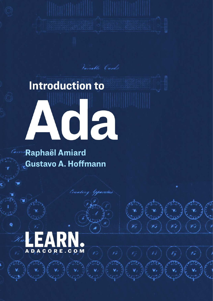# **Introduction to** ACA

Vanable Cards

Spaniers

**Raphaël Amiard Custavo A. Hoffmann** 



Ö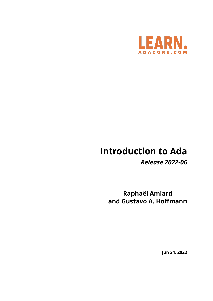

# **Introduction to Ada**

*Release 2022-06*

**Raphaël Amiard and Gustavo A. Hoffmann**

**Jun 24, 2022**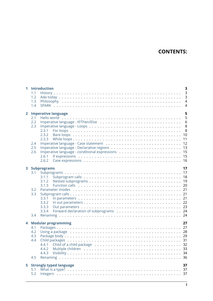# **CONTENTS:**

| 1              | <b>Introduction</b>                                                                                                    | $\overline{\mathbf{3}}$                   |
|----------------|------------------------------------------------------------------------------------------------------------------------|-------------------------------------------|
|                | 1.1<br>1.2                                                                                                             | $\overline{\mathbf{3}}$<br>$\overline{3}$ |
|                | 1.3                                                                                                                    | $\overline{4}$                            |
|                | 1.4                                                                                                                    | $\overline{4}$                            |
| $\overline{2}$ | <b>Imperative language</b><br>2.1                                                                                      | 5<br>5                                    |
|                | 2.2                                                                                                                    | 6                                         |
|                | 2.3                                                                                                                    |                                           |
|                | 2.3.1                                                                                                                  |                                           |
|                | 2.3.2<br>2.3.3                                                                                                         |                                           |
|                | 2.4                                                                                                                    |                                           |
|                | 2.5                                                                                                                    |                                           |
|                | 2.6                                                                                                                    |                                           |
|                | 2.6.1                                                                                                                  |                                           |
|                |                                                                                                                        |                                           |
|                | 3 Subprograms                                                                                                          | 17                                        |
|                | 3.1                                                                                                                    |                                           |
|                | 3.1.1<br>3.1.2                                                                                                         |                                           |
|                | 3.1.3                                                                                                                  |                                           |
|                | 3.2                                                                                                                    |                                           |
|                | 3.3                                                                                                                    |                                           |
|                | 3.3.1<br>3.3.2                                                                                                         |                                           |
|                | 3.3.3                                                                                                                  |                                           |
|                | 3.3.4                                                                                                                  |                                           |
|                | 3.4                                                                                                                    |                                           |
| 4              |                                                                                                                        | 27                                        |
|                | <b>Modular programming</b><br>4.1                                                                                      |                                           |
|                | Using a package entertainment of the contract of the contract of the contract of the contract of the contract o<br>4.2 |                                           |
|                | 4.3                                                                                                                    |                                           |
|                | 4.4                                                                                                                    |                                           |
|                | 4.4.2                                                                                                                  |                                           |
|                | 4.4.3                                                                                                                  |                                           |
|                | 4.5                                                                                                                    |                                           |
|                |                                                                                                                        |                                           |
|                | 5 Strongly typed language                                                                                              | 37                                        |
|                | 5.1<br>5.2                                                                                                             |                                           |
|                |                                                                                                                        |                                           |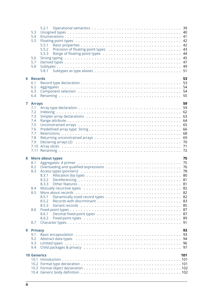|   | 5.3<br>5.4<br>5.5<br>5.6<br>5.7<br>5.8 | 5.2.1<br>5.5.1<br>5.5.2<br>5.5.3<br>5.8.1 |  |
|---|----------------------------------------|-------------------------------------------|--|
|   | <b>6 Records</b>                       | 53                                        |  |
|   | 6.1<br>6.2                             |                                           |  |
|   | 6.3                                    |                                           |  |
|   | 6.4                                    |                                           |  |
|   |                                        |                                           |  |
|   | 7 Arrays<br>7.1                        | 59                                        |  |
|   | 7.2                                    |                                           |  |
|   | 7.3                                    |                                           |  |
|   | 7.4                                    |                                           |  |
|   | 7.5                                    |                                           |  |
|   | 7.6                                    |                                           |  |
|   | 7.7<br>7.8                             |                                           |  |
|   | 7.9                                    |                                           |  |
|   |                                        |                                           |  |
|   |                                        |                                           |  |
|   |                                        |                                           |  |
|   |                                        |                                           |  |
| 8 |                                        | <b>More about types</b><br>75             |  |
|   | 8.1                                    |                                           |  |
|   | 8.2                                    |                                           |  |
|   | 8.3                                    |                                           |  |
|   |                                        | 8.3.1<br>8.3.2                            |  |
|   |                                        | 8.3.3                                     |  |
|   | 8.4                                    |                                           |  |
|   | 8.5                                    |                                           |  |
|   |                                        | 8.5.1                                     |  |
|   |                                        | 8.5.2                                     |  |
|   |                                        | 8.5.3                                     |  |
|   | 8.6                                    |                                           |  |
|   |                                        | 8.6.1<br>8.6.2                            |  |
|   | 8.7                                    |                                           |  |
|   |                                        |                                           |  |
| 9 | <b>Privacy</b>                         | 93                                        |  |
|   | 9.1                                    |                                           |  |
|   | 9.2<br>9.3                             |                                           |  |
|   | 9.4                                    |                                           |  |
|   |                                        |                                           |  |
|   | <b>10 Generics</b>                     | 101                                       |  |
|   |                                        |                                           |  |
|   |                                        |                                           |  |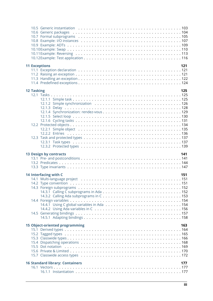|                   | <b>11 Exceptions</b>                   | 121 |
|-------------------|----------------------------------------|-----|
|                   |                                        |     |
|                   |                                        |     |
|                   |                                        |     |
|                   |                                        |     |
| <b>12 Tasking</b> |                                        | 125 |
|                   |                                        |     |
|                   |                                        |     |
|                   |                                        |     |
|                   |                                        |     |
|                   |                                        |     |
|                   |                                        |     |
|                   |                                        |     |
|                   |                                        |     |
|                   |                                        |     |
|                   |                                        |     |
|                   |                                        |     |
|                   |                                        |     |
|                   |                                        |     |
|                   | <b>13 Design by contracts</b>          | 141 |
|                   |                                        |     |
|                   |                                        |     |
|                   |                                        |     |
|                   |                                        |     |
|                   | 14 Interfacing with C                  | 151 |
|                   |                                        |     |
|                   |                                        |     |
|                   |                                        |     |
|                   |                                        |     |
|                   |                                        |     |
|                   |                                        |     |
|                   |                                        |     |
|                   |                                        |     |
|                   |                                        |     |
|                   | <b>15 Object-oriented programming</b>  | 163 |
|                   |                                        |     |
|                   |                                        |     |
|                   |                                        |     |
|                   |                                        |     |
|                   |                                        |     |
|                   |                                        |     |
|                   |                                        |     |
|                   | <b>16 Standard library: Containers</b> | 177 |
|                   |                                        |     |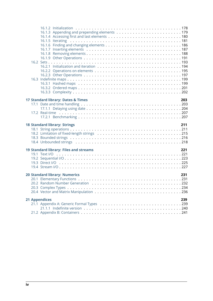|  | 17 Standard library: Dates & Times<br>203<br><b>18 Standard library: Strings</b><br>211 |  |
|--|-----------------------------------------------------------------------------------------|--|
|  |                                                                                         |  |
|  | 19 Standard library: Files and streams<br>221                                           |  |
|  | <b>20 Standard library: Numerics</b><br>231                                             |  |
|  | <b>21 Appendices</b><br>239                                                             |  |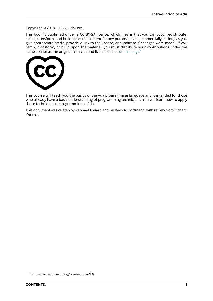# Copyright © 2018 – 2022, AdaCore

This book is published under a CC BY-SA license, which means that you can copy, redistribute, remix, transform, and build upon the content for any purpose, even commercially, as long as you give appropriate credit, provide a link to the license, and indicate if changes were made. If you remix, transform, or build upon the material, you must distribute your contributions under the same license as the original. You can find license details on this page<sup>1</sup>



This course will teach you the basics of the Ada programming language and is intended for those who already have a basic understanding of programming techniques. You will learn how to apply those techniques to programming in Ada.

This document was written by Raphaël Amiard and Gustavo A. Hoffmann, with review from Richard Kenner.

<sup>1</sup> http://creativecommons.org/licenses/by-sa/4.0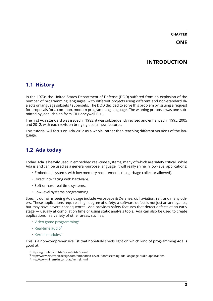**ONE**

# **INTRODUCTION**

# <span id="page-9-0"></span>**1.1 History**

<span id="page-9-1"></span>In the 1970s the United States Department of Defense (DOD) suffered from an explosion of the number of programming languages, with different projects using different and non-standard dialects or language subsets / supersets. The DOD decided to solve this problem by issuing a request for proposals for a common, modern programming language. The winning proposal was one submitted by Jean Ichbiah from CII Honeywell-Bull.

The first Ada standard was issued in 1983; it was subsequently revised and enhanced in 1995, 2005 and 2012, with each revision bringing useful new features.

This tutorial will focus on Ada 2012 as a whole, rather than teaching different versions of the language.

# **1.2 Ada today**

<span id="page-9-2"></span>Today, Ada is heavily used in embedded real-time systems, many of which are safety critical. While Ada is and can be used as a general-purpose language, it will really shine in low-level applications:

- Embedded systems with low memory requirements (no garbage collector allowed).
- Direct interfacing with hardware.
- Soft or hard real-time systems.
- Low-level systems programming.

Specific domains seeing Ada usage include Aerospace & Defense, civil aviation, rail, and many others. These applications require a high degree of safety: a software defect is not just an annoyance, but may have severe consequences. Ada provides safety features that detect defects at an early stage — usually at compilation time or using static analysis tools. Ada can also be used to create applications in a variety of other areas, such as:

- Video game programming $2$
- Real-time audio $3$
- Kernel modules $4$

Thisi[s a non-comprehensive lis](https://github.com/AdaDoom3/AdaDoom3)[t](#page-9-3) that hopefully sheds light on which kind of programming Ada is good [at.](http://www.electronicdesign.com/embedded-revolution/assessing-ada-language-audio-applications)

<sup>2</sup> ht[tps://github.com/Ad](http://www.nihamkin.com/tag/kernel.html)[a](#page-9-4)Doom3/AdaDoom3

<sup>3</sup> http://www.electronicdesign.com/embedded-revolution/assessing-ada-language-audio-applications

<span id="page-9-4"></span><span id="page-9-3"></span><sup>4</sup> http://www.nihamkin.com/tag/kernel.html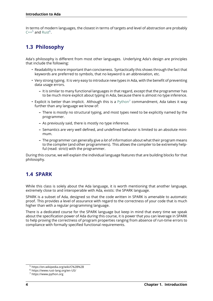In terms of modern languages, the closest in terms of targets and level of abstraction are probably  $C++^5$  and Rust<sup>6</sup>.

# **[1.3](https://en.wikipedia.org/wiki/C%2B%2B) P[hilo](https://www.rust-lang.org/en-US/)[s](#page-10-3)ophy**

<span id="page-10-0"></span>Ada's philosophy is different from most other languages. Underlying Ada's design are principles that include the following:

- Readability is more important than conciseness. Syntactically this shows through the fact that keywords are preferred to symbols, that no keyword is an abbreviation, etc.
- Very strong typing. It is very easy to introduce new types in Ada, with the benefit of preventing data usage errors.
	- **–** It is similar to many functional languages in that regard, except that the programmer has to be much more explicit about typing in Ada, because there is almost no type inference.
- Explicit is better than implicit. Although this is a  $\text{Python}^7$  commandment, Ada takes it way further than any language we know of:
	- **–** There is mostly no structural typing, and most types need to be explicitly named by the programmer.
	- **–** As previously said, there is mostly no type inf[erence.](https://www.python.org)
	- **–** Semantics are very well defined, and undefined behavior is limited to an absolute minimum.
	- **–** The programmer can generally give a *lot* of information about what their program means to the compiler (and other programmers). This allows the compiler to be extremely helpful (read: strict) with the programmer.

During this course, we will explain the individual language features that are building blocks for that philosophy.

# **1.4 SPARK**

<span id="page-10-1"></span>While this class is solely about the Ada language, it is worth mentioning that another language, extremely close to and interoperable with Ada, exists: the SPARK language.

SPARK is a subset of Ada, designed so that the code written in SPARK is amenable to automatic proof. This provides a level of assurance with regard to the correctness of your code that is much higher than with a regular programming language.

There is a dedicated course for the SPARK language but keep in mind that every time we speak about the specification power of Ada during this course, it is power that you can leverage in SPARK to help proving the correctness of program properties ranging from absence of run-time errors to compliance with formally specified functional requirements.

<sup>5</sup> https://en.wikipedia.org/wiki/C%2B%2B

<sup>6</sup> https://www.rust-lang.org/en-US/

<span id="page-10-3"></span><span id="page-10-2"></span><sup>7</sup> https://www.python.org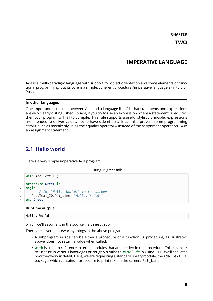**CHAPTER**

# **IMPERATIVE LANGUAGE**

<span id="page-11-0"></span>Ada is a multi-paradigm language with support for object orientation and some elements of functional programming, but its core is a simple, coherent procedural/imperative language akin to C or Pascal.

# **In other languages**

One important distinction between Ada and a language like C is that statements and expressions are very clearly distinguished. In Ada, if you try to use an expression where a statement is required then your program will fail to compile. This rule supports a useful stylistic principle: expressions are intended to deliver values, not to have side effects. It can also prevent some programming errors, such as mistakenly using the equality operator = instead of the assignment operation  $:$  = in an assignment statement.

# <span id="page-11-1"></span>**2.1 Hello world**

Here's a very simple imperative Ada program:

Listing 1: greet.adb

```
1 with Ada.Text_IO;
2
3 procedure Greet is
4 begin
5 -- Print "Hello, World!" to the screen
6 Ada.Text_IO.Put_Line ("Hello, World!");
  7 end Greet;
```
# **Runtime output**

Hello, World!

which we'll assume is in the source file greet.adb.

There are several noteworthy things in the above program:

- A subprogram in Ada can be either a procedure or a function. A procedure, as illustrated above, does not return a value when called.
- **with** is used to reference external modules that are needed in the procedure. This is similar to import in various languages or roughly similar to *#include* in C and C++. We'll see later how they work in detail. Here, we are requesting a standard library module, the Ada. Text IO package, which contains a procedure to print text on the screen: Put\_Line.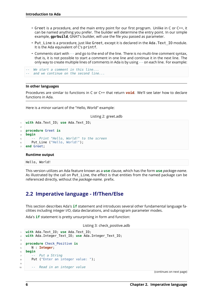- Greet is a procedure, and the main entry point for our first program. Unlike in C or C++, it can be named anything you prefer. The builder will determine the entry point. In our simple example, **gprbuild**, GNAT's builder, will use the file you passed as parameter.
- Put Line is a procedure, just like Greet, except it is declared in the Ada. Text IO module. It is the Ada equivalent of C's printf.
- Comments start with *--* and go to the end of the line. There is no multi-line comment syntax, that is, it is not possible to start a comment in one line and continue it in the next line. The only way to create multiple lines of comments in Ada is by using *--* on each line. For example:

```
-- We start a comment in this line...
-- and we continue on the second line...
```
# **In other languages**

Procedures are similar to functions in C or C++ that return **void**. We'll see later how to declare functions in Ada.

Here is a minor variant of the "Hello, World" example:

Listing 2: greet.adb

```
1 with Ada.Text_IO; use Ada.Text_IO;
\overline{2}3 procedure Greet is
4 begin
5 -- Print "Hello, World!" to the screen
6 Put Line ("Hello, World!");
  7 end Greet;
```
### **Runtime output**

Hello, World!

This version utilizes an Ada feature known as a **use** clause, which has the form **use** *package-name*. As illustrated by the call on Put Line, the effect is that entities from the named package can be referenced directly, without the *package-name.* prefix.

# <span id="page-12-0"></span>**2.2 Imperative language - If/Then/Else**

This section describes Ada's **if** statement and introduces several other fundamental language facilities including integer I/O, data declarations, and subprogram parameter modes.

Ada's **if** statement is pretty unsurprising in form and function:

Listing 3: check\_positive.adb

```
1 with Ada.Text_IO; use Ada.Text_IO;
2 with Ada.Integer_Text_IO; use Ada.Integer_Text_IO;
3
4 procedure Check_Positive is
5 N : Integer;
6 begin
7 -- Put a String
8 Put ("Enter an integer value: ");
\alpha10 -- Read in an integer value
```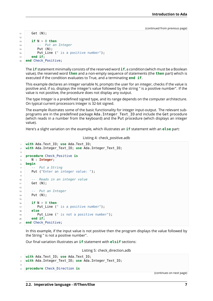```
11 Get (N);
12
\mathbf{i} if N > 0 then
14 -- Put an Integer
15 Put (N);
16 Put Line (" is a positive number");
17 end if;
18 end Check Positive;
```
The **if** statement minimally consists of the reserved word **if**, a condition (which must be a Boolean value), the reserved word **then** and a non-empty sequence of statements (the **then** part) which is executed if the condition evaluates to True, and a terminating **end if**.

This example declares an integer variable N, prompts the user for an integer, checks if the value is positive and, if so, displays the integer's value followed by the string " is a positive number". If the value is not positive, the procedure does not display any output.

The type Integer is a predefined signed type, and its range depends on the computer architecture. On typical current processors Integer is 32-bit signed.

The example illustrates some of the basic functionality for integer input-output. The relevant subprograms are in the predefined package Ada. Integer Text IO and include the Get procedure (which reads in a number from the keyboard) and the Put procedure (which displays an integer value).

Here's a slight variation on the example, which illustrates an **if** statement with an **else** part:

Listing 4: check\_positive.adb

```
1 with Ada.Text_IO; use Ada.Text_IO;
2 with Ada.Integer_Text_IO; use Ada.Integer_Text_IO;
3
4 procedure Check_Positive is
5 N : Integer;
6 begin
7 -- Put a String
8 Put ("Enter an integer value: ");
\overline{q}10 -- Reads in an integer value
11 Get (N);
12
13 -- Put an Integer
14 Put (N);
15
16 if N > 0 then
17 Put Line (" is a positive number");
18 else
19 Put Line (" is not a positive number");
20 end if;
21 end Check_Positive;
```
In this example, if the input value is not positive then the program displays the value followed by the String " is not a positive number".

Our final variation illustrates an **if** statement with **elsif** sections:

Listing 5: check\_direction.adb

```
1 with Ada.Text_IO; use Ada.Text_IO;
2 with Ada.Integer_Text_IO; use Ada.Integer_Text_IO;
3
  4 procedure Check_Direction is
```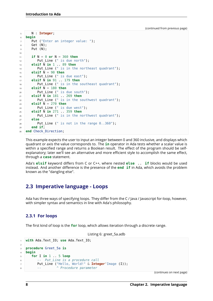```
5 N : Integer;
6 begin
7 Put ("Enter an integer value: ");
8 Get (N);
9 Put (N);
10
11 if N = 0 or N = 360 then
12 Put_Line (" is due north");
13 elsif N in 1 .. 89 then
14 Put_Line (" is in the northeast quadrant");
15 elsif \overline{N} = 90 then
16 Put Line (" is due east");
17 elsif N in 91 .. 179 then
18 Put_Line (" is in the southeast quadrant");
19 elsif \overline{N} = 180 then
20 Put_Line (" is due south");
21 elsif \overline{N} in 181 . 269 then
22 Put_Line (" is in the southwest quadrant");
23 elsif \overline{N} = 270 then
24 Put_Line (" is due west");
25 elsif \overline{N} in 271 . 359 then
26 Put Line (" is in the northwest quadrant");
27 else
28 Put Line (" is not in the range 0..360");
29 end if;
30 end Check_Direction;
```
This example expects the user to input an integer between 0 and 360 inclusive, and displays which quadrant or axis the value corresponds to. The **in** operator in Ada tests whether a scalar value is within a specified range and returns a Boolean result. The effect of the program should be selfexplanatory; later we'll see an alternative and more efficient style to accomplish the same effect, through a **case** statement.

Ada's **elsif** keyword differs from C or C++, where nested **else** .. **if** blocks would be used instead. And another difference is the presence of the **end if** in Ada, which avoids the problem known as the "dangling else".

# <span id="page-14-0"></span>**2.3 Imperative language - Loops**

Ada has three ways of specifying loops. They differ from the C / Java / Javascript for-loop, however, with simpler syntax and semantics in line with Ada's philosophy.

# <span id="page-14-1"></span>**2.3.1 For loops**

The first kind of loop is the **for** loop, which allows iteration through a discrete range.

```
Listing 6: greet_5a.adb
```

```
1 with Ada.Text_IO; use Ada.Text_IO;
2
3 procedure Greet_5a is
4 begin
5 for I in 1 .. 5 loop
6 -- Put_Line is a procedure call
7 Put_Line ("Hello, World!" & Integer'Image (I));
8 -- ^ Procedure parameter
```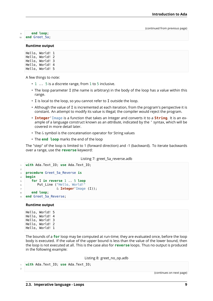<sup>9</sup> **end loop**;

# <sup>10</sup> **end** Greet\_5a;

### **Runtime output**

Hello, World! 1 Hello, World! 2 Hello, World! 3 Hello, World! 4 Hello, World! 5

A few things to note:

- 1 . . 5 is a discrete range, from 1 to 5 inclusive.
- The loop parameter I (the name is arbitrary) in the body of the loop has a value within this range.
- I is local to the loop, so you cannot refer to I outside the loop.
- Although the value of I is incremented at each iteration, from the program's perspective it is constant. An attempt to modify its value is illegal; the compiler would reject the program.
- **Integer**'Image is a function that takes an Integer and converts it to a **String**. It is an example of a language construct known as an *attribute*, indicated by the ' syntax, which will be covered in more detail later.
- The & symbol is the concatenation operator for String values
- The **end loop** marks the end of the loop

The "step" of the loop is limited to 1 (forward direction) and -1 (backward). To iterate backwards over a range, use the **reverse** keyword:

### Listing 7: greet 5a reverse.adb

```
1 with Ada.Text_IO; use Ada.Text_IO;
\overline{2}3 procedure Greet_5a_Reverse is
4 begin
5 for I in reverse 1 .. 5 loop
6 Put_Line ("Hello, World!"
7 & Integer'Image (I));
8 end loop;
  end Greet 5a Reverse;
```
### **Runtime output**

Hello, World! 5 Hello, World! 4 Hello, World! 3 Hello, World! 2 Hello, World! 1

The bounds of a **for** loop may be computed at run-time; they are evaluated once, before the loop body is executed. If the value of the upper bound is less than the value of the lower bound, then the loop is not executed at all. This is the case also for **reverse** loops. Thus no output is produced in the following example:

### Listing 8: greet\_no\_op.adb

```
1 with Ada.Text_IO; use Ada.Text_IO;
```
2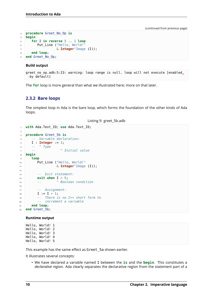```
3 procedure Greet_No_Op is
4 begin
5 for I in reverse 5 .. 1 loop
6 Put_Line ("Hello, World!"
7 & Integer'Image (I));
8 end loop;
9 end Greet_No_Op;
```
### **Build output**

```
greet no op.adb:5:23: warning: loop range is null, loop will not execute [enabled.
\rightarrowby default]
```
The **for** loop is more general than what we illustrated here; more on that later.

# <span id="page-16-0"></span>**2.3.2 Bare loops**

The simplest loop in Ada is the bare loop, which forms the foundation of the other kinds of Ada loops.

Listing 9: greet\_5b.adb

```
1 with Ada.Text_IO; use Ada.Text_IO;
2
3 procedure Greet_5b is
4 -- Variable declaration:
5 I : Integer := 1;
6 -- ^ Type
7 -- ^ Initial value
8 begin
9 loop
10 Put Line ("Hello, World!"
11 6 Integer Image (I));
12
13 -- Exit statement:
14 exit when I = 5;
15 -- ^ Boolean condition
16
17 -- Assignment:
18 I := I + 1;
19 -- There is no I++ short form to
20 -- increment a variable
21 end loop;
22 end Greet_5b;
```
### **Runtime output**

Hello, World! 1 Hello, World! 2 Hello, World! 3 Hello, World! 4 Hello, World! 5

This example has the same effect as Greet\_5a shown earlier.

It illustrates several concepts:

• We have declared a variable named I between the **is** and the **begin**. This constitutes a *declarative region*. Ada clearly separates the declarative region from the statement part of a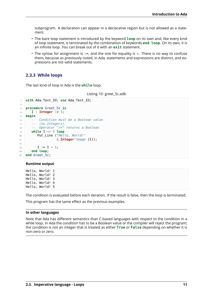subprogram. A declaration can appear in a declarative region but is not allowed as a statement.

- The bare loop statement is introduced by the keyword **loop** on its own and, like every kind of loop statement, is terminated by the combination of keywords **end loop**. On its own, it is an infinite loop. You can break out of it with an **exit** statement.
- The syntax for assignment is  $:=$ , and the one for equality is  $=$ . There is no way to confuse them, because as previously noted, in Ada, statements and expressions are distinct, and expressions are not valid statements.

# <span id="page-17-0"></span>**2.3.3 While loops**

The last kind of loop in Ada is the **while** loop.

Listing 10: greet\_5c.adb

```
1 with Ada.Text_IO; use Ada.Text_IO;
2
3 procedure Greet_5c is
4 I : Integer := 1;
5 begin
6 -- Condition must be a Boolean value
7 -- (no Integers).
8 -- Operator "<=" returns a Boolean
9 while I <= 5 loop
10 Put_Line ("Hello, World!"
11 & Integer'Image (I));
12
13 I := I + 1;14 end loop;
15 end Greet_5c;
```
### **Runtime output**

Hello, World! 1 Hello, World! 2 Hello, World! 3 Hello, World! 4 Hello, World! 5

The condition is evaluated before each iteration. If the result is false, then the loop is terminated.

This program has the same effect as the previous examples.

### **In other languages**

Note that Ada has different semantics than C-based languages with respect to the condition in a while loop. In Ada the condition has to be a Boolean value or the compiler will reject the program; the condition is not an integer that is treated as either **True** or **False** depending on whether it is non-zero or zero.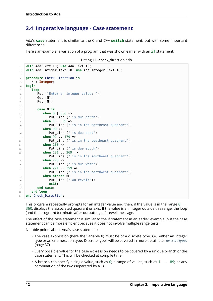# **2.4 Imperative language - Case statement**

<span id="page-18-0"></span>Ada's **case** statement is similar to the C and C++ **switch** statement, but with some important differences.

Here's an example, a variation of a program that was shown earlier with an **if** statement:

```
Listing 11: check_direction.adb
```

```
1 with Ada.Text_IO; use Ada.Text_IO;
2 with Ada.Integer_Text_IO; use Ada.Integer_Text_IO;
3
4 procedure Check_Direction is
5 N : Integer;
6 begin
7 loop
8 Put ("Enter an integer value: ");
9 Get (N);
10 Put (N);
11
12 case N is
13 when 0 | 360 =>
14 Put_Line (" is due north");
15 when 1 .. 89 =>
16 Put Line (" is in the northeast quadrant");
17 when 90 =>
18 Put Line (" is due east");
19 when 91 . 179 =>
20 Put Line (" is in the southeast quadrant");
21 when 180 =>
22 Put_Line (" is due south");
23 when 181 .. 269 =>
24 Put Line (" is in the southwest quadrant");
25 when 270 =>
26 Put Line (" is due west");
27 when 271 .. 359 =>
28 Put Line (" is in the northwest quadrant");
29 when others =>
30 Put Line (" Au revoir");
31 exit;
32 end case;
33 end loop;
34 end Check_Direction;
```
This program repeatedly prompts for an integer value and then, if the value is in the range  $0 \ldots$ , displays the associated quadrant or axis. If the value is an Integer outside this range, the loop (and the program) terminate after outputting a farewell message.

The effect of the case statement is similar to the if statement in an earlier example, but the case statement can be more efficient because it does not involve multiple range tests.

Notable points about Ada's case statement:

- The case expression (here the variable N) must be of a discrete type, i.e. either an integer type or an enumeration type. Discrete types will be covered in more detail later *discrete types* (page 37).
- Every possible value for the case expression needs to be covered by a unique branch of the case statement. This will be checked at compile time.
- A branch can specify a single value, such as  $\theta$ ; a range of values, such as  $1 \ldots 89$ [; or any](#page-43-0) combination of the two (separated by a *|*).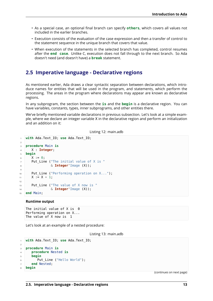- As a special case, an optional final branch can specify **others**, which covers all values not included in the earlier branches.
- Execution consists of the evaluation of the case expression and then a transfer of control to the statement sequence in the unique branch that covers that value.
- When execution of the statements in the selected branch has completed, control resumes after the **end case**. Unlike C, execution does not fall through to the next branch. So Ada doesn't need (and doesn't have) a **break** statement.

# <span id="page-19-0"></span>**2.5 Imperative language - Declarative regions**

As mentioned earlier, Ada draws a clear syntactic separation between declarations, which introduce names for entities that will be used in the program, and statements, which perform the processing. The areas in the program where declarations may appear are known as declarative regions.

In any subprogram, the section between the **is** and the **begin** is a declarative region. You can have variables, constants, types, inner subprograms, and other entities there.

We've briefly mentioned variable declarations in previous subsection. Let's look at a simple example, where we declare an integer variable X in the declarative region and perform an initialization and an addition on it:

Listing 12: main.adb

```
1 with Ada.Text_IO; use Ada.Text_IO;
2
3 procedure Main is
4 X : Integer;
5 begin
6 \times X := 0;
7 Put Line ("The initial value of X is "
8 & Integer'Image (X));
\overline{9}10 Put Line ("Performing operation on X...");
11 X := X + 1;
12
13 Put_Line ("The value of X now is "
14 6 Integer Image (X);
15 end Main;
```
### **Runtime output**

The initial value of  $X$  is  $\theta$ Performing operation on X... The value of X now is 1

Let's look at an example of a nested procedure:

Listing 13: main.adb

```
1 with Ada.Text_IO; use Ada.Text_IO;
2
3 procedure Main is
4 procedure Nested is
5 begin
6 Put_Line ("Hello World");
7 end Nested;
  8 begin
```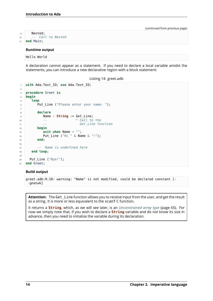```
9 Nested;
10 -- Call to Nested
11 end Main;
```
### **Runtime output**

Hello World

A declaration cannot appear as a statement. If you need to declare a local variable amidst the statements, you can introduce a new declarative region with a block statement:

Listing 14: greet.adb

```
1 with Ada.Text_IO; use Ada.Text_IO;
2
3 procedure Greet is
4 begin
5 loop
6 Put_Line ("Please enter your name: ");
7
8 declare
9 Name : String := Get_Line;
10 -- ^ Call to the
11 6et Line function
12 begin
13 exit when Name = "";
14 Put_Line ("Hi " & Name & "!");
15 end;
16
17 -- Name is undefined here
18 end loop;
19
20 Put_Line ("Bye!");
21 end Greet;
```
### **Build output**

greet.adb:9:10: warning: "Name" is not modified, could be declared constant [- ↪gnatwk]

Attention: The Get Line function allows you to receive input from the user, and get the result as a string. It is more or less equivalent to the scanf C function.

It returns a **String**, which, as we will see later, is an *Unconstrained array type* (page 65). For now we simply note that, if you wish to declare a **String** variable and do not know its size in advance, then you need to initialize the variable during its declaration.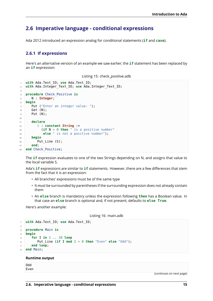# <span id="page-21-0"></span>**2.6 Imperative language - conditional expressions**

Ada 2012 introduced an expression analog for conditional statements (**if** and **case**).

# <span id="page-21-1"></span>**2.6.1 If expressions**

Here's an alternative version of an example we saw earlier; the **if** statement has been replaced by an **if** expression:

```
1 with Ada.Text_IO; use Ada.Text_IO;
2 with Ada.Integer_Text_IO; use Ada.Integer_Text_IO;
3
4 procedure Check_Positive is
5 N : Integer;
6 begin
7 Put ("Enter an integer value: ");
8 Get (N);
9 Put (N);
10
11 declare
12 S : constant String :=
13 (if N > 0 then " is a positive number"
14 else " is not a positive number");
15 begin
16 Put_Line (S);
17 end;
18 end Check Positive;
```
The **if** expression evaluates to one of the two Strings depending on N, and assigns that value to the local variable S.

Ada's **if** expressions are similar to **if** statements. However, there are a few differences that stem from the fact that it is an expression:

- All branches' expressions must be of the same type
- It *must* be surrounded by parentheses if the surrounding expression does not already contain them
- An **else** branch is mandatory unless the expression following **then** has a Boolean value. In that case an **else** branch is optional and, if not present, defaults to **else True**.

Here's another example:

Listing 16: main.adb

```
1 with Ada.Text_IO; use Ada.Text_IO;
\overline{2}3 procedure Main is
4 begin
5 for I in 1 .. 10 loop
6 Put_Line (if I mod 2 = 0 then "Even" else "Odd");
7 end loop;
  8 end Main;
```
### **Runtime output**

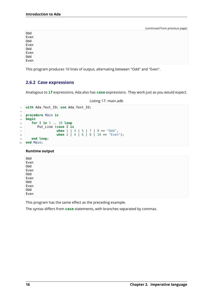| 0dd  |  |
|------|--|
| Even |  |
| 0dd  |  |
| Even |  |
| 0dd  |  |
| Even |  |
| 0dd  |  |
| Even |  |

This program produces 10 lines of output, alternating between "Odd" and "Even".

# <span id="page-22-0"></span>**2.6.2 Case expressions**

Analogous to **if** expressions, Ada also has **case** expressions. They work just as you would expect.

Listing 17: main.adb

```
1 with Ada.Text_IO; use Ada.Text_IO;
2
3 procedure Main is
4 begin
5 for I in 1 .. 10 loop
6 Put_Line (case I is
7 when 1 | 3 | 5 | 7 | 9 => "Odd",
8 when 2 | 4 | 6 | 8 | 10 => "Even");
9 end loop;
10 end Main;
```
**Runtime output**

This program has the same effect as the preceding example.

The syntax differs from **case** statements, with branches separated by commas.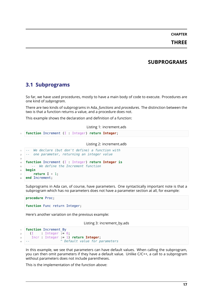# **CHAPTER THREE**

# **SUBPROGRAMS**

# <span id="page-23-1"></span><span id="page-23-0"></span>**3.1 Subprograms**

So far, we have used procedures, mostly to have a main body of code to execute. Procedures are one kind of *subprogram*.

There are two kinds of subprograms in Ada, *functions* and *procedures*. The distinction between the two is that a function returns a value, and a procedure does not.

This example shows the declaration and definition of a function:

Listing 1: increment.ads

```
1 function Increment (I : Integer) return Integer;
```
Listing 2: increment.adb

```
1 -- We declare (but don't define) a function with
2 -- one parameter, returning an integer value
3
4 function Increment (I : Integer) return Integer is
5 -- We define the Increment function
6 begin
7 return I + 1;
 end Increment;
```
Subprograms in Ada can, of course, have parameters. One syntactically important note is that a subprogram which has no parameters does not have a parameter section at all, for example:

```
procedure Proc;
function Func return Integer;
```
Here's another variation on the previous example:

Listing 3: increment\_by.ads

```
1 function Increment By
2 (I : Integer := 0;
3 Incr : Integer := 1) return Integer;
4 -- ^ Default value for parameters
```
In this example, we see that parameters can have default values. When calling the subprogram, you can then omit parameters if they have a default value. Unlike C/C++, a call to a subprogram without parameters does not include parentheses.

This is the implementation of the function above: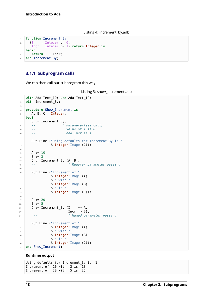Listing 4: increment by.adb

```
1 function Increment By
2 (I : Integer := 0;
3 Incr : Integer := 1) return Integer is
4 begin
5 return I + Incr;
6 end Increment By;
```
# <span id="page-24-0"></span>**3.1.1 Subprogram calls**

We can then call our subprogram this way:

```
Listing 5: show_increment.adb
```

```
1 with Ada.Text_IO; use Ada.Text_IO;
2 with Increment_By;
3
4 procedure Show_Increment is
5 A, B, C : Integer;
6 begin
7 \quad C := \text{Increment\_By};8 -- ^ Parameterless call,
9 -- value of I is 0
10 -- and Incr is 1
11
12 Put_Line ("Using defaults for Increment_By is "
13 & Integer'Image (C));
14
15 A := 10;
16 B := 3;
17 C := Increment_By (A, B);
18 -- ^ Regular parameter passing
19
20 Put_Line ("Increment of "
21 & Integer'Image (A)
22 & " with "
23 & Integer'Image (B)
24 & " is "
25 & Integer'Image (C));
26
27 A := 20;
28 B := 5;
29 C := Increment_By (I => A,
30 Incr => B);
31 -- ^ Named parameter passing
32
33 Put Line ("Increment of "
34 & Integer'Image (A)
\frac{35}{35} & " with
36 & Integer'Image (B)
37 & " is "
38 & Integer'Image (C));
39 end Show Increment;
```
### **Runtime output**

```
Using defaults for Increment By is 1
Increment of 10 with 3 is 13
Increment of 20 with 5 is 25
```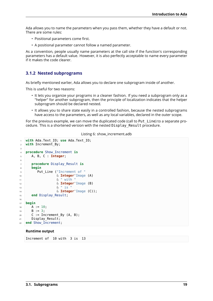Ada allows you to name the parameters when you pass them, whether they have a default or not. There are some rules:

- Positional parameters come first.
- A positional parameter cannot follow a named parameter.

As a convention, people usually name parameters at the call site if the function's corresponding parameters has a default value. However, it is also perfectly acceptable to name every parameter if it makes the code clearer.

# <span id="page-25-0"></span>**3.1.2 Nested subprograms**

As briefly mentioned earlier, Ada allows you to declare one subprogram inside of another.

This is useful for two reasons:

- It lets you organize your programs in a cleaner fashion. If you need a subprogram only as a "helper" for another subprogram, then the principle of localization indicates that the helper subprogram should be declared nested.
- It allows you to share state easily in a controlled fashion, because the nested subprograms have access to the parameters, as well as any local variables, declared in the outer scope.

For the previous example, we can move the duplicated code (call to Put\_Line) to a separate procedure. This is a shortened version with the nested Display\_Result procedure.

Listing 6: show\_increment.adb

```
1 with Ada.Text_IO; use Ada.Text_IO;
2 with Increment By;
3
4 procedure Show_Increment is
5 A, B, C : Integer;
6
7 procedure Display_Result is
8 begin
9 Put_Line ("Increment of "
10 & Integer'Image (A)
11 & " with "
12 & Integer'Image (B)
\sim \delta \sim \sim is
14 & Integer'Image (C));
15 end Display Result;
16
17 begin
18 A := 10;
19 B := 3;
20 C := Increment_By (A, B);
21 Display_Result;
22 end Show_Increment;
```
### **Runtime output**

Increment of 10 with 3 is 13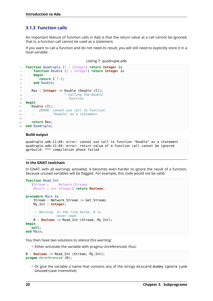# <span id="page-26-0"></span>**3.1.3 Function calls**

An important feature of function calls in Ada is that the return value at a call cannot be ignored; that is, a function call cannot be used as a statement.

If you want to call a function and do not need its result, you will still need to explicitly store it in a local variable.

```
Listing 7: quadruple.adb
```

```
1 function Quadruple (I : Integer) return Integer is
2 function Double (I : Integer) return Integer is
3 begin
4 return I * 2;
5 end Double;
6
7 Res : Integer := Double (Double (I));
8 -- ^ Calling the Double
9 -- function
10 begin
11 Double (I);
12 -- ERROR: cannot use call to function
13 -- "Double" as a statement
14
15 return Res;
16 end Quadruple;
```
# **Build output**

quadruple.adb:11:04: error: cannot use call to function "Double" as a statement quadruple.adb:11:04: error: return value of a function call cannot be ignored gprbuild: \*\*\* compilation phase failed

### **In the GNAT toolchain**

In GNAT, with all warnings activated, it becomes even harder to ignore the result of a function, because unused variables will be flagged. For example, this code would not be valid:

```
function Read_Int
   (Stream : Network Stream;
    Result : out Integer) return Boolean;
procedure Main is
    Stream : Network Stream := Get Stream;
    My_Int : Integer;
    -- Warning: in the line below, B is
               -- never read.
    B : Boolean := Read_Int (Stream, My_Int);
begin
  null;
end Main;
```
You then have two solutions to silence this warning:

• Either annotate the variable with pragma Unreferenced, thus:

```
B : Boolean := Read_Int (Stream, My_Int);
pragma Unreferenced (B);
```
• Or give the variable a name that contains any of the strings discard dummy ignore junk unused (case insensitive)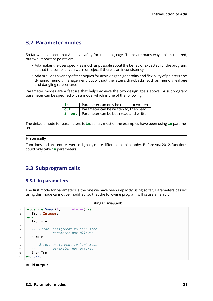# <span id="page-27-0"></span>**3.2 Parameter modes**

So far we have seen that Ada is a safety-focused language. There are many ways this is realized, but two important points are:

- Ada makes the user specify as much as possible about the behavior expected for the program, so that the compiler can warn or reject if there is an inconsistency.
- Ada provides a variety of techniques for achieving the generality and flexibility of pointers and dynamic memory management, but without the latter's drawbacks (such as memory leakage and dangling references).

Parameter modes are a feature that helps achieve the two design goals above. A subprogram parameter can be specified with a mode, which is one of the following:

| l in        | Parameter can only be read, not written              |
|-------------|------------------------------------------------------|
| $\vert$ out | Parameter can be written to, then read               |
|             | <b>in out</b> Parameter can be both read and written |

The default mode for parameters is **in**; so far, most of the examples have been using **in** parameters.

# **Historically**

Functions and procedures were originally more different in philosophy. Before Ada 2012, functions could only take **in** parameters.

# <span id="page-27-1"></span>**3.3 Subprogram calls**

# <span id="page-27-2"></span>**3.3.1 In parameters**

The first mode for parameters is the one we have been implicitly using so far. Parameters passed using this mode cannot be modified, so that the following program will cause an error:

```
Listing 8: swap.adb
```

```
1 procedure Swap (A, B : Integer) is
2 Tmp : Integer;
3 begin
4 Tmp := A;5
6 -- Error: assignment to "in" mode
7 -- parameter not allowed
8 \text{ A} := \text{B};
9
10 -- Error: assignment to "in" mode
11 -- parameter not allowed
B := Tmp;13 end Swap;
```
# **Build output**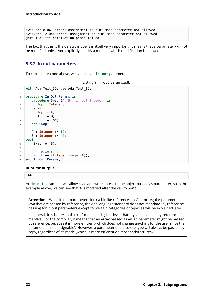```
swap.adb:8:04: error: assignment to "in" mode parameter not allowed
swap.adb:12:04: error: assignment to "in" mode parameter not allowed
gprbuild: *** compilation phase failed
```
The fact that this is the default mode is in itself very important. It means that a parameter will not be modified unless you explicitly specify a mode in which modification is allowed.

# <span id="page-28-0"></span>**3.3.2 In out parameters**

To correct our code above, we can use an **in out** parameter.

```
Listing 9: in_out_params.adb
```

```
1 with Ada.Text_IO; use Ada.Text_IO;
\overline{2}3 procedure In_Out_Params is
4 procedure Swap (A, B : in out Integer) is
5 Tmp : Integer;
6 begin
7 Tmp := A;
8 A := B;
\bullet B := Tmp;
10 end Swap;
11
12 A : Integer := 12;
13 B : Integer := 44;
14 begin
15 Swap (A, B);
16
17 -- Prints 44
18 Put Line (Integer'Image (A));
19 end In Out Params;
```
### **Runtime output**

44

An **in out** parameter will allow read and write access to the object passed as parameter, so in the example above, we can see that A is modified after the call to Swap.

**Attention:** While in out parameters look a bit like references in C++, or regular parameters in Java that are passed by-reference, the Ada language standard does not mandate "by reference" passing for in out parameters except for certain categories of types as will be explained later.

In general, it is better to think of modes as higher level than by-value versus by-reference semantics. For the compiler, it means that an array passed as an **in** parameter might be passed by reference, because it is more efficient (which does not change anything for the user since the parameter is not assignable). However, a parameter of a discrete type will always be passed by copy, regardless of its mode (which is more efficient on most architectures).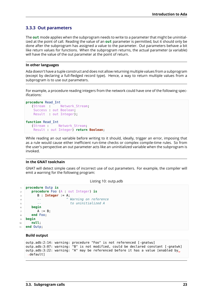# <span id="page-29-0"></span>**3.3.3 Out parameters**

The **out** mode applies when the subprogram needs to write to a parameter that might be uninitialized at the point of call. Reading the value of an **out** parameter is permitted, but it should only be done after the subprogram has assigned a value to the parameter. Out parameters behave a bit like return values for functions. When the subprogram returns, the actual parameter (a variable) will have the value of the out parameter at the point of return.

# **In other languages**

Ada doesn't have a tuple construct and does not allow returning multiple values from a subprogram (except by declaring a full-fledged record type). Hence, a way to return multiple values from a subprogram is to use out parameters.

For example, a procedure reading integers from the network could have one of the following specifications:

```
procedure Read_Int
   (Stream : Network_Stream;
   Success : out Boolean;
   Result : out Integer);
function Read_Int
   (Stream : Network_Stream;
   Result : out Integer) return Boolean;
```
While reading an out variable before writing to it should, ideally, trigger an error, imposing that as a rule would cause either inefficient run-time checks or complex compile-time rules. So from the user's perspective an out parameter acts like an uninitialized variable when the subprogram is invoked.

# **In the GNAT toolchain**

GNAT will detect simple cases of incorrect use of out parameters. For example, the compiler will emit a warning for the following program:

Listing 10: outp.adb

```
1 procedure Outp is
2 procedure Foo (A : out Integer) is
3 B : Integer := A;
4 -- ^ Warning on reference
5 -- to uninitialized A
6 begin
7 \quad A := B;8 end Foo;
9 begin
10 null;
11 end Outp;
```
### **Build output**

```
outp.adb:2:14: warning: procedure "Foo" is not referenced [-gnatwu]
outp.adb:3:07: warning: "B" is not modified, could be declared constant [-gnatwk]
outp.adb:3:22: warning: "A" may be referenced before it has a value [enabled by<sub>u</sub>
 ↪default]
```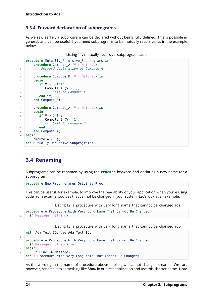# <span id="page-30-0"></span>**3.3.4 Forward declaration of subprograms**

As we saw earlier, a subprogram can be declared without being fully defined, This is possible in general, and can be useful if you need subprograms to be mutually recursive, as in the example below:

```
Listing 11: mutually_recursive_subprograms.adb
```

```
1 procedure Mutually_Recursive_Subprograms is
2 procedure Compute_A (V : Natural);
3 -- Forward declaration of Compute_A
4
5 procedure Compute_B (V : Natural) is
6 begin
7 if V > 5 then
8 Compute A (V - 1);
9 -- Call to Compute_A
10 end if;
11 end Compute_B;
12
13 procedure Compute A (V : Natural) is
14 begin
15 if V > 2 then
16 Compute B (V - 1);
17 - Call to Compute B
18 end if;
19 end Compute_A;
20 begin
21 Compute A (15);
22 end Mutually_Recursive_Subprograms;
```
# <span id="page-30-1"></span>**3.4 Renaming**

Subprograms can be renamed by using the **renames** keyword and declaring a new name for a subprogram:

**procedure** New\_Proc renames Original\_Proc;

This can be useful, for example, to improve the readability of your application when you're using code from external sources that cannot be changed in your system. Let's look at an example:

Listing 12: a\_procedure\_with\_very\_long\_name\_that\_cannot\_be\_changed.ads

```
procedure A Procedure With Very Long Name That Cannot Be Changed
  (A Message : String);
```
Listing 13: a\_procedure\_with\_very\_long\_name\_that\_cannot\_be\_changed.adb

```
1 with Ada.Text_IO; use Ada.Text_IO;
2
3 procedure A_Procedure_With_Very_Long_Name_That_Cannot_Be_Changed
4 (A_Message : String) is
5 begin
6 Put_Line (A_Message);
  end A_Procedure_With_Very_Long_Name_That_Cannot_Be_Changed;
```
As the wording in the name of procedure above implies, we cannot change its name. We can, however, rename it to something like Show in our test application and use this shorter name. Note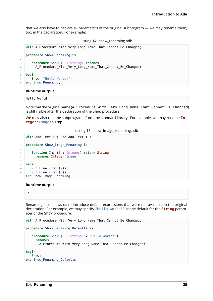that we also have to declare all parameters of the original subprogram — we may rename them, too, in the declaration. For example:

|  |  | Listing 14: show_renaming.adb |  |
|--|--|-------------------------------|--|
|--|--|-------------------------------|--|

```
1 with A Procedure With Very Long Name That Cannot Be Changed;
2
3 procedure Show_Renaming is
4
5 procedure Show (S : String) renames
6 A_Procedure_With_Very_Long_Name_That_Cannot_Be_Changed;
7
8 begin
9 Show ("Hello World!");
10 end Show_Renaming;
```
### **Runtime output**

Hello World!

Note that the original name (A\_Procedure\_With\_Very\_Long\_Name\_That\_Cannot\_Be\_Changed) is still visible after the declaration of the Show procedure.

We may also rename subprograms from the standard library. For example, we may rename **Integer**'Image to Img:

Listing 15: show\_image\_renaming.adb

```
1 with Ada.Text_IO; use Ada.Text_IO;
2
3 procedure Show_Image_Renaming is
4
5 function Img (I : Integer) return String
6 renames Integer'Image;
7
8 begin
9 \mid Put Line (Img (2));
10 Put_Line (Img (3));
11 end Show Image Renaming;
```
### **Runtime output**

```
2
3
```
Renaming also allows us to introduce default expressions that were not available in the original declaration. For example, we may specify "Hello World!" as the default for the **String** parameter of the Show procedure:

```
with A Procedure With Very Long Name That Cannot Be Changed;
```

```
procedure Show_Renaming_Defaults is
```

```
procedure Show (S : String := "Hello World!")
  renames
    A_Procedure_With_Very_Long_Name_That_Cannot_Be_Changed;
```
### **begin**

```
Show;
end Show Renaming Defaults;
```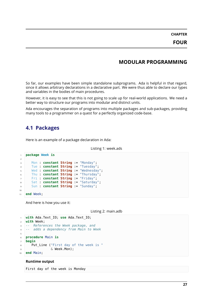**CHAPTER FOUR**

# **MODULAR PROGRAMMING**

<span id="page-33-0"></span>So far, our examples have been simple standalone subprograms. Ada is helpful in that regard, since it allows arbitrary declarations in a declarative part. We were thus able to declare our types and variables in the bodies of main procedures.

However, it is easy to see that this is not going to scale up for real-world applications. We need a better way to structure our programs into modular and distinct units.

Ada encourages the separation of programs into multiple packages and sub-packages, providing many tools to a programmer on a quest for a perfectly organized code-base.

# <span id="page-33-1"></span>**4.1 Packages**

Here is an example of a package declaration in Ada:

```
Listing 1: week.ads
```

```
1 package Week is
\overline{2}3 Mon : constant String := "Monday";
4 Tue : constant String := "Tuesday";
5 Wed : constant String := "Wednesday";
6 Thu : constant String := "Thursday";
7 Fri : constant String := "Friday";
8 Sat : constant String := "Saturday";
9 Sun : constant String := "Sunday";
10
11 end Week;
```
And here is how you use it:

Listing 2: main.adb

```
1 with Ada.Text_IO; use Ada.Text_IO;
2 with Week;
3 -- References the Week package, and
4 -- adds a dependency from Main to Week
5
6 procedure Main is
7 begin
8 Put Line ("First day of the week is "
\sim \sim Week.Mon):
10 end Main;
```
### **Runtime output**

First day of the week is Monday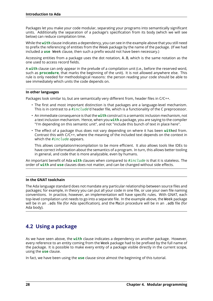Packages let you make your code modular, separating your programs into semantically significant units. Additionally the separation of a package's specification from its body (which we will see below) can reduce compilation time.

While the **with** clause indicates a dependency, you can see in the example above that you still need to prefix the referencing of entities from the Week package by the name of the package. (If we had included a **use** Week clause, then such a prefix would not have been necessary.)

Accessing entities from a package uses the dot notation, A.B, which is the same notation as the one used to access record fields.

A **with** clause can *only* appear in the prelude of a compilation unit (i.e., before the reserved word, such as **procedure**, that marks the beginning of the unit). It is not allowed anywhere else. This rule is only needed for methodological reasons: the person reading your code should be able to see immediately which units the code depends on.

# **In other languages**

Packages look similar to, but are semantically very different from, header files in C/C++.

- The first and most important distinction is that packages are a language-level mechanism. This is in contrast to a *#include*'d header file, which is a functionality of the C preprocessor.
- An immediate consequence is that the **with** construct is a semantic inclusion mechanism, not a text inclusion mechanism. Hence, when you **with** a package, you are saying to the compiler "I'm depending on this semantic unit", and not "include this bunch of text in place here".
- The effect of a package thus does not vary depending on where it has been **with**ed from. Contrast this with C/C++, where the meaning of the included text depends on the context in which the *#include* appears.

This allows compilation/recompilation to be more efficient. It also allows tools like IDEs to have correct information about the semantics of a program. In turn, this allows better tooling in general, and code that is more analyzable, even by humans.

An important benefit of Ada **with** clauses when compared to *#include* is that it is stateless. The order of **with** and **use** clauses does not matter, and can be changed without side effects.

# **In the GNAT toolchain**

The Ada language standard does not mandate any particular relationship between source files and packages; for example, in theory you can put all your code in one file, or use your own file naming conventions. In practice, however, an implementation will have specific rules. With GNAT, each top-level compilation unit needs to go into a separate file. In the example above, the Week package will be in an .ads file (for Ada specification), and the Main procedure will be in an .adb file (for Ada body).

# <span id="page-34-0"></span>**4.2 Using a package**

As we have seen above, the **with** clause indicates a dependency on another package. However, every reference to an entity coming from the Week package had to be prefixed by the full name of the package. It is possible to make every entity of a package visible directly in the current scope, using the **use** clause.

In fact, we have been using the **use** clause since almost the beginning of this tutorial.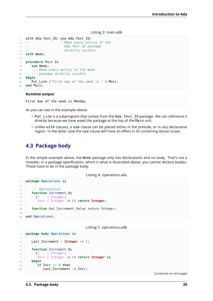### Listing 3: main.adb

```
1 with Ada.Text_IO; use Ada.Text_IO;
2 -- ^ Make every entity of the
3 -- Ada.Text_IO package
4 -- directly visible.
5 with Week;
6
7 procedure Main is
8 use Week;
9 -- Make every entity of the Week
10 -- package directly visible.
11 begin
12 Put_Line ("First day of the week is " & Mon);
13 end Main;
```
### **Runtime output**

First day of the week is Monday

As you can see in the example above:

- Put Line is a subprogram that comes from the Ada. Text IO package. We can reference it directly because we have **use**d the package at the top of the Main unit.
- Unlike **with** clauses, a **use** clause can be placed either in the prelude, or in any declarative region. In the latter case the **use** clause will have an effect in its containing lexical scope.

# <span id="page-35-0"></span>**4.3 Package body**

In the simple example above, the Week package only has declarations and no body. That's not a mistake: in a package specification, which is what is illustrated above, you cannot declare bodies. Those have to be in the package body.

Listing 4: operations.ads

```
1 package Operations is
2
3 -- Declaration
4 function Increment_By
5 (I : Integer;
6 Incr : Integer := 0) return Integer;
7
8 function Get Increment Value return Integer;
9
10 end Operations;
```
Listing 5: operations.adb

```
1 package body Operations is
\overline{2}3 Last_Increment : Integer := 1;
4
5 function Increment_By
6 (I : Integer;
7 Incr : Integer := 0) return Integer is
8 begin
\bullet if Incr /= 0 then
10 Last_Increment := Incr;
```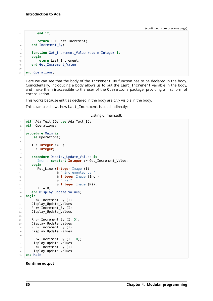```
11 end if;
12
13 return I + Last Increment;
14 end Increment_By;
15
16 function Get_Increment_Value return Integer is
17 begin
18 return Last_Increment;
19 end Get Increment Value;
20
21 end Operations;
```
Here we can see that the body of the Increment\_By function has to be declared in the body. Coincidentally, introducing a body allows us to put the Last\_Increment variable in the body, and make them inaccessible to the user of the Operations package, providing a first form of encapsulation.

This works because entities declared in the body are *only* visible in the body.

This example shows how Last\_Increment is used indirectly:

Listing 6: main.adb

```
1 with Ada.Text_IO; use Ada.Text_IO;
2 with Operations;
3
4 procedure Main is
5 use Operations;
6
7 I : Integer := 0;
8 R : Integer;
9
10 procedure Display_Update_Values is
11 Incr : constant Integer := Get_Increment_Value;
12 begin
13 Put_Line (Integer'Image (I)
14 6. " incremented by "
15 & Integer'Image (Incr)
16 \delta \frac{\text{II}}{\text{I}} is
17 & Integer'Image (R));
18 I := R;19 end Display_Update_Values;
20 begin
21 R := Increment_By (I);
22 Display_Update_Values;
R := IncrementBy (I);24 Display_Update_Values;
25
26 R := Increment By (I, 5);
27 Display Update Values;
28 R := Increment_By (I);
29 Display_Update_Values;
30
\mathbf{R} := \text{Increment} By (I, 10);
32 Display_Update_Values;
33 R := Increment_By (I);
34 Display_Update_Values;
35 end Main;
```
**Runtime output**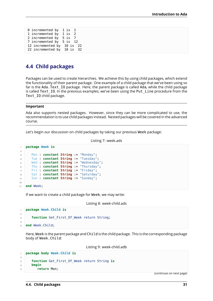| 1 incremented by 1 is 2<br>2 incremented by 5 is 7<br>7 incremented by 5 is 12<br>12 incremented by 10 is 22<br>22 incremented by 10 is 32 | 0 incremented by 1 is 1 |  |
|--------------------------------------------------------------------------------------------------------------------------------------------|-------------------------|--|
|                                                                                                                                            |                         |  |
|                                                                                                                                            |                         |  |
|                                                                                                                                            |                         |  |
|                                                                                                                                            |                         |  |
|                                                                                                                                            |                         |  |

# **4.4 Child packages**

Packages can be used to create hierarchies. We achieve this by using child packages, which extend the functionality of their parent package. One example of a child package that we've been using so far is the Ada. Text IO package. Here, the parent package is called Ada, while the child package is called Text\_IO. In the previous examples, we've been using the Put\_Line procedure from the Text\_IO child package.

### **Important**

Ada also supports nested packages. However, since they can be more complicated to use, the recommendation is to use child packages instead. Nested packages will be covered in the advanced course.

Let's begin our discussion on child packages by taking our previous Week package:

```
Listing 7: week.ads
```

```
1 package Week is
\overline{2}3 Mon : constant String := "Monday";
4 Tue : constant String := "Tuesday";
5 Wed : constant String := "Wednesday";
6 Thu : constant String := "Thursday";
7 Fri : constant String := "Friday";
8 Sat : constant String := "Saturday";
9 Sun : constant String := "Sunday";
10
11 end Week;
```
If we want to create a child package for Week, we may write:

Listing 8: week-child.ads

```
1 package Week.Child is
2
3 function Get First Of Week return String;
4
5 end Week.Child;
```
Here, Week is the parent package and Child is the child package. This is the corresponding package body of Week.Child:

Listing 9: week-child.adb

```
1 package body Week.Child is
\overline{2}3 function Get_First_Of_Week return String is
4 begin
5 return Mon;
```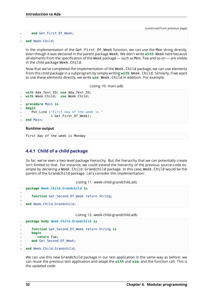### <sup>6</sup> **end** Get\_First\_Of\_Week;

```
7
```
<sup>8</sup> **end** Week.Child;

In the implementation of the Get First Of Week function, we can use the Mon string directly, even though it was declared in the parent package Week. We don't write **with** Week here because all elements from the specification of the Week package — such as Mon, Tue and so on — are visible in the child package Week.Child.

Now that we've completed the implementation of the Week.Child package, we can use elements from this child package in a subprogram by simply writing **with** Week.Child. Similarly, if we want to use these elements directly, we write **use** Week.Child in addition. For example:

Listing 10: main.adb

```
1 with Ada.Text_IO; use Ada.Text_IO;
2 with Week.Child; use Week.Child;
3
4 procedure Main is
5 begin
6 Put Line ("First day of the week is "
               & Get First Of Week);
8 end Main;
```
### **Runtime output**

First day of the week is Monday

## **4.4.1 Child of a child package**

So far, we've seen a two-level package hierarchy. But the hierarchy that we can potentially create isn't limited to that. For instance, we could extend the hierarchy of the previous source-code example by declaring a Week.Child.Grandchild package. In this case, Week.Child would be the parent of the Grandchild package. Let's consider this implementation:

Listing 11: week-child-grandchild.ads

```
1 package Week.Child.Grandchild is
2
3 function Get Second Of Week return String;
4
5 end Week.Child.Grandchild;
```
Listing 12: week-child-grandchild.adb

```
1 package body Week.Child.Grandchild is
\overline{2}3 function Get_Second_Of_Week return String is
4 begin
5 return Tue;
6 end Get Second Of Week;
7
  end Week.Child.Grandchild;
```
We can use this new Grandchild package in our test application in the same way as before: we can reuse the previous test application and adapt the **with** and **use**, and the function call. This is the updated code: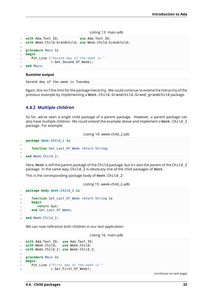Listing 13: main.adb

```
1 with Ada.Text_IO; use Ada.Text_IO;
2 with Week.Child.Grandchild; use Week.Child.Grandchild;
3
4 procedure Main is
5 begin
6 Put Line ("Second day of the week is "
7 & Get_Second_Of_Week);
8 end Main;
```
### **Runtime output**

Second day of the week is Tuesday

Again, this isn't the limit for the package hierarchy. We could continue to extend the hierarchy of the previous example by implementing a Week.Child.Grandchild.Grand grandchild package.

## **4.4.2 Multiple children**

So far, we've seen a single child package of a parent package. However, a parent package can also have multiple children. We could extend the example above and implement a Week. Child 2 package. For example:

Listing 14: week-child\_2.ads

```
1 package Week.Child_2 is
\overline{2}3 function Get Last Of Week return String;
4
   5 end Week.Child_2;
```
Here, Week is still the parent package of the Child package, but it's also the parent of the Child 2 package. In the same way, Child\_2 is obviously one of the child packages of Week.

This is the corresponding package body of Week.Child\_2:

Listing 15: week-child\_2.adb

```
1 package body Week.Child_2 is
\overline{2}3 function Get_Last_Of_Week return String is
4 begin
5 return Sun;
6 end Get Last Of Week;
7
8 end Week.Child_2;
```
We can now reference both children in our test application:

Listing 16: main.adb

```
1 with Ada.Text_IO; use Ada.Text_IO;
2 with Week.Child; use Week.Child;
3 with Week.Child_2; use Week.Child_2;
4
5 procedure Main is
6 begin
7 Put_Line ("First day of the week is "
8 & Get_First_Of_Week);
```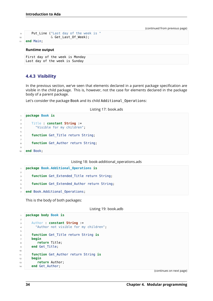```
9 Put_Line ("Last day of the week is "
10 6 Get_Last_Of_Week);
11 end Main;
```
### **Runtime output**

```
First day of the week is Monday
Last day of the week is Sunday
```
## **4.4.3 Visibility**

In the previous section, we've seen that elements declared in a parent package specification are visible in the child package. This is, however, not the case for elements declared in the package body of a parent package.

Let's consider the package Book and its child Additional Operations:

Listing 17: book.ads

```
1 package Book is
\overline{2}3 Title : constant String :=
4 "Visible for my children";
5
6 function Get Title return String;
7
8 function Get Author return String;
9
10 end Book;
```
Listing 18: book-additional\_operations.ads

```
1 package Book.Additional_Operations is
2
3 function Get_Extended_Title return String;
4
5 function Get_Extended_Author return String;
6
7 end Book.Additional_Operations;
```
This is the body of both packages:

Listing 19: book.adb

```
1 package body Book is
2
3 Author : constant String :=
4 "Author not visible for my children";
5
6 function Get_Title return String is
7 begin
8 return Title;
9 end Get_Title;
10
11 function Get_Author return String is
12 begin
13 return Author;
14 end Get Author;
```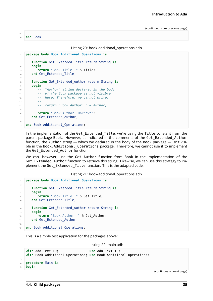```
15
16 end Book;
```
Listing 20: book-additional\_operations.adb

```
1 package body Book.Additional_Operations is
\overline{2}3 function Get_Extended_Title return String is
4 begin
5 return "Book Title: " & Title;
6 end Get Extended Title;
7
8 function Get_Extended_Author return String is
9 begin
10 -- "Author" string declared in the body
11 -- of the Book package is not visible
12 -- here. Therefore, we cannot write:
13 --
14 -- return "Book Author: " & Author;
15
16 return "Book Author: Unknown";
17 end Get_Extended_Author;
18
19 end Book.Additional Operations;
```
In the implementation of the Get Extended Title, we're using the Title constant from the parent package Book. However, as indicated in the comments of the Get\_Extended\_Author function, the Author string — which we declared in the body of the Book package — isn't visible in the Book.Additional\_Operations package. Therefore, we cannot use it to implement the Get Extended Author function.

We can, however, use the Get Author function from Book in the implementation of the Get Extended Author function to retrieve this string. Likewise, we can use this strategy to implement the Get Extended Title function. This is the adapted code:

Listing 21: book-additional\_operations.adb

```
1 package body Book.Additional_Operations is
2
3 function Get_Extended_Title return String is
4 begin
5 return "Book Title: " & Get_Title;
6 end Get_Extended_Title;
7
8 function Get_Extended_Author return String is
9 begin
10 return "Book Author: " & Get Author;
11 end Get_Extended_Author;
12
13 end Book.Additional_Operations;
```
This is a simple test application for the packages above:

Listing 22: main.adb

```
1 with Ada.Text_IO; use Ada.Text_IO;
2 with Book.Additional_Operations; use Book.Additional_Operations;
3
4 procedure Main is
  5 begin
```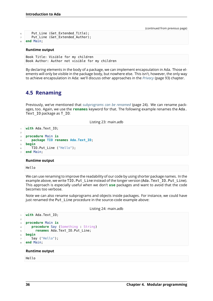```
6 Put_Line (Get_Extended_Title);
7 Put_Line (Get_Extended_Author);
  8 end Main;
```
### **Runtime output**

```
Book Title: Visible for my children
Book Author: Author not visible for my children
```
By declaring elements in the body of a package, we can implement encapsulation in Ada. Those elements will only be visible in the package body, but nowhere else. This isn't, however, the only way to achieve encapsulation in Ada: we'll discuss other approaches in the *Privacy* (page 93) chapter.

# **4.5 Renaming**

<span id="page-42-0"></span>Previously, we've mentioned that *subprograms can be renamed* (page 24). We can rename packages, too. Again, we use the **renames** keyword for that. The following example renames the Ada. Text I0 package as T\_IO:

[Listing 23: main.adb](#page-30-0)

```
1 with Ada.Text_IO;
\overline{2}3 procedure Main is
4 package TIO renames Ada.Text_IO;
5 begin
6 TIO.Put Line ("Hello");
7 end Main;
```
#### **Runtime output**

### Hello

We can use renaming to improve the readability of our code by using shorter package names. In the example above, we write TIO. Put Line instead of the longer version (Ada.Text IO. Put Line). This approach is especially useful when we don't **use** packages and want to avoid that the code becomes too verbose.

Note we can also rename subprograms and objects inside packages. For instance, we could have just renamed the Put Line procedure in the source-code example above:

Listing 24: main.adb

```
1 with Ada.Text_IO;
3 procedure Main is
4 procedure Say (Something : String)
5 renames Ada.Text_IO.Put_Line;
6 begin
7 Say ("Hello");
  8 end Main;
```
**Runtime output**

Hello

2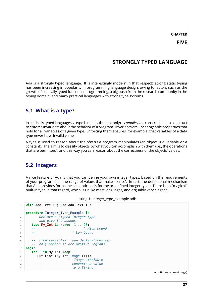**CHAPTER FIVE**

# **STRONGLY TYPED LANGUAGE**

Ada is a strongly typed language. It is interestingly modern in that respect: strong static typing has been increasing in popularity in programming language design, owing to factors such as the growth of statically typed functional programming, a big push from the research community in the typing domain, and many practical languages with strong type systems.

# **5.1 What is a type?**

In statically typed languages, a type is mainly (but not only) a *compile time* construct. It is a construct to enforce invariants about the behavior of a program. Invariants are unchangeable properties that hold for all variables of a given type. Enforcing them ensures, for example, that variables of a data type never have invalid values.

A type is used to reason about the *objects* a program manipulates (an object is a variable or a constant). The aim is to classify objects by what you can accomplish with them (i.e., the operations that are permitted), and this way you can reason about the correctness of the objects' values.

# **5.2 Integers**

A nice feature of Ada is that you can define your own integer types, based on the requirements of your program (i.e., the range of values that makes sense). In fact, the definitional mechanism that Ada provides forms the semantic basis for the predefined integer types. There is no "magical" built-in type in that regard, which is unlike most languages, and arguably very elegant.

|  | Listing 1: integer_type_example.adb |  |  |
|--|-------------------------------------|--|--|
|--|-------------------------------------|--|--|

```
1 with Ada.Text_IO; use Ada.Text_IO;
\overline{2}3 procedure Integer_Type_Example is
4 -- Declare a signed integer type,
5 -- and give the bounds
6 type My_Int is range -1 .. 20;
7 -- ^ High bound
8 -- ^ Low bound
9
10 -- Like variables, type declarations can
11 -- only appear in declarative regions.
12 begin
13 for I in My_Int loop
14 Put_Line (My_Int'Image (I));
15 -- ^ 'Image attribute
16 -- converts a value
17 -- to a String.
```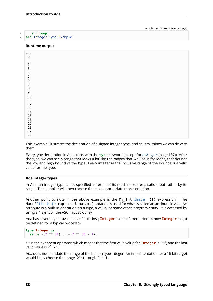#### **Runtime output**

| $^{\rm -1}$      |  |  |  |
|------------------|--|--|--|
| $\Theta$         |  |  |  |
| $\mathbf 1$      |  |  |  |
| $\mathsf{2}\,$   |  |  |  |
|                  |  |  |  |
| $\overline{3}$   |  |  |  |
| $\overline{4}$   |  |  |  |
| $\mathbf 5$      |  |  |  |
| $\bf 6$          |  |  |  |
|                  |  |  |  |
| $\boldsymbol{7}$ |  |  |  |
| $\bf 8$          |  |  |  |
| 9                |  |  |  |
| $10\,$           |  |  |  |
| $11\,$           |  |  |  |
|                  |  |  |  |
| $12\,$           |  |  |  |
| 13               |  |  |  |
| $14\,$           |  |  |  |
| $15\,$           |  |  |  |
| $16\,$           |  |  |  |
|                  |  |  |  |
| $17\,$           |  |  |  |
| $18\,$           |  |  |  |
| $19\,$           |  |  |  |
| $20\,$           |  |  |  |
|                  |  |  |  |

This example illustrates the declaration of a signed integer type, and several things we can do with them.

Every type declaration in Ada starts with the **type** keyword (except for *task types* (page 137)). After the type, we can see a range that looks a lot like the ranges that we use in for loops, that defines the low and high bound of the type. Every integer in the inclusive range of the bounds is a valid value for the type.

#### **Ada integer types**

In Ada, an integer type is not specified in terms of its machine representation, but rather by its range. The compiler will then choose the most appropriate representation.

Another point to note in the above example is the My Int'Image  $(I)$  expression. The Name'Attribute (optional params) notation is used for what is called an attribute in Ada. An attribute is a built-in operation on a type, a value, or some other program entity. It is accessed by using a ' symbol (the ASCII apostrophe).

Ada has several types available as "built-ins"; **Integer** is one of them. Here is how **Integer** might be defined for a typical processor:

```
type Integer is
  range -(2 ** 31) .. +(2 ** 31 - 1);
```
\*\* is the exponent operator, which means that the first valid value for **Integer** is -2<sup>31</sup>, and the last valid value is  $2^{31}$  - 1.

Ada does not mandate the range of the built-in type Integer. An implementation for a 16-bit target would likely choose the range - $2^{15}$  through  $2^{15}$  - 1.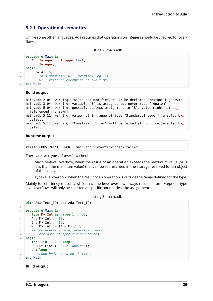## **5.2.1 Operational semantics**

Unlike some other languages, Ada requires that operations on integers should be checked for overflow.

Listing 2: main.adb

```
1 procedure Main is
2 A : Integer := Integer'Last;
3 B : Integer;
4 begin
5 \quad B := A + 5;6 -- This operation will overflow, eg. it
7 -- will raise an exception at run time.
  8 end Main;
```
**Build output**

```
main.adb:2:04: warning: "A" is not modified, could be declared constant [-gnatwk]
main.adb:3:04: warning: variable "B" is assigned but never read [-gnatwm]
main.adb:5:04: warning: possibly useless assignment to "B", value might not be,
 ↪referenced [-gnatwm]
main.adb:5:11: warning: value not in range of type "Standard.Integer" [enabled by.
 ↪default]
main.adb:5:11: warning: "Constraint_Error" will be raised at run time [enabled by<sub>u</sub>
 ↪default]
```
### **Runtime output**

```
raised CONSTRAINT_ERROR : main.adb:5 overflow check failed
```
There are two types of overflow checks:

- Machine-level overflow, when the result of an operation exceeds the maximum value (or is less than the minimum value) that can be represented in the storage reserved for an object of the type, and
- Type-level overflow, when the result of an operation is outside the range defined for the type.

Mainly for efficiency reasons, while machine level overflow always results in an exception, type level overflows will only be checked at specific boundaries, like assignment:

Listing 3: main.adb

```
1 with Ada.Text_IO; use Ada.Text_IO;
\overline{2}3 procedure Main is
4 type My_Int is range 1 .. 20;
5 A : My Int := 12;
6 B : My Int := 15;
7 M : My_Int := (A + B) / 2;
8 -- No overflow here, overflow checks
9 -- are done at specific boundaries.
10 begin
11 for I in 1 .. M loop
12 Put_Line ("Hello, World!");
13 end loop;
14 -- Loop body executed 13 times
15 end Main;
```
### **Build output**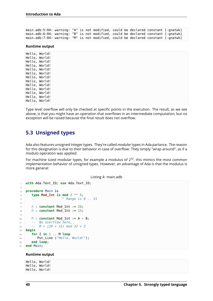main.adb:5:04: warning: "A" is not modified, could be declared constant [-gnatwk] main.adb:6:04: warning: "B" is not modified, could be declared constant [-gnatwk] main.adb:7:04: warning: "M" is not modified, could be declared constant [-gnatwk]

### **Runtime output**

Hello, World! Hello, World! Hello, World! Hello, World! Hello, World! Hello, World! Hello, World! Hello, World! Hello, World! Hello, World! Hello, World! Hello, World! Hello, World!

Type level overflow will only be checked at specific points in the execution. The result, as we see above, is that you might have an operation that overflows in an intermediate computation, but no exception will be raised because the final result does not overflow.

# **5.3 Unsigned types**

Ada also features unsigned Integer types. They're called *modular* types in Ada parlance. The reason for this designation is due to their behavior in case of overflow: They simply "wrap around", as if a modulo operation was applied.

For machine sized modular types, for example a modulus of  $2^{32}$ , this mimics the most common implementation behavior of unsigned types. However, an advantage of Ada is that the modulus is more general:

```
1 with Ada.Text_IO; use Ada.Text_IO;
\overline{2}3 procedure Main is
4 type Mod_Int is mod 2 ** 5;
5 -- ^ Range is 0 .. 31
6
7 A : constant Mod_Int := 20;
8 B : constant Mod_Int := 15;
9
10 M : constant Mod_Int := A + B;
11 -- No overflow here,
12 -- M = (20 + 15) mod 32 = 3
13 begin
14 for I in 1 .. M loop
15 Put_Line ("Hello, World!");
16 end loop;
17 end Main;
```
#### **Runtime output**

Hello, World! Hello, World! Hello, World!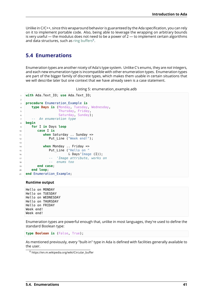Unlike in C/C++, since this wraparound behavior is guaranteed by the Ada specification, you can rely on it to implement portable code. Also, being able to leverage the wrapping on arbitrary bounds is very useful  $-$  the modulus does not need to be a power of  $2 -$  to implement certain algorithms and data structures, such as ring buffers $8$ .

# **5.4 Enumerations**

<span id="page-47-0"></span>Enumeration types are another nicety of Ada's type system. Unlike C's enums, they are *not* integers, and each new enumeration type is incompatible with other enumeration types. Enumeration types are part of the bigger family of discrete types, which makes them usable in certain situations that we will describe later but one context that we have already seen is a case statement.

```
Listing 5: enumeration_example.adb
```

```
1 with Ada.Text_IO; use Ada.Text_IO;
2
3 procedure Enumeration_Example is
4 type Days is (Monday, Tuesday, Wednesday,
5 Thursday, Friday,
6 Saturday, Sunday);
7 -- An enumeration type
8 begin
9 for I in Days loop
10 case I is
11 when Saturday .. Sunday =>
12 Put Line ("Week end!");
13
14 when Monday .. Friday =>
15 Put Line ("Hello on "
16 \& Days' Image (I));
17 -- 'Image attribute, works on
18 -- enums too
19 end case;
20 end loop;
21 end Enumeration_Example;
```
### **Runtime output**

Hello on MONDAY Hello on TUESDAY Hello on WEDNESDAY Hello on THURSDAY Hello on FRIDAY Week end! Week end!

Enumeration types are powerful enough that, unlike in most languages, they're used to define the standard Boolean type:

**type Boolean is** (False, True);

As mentioned previously, every "built-in" type in Ada is defined with facilities generally available to the user.

<sup>8</sup> https://en.m.wikipedia.org/wiki/Circular\_buffer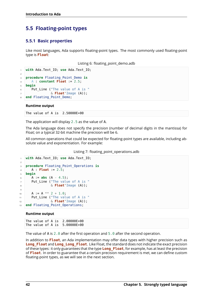# **5.5 Floating-point types**

## **5.5.1 Basic properties**

Like most languages, Ada supports floating-point types. The most commonly used floating-point type is **Float**:

Listing 6: floating\_point\_demo.adb

```
1 with Ada.Text_IO; use Ada.Text_IO;
\overline{2}3 procedure Floating_Point_Demo is
4 A : constant Float := 2.5;
5 begin
6 Put Line ("The value of A is "
                7 & Float'Image (A));
  8 end Floating_Point_Demo;
```
### **Runtime output**

The value of A is 2.50000E+00

The application will display 2.5 as the value of A.

The Ada language does not specify the precision (number of decimal digits in the mantissa) for Float; on a typical 32-bit machine the precision will be 6.

All common operations that could be expected for floating-point types are available, including absolute value and exponentiation. For example:

Listing 7: floating\_point\_operations.adb

```
1 with Ada.Text_IO; use Ada.Text_IO;
2
3 procedure Floating_Point_Operations is
4 A : Float := 2.5;
5 begin
6 A := abs (A - 4.5);
7 Put_Line ("The value of A is "
8 & Float'Image (A));
9
10 A := A^{**} 2 + 1.0;
11 Put_Line ("The value of A is "
12 & Float'Image (A));
13 end Floating_Point_Operations;
```
### **Runtime output**

The value of A is 2.00000E+00 The value of A is 5.00000E+00

The value of A is  $2.0$  after the first operation and  $5.0$  after the second operation.

In addition to **Float**, an Ada implementation may offer data types with higher precision such as **Long Float** and **Long Long Float**. Like Float, the standard does not indicate the exact precision of these types: it only guarantees that the type **Long\_Float**, for example, has at least the precision of **Float**. In order to guarantee that a certain precision requirement is met, we can define custom floating-point types, as we will see in the next section.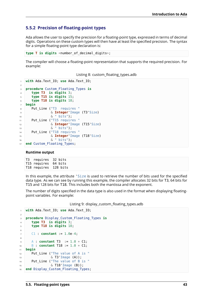## **5.5.2 Precision of floating-point types**

Ada allows the user to specify the precision for a floating-point type, expressed in terms of decimal digits. Operations on these custom types will then have at least the specified precision. The syntax for a simple floating-point type declaration is:

```
type T is digits <number of decimal digits>;
```
The compiler will choose a floating-point representation that supports the required precision. For example:

Listing 8: custom\_floating\_types.adb

```
1 with Ada.Text_IO; use Ada.Text_IO;
\overline{2}3 procedure Custom_Floating_Types is
4 type T3 is digits 3;
5 type T15 is digits 15;
6 type T18 is digits 18;
7 begin
8 Put_Line ("T3 requires "
9 & Integer'Image (T3'Size)
10 \delta " bits");
11 Put_Line ("T15 requires "
12 6 Integer'Image (T15'Size)
13 & " bits");
14 Put_Line ("T18 requires "
15 & Integer'Image (T18'Size)
16 \delta " bits");
17 end Custom Floating Types;
```
### **Runtime output**

T3 requires 32 bits T15 requires 64 bits T18 requires 128 bits

In this example, the attribute 'Size is used to retrieve the number of bits used for the specified data type. As we can see by running this example, the compiler allocates 32 bits for T3, 64 bits for T15 and 128 bits for T18. This includes both the mantissa and the exponent.

The number of digits specified in the data type is also used in the format when displaying floatingpoint variables. For example:

Listing 9: display\_custom\_floating\_types.adb

```
1 with Ada.Text_IO; use Ada.Text_IO;
\overline{2}3 procedure Display_Custom_Floating_Types is
4 type T3 is digits 3;
5 type T18 is digits 18;
6
7 C1 : constant := 1.0e-4;
8
9 A : constant T3 := 1.0 + C1;
10 B : constant T18 := 1.0 + C1;
11 begin
12 Put Line ("The value of A is "
\& T3'Image (A));
14 Put Line ("The value of B is "
15 \& T18' Image (B));
16 end Display Custom Floating Types;
```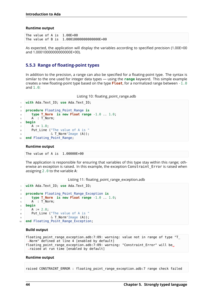### **Runtime output**

```
The value of A is 1.00E+00
The value of B is 1.00010000000000000E+00
```
As expected, the application will display the variables according to specified precision (1.00E+00 and 1.00010000000000000E+00).

## **5.5.3 Range of floating-point types**

In addition to the precision, a range can also be specified for a floating-point type. The syntax is similar to the one used for integer data types — using the **range** keyword. This simple example creates a new floating-point type based on the type **Float**, for a normalized range between -1.0 and 1.0:

Listing 10: floating point range.adb

```
1 with Ada.Text_IO; use Ada.Text_IO;
\overline{2}3 procedure Floating_Point_Range is
4 type T_Norm is new Float range -1.0 .. 1.0;
5 A : T Norm;
6 begin
7 \quad A := 1.0;
8 Put Line ("The value of A is "
                9 & T_Norm'Image (A));
10 end Floating Point Range;
```
### **Runtime output**

The value of A is 1.00000E+00

The application is responsible for ensuring that variables of this type stay within this range; otherwise an exception is raised. In this example, the exception Constraint Error is raised when assigning 2.0 to the variable A:

Listing 11: floating\_point\_range\_exception.adb

```
1 with Ada.Text_IO; use Ada.Text_IO;
\overline{2}3 procedure Floating_Point_Range_Exception is
4 type T_Norm is new Float range -1.0 .. 1.0;
5 A : T Norm;
6 begin
7 \quad A := 2.0;
8 Put Line ("The value of A is "
                \& T Norm'Image (A));
10 end Floating Point Range Exception;
```
### **Build output**

```
floating point range exception.adb:7:09: warning: value not in range of type "T
\rightarrowNorm" defined at line 4 [enabled by default]
floating point range exception.adb:7:09: warning: "Constraint Error" will be<sub>1</sub>
↪raised at run time [enabled by default]
```
#### **Runtime output**

raised CONSTRAINT ERROR : floating point range exception.adb:7 range check failed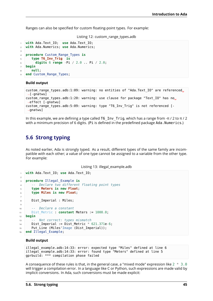Ranges can also be specified for custom floating-point types. For example:

Listing 12: custom\_range\_types.adb

```
1 with Ada.Text_IO; use Ada.Text_IO;
2 with Ada.Numerics; use Ada.Numerics;
3
4 procedure Custom_Range_Types is
5 type T6_Inv_Trig is
6 digits 6 range -Pi / 2.0 .. Pi / 2.0;
7 begin
8 null;
9 end Custom Range Types:
```
#### **Build output**

```
custom range types.adb:1:09: warning: no entities of "Ada.Text IO" are referenced.
\rightarrow[-gnatwu]
custom range types.adb:1:20: warning: use clause for package "Text IO" has no.
 \rightarroweffect [-gnatwu]
custom range types.adb:5:09: warning: type "T6 Inv Trig" is not referenced [-
 \rightarrowgnatwu]
```
In this example, we are defining a type called T6\_Inv\_Trig, which has a range from -π / 2 to π / 2 with a minimum precision of 6 digits. (Pi is defined in the predefined package Ada.Numerics.)

## **5.6 Strong typing**

As noted earlier, Ada is strongly typed. As a result, different types of the same family are incompatible with each other; a value of one type cannot be assigned to a variable from the other type. For example:

Listing 13: illegal example.adb

```
1 with Ada.Text_IO; use Ada.Text_IO;
\overline{2}3 procedure Illegal_Example is
4 -- Declare two different floating point types
5 type Meters is new Float;
6 type Miles is new Float;
7
8 Dist Imperial : Miles;
9
10 -- Declare a constant
11 Dist_Metric : constant Meters := 1000.0;
12 begin
13 -- Not correct: types mismatch
14 Dist_Imperial := Dist_Metric * 621.371e-6;
15 Put Line (Miles'Image (Dist Imperial));
16 end Illegal Example;
```
### **Build output**

```
illegal_example.adb:14:33: error: expected type "Miles" defined at line 6
illegal example.adb:14:33: error: found type "Meters" defined at line 5
gprbuild: *** compilation phase failed
```
A consequence of these rules is that, in the general case, a "mixed mode" expression like  $2 * 3.0$ will trigger a compilation error. In a language like C or Python, such expressions are made valid by implicit conversions. In Ada, such conversions must be made explicit: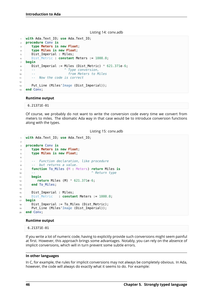#### Listing 14: conv.adb

```
1 with Ada.Text_IO; use Ada.Text_IO;
2 procedure Conv is
3 type Meters is new Float;
4 type Miles is new Float;
5 Dist_Imperial : Miles;
6 Dist_Metric : constant Meters := 1000.0;
7 begin
8 Dist Imperial := Miles (Dist Metric) * 621.371e-6;
9 -- ^ Type conversion,
10 -- from Meters to Miles
11 -- Now the code is correct
12
13 Put Line (Miles'Image (Dist Imperial));
14 end Conv;
```
### **Runtime output**

```
6.21371E-01
```
Of course, we probably do not want to write the conversion code every time we convert from meters to miles. The idiomatic Ada way in that case would be to introduce conversion functions along with the types.

Listing 15: conv.adb

```
1 with Ada.Text_IO; use Ada.Text_IO;
2
3 procedure Conv is
4 type Meters is new Float;
5 type Miles is new Float;
6
7 -- Function declaration, like procedure
8 -- but returns a value.
9 function To_Miles (M : Meters) return Miles is
10 -- ^ Return type
11 begin
12 return Miles (M) * 621.371e-6;
13 end To_Miles;
14
15 Dist Imperial : Miles;
16 Dist_Metric : constant Meters := 1000.0;
17 begin
18 Dist Imperial := To Miles (Dist Metric);
19 Put_Line (Miles'Image (Dist_Imperial));
20 end Conv;
```
### **Runtime output**

6.21371E-01

If you write a lot of numeric code, having to explicitly provide such conversions might seem painful at first. However, this approach brings some advantages. Notably, you can rely on the absence of implicit conversions, which will in turn prevent some subtle errors.

### **In other languages**

In C, for example, the rules for implicit conversions may not always be completely obvious. In Ada, however, the code will always do exactly what it seems to do. For example: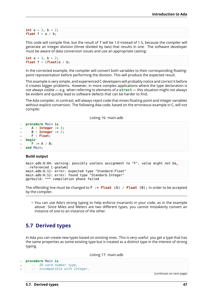**int**  $a = 3$ ,  $b = 2$ ; **float**  $f = a / b$ ;

This code will compile fine, but the result of f will be 1.0 instead of 1.5, because the compiler will generate an integer division (three divided by two) that results in one. The software developer must be aware of data conversion issues and use an appropriate casting:

```
int a = 3, b = 2;
float f = (float)a / b;
```
In the corrected example, the compiler will convert both variables to their corresponding floatingpoint representation before performing the division. This will produce the expected result.

This example is very simple, and experienced C developers will probably notice and correct it before it creates bigger problems. However, in more complex applications where the type declaration is not always visible — e.g. when referring to elements of a **struct** — this situation might not always be evident and quickly lead to software defects that can be harder to find.

The Ada compiler, in contrast, will always reject code that mixes floating-point and integer variables without explicit conversion. The following Ada code, based on the erroneous example in C, will not compile:

Listing 16: main.adb

```
1 procedure Main is
2 A : Integer := 3;
3 B : Integer := 2;
4 F : Float;
5 begin
6 \quad F := A / B;
  7 end Main;
```
#### **Build output**

```
main.adb:6:04: warning: possibly useless assignment to "F", value might not be.
↪referenced [-gnatwm]
main.adb:6:11: error: expected type "Standard.Float"
main.adb:6:11: error: found type "Standard.Integer"
gprbuild: *** compilation phase failed
```
The offending line must be changed to F := **Float** (A) / **Float** (B); in order to be accepted by the compiler.

• You can use Ada's strong typing to help enforce invariants in your code, as in the example above: Since Miles and Meters are two different types, you cannot mistakenly convert an instance of one to an instance of the other.

# **5.7 Derived types**

In Ada you can create new types based on existing ones. This is very useful: you get a type that has the same properties as some existing type but is treated as a distinct type in the interest of strong typing.

Listing 17: main.adb

| 1              | procedure Main is |                            |  |
|----------------|-------------------|----------------------------|--|
|                |                   | -- ID card number type,    |  |
| $\overline{3}$ | $\sim 100$        | incompatible with Integer. |  |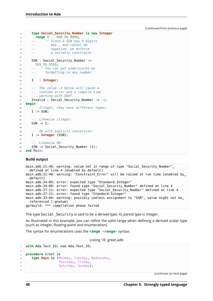```
4 type Social_Security_Number is new Integer
5 range 0 .. 999_99_9999;
6 -- ^ Since a SSN has 9 digits
7 -- max., and cannot be
8 -- negative, we enforce
9 -- a validity constraint.
10
11 SSN : Social_Security_Number :=
12 555 5555;
13 -- ^ You can put underscores as
14 -- formatting in any number.
15
16 I : Integer;
17
18 -- The value -1 below will cause a
19 -- runtime error and a compile time
20 -- warning with GNAT.
21 Invalid : Social_Security_Number := -1;
22 begin
23 -- Illegal, they have different types:
_{24} I := SSN:
25
26 -- Likewise illegal:
27 SSN := I;
28
29 -- OK with explicit conversion:
30 I := Integer (SSN);
31
32 -- Likewise OK:
33 SSN := Social_Security_Number (I);
34 end Main;
```
### **Build output**

```
main.adb:21:40: warning: value not in range of type "Social Security Number".
\rightarrowdefined at line 4 [enabled by default]
main.adb:21:40: warning: "Constraint_Error" will be raised at run time [enabled by.,
↪default]
main.adb:24:09: error: expected type "Standard.Integer"
main.adb:24:09: error: found type "Social Security Number" defined at line 4
main.adb:27:11: error: expected type "Social Security Number" defined at line 4
main.adb:27:11: error: found type "Standard. Integer"
main.adb:33:04: warning: possibly useless assignment to "SSN", value might not be.
↪referenced [-gnatwm]
gprbuild: *** compilation phase failed
```
The type Social\_Security is said to be a *derived type*; its *parent type* is Integer.

As illustrated in this example, you can refine the valid range when defining a derived scalar type (such as integer, floating-point and enumeration).

The syntax for enumerations uses the **range** <**range**> syntax:

Listing 18: greet.adb

```
1 with Ada.Text_IO; use Ada.Text_IO;
2
3 procedure Greet is
4 type Days is (Monday, Tuesday, Wednesday,
5 Thursday, Friday,
6 Saturday, Sunday);
7
```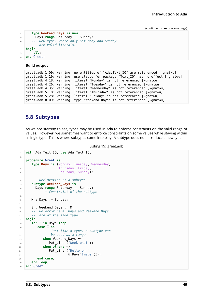```
8 type Weekend_Days is new
9 Days range Saturday .. Sunday;
10 -- New type, where only Saturday and Sunday
11 -- are valid literals.
12 begin
13 null;
14 end Greet;
```
**Build output**

```
greet.adb:1:09: warning: no entities of "Ada.Text_IO" are referenced [-gnatwu]
greet.adb:1:19: warning: use clause for package "Text_IO" has no effect [-gnatwu]
greet.adb:4:18: warning: literal "Monday" is not referenced [-gnatwu]
greet.adb:4:26: warning: literal "Tuesday" is not referenced [-gnatwu]
greet.adb:4:35: warning: literal "Wednesday" is not referenced [-gnatwu]
greet.adb:5:18: warning: literal "Thursday" is not referenced [-gnatwu]
greet.adb:5:28: warning: literal "Friday" is not referenced [-gnatwu]
greet.adb:8:09: warning: type "Weekend_Days" is not referenced [-gnatwu]
```
# **5.8 Subtypes**

As we are starting to see, types may be used in Ada to enforce constraints on the valid range of values. However, we sometimes want to enforce constraints on some values while staying within a single type. This is where subtypes come into play. A subtype does not introduce a new type.

```
Listing 19: greet.adb
```

```
1 with Ada.Text_IO; use Ada.Text_IO;
\overline{2}3 procedure Greet is
4 type Days is (Monday, Tuesday, Wednesday,
5 Thursday, Friday,
6 Saturday, Sunday);
7
8 -- Declaration of a subtype
9 subtype Weekend_Days is
10 Days range Saturday .. Sunday;
11 -- ^ Constraint of the subtype
12
13 M : Days := Sunday;
14
15 S : Weekend Days := M;
16 -- No error here, Days and Weekend_Days
17 -- are of the same type.
18 begin
19 for I in Days loop
20 case I is
21 -- Just like a type, a subtype can
22 -- be used as a range
23 when Weekend Days =>
24 Put Line ("Week end!");
25 when others =>
26 Put Line ("Hello on "
27 & Days'Image (I));
28 end case;
29 end loop;
30 end Greet;
```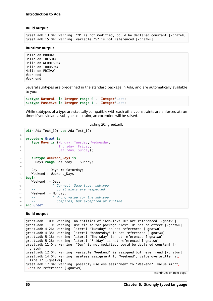#### **Build output**

```
greet.adb:13:04: warning: "M" is not modified, could be declared constant [-gnatwk]
greet.adb:15:04: warning: variable "S" is not referenced [-gnatwu]
```
#### **Runtime output**

Hello on MONDAY Hello on TUESDAY Hello on WEDNESDAY Hello on THURSDAY Hello on FRIDAY Week end! Week end!

Several subtypes are predefined in the standard package in Ada, and are automatically available to you:

**subtype Natural is Integer range** 0 .. **Integer**'Last; **subtype Positive is Integer range** 1 .. **Integer**'Last;

While subtypes of a type are statically compatible with each other, constraints are enforced at run time: if you violate a subtype constraint, an exception will be raised.

Listing 20: greet.adb

```
1 with Ada.Text_IO; use Ada.Text_IO;
\overline{2}3 procedure Greet is
4 type Days is (Monday, Tuesday, Wednesday,
5 Thursday, Friday,
6 Saturday, Sunday);
7
8 subtype Weekend_Days is
9 Days range Saturday .. Sunday;
10
11 Day : Days := Saturday;
12 Weekend : Weekend_Days;
13 begin
14 Weekend := Day;
15 -- ^ Correct: Same type, subtype
16 -- constraints are respected
17 Weekend := Monday;
18 -- ^ Wrong value for the subtype
19 -- Compiles, but exception at runtime
20 end Greet;
```
### **Build output**

greet.adb:1:09: warning: no entities of "Ada.Text\_IO" are referenced [-gnatwu] greet.adb:1:19: warning: use clause for package "Text\_IO" has no effect [-gnatwu] greet.adb:4:26: warning: literal "Tuesday" is not referenced [-gnatwu] greet.adb:4:35: warning: literal "Wednesday" is not referenced [-gnatwu] greet.adb:5:18: warning: literal "Thursday" is not referenced [-gnatwu] greet.adb:5:28: warning: literal "Friday" is not referenced [-gnatwu] greet.adb:11:04: warning: "Day" is not modified, could be declared constant [- ↪gnatwk] greet.adb:12:04: warning: variable "Weekend" is assigned but never read [-gnatwm] greet.adb:14:04: warning: useless assignment to "Weekend", value overwritten at␣ ↪line 17 [-gnatwm] greet.adb:17:04: warning: possibly useless assignment to "Weekend", value might, ↪not be referenced [-gnatwm]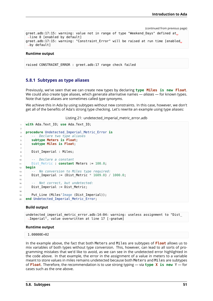```
greet.adb:17:15: warning: value not in range of type "Weekend_Days" defined at.
 ↪line 8 [enabled by default]
greet.adb:17:15: warning: "Constraint Error" will be raised at run time [enabled,
 ↪by default]
```
### **Runtime output**

raised CONSTRAINT\_ERROR : greet.adb:17 range check failed

### **5.8.1 Subtypes as type aliases**

Previously, we've seen that we can create new types by declaring **type Miles is new Float**. We could also create type aliases, which generate alternative names — *aliases* — for known types. Note that type aliases are sometimes called *type synonyms*.

We achieve this in Ada by using subtypes without new constraints. In this case, however, we don't get all of the benefits of Ada's strong type checking. Let's rewrite an example using type aliases:

Listing 21: undetected imperial metric error.adb

```
1 with Ada.Text_IO; use Ada.Text_IO;
\overline{2}3 procedure Undetected_Imperial_Metric_Error is
4 -- Declare two type aliases
5 subtype Meters is Float;
6 subtype Miles is Float;
7
8 Dist Imperial : Miles:
\alpha10 -- Declare a constant
11 Dist_Metric : constant Meters := 100.0;
12 begin
13 -- No conversion to Miles type required:
14 Dist Imperial := (Dist Metric * 1609.0) / 1000.0;
15
16 -- Not correct, but undetected:
17 Dist Imperial := Dist Metric;
18
19 Put Line (Miles'Image (Dist Imperial));
20 end Undetected_Imperial_Metric_Error;
```
#### **Build output**

undetected\_imperial\_metric\_error.adb:14:04: warning: useless assignment to "Dist\_ ↪Imperial", value overwritten at line 17 [-gnatwm]

#### **Runtime output**

1.00000E+02

In the example above, the fact that both Meters and Miles are subtypes of **Float** allows us to mix variables of both types without type conversion. This, however, can lead to all sorts of programming mistakes that we'd like to avoid, as we can see in the undetected error highlighted in the code above. In that example, the error in the assignment of a value in meters to a variable meant to store values in miles remains undetected because both Meters and Miles are subtypes of **Float**. Therefore, the recommendation is to use strong typing — via **type X is new** Y — for cases such as the one above.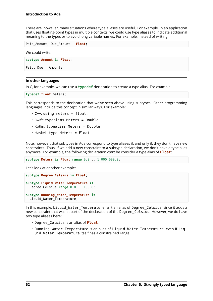There are, however, many situations where type aliases are useful. For example, in an application that uses floating-point types in multiple contexts, we could use type aliases to indicate additional meaning to the types or to avoid long variable names. For example, instead of writing:

Paid\_Amount, Due\_Amount : **Float**;

We could write:

**subtype Amount is Float**;

Paid, Due : Amount;

### **In other languages**

In C, for example, we can use a **typedef** declaration to create a type alias. For example:

**typedef float** meters;

This corresponds to the declaration that we've seen above using subtypes. Other programming languages include this concept in similar ways. For example:

- $\cdot$  C++: using meters = float;
- Swift: typealias Meters = Double
- Kotlin: typealias Meters = Double
- Haskell: type Meters = Float

Note, however, that subtypes in Ada correspond to type aliases if, and only if, they don't have new constraints. Thus, if we add a new constraint to a subtype declaration, we don't have a type alias anymore. For example, the following declaration *can't* be consider a type alias of **Float**:

**subtype Meters is Float range** 0.0 .. 1\_000\_000.0;

Let's look at another example:

```
subtype Degree_Celsius is Float;
subtype Liquid_Water_Temperature is
 Degree Celsius range 0.0 .. 100.0;
subtype Running_Water_Temperature is
```
Liquid Water Temperature;

In this example, Liquid Water Temperature isn't an alias of Degree Celsius, since it adds a new constraint that wasn't part of the declaration of the Degree Celsius. However, we do have two type aliases here:

- Degree\_Celsius is an alias of **Float**;
- Running Water Temperature is an alias of Liquid Water Temperature, even if Liquid Water Temperature itself has a constrained range.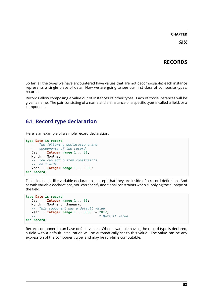## **CHAPTER**

# **RECORDS**

So far, all the types we have encountered have values that are not decomposable: each instance represents a single piece of data. Now we are going to see our first class of composite types: records.

Records allow composing a value out of instances of other types. Each of those instances will be given a name. The pair consisting of a name and an instance of a specific type is called a field, or a component.

# **6.1 Record type declaration**

Here is an example of a simple record declaration:

```
type Date is record
  -- The following declarations are
   -- components of the record
  Day : Integer range 1 .. 31;
  Month : Months;
   -- You can add custom constraints
   -- on fields
  Year : Integer range 1 .. 3000;
end record;
```
Fields look a lot like variable declarations, except that they are inside of a record definition. And as with variable declarations, you can specify additional constraints when supplying the subtype of the field.

```
type Date is record
  Day : Integer range 1 .. 31;
  Month : Months := January;
   -- This component has a default value
  Year : Integer range 1 .. 3000 := 2012;
                                      -- ^ Default value
end record;
```
Record components can have default values. When a variable having the record type is declared, a field with a default initialization will be automatically set to this value. The value can be any expression of the component type, and may be run-time computable.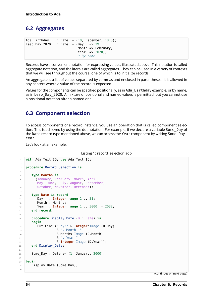# **6.2 Aggregates**

| Ada Birthday  |                                 |                   |  |                               | : Date := $(10,$ December, $1815$ ); |  |
|---------------|---------------------------------|-------------------|--|-------------------------------|--------------------------------------|--|
| Leap Day 2020 | : Date := $(Day \implies 29)$ , |                   |  |                               |                                      |  |
|               |                                 |                   |  | Month $\Rightarrow$ February, |                                      |  |
|               |                                 |                   |  | Year $\Rightarrow$ 2020):     |                                      |  |
|               |                                 | $\hat{B}$ By name |  |                               |                                      |  |

Records have a convenient notation for expressing values, illustrated above. This notation is called aggregate notation, and the literals are called aggregates. They can be used in a variety of contexts that we will see throughout the course, one of which is to initialize records.

An aggregate is a list of values separated by commas and enclosed in parentheses. It is allowed in any context where a value of the record is expected.

Values for the components can be specified positionally, as in Ada\_Birthday example, or by name, as in Leap Day 2020. A mixture of positional and named values is permitted, but you cannot use a positional notation after a named one.

# **6.3 Component selection**

To access components of a record instance, you use an operation that is called component selection. This is achieved by using the dot notation. For example, if we declare a variable Some\_Day of the Date record type mentioned above, we can access the Year component by writing Some Day. Year.

Let's look at an example:

```
Listing 1: record_selection.adb
```

```
1 with Ada.Text_IO; use Ada.Text_IO;
\overline{2}3 procedure Record_Selection is
4
5 type Months is
6 (January, February, March, April,
7 May, June, July, August, September,
8 October, November, December);
\alpha10 type Date is record
11 Day : Integer range 1 .. 31;
12 Month : Months;
13 Year : Integer range 1 .. 3000 := 2032;
14 end record;
15
16 procedure Display_Date (D : Date) is
17 begin
18 Put_Line ("Day:" & Integer'Image (D.Day)
19 & ", Month: "
20 & Months'Image (D.Month)
21 & ", Year:"
22 & Integer'Image (D.Year));
23 end Display_Date;
2425 Some Day : Date := (1, January, 2000);
26
27 begin
28 Display Date (Some Day);
29
```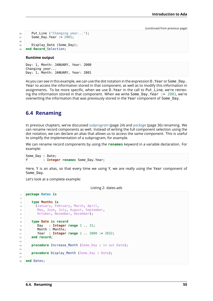```
30 Put_Line ("Changing year...");
31 Some_Day.Year := 2001;
32
33 Display Date (Some Day);
34 end Record_Selection;
```
### **Runtime output**

```
Day: 1, Month: JANUARY, Year: 2000
Changing year...
Day: 1, Month: JANUARY, Year: 2001
```
As you can see in this example, we can use the dot notation in the expression D. Year or Some Day. Year to access the information stored in that component, as well as to modify this information in assignments. To be more specific, when we use D.Year in the call to Put\_Line, we're retrieving the information stored in that component. When we write Some Day.Year  $:= 2001$ , we're overwriting the information that was previously stored in the Year component of Some\_Day.

# **6.4 Renaming**

In previous chapters, we've discussed *subprogram* (page 24) and *package* (page 36) renaming. We can rename record components as well. Instead of writing the full component selection using the dot notation, we can declare an alias that allows us to access the same component. This is useful to simplify the implementation of a subprogram, for example.

We can rename record components b[y using the](#page-30-0) **renames** keyw[ord in a](#page-42-0) variable declaration. For example:

```
Some_Day : Date;
Y : Integer renames Some_Day.Year;
```
Here, Y is an alias, so that every time we using Y, we are really using the Year component of Some\_Day.

Let's look at a complete example:

Listing 2: dates.ads

```
1 package Dates is
\overline{2}3 type Months is
4 (January, February, March, April,
5 May, June, July, August, September,
6 October, November, December);
7
8 type Date is record
9 Day : Integer range 1 .. 31;
10 Month : Months;
11 Year : Integer range 1 .. 3000 := 2032;
12 end record;
13
14 procedure Increase Month (Some Day : in out Date);
15
16 procedure Display_Month (Some_Day : Date);
17
18 end Dates;
```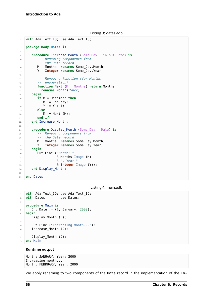Listing 3: dates.adb

```
1 with Ada.Text_IO; use Ada.Text_IO;
\overline{2}3 package body Dates is
4
5 procedure Increase_Month (Some_Day : in out Date) is
6 -- Renaming components from
7 -- the Date record
8 M : Months renames Some_Day.Month;
9 Y : Integer renames Some_Day.Year;
10
11 -- Renaming function (for Months
12 -- enumeration)
13 function Next (M : Months) return Months
14 renames Months'Succ;
15 begin
16 if M = December then
M := January;18 Y := Y + 1;19 else
20 M := Next (M);
21 end if;
22 end Increase_Month;
23
24 procedure Display_Month (Some_Day : Date) is
25 -- Renaming components from
26 -- the Date record
27 M : Months renames Some_Day.Month;
28 Y : Integer renames Some_Day.Year;
29 begin
30 Put_Line ("Month: "
31 & Months'Image (M)
32 & ", Year:"
33 & Integer'Image (Y));
34 end Display_Month;
35
36 end Dates;
```
Listing 4: main.adb

```
1 with Ada.Text_IO; use Ada.Text_IO;
2 with Dates; use Dates;
3
4 procedure Main is
5 \quad D : Date := (1, January, 2000);
6 begin
7 Display_Month (D);
8
9 Put_Line ("Increasing month...");
10 Increase Month (D);
11
12 Display_Month (D);
13 end Main;
```
### **Runtime output**

```
Month: JANUARY, Year: 2000
Increasing month...
Month: FEBRUARY, Year: 2000
```
We apply renaming to two components of the Date record in the implementation of the In-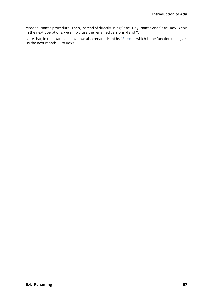crease\_Month procedure. Then, instead of directly using Some\_Day.Month and Some\_Day.Year in the next operations, we simply use the renamed versions M and Y.

Note that, in the example above, we also rename Months' Succ — which is the function that gives us the next month  $-$  to Next.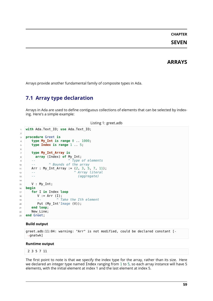# **CHAPTER SEVEN**

# **ARRAYS**

Arrays provide another fundamental family of composite types in Ada.

# **7.1 Array type declaration**

Arrays in Ada are used to define contiguous collections of elements that can be selected by indexing. Here's a simple example:

```
Listing 1: greet.adb
```

```
1 with Ada.Text_IO; use Ada.Text_IO;
\overline{2}3 procedure Greet is
4 type My_Int is range 0 .. 1000;
5 type Index is range 1 .. 5;
6
7 type My_Int_Array is
8 array (Index) of My_Int;
9 -- ^ Type of elements
10 -- ^ Bounds of the array
11 Arr : My_Int_Array := (2, 3, 5, 7, 11);
12 -- ^ Array literal
13 -- (aggregate)
14
15 V : My_Int;
16 begin
17 for I in Index loop
18 V := Arr (I);19 -- ^ Take the Ith element
20 Put (My_Int'Image (V));
21 end loop;
22 New Line;
23 end Greet;
```
### **Build output**

```
greet.adb:11:04: warning: "Arr" is not modified, could be declared constant [-
↪gnatwk]
```
#### **Runtime output**

```
2 3 5 7 11
```
The first point to note is that we specify the index type for the array, rather than its size. Here we declared an integer type named Index ranging from 1 to 5, so each array instance will have 5 elements, with the initial element at index 1 and the last element at index 5.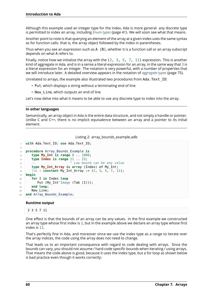Although this example used an integer type for the index, Ada is more general: any discrete type is permitted to index an array, including *Enum types* (page 41). We will soon see what that means.

Another point to note is that querying an element of the array at a given index uses the same syntax as for function calls: that is, the array object followed by the index in parentheses.

Thus when you see an expression such as  $A \ (B)$ , whether it is a function call or an array subscript depends on what A refers to.

Finally, notice how we initialize the array with the  $(2, 3, 5, 7, 11)$  expression. This is another kind of aggregate in Ada, and is in a sense a literal expression for an array, in the same way that 3 is a literal expression for an integer. The notation is very powerful, with a number of properties that we will introduce later. A detailed overview appears in the notation of *aggregate types* (page 75).

Unrelated to arrays, the example also illustrated two procedures from Ada.Text\_IO:

- Put, which displays a string without a terminating end of line
- New Line, which outputs an end of line

Let's now delve into what it means to be able to use any discrete type to index into the array.

### **In other languages**

Semantically, an array object in Ada is the entire data structure, and not simply a handle or pointer. Unlike C and C++, there is no implicit equivalence between an array and a pointer to its initial element.

### Listing 2: array\_bounds\_example.adb

```
1 with Ada.Text_IO; use Ada.Text_IO;
2
3 procedure Array_Bounds_Example is
4 type My_Int is range 0 .. 1000;
5 type Index is range 11 .. 15;
6 -- ^ Low bound can be any value
7 type My_Int_Array is array (Index) of My_Int;
8 Tab : constant My_Int_Array := (2, 3, 5, 7, 11);
9 begin
10 for I in Index loop
11 Put (My_Int'Image (Tab (I)));
12 end loop;
13 New Line;
14 end Array Bounds Example;
```
### **Runtime output**

```
2 3 5 7 11
```
One effect is that the bounds of an array can be any values. In the first example we constructed an array type whose first index is 1, but in the example above we declare an array type whose first index is 11.

That's perfectly fine in Ada, and moreover since we use the index type as a range to iterate over the array indices, the code using the array does not need to change.

That leads us to an important consequence with regard to code dealing with arrays. Since the bounds can vary, you should not assume / hard-code specific bounds when iterating / using arrays. That means the code above is good, because it uses the index type, but a for loop as shown below is bad practice even though it works correctly: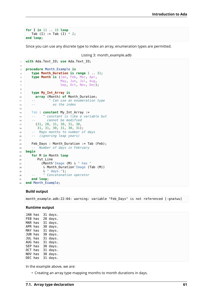**for** I **in** 11 .. 15 **loop** Tab  $(I) := Tab (I) * 2;$ **end loop**;

Since you can use any discrete type to index an array, enumeration types are permitted.

Listing 3: month\_example.adb

```
1 with Ada.Text_IO; use Ada.Text_IO;
\overline{2}3 procedure Month_Example is
4 type Month_Duration is range 1 .. 31;
5 type Month is (Jan, Feb, Mar, Apr,
6 May, Jun, Jul, Aug,
7 Sep, Oct, Nov, Dec);
8
9 type My_Int_Array is
10 array (Month) of Month_Duration;
11 -- ^ Can use an enumeration type
12 -- as the index
13
14 Tab : constant My Int Array :=
15 -- ^ constant is like a variable but
16 -- cannot be modified
17 (31, 28, 31, 30, 31, 30,
18 31, 31, 30, 31, 30, 31);
19 -- Maps months to number of days
20 -- (ignoring leap years)
21
22 Feb Days : Month Duration := Tab (Feb):
23 -- Number of days in February
24 begin
25 for M in Month loop
26 Put Line
27 (Month'Image (M) & " has "
28 & Month_Duration'Image (Tab (M))
29 & " days.");
30 -- ^ Concatenation operator
31 end loop;
32 end Month_Example;
```
### **Build output**

month example.adb:22:04: warning: variable "Feb Days" is not referenced [-gnatwu]

#### **Runtime output**

JAN has 31 days. FEB has 28 days. MAR has 31 days. APR has 30 days. MAY has 31 days. JUN has 30 days. JUL has 31 days. AUG has 31 days. SEP has 30 days. OCT has 31 days. NOV has 30 days. DEC has 31 days.

In the example above, we are:

• Creating an array type mapping months to month durations in days.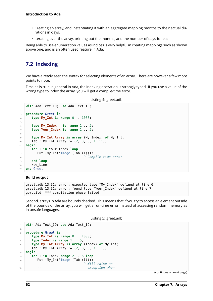- Creating an array, and instantiating it with an aggregate mapping months to their actual durations in days.
- Iterating over the array, printing out the months, and the number of days for each.

Being able to use enumeration values as indices is very helpful in creating mappings such as shown above one, and is an often used feature in Ada.

# **7.2 Indexing**

We have already seen the syntax for selecting elements of an array. There are however a few more points to note.

First, as is true in general in Ada, the indexing operation is strongly typed. If you use a value of the wrong type to index the array, you will get a compile-time error.

Listing 4: greet.adb

```
1 with Ada.Text_IO; use Ada.Text_IO;
2
3 procedure Greet is
4 type My_Int is range 0 .. 1000;
5
6 type My_Index is range 1 .. 5;
7 type Your_Index is range 1 .. 5;
8
9 type My_Int_Array is array (My_Index) of My_Int;
10 Tab : My Int Array := (2, 3, 5, 7, 11);
11 begin
12 for I in Your_Index loop
13 Put (My_Int'Image (Tab (I)));
14 -- ^ Compile time error
15 end loop;
16 New Line;
17 end Greet;
```
### **Build output**

```
greet.adb:13:31: error: expected type "My_Index" defined at line 6
greet.adb:13:31: error: found type "Your_Index" defined at line 7
gprbuild: *** compilation phase failed
```
Second, arrays in Ada are bounds checked. This means that if you try to access an element outside of the bounds of the array, you will get a run-time error instead of accessing random memory as in unsafe languages.

Listing 5: greet.adb

```
1 with Ada.Text_IO; use Ada.Text_IO;
\overline{2}3 procedure Greet is
4 type My_Int is range 0 .. 1000;
5 type Index is range 1 .. 5;
6 type My_Int_Array is array (Index) of My_Int;
7 Tab : M_y Int Array := (2, 3, 5, 7, 11);
8 begin
9 for I in Index range 2 .. 6 loop
10 Put (My_Int'Image (Tab (I)));
11 -- ^ Will raise an
12 12 12 12 12 exception when
```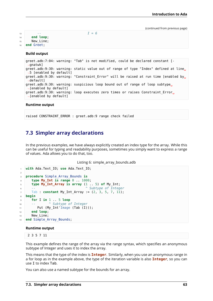```
13 -- I = 6
14 end loop;
15 New Line;
16 end Greet;
```
### **Build output**

```
greet.adb:7:04: warning: "Tab" is not modified, could be declared constant [-
 ↪gnatwk]
greet.adb:9:30: warning: static value out of range of type "Index" defined at line,
 \rightarrow5 [enabled by default]
greet.adb:9:30: warning: "Constraint Error" will be raised at run time [enabled by,
 ↪default]
greet.adb:9:30: warning: suspicious loop bound out of range of loop subtype.
↪[enabled by default]
greet.adb:9:30: warning: loop executes zero times or raises Constraint Error<sub>1</sub>
\rightarrow[enabled by default]
```
### **Runtime output**

raised CONSTRAINT\_ERROR : greet.adb:9 range check failed

# **7.3 Simpler array declarations**

In the previous examples, we have always explicitly created an index type for the array. While this can be useful for typing and readability purposes, sometimes you simply want to express a range of values. Ada allows you to do that, too.

Listing 6: simple\_array\_bounds.adb

```
1 with Ada.Text_IO; use Ada.Text_IO;
2
3 procedure Simple_Array_Bounds is
4 type My_Int is range 0 .. 1000;
5 type My_Int_Array is array (1 .. 5) of My_Int;
6 -- ^ Subtype of Integer
7 Tab : constant My_Int_Array := (2, 3, 5, 7, 11);
8 begin
9 for I in 1 .. 5 loop
10 -- ^ Subtype of Integer
11 Put (My Int'Image (Tab (I)));
12 end loop;
13 New Line;
14 end Simple Array Bounds;
```
### **Runtime output**

2 3 5 7 11

This example defines the range of the array via the range syntax, which specifies an anonymous subtype of Integer and uses it to index the array.

This means that the type of the index is **Integer**. Similarly, when you use an anonymous range in a for loop as in the example above, the type of the iteration variable is also **Integer**, so you can use I to index Tab.

You can also use a named subtype for the bounds for an array.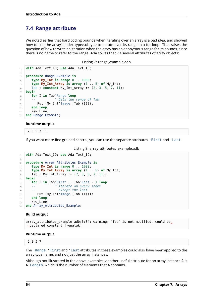# **7.4 Range attribute**

We noted earlier that hard coding bounds when iterating over an array is a bad idea, and showed how to use the array's index type/subtype to iterate over its range in a for loop. That raises the question of how to write an iteration when the array has an anonymous range for its bounds, since there is no name to refer to the range. Ada solves that via several attributes of array objects:

Listing 7: range\_example.adb

```
1 with Ada.Text_IO; use Ada.Text_IO;
\overline{2}3 procedure Range_Example is
4 type My_Int is range 0 .. 1000;
5 type My_Int_Array is array (1 .. 5) of My_Int;
6 Tab : constant My_Int_Array := (2, 3, 5, 7, 11);
7 begin
8 for I in Tab'Range loop
9 -- ^ Gets the range of Tab
10 Put (My_Int'Image (Tab (I)));
11 end loop;
12 New Line;
13 end Range_Example;
```
### **Runtime output**

2 3 5 7 11

If you want more fine grained control, you can use the separate attributes 'First and 'Last.

Listing 8: array\_attributes\_example.adb

```
1 with Ada.Text_IO; use Ada.Text_IO;
\overline{2}3 procedure Array_Attributes_Example is
4 type My_Int is range 0 .. 1000;
5 type My_Int_Array is array (1 .. 5) of My_Int;
6 Tab : My Int Array := (2, 3, 5, 7, 11);
7 begin
8 for I in Tab'First .. Tab'Last - 1 loop
9 -- ^ Iterate on every index
10 -- except the last
11 Put (My_Int'Image (Tab (I)));
12 end loop;
13 New Line;
14 end Array Attributes Example;
```
### **Build output**

array attributes example.adb:6:04: warning: "Tab" is not modified, could be. ↪declared constant [-gnatwk]

### **Runtime output**

2 3 5 7

The 'Range, 'First and 'Last attributes in these examples could also have been applied to the array type name, and not just the array instances.

Although not illustrated in the above examples, another useful attribute for an array instance A is A'Length, which is the number of elements that A contains.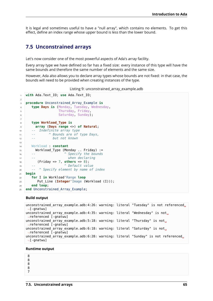It is legal and sometimes useful to have a "null array", which contains no elements. To get this effect, define an index range whose upper bound is less than the lower bound.

# **7.5 Unconstrained arrays**

Let's now consider one of the most powerful aspects of Ada's array facility.

Every array type we have defined so far has a fixed size: every instance of this type will have the same bounds and therefore the same number of elements and the same size.

However, Ada also allows you to declare array types whose bounds are not fixed: in that case, the bounds will need to be provided when creating instances of the type.

```
Listing 9: unconstrained_array_example.adb
```

```
1 with Ada.Text_IO; use Ada.Text_IO;
\overline{2}3 procedure Unconstrained_Array_Example is
4 type Days is (Monday, Tuesday, Wednesday,
5 Thursday, Friday,
6 Saturday, Sunday);
7
8 type Workload_Type is
9 array (Days range <>) of Natural;
10 -- Indefinite array type
11 -- ^ Bounds are of type Days,
12 -- but not known
13
14 Workload : constant
15 Workload_Type (Monday .. Friday) :=
16 -- ^ Specify the bounds
17 -- when declaring
18 (Friday => 7, others => 8);
19 -- ^ Default value
20 -- ^ Specify element by name of index
21 begin
22 for I in Workload'Range loop
23 Put_Line (Integer'Image (Workload (I)));
24 end loop;
25 end Unconstrained_Array_Example;
```
### **Build output**

```
unconstrained array example.adb:4:26: warning: literal "Tuesday" is not referenced<sub>1</sub>
\rightarrow[-gnatwu]
unconstrained_array_example.adb:4:35: warning: literal "Wednesday" is not<sub>u</sub>
↪referenced [-gnatwu]
unconstrained_array_example.adb:5:18: warning: literal "Thursday" is not<sub>u</sub>
 ↪referenced [-gnatwu]
unconstrained_array_example.adb:6:18: warning: literal "Saturday" is not<sub>u</sub>
 \rightarrowreferenced [-gnatwu]
unconstrained_array_example.adb:6:28: warning: literal "Sunday" is not referenced.
 ↪[-gnatwu]
```
### **Runtime output**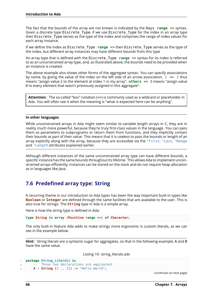The fact that the bounds of the array are not known is indicated by the Days **range** <> syntax. Given a discrete type Discrete Type, if we use Discrete Type for the index in an array type then Discrete Type serves as the type of the index and comprises the range of index values for each array instance.

If we define the index as Discrete\_Type **range** <> then Discrete\_Type serves as the type of the index, but different array instances may have different bounds from this type

An array type that is defined with the Discrete\_Type **range** <> syntax for its index is referred to as an unconstrained array type, and, as illustrated above, the bounds need to be provided when an instance is created.

The above example also shows other forms of the aggregate syntax. You can specify associations by name, by giving the value of the index on the left side of an arrow association.  $1 \implies 2$  thus means "assign value 2 to the element at index 1 in my array". **others** => 8 means "assign value 8 to every element that wasn't previously assigned in this aggregate".

**Attention:** The so-called "box" notation (<>) is commonly used as a wildcard or placeholder in Ada. You will often see it when the meaning is "what is expected here can be anything".

### **In other languages**

While unconstrained arrays in Ada might seem similar to variable length arrays in C, they are in reality much more powerful, because they're truly first-class values in the language. You can pass them as parameters to subprograms or return them from functions, and they implicitly contain their bounds as part of their value. This means that it is useless to pass the bounds or length of an array explicitly along with the array, because they are accessible via the 'First, 'Last, 'Range and 'Length attributes explained earlier.

Although different instances of the same unconstrained array type can have different bounds, a specific instance has the same bounds throughout its lifetime. This allows Ada to implement unconstrained arrays efficiently; instances can be stored on the stack and do not require heap allocation as in languages like Java.

# **7.6 Predefined array type: String**

A recurring theme in our introduction to Ada types has been the way important built-in types like **Boolean** or **Integer** are defined through the same facilities that are available to the user. This is also true for strings: The **String** type in Ada is a simple array.

Here is how the string type is defined in Ada:

**type String is array** (**Positive range** <>) **of Character**;

The only built-in feature Ada adds to make strings more ergonomic is custom literals, as we can see in the example below.

**Hint:** String literals are a syntactic sugar for aggregates, so that in the following example, A and B have the same value.

Listing 10: string\_literals.ads

```
1 package String_Literals is
2 -- Those two declarations are equivalent
      3 A : String (1 .. 11) := "Hello World";
```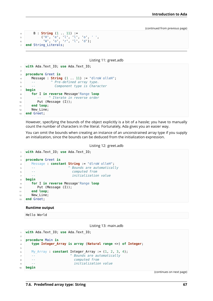```
4 B : String (1 .. 11) :=
5 ('H', 'e', 'l', 'l', 'o', ' ',
6 'W', 'o', 'r', 'l', 'd');
  7 end String_Literals;
```
Listing 11: greet.adb

```
1 with Ada.Text_IO; use Ada.Text_IO;
\overline{2}3 procedure Greet is
4 Message : String (1 .. 11) := "dlroW olleH";
5 -- ^ Pre-defined array type.
6 -- Component type is Character
7 begin
8 for I in reverse Message'Range loop
9 -- ^ Iterate in reverse order
10 Put (Message (I));
11 end loop;
12 New Line;
13 end Greet;
```
However, specifying the bounds of the object explicitly is a bit of a hassle; you have to manually count the number of characters in the literal. Fortunately, Ada gives you an easier way.

You can omit the bounds when creating an instance of an unconstrained array type if you supply an initialization, since the bounds can be deduced from the initialization expression.

Listing 12: greet.adb

```
1 with Ada.Text_IO; use Ada.Text_IO;
2
3 procedure Greet is
4 Message : constant String := "dlroW olleH";
5 -- ^ Bounds are automatically
6 -- computed from
7 -- initialization value
8 begin
9 for I in reverse Message'Range loop
10 Put (Message (I));
11 end loop;
12 New_Line;
13 end Greet;
```
### **Runtime output**

Hello World

Listing 13: main.adb

```
1 with Ada.Text_IO; use Ada.Text_IO;
2
3 procedure Main is
4 type Integer_Array is array (Natural range <>) of Integer;
5
6 My Array : constant Integer Array := (1, 2, 3, 4);
7 -- ^ Bounds are automatically
8 -- computed from
9 -- initialization value
10 begin
```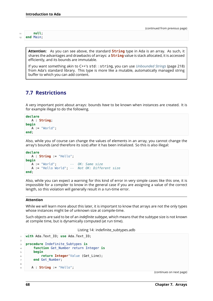**Attention:** As you can see above, the standard **String** type in Ada is an array. As such, it shares the advantages and drawbacks of arrays: a **String** value is stack allocated, it is accessed efficiently, and its bounds are immutable.

If you want something akin to C++'s std::string, you can use *Unbounded Strings* (page 218) from Ada's standard library. This type is more like a mutable, automatically managed string buffer to which you can add content.

# **7.7 Restrictions**

A very important point about arrays: bounds *have* to be known when instances are created. It is for example illegal to do the following.

```
declare
  A : String;
begin
  A := "World";end;
```
Also, while you of course can change the values of elements in an array, you cannot change the array's bounds (and therefore its size) after it has been initialized. So this is also illegal:

```
declare
  A : String := "Hello";
begin
  A := "World"; -- OK: Same size
  A := "Hello World"; -- Not OK: Different size
end;
```
Also, while you can expect a warning for this kind of error in very simple cases like this one, it is impossible for a compiler to know in the general case if you are assigning a value of the correct length, so this violation will generally result in a run-time error.

## **Attention**

While we will learn more about this later, it is important to know that arrays are not the only types whose instances might be of unknown size at compile-time.

Such objects are said to be of an *indefinite subtype*, which means that the subtype size is not known at compile time, but is dynamically computed (at run time).

Listing 14: indefinite\_subtypes.adb

```
1 with Ada.Text_IO; use Ada.Text_IO;
3 procedure Indefinite_Subtypes is
4 function Get_Number return Integer is
5 begin
6 return Integer'Value (Get_Line);
7 end Get_Number;
9 A : String := "Hello";
```
(continues on next page)

2

8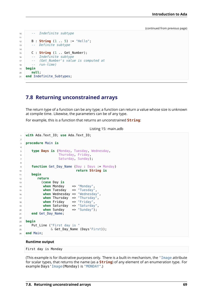```
10 -- Indefinite subtype
11
12 B : String (1 .. 5) := "Hello";
13 -- Definite subtype
14
15 C : String (1 .. Get_Number);
16 -- Indefinite subtype
17 -- (Get_Number's value is computed at
18 -- run-time)
19 begin
20 null;
21 end Indefinite_Subtypes;
```
## **7.8 Returning unconstrained arrays**

The return type of a function can be any type; a function can return a value whose size is unknown at compile time. Likewise, the parameters can be of any type.

For example, this is a function that returns an unconstrained **String**:

```
Listing 15: main.adb
```

```
1 with Ada.Text_IO; use Ada.Text_IO;
2
3 procedure Main is
4
5 type Days is (Monday, Tuesday, Wednesday,
6 Thursday, Friday,
z Saturday, Sunday);
8
9 function Get_Day_Name (Day : Days := Monday)
10 return String is
11 begin
12 return
13 (case Day is
14 when Monday => "Monday",
15 when Tuesday => "Tuesday",
16 when Wednesday => "Wednesday",
17 when Thursday => "Thursday"
18 when Friday => "Friday",
19 when Saturday => "Saturday",
20 when Sunday => "Sunday");
21 end Get_Day_Name;
22
23 begin
_{24} Put Line ("First day is "
\sim \frac{1}{25} & Get Day Name (Days'First));
26 end Main;
```
### **Runtime output**

First day is Monday

(This example is for illustrative purposes only. There is a built-in mechanism, the 'Image attribute for scalar types, that returns the name (as a **String**) of any element of an enumeration type. For example Days'Image(Monday) is "MONDAY".)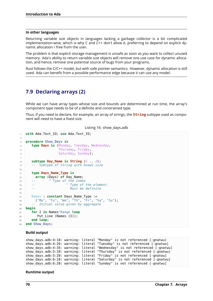### **In other languages**

Returning variable size objects in languages lacking a garbage collector is a bit complicated implementation-wise, which is why C and C++ don't allow it, preferring to depend on explicit dynamic allocation / free from the user.

The problem is that explicit storage management is unsafe as soon as you want to collect unused memory. Ada's ability to return variable size objects will remove one use case for dynamic allocation, and hence, remove one potential source of bugs from your programs.

Rust follows the C/C++ model, but with safe pointer semantics. However, dynamic allocation is still used. Ada can benefit from a possible performance edge because it can use any model.

# **7.9 Declaring arrays (2)**

While we can have array types whose size and bounds are determined at run time, the array's component type needs to be of a definite and constrained type.

Thus, if you need to declare, for example, an array of strings, the **String** subtype used as component will need to have a fixed size.

Listing 16: show\_days.adb

```
1 with Ada.Text_IO; use Ada.Text_IO;
2
3 procedure Show_Days is
4 type Days is (Monday, Tuesday, Wednesday,
5 Thursday, Friday,
6 Saturday, Sunday);
7
8 subtype Day_Name is String (1 .. 2);
9 -- Subtype of string with known size
10
11 type Days_Name_Type is
12 array (Days) of Day_Name;
13 -- ^ Type of the index
14 -- ^ Type of the element.
15 -- Must be definite
16
17 Names : constant Days Name Type :=
18 ("Mo", "Tu", "We", "Th", "Fr", "Sa", "Su");
19 -- Initial value given by aggregate
20 begin
21 for I in Names'Range loop
22 Put Line (Names (I));
23 end loop;
24 end Show_Days;
```
#### **Build output**

```
show_days.adb:4:18: warning: literal "Monday" is not referenced [-gnatwu]
show days.adb:4:26: warning: literal "Tuesday" is not referenced [-gnatwu]
show_days.adb:4:35: warning: literal "Wednesday" is not referenced [-gnatwu]
show days.adb:5:18: warning: literal "Thursday" is not referenced [-gnatwu]
show_days.adb:5:28: warning: literal "Friday" is not referenced [-gnatwu]
show_days.adb:6:18: warning: literal "Saturday" is not referenced [-gnatwu]
show days.adb:6:28: warning: literal "Sunday" is not referenced [-gnatwu]
```
### **Runtime output**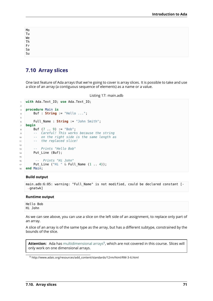| Mo<br>Tu<br>We<br>Th<br>Fr<br>Sa<br>Su |  |  |  |
|----------------------------------------|--|--|--|
|                                        |  |  |  |
|                                        |  |  |  |
|                                        |  |  |  |
|                                        |  |  |  |
|                                        |  |  |  |
|                                        |  |  |  |

# **7.10 Array slices**

One last feature of Ada arrays that we're going to cover is array slices. It is possible to take and use a slice of an array (a contiguous sequence of elements) as a name or a value.

```
Listing 17: main.adb
```

```
1 with Ada.Text_IO; use Ada.Text_IO;
\overline{2}3 procedure Main is
4 Buf : String := "Hello ...";
5
6 Full_Name : String := "John Smith";
7 begin
8 \text{ Buf} (7 \text{ . . } 9) := "Bob";9 -- Careful! This works because the string
10 -- on the right side is the same length as
11 -- the replaced slice!
12
13 -- Prints "Hello Bob"
14 Put_Line (Buf);
15
16 -- Prints "Hi John"
17 Put_Line ("Hi " & Full_Name (1 .. 4));
18 end Main;
```
## **Build output**

```
main.adb:6:05: warning: "Full_Name" is not modified, could be declared constant [-
 ↪gnatwk]
```
### **Runtime output**

Hello Bob Hi John

As we can see above, you can use a slice on the left side of an assignment, to replace only part of an array.

A slice of an array is of the same type as the array, but has a different subtype, constrained by the bounds of the slice.

**Attention:** Ada has multidimensional arrays<sup>9</sup>, which are not covered in this course. Slices will only work on one dimensional arrays.

<span id="page-77-0"></span><sup>9</sup> http://www.adaic.org/r[esources/add\\_content/standar](http://www.adaic.org/resources/add_content/standards/12rm/html/RM-3-6.html)[ds](#page-77-0)/12rm/html/RM-3-6.html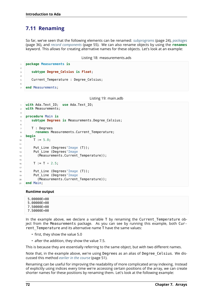# **7.11 Renaming**

 $\overline{2}$ 

4

6

So far, we've seen that the following elements can be renamed: *subprograms* (page 24), *packages* (page 36), and *record components* (page 55). We can also rename objects by using the **renames** keyword. This allows for creating alternative names for these objects. Let's look at an example:

```
Listing 18: measurements.ads
```

```
1 package Measurements is
3 subtype Degree_Celsius is Float;
5 Current_Temperature : Degree_Celsius;
7 end Measurements;
```
Listing 19: main.adb

```
1 with Ada.Text_IO; use Ada.Text_IO;
2 with Measurements;
3
4 procedure Main is
5 subtype Degrees is Measurements.Degree_Celsius;
6
7 T : Degrees
8 renames Measurements.Current_Temperature;
9 begin
10 T := 5.0;11
12 Put_Line (Degrees'Image (T));
13 Put_Line (Degrees'Image
14 (Measurements.Current_Temperature));
15
16 T := T + 2.5;17
18 Put Line (Degrees'Image (T));
19 Put_Line (Degrees'Image
20 (Measurements.Current_Temperature));
21 end Main;
```
## **Runtime output**

5.00000E+00 5.00000E+00 7.50000E+00 7.50000E+00

In the example above, we declare a variable T by renaming the Current Temperature object from the Measurements package. As you can see by running this example, both Current Temperature and its alternative name T have the same values:

- first, they show the value 5.0
- after the addition, they show the value 7.5.

This is because they are essentially referring to the same object, but with two different names.

Note that, in the example above, we're using Degrees as an alias of Degree Celsius. We discussed this method *earlier in the course* (page 51).

Renaming can be useful for improving the readability of more complicated array indexing. Instead of explicitly using indices every time we're accessing certain positions of the array, we can create shorter names for t[hese positions by re](#page-57-0)naming them. Let's look at the following example: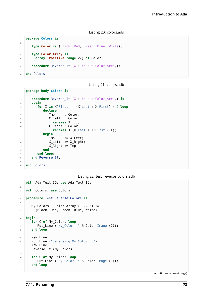#### Listing 20: colors.ads

```
1 package Colors is
2
3 type Color is (Black, Red, Green, Blue, White);
\overline{A}5 type Color_Array is
6 array (Positive range <>) of Color;
7
8 procedure Reverse It (X : in out Color Array);
9
10 end Colors;
```
Listing 21: colors.adb

```
1 package body Colors is
2
3 procedure Reverse_It (X : in out Color_Array) is
4 begin
5 for I in X'First .. (X'Last + X'First) / 2 loop
6 declare
7 \quad \text{Tmp} \quad \text{: Color:}8 X Left : Color
9 renames X (I);
10 X Right : Color
11 renames X (X'Last + X'First - I);
12 begin
13 Tmp := X_Left;
XLeft := X<sup>Right</sup>;
X\Right := Tmp;
16 end;
17 end loop;
18 end Reverse It;
19
20 end Colors;
```
Listing 22: test\_reverse\_colors.adb

```
1 with Ada.Text_IO; use Ada.Text_IO;
\overline{2}3 with Colors; use Colors;
4
5 procedure Test_Reverse_Colors is
6
7 My Colors : Color Array (1 \ldots 5) :=
8 (Black, Red, Green, Blue, White);
\overline{9}10 begin
11 for C of My_Colors loop
12 Put Line ("My Color: " & Color'Image (C));
13 end loop;
14
15 New Line;
16 Put_Line ("Reversing My_Color...");
17 New Line;
18 Reverse_It (My_Colors);
19
20 for C of My_Colors loop
21 Put_Line ("My_Color: " & Color'Image (C));
22 end loop;
23
```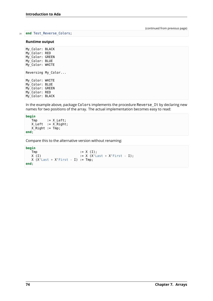### <sup>24</sup> **end** Test\_Reverse\_Colors;

### **Runtime output**

My\_Color: BLACK My\_Color: RED My\_Color: GREEN My\_Color: BLUE My\_Color: WHITE Reversing My\_Color... My\_Color: WHITE My\_Color: BLUE My\_Color: GREEN My\_Color: RED My\_Color: BLACK

In the example above, package Colors implements the procedure Reverse It by declaring new names for two positions of the array. The actual implementation becomes easy to read:

```
begin
   Tmp := X_Left;
   X_Left := X_Right;
   X_Right := Tmp;
end;
```
Compare this to the alternative version without renaming:

```
begin
   Tmp := X (I);<br>X (I) := X (X^{\perp}L):= X (X'Last + X'First - I);
   X (X'Last + X'First - I) := Tmp;end;
```
(continued from previous page)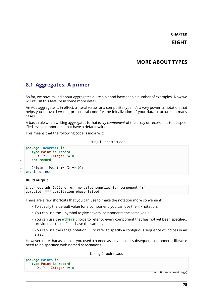# **MORE ABOUT TYPES**

# **8.1 Aggregates: A primer**

So far, we have talked about aggregates quite a bit and have seen a number of examples. Now we will revisit this feature in some more detail.

An Ada aggregate is, in effect, a literal value for a composite type. It's a very powerful notation that helps you to avoid writing procedural code for the initialization of your data structures in many cases.

A basic rule when writing aggregates is that *every component* of the array or record has to be specified, even components that have a default value.

This means that the following code is incorrect:

Listing 1: incorrect.ads

```
1 package Incorrect is
2 type Point is record
3 X, Y : Integer := 0;
4 end record;
5
6 Origin : Point := (X \implies 0);
  end Incorrect;
```
### **Build output**

```
incorrect.ads:6:22: error: no value supplied for component "Y"
gprbuild: *** compilation phase failed
```
There are a few shortcuts that you can use to make the notation more convenient:

- To specify the default value for a component, you can use the <> notation.
- You can use the | symbol to give several components the same value.
- You can use the **others** choice to refer to every component that has not yet been specified, provided all those fields have the same type.
- You can use the range notation .. to refer to specify a contiguous sequence of indices in an array.

However, note that as soon as you used a named association, all subsequent components likewise need to be specified with named associations.

Listing 2: points.ads

```
1 package Points is
2 type Point is record
        3 X, Y : Integer := 0;
```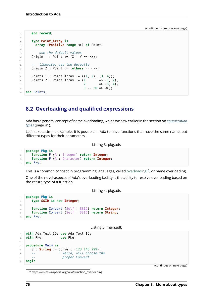```
4 end record;
5
6 type Point_Array is
7 array (Positive range <>) of Point;
8
9 -- use the default values
10 Origin : Point := (X | Y => \langle > \rangle);
11
12 -- likewise, use the defaults
13 Origin_2 : Point := (others => <>);
14
15 Points 1 : Point Array := ((1, 2), (3, 4));16 Points 2 : Point Array := (1 \implies (1, 2)),
17 2 \implies (3, 4),
18 3 . 20 => <>);
19 end Points;
```
# **8.2 Overloading and qualified expressions**

Ada has a general concept of name overloading, which we saw earlier in the section on *enumeration types* (page 41).

Let's take a simple example: it is possible in Ada to have functions that have the same name, but different types for their parameters.

Listing 3: pkg.ads

```
1 package Pkg is
2 function F (A : Integer) return Integer;
3 function F (A : Character) return Integer;
4 end Pkg;
```
This is a common concept in programming languages, called overloading<sup>10</sup>, or name overloading.

One of the novel aspects of Ada's overloading facility is the ability to resolve overloading based on the return type of a function.

### Listing 4: pkg.ads

```
1 package Pkg is
2 type SSID is new Integer;
3
4 function Convert (Self : SSID) return Integer;
5 function Convert (Self : SSID) return String;
6 end Pkg;
```
#### Listing 5: main.adb

```
1 with Ada.Text_IO; use Ada.Text_IO;
2 with Pkg; use Pkg;
3
4 procedure Main is
5 S: String := Convert (123 145 299);
6 -- ^ Valid, will choose the
7 -- proper Convert
8 begin
```
(continues on next page)

https://en.m.wikipedia.org/wiki/Function\_overloading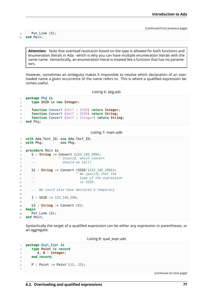```
9 Put_Line (S);
10 end Main;
```
**Attention:** Note that overload resolution based on the type is allowed for both functions and enumeration literals in Ada - which is why you can have multiple enumeration literals with the same name. Semantically, an enumeration literal is treated like a function that has no parameters.

However, sometimes an ambiguity makes it impossible to resolve which declaration of an overloaded name a given occurrence of the name refers to. This is where a qualified expression becomes useful.

Listing 6: pkg.ads

```
1 package Pkg is
2 type SSID is new Integer;
3
4 function Convert (Self : SSID) return Integer;
5 function Convert (Self : SSID) return String;
6 function Convert (Self : Integer) return String;
7 end Pkg;
```
### Listing 7: main.adb

```
1 with Ada.Text_IO; use Ada.Text_IO;
2 with Pkg; use Pkg;
3
4 procedure Main is
5 S : String := Convert (123 145 299);
6 -- ^ Invalid, which convert
7 -- should we call?
8
9 S2 : String := Convert (SSID'(123_145_299));
10 -- ^ We specify that the
11 -- type of the expression
12 -- is SSID.
13
14 -- We could also have declared a temporary
15
16 I : SSID := 123 145 299;
17
18 S3 : String := Convert (I);
19 begin
20 Put Line (S);
21 end Main:
```
Syntactically the target of a qualified expression can be either any expression in parentheses, or an aggregate:

Listing 8: qual\_expr.ads

```
1 package Qual_Expr is
2 type Point is record
3 A, B : Integer;
4 end record;
5
6 P : Point := Point'(12, 15);
7
```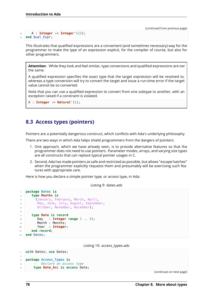```
8 A : Integer := Integer'(12);
  9 end Qual_Expr;
```
This illustrates that qualified expressions are a convenient (and sometimes necessary) way for the programmer to make the type of an expression explicit, for the compiler of course, but also for other programmers.

**Attention:** While they look and feel similar, type conversions and qualified expressions are *not* the same.

A qualified expression specifies the exact type that the target expression will be resolved to, whereas a type conversion will try to convert the target and issue a run-time error if the target value cannot be so converted.

Note that you can use a qualified expression to convert from one subtype to another, with an exception raised if a constraint is violated.

```
X : Integer := Natural'(1);
```
# **8.3 Access types (pointers)**

Pointers are a potentially dangerous construct, which conflicts with Ada's underlying philosophy.

There are two ways in which Ada helps shield programmers from the dangers of pointers:

- 1. One approach, which we have already seen, is to provide alternative features so that the programmer does not need to use pointers. Parameter modes, arrays, and varying size types are all constructs that can replace typical pointer usages in C.
- 2. Second, Ada has made pointers as safe and restricted as possible, but allows "escape hatches" when the programmer explicitly requests them and presumably will be exercising such features with appropriate care.

Here is how you declare a simple pointer type, or access type, in Ada:

Listing 9: dates.ads

```
1 package Dates is
2 type Months is
3 (January, February, March, April,
4 May, June, July, August, September,
5 October, November, December);
6
7 type Date is record
8 Day : Integer range 1 .. 31;
9 Month : Months;
10 Year : Integer;
11 end record;
```
<sup>12</sup> **end** Dates;

Listing 10: access\_types.ads

```
1 with Dates; use Dates;
\overline{2}3 package Access_Types is
4 -- Declare an access type
5 type Date_Acc is access Date;
```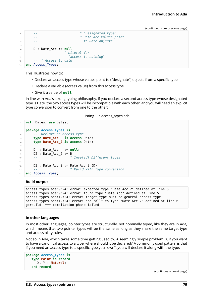```
6 -- ^ "Designated type"
7 -- ^ Date_Acc values point
8 -- to Date objects
9
10 D : Date_Acc := null;
11 -- ^ Literal for
12 -- "access to nothing"
13 -- ^ Access to date
14 end Access Types;
```
This illustrates how to:

- Declare an access type whose values point to ("designate") objects from a specific type
- Declare a variable (access value) from this access type
- Give it a value of **null**

In line with Ada's strong typing philosophy, if you declare a second access type whose designated type is Date, the two access types will be incompatible with each other, and you will need an explicit type conversion to convert from one to the other:

Listing 11: access types.ads

```
1 with Dates; use Dates;
\overline{2}3 package Access_Types is
4 -- Declare an access type
5 type Date_Acc is access Date;
6 type Date_Acc_2 is access Date;
7
8 D : Date Acc := null;
9 D2 : Date_Acc_2 := D;
10 -- ^ Invalid! Different types
11
12 D3 : Date Acc 2 := Date Acc 2 (D);
13 -- ^ Valid with type conversion
14 end Access_Types;
```
### **Build output**

```
access types.ads:9:24: error: expected type "Date Acc 2" defined at line 6
access_types.ads:9:24: error: found type "Date_Acc" defined at line 5
access_types.ads:12:24: error: target type must be general access type
access_types.ads:12:24: error: add "all" to type "Date_Acc_2" defined at line 6
gprbuild: *** compilation phase failed
```
### **In other languages**

In most other languages, pointer types are structurally, not nominally typed, like they are in Ada, which means that two pointer types will be the same as long as they share the same target type and accessibility rules.

Not so in Ada, which takes some time getting used to. A seemingly simple problem is, if you want to have a canonical access to a type, where should it be declared? A commonly used pattern is that if you need an access type to a specific type you "own", you will declare it along with the type:

```
package Access_Types is
   type Point is record
      X, Y : Natural;
   end record;
```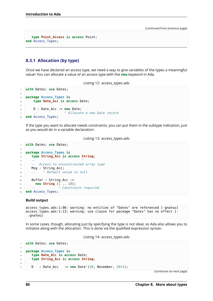```
type Point_Access is access Point;
end Access_Types;
```
## **8.3.1 Allocation (by type)**

Once we have declared an access type, we need a way to give variables of the types a meaningful value! You can allocate a value of an access type with the **new** keyword in Ada.

```
Listing 12: access_types.ads
```

```
1 with Dates; use Dates;
\overline{2}3 package Access_Types is
4 type Date_Acc is access Date;
5
6 D : Date_Acc := new Date;
7 -- ^ Allocate a new Date record
  end Access_Types;
```
If the type you want to allocate needs constraints, you can put them in the subtype indication, just as you would do in a variable declaration:

```
Listing 13: access_types.ads
```

```
1 with Dates; use Dates;
\overline{2}3 package Access_Types is
4 type String_Acc is access String;
5 -- ^
6 -- Access to unconstrained array type
7 Msg : String_Acc;
8 -- ^ Default value is null
9
10 Buffer : String Acc :=
11 new String (1 .. 10);
12 -- ^ Constraint required
13 end Access_Types;
```
### **Build output**

```
access types.ads:1:06: warning: no entities of "Dates" are referenced [-qnatwu]
access types.ads:1:13: warning: use clause for package "Dates" has no effect [-
↪gnatwu]
```
In some cases, though, allocating just by specifying the type is not ideal, so Ada also allows you to initialize along with the allocation. This is done via the qualified expression syntax:

## Listing 14: access\_types.ads

```
1 with Dates; use Dates;
2
3 package Access_Types is
4 type Date_Acc is access Date;
5 type String_Acc is access String;
6
7 D : Date_Acc := new Date'(30, November, 2011);
```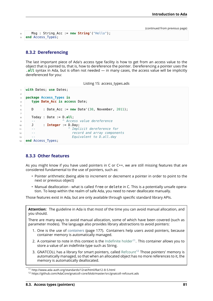```
8 Msg : String_Acc := new String'("Hello");
9 end Access_Types;
```
## **8.3.2 Dereferencing**

The last important piece of Ada's access type facility is how to get from an access value to the object that is pointed to, that is, how to dereference the pointer. Dereferencing a pointer uses the .**all** syntax in Ada, but is often not needed — in many cases, the access value will be implicitly dereferenced for you:

Listing 15: access\_types.ads

```
1 with Dates; use Dates;
\overline{2}3 package Access_Types is
4 type Date_Acc is access Date;
5
6 D : Date Acc := new Date'(30, November, 2011);
7
8 Today : Date := D.all;
9 -- ^ Access value dereference
10 J : Integer := D.Day;
11 -- ^ Implicit dereference for
12 -- record and array components
13 -- Equivalent to D.all.day
14 end Access_Types;
```
## **8.3.3 Other features**

As you might know if you have used pointers in C or C++, we are still missing features that are considered fundamental to the use of pointers, such as:

- Pointer arithmetic (being able to increment or decrement a pointer in order to point to the next or previous object)
- Manual deallocation what is called free or delete in C. This is a potentially unsafe operation. To keep within the realm of safe Ada, you need to never deallocate manually.

Those features exist in Ada, but are only available through specific standard library APIs.

**Attention:** The guideline in Ada is that most of the time you can avoid manual allocation, and you should. There are many ways to avoid manual allocation, some of which have been covered (such as parameter modes). The language also provides library abstractions to avoid pointers: 1. One is the use of *containers* (page 177). Containers help users avoid pointers, because container memory is automatically managed.

- 2. A container to note in this context is the Indefinite holder<sup>11</sup>. This container allows you to store a value of an [indefinite](#page-183-0) type such as String.
- 3. GNATCOLL has a library for smart pointers, called Refcount<sup>12</sup> Those pointers' memory is automatically managed, so that when an [allocated object h](http://www.ada-auth.org/standards/12rat/html/Rat12-8-5.html)[as](#page-87-0) no more references to it, the memory is automatically deallocated.

<sup>11</sup> http://www.ada-auth.org/standards/12rat/html/Rat12-8-5.html

<span id="page-87-0"></span><sup>12</sup> https://github.com/AdaCore/gnatcoll-core/blob/master/src/gnatcoll-refcount.ads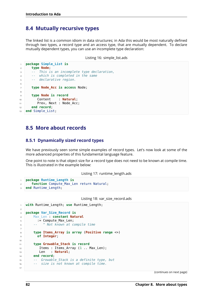# **8.4 Mutually recursive types**

The linked list is a common idiom in data structures; in Ada this would be most naturally defined through two types, a record type and an access type, that are mutually dependent. To declare mutually dependent types, you can use an incomplete type declaration:

```
Listing 16: simple list.ads
```

```
1 package Simple_List is
2 type Node;
3 -- This is an incomplete type declaration,
4 -- which is completed in the same
5 -- declarative region.
6
7 type Node_Acc is access Node;
8
9 type Node is record
10 Content : Natural;
11 Prev, Next : Node Acc;
12 end record;
13 end Simple List;
```
# **8.5 More about records**

## **8.5.1 Dynamically sized record types**

We have previously seen some simple examples of record types. Let's now look at some of the more advanced properties of this fundamental language feature.

One point to note is that object size for a record type does not need to be known at compile time. This is illustrated in the example below:

Listing 17: runtime\_length.ads

```
1 package Runtime_Length is
2 function Compute_Max_Len return Natural;
3 end Runtime_Length;
```
Listing 18: var\_size\_record.ads

```
1 with Runtime_Length; use Runtime_Length;
\overline{2}3 package Var_Size_Record is
4 Max_Len : constant Natural
5 := Compute Max Len;
6 -- ^ Not known at compile time
7
8 type Items_Array is array (Positive range <>)
9 of Integer;
10
11 type Growable_Stack is record
12 Items : Items Array (1 .. Max Len);
13 Len : Natural;
14 end record;
15 -- Growable_Stack is a definite type, but
16 -- size is not known at compile time.
17
```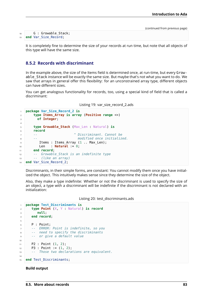|    |                                | (continued from previous page) |
|----|--------------------------------|--------------------------------|
| 18 | G : Growable Stack;            |                                |
|    | 19 <b>end Var Size Record;</b> |                                |

It is completely fine to determine the size of your records at run time, but note that all objects of this type will have the same size.

## **8.5.2 Records with discriminant**

In the example above, the size of the Items field is determined once, at run-time, but every Growable Stack instance will be exactly the same size. But maybe that's not what you want to do. We saw that arrays in general offer this flexibility: for an unconstrained array type, different objects can have different sizes.

You can get analogous functionality for records, too, using a special kind of field that is called a discriminant:

Listing 19: var\_size\_record\_2.ads

```
1 package Var_Size_Record_2 is
2 type Items_Array is array (Positive range <>)
3 of Integer;
4
5 type Growable_Stack (Max_Len : Natural) is
6 record
7 -- ^ Discriminant. Cannot be
8 -- modified once initialized.
9 Items : Items Array (1 .. Max Len);
10 Len : Natural := 0;
11 end record;
12 -- Growable_Stack is an indefinite type
13 -- (like an array)
14 end Var_Size_Record_2;
```
Discriminants, in their simple forms, are constant: You cannot modify them once you have initialized the object. This intuitively makes sense since they determine the size of the object.

Also, they make a type indefinite: Whether or not the discriminant is used to specify the size of an object, a type with a discriminant will be indefinite if the discriminant is not declared with an initialization:

Listing 20: test\_discriminants.ads

```
1 package Test_Discriminants is
2 type Point (X, Y : Natural) is record
3 null;
4 end record;
5
6 \mid P : Point;
7 -- ERROR: Point is indefinite, so you
8 -- need to specify the discriminants
9 -- or give a default value
10
11 P2 : Point (1, 2);
P3 : Point := (1, 2);13 -- Those two declarations are equivalent.
14
15 end Test Discriminants;
```
### **Build output**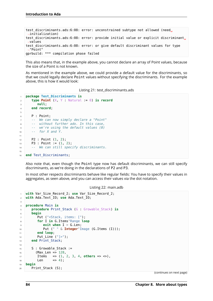```
test discriminants.ads:6:08: error: unconstrained subtype not allowed (need.
 \rightarrowinitialization)
test discriminants.ads:6:08: error: provide initial value or explicit discriminant.
↪values
test_discriminants.ads:6:08: error: or give default discriminant values for type
↪"Point"
gprbuild: *** compilation phase failed
```
This also means that, in the example above, you cannot declare an array of Point values, because the size of a Point is not known.

As mentioned in the example above, we could provide a default value for the discriminants, so that we could legally declare Point values without specifying the discriminants. For the example above, this is how it would look:

Listing 21: test\_discriminants.ads

```
1 package Test_Discriminants is
\mathbf{z} type Point (X, Y, Y) Natural := 0) is record
3 null;
4 end record;
5
6 P : Point;
7 -- We can now simply declare a "Point"
8 -- without further ado. In this case,
9 -- we're using the default values (0)
10 -- for X and Y.
11
12 P2 : Point (1, 2);
13 P3 : Point := (1, 2);
14 -- We can still specify discriminants.
15
16 end Test_Discriminants;
```
Also note that, even though the Point type now has default discriminants, we can still specify discriminants, as we're doing in the declarations of P2 and P3.

In most other respects discriminants behave like regular fields: You have to specify their values in aggregates, as seen above, and you can access their values via the dot notation.

```
Listing 22: main.adb
```

```
1 with Var_Size_Record_2; use Var_Size_Record_2;
2 with Ada.Text_IO; use Ada.Text_IO;
3
4 procedure Main is
5 procedure Print_Stack (G : Growable_Stack) is
6 begin
7 Put ("<Stack, items: [");
8 for I in G.Items'Range loop
9 exit when I > G.Len;
10 Put (" " & Integer'Image (G.Items (I)));
11 end loop;
12 Put Line ("] > ");13 end Print Stack;
14
15 S : Growable Stack :=
16 (Max Len => 128,
17 Items => (1, 2, 3, 4, others => <>),
18 Len => 4);
19 begin
_{20} Print Stack (S);
```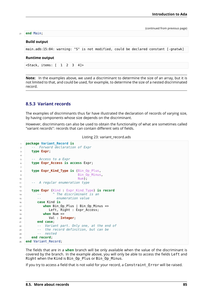### <sup>21</sup> **end** Main;

### **Build output**

main.adb:15:04: warning: "S" is not modified, could be declared constant [-gnatwk]

## **Runtime output**

<Stack, items: [ 1 2 3 4]>

**Note:** In the examples above, we used a discriminant to determine the size of an array, but it is not limited to that, and could be used, for example, to determine the size of a nested discriminated record.

## **8.5.3 Variant records**

The examples of discriminants thus far have illustrated the declaration of records of varying size, by having components whose size depends on the discriminant.

However, discriminants can also be used to obtain the functionality of what are sometimes called "variant records": records that can contain different sets of fields.

```
Listing 23: variant_record.ads
```

```
1 package Variant_Record is
2 -- Forward declaration of Expr
3 type Expr;
4
5 -- Access to a Expr
6 type Expr_Access is access Expr;
7
8 type Expr_Kind_Type is (Bin_Op_Plus,
9 Bin Op Minus,
10 Num);
11 -- A regular enumeration type
12
13 type Expr (Kind : Expr_Kind_Type) is record
14 -- ^ The discriminant is an
15 -- enumeration value
16 case Kind is
17 when Bin Op Plus | Bin Op Minus =>
18 Left, Right : Expr_Access;
19 when Num =>
20 Val : Integer;
21 end case;
22 -- Variant part. Only one, at the end of
23 -- the record definition, but can be
24 -- nested
25 end record;
26 end Variant_Record;
```
The fields that are in a **when** branch will be only available when the value of the discriminant is covered by the branch. In the example above, you will only be able to access the fields Left and Right when the Kind is Bin\_Op\_Plus or Bin\_Op\_Minus.

If you try to access a field that is not valid for your record, a Constraint\_Error will be raised.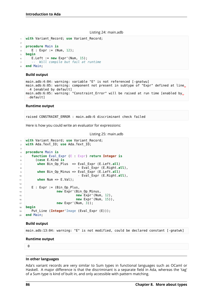#### Listing 24: main.adb

```
1 with Variant Record; use Variant Record;
2
3 procedure Main is
4 E : Expr := (Num, 12);
5 begin
6 E.Left := new Expr'(Num, 15);
7 -- Will compile but fail at runtime
8 end Main;
```
#### **Build output**

```
main.adb:4:04: warning: variable "E" is not referenced [-gnatwu]
main.adb:6:05: warning: component not present in subtype of "Expr" defined at line.
 \rightarrow4 [enabled by default]
main.adb:6:05: warning: "Constraint Error" will be raised at run time [enabled by.
 ↪default]
```
#### **Runtime output**

raised CONSTRAINT\_ERROR : main.adb:6 discriminant check failed

Here is how you could write an evaluator for expressions:

```
Listing 25: main.adb
```

```
1 with Variant_Record; use Variant_Record;
2 with Ada.Text_IO; use Ada.Text_IO;
3
4 procedure Main is
5 function Eval_Expr (E : Expr) return Integer is
6 (case E.Kind is
7 when Bin_Op_Plus => Eval_Expr (E.Left.all)
8 + Eval_Expr (E.Right.all),
9 when Bin_Op_Minus => Eval_Expr (E.Left.all)
10 - Eval_Expr (E.Right.all),
11 when Num => E.Val);
12
13 E : Expr := (Bin_Op_Plus,
14 new Expr'(Bin Op Minus,
15 new Expr'(Num, 12),
16 new Expr'(Num, 15)),
17 new Expr'(Num, 3));
18 begin
19 Put Line (Integer'Image (Eval Expr (E)));
20 end Main;
```
#### **Build output**

main.adb:13:04: warning: "E" is not modified, could be declared constant [-gnatwk]

#### **Runtime output**

 $\theta$ 

#### **In other languages**

Ada's variant records are very similar to Sum types in functional languages such as OCaml or Haskell. A major difference is that the discriminant is a separate field in Ada, whereas the 'tag' of a Sum type is kind of built in, and only accessible with pattern matching.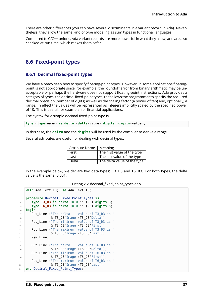There are other differences (you can have several discriminants in a variant record in Ada). Nevertheless, they allow the same kind of type modeling as sum types in functional languages.

Compared to C/C++ unions, Ada variant records are more powerful in what they allow, and are also checked at run time, which makes them safer.

# **8.6 Fixed-point types**

## **8.6.1 Decimal fixed-point types**

We have already seen how to specify floating-point types. However, in some applications floatingpoint is not appropriate since, for example, the roundoff error from binary arithmetic may be unacceptable or perhaps the hardware does not support floating-point instructions. Ada provides a category of types, the decimal fixed-point types, that allows the programmer to specify the required decimal precision (number of digits) as well as the scaling factor (a power of ten) and, optionally, a range. In effect the values will be represented as integers implicitly scaled by the specified power of 10. This is useful, for example, for financial applications.

The syntax for a simple decimal fixed-point type is

**type** <**type**-name> **is delta** <**delta**-value> **digits** <**digits**-value>;

In this case, the **delta** and the **digits** will be used by the compiler to derive a range.

Several attributes are useful for dealing with decimal types:

| <b>Attribute Name</b> | Meaning                     |
|-----------------------|-----------------------------|
| First                 | The first value of the type |
| Last                  | The last value of the type  |
| Delta                 | The delta value of the type |

In the example below, we declare two data types: T3\_D3 and T6\_D3. For both types, the delta value is the same: 0.001.

| Listing 26: decimal_fixed_point_types.adb |  |  |  |
|-------------------------------------------|--|--|--|
|                                           |  |  |  |

```
1 with Ada.Text_IO; use Ada.Text_IO;
2
3 procedure Decimal_Fixed_Point_Types is
4 type T3_D3 is delta 10.0 ** (-3) digits 3;
5 type T6_D3 is delta 10.0 ** (-3) digits 6;
6 begin
7 Put Line ("The delta value of T3 D3 is "
\& T3 D3'Image (T3 D3'Delta));
9 Put_Line ("The minimum value of T3_D3 is "
10 6 T3 D3'Image (T3 D3'First));
11 Put_Line ("The maximum value of T3 D3 is "
12 \& T3 D3'Image (T3 D3'Last));
13 New Line;
14
15 Put Line ("The delta value of T6 D3 is "
16 6 T6_D3'Image (T6_D3'Delta));
17 Put_Line ("The minimum value of T6_D3 is "
18 6 T6_D3'Image (T6_D3'First));
19 Put Line ("The maximum value of T6 D3 is "
20 & T6_D3'Image (T6_D3'Last));
21 end Decimal Fixed Point Types;
```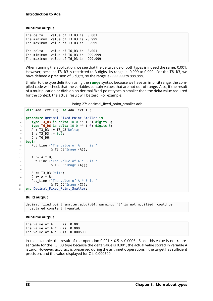### **Runtime output**

| The delta value of T3 D3 is 0.001      |  |  |                                       |
|----------------------------------------|--|--|---------------------------------------|
| The minimum value of T3 D3 is -0.999   |  |  |                                       |
| The maximum value of T3 D3 is 0.999    |  |  |                                       |
|                                        |  |  |                                       |
| The delta value of T6 D3 is 0.001      |  |  |                                       |
| The minimum value of T6 D3 is -999.999 |  |  |                                       |
|                                        |  |  | The maximum value of T6_D3 is 999.999 |

When running the application, we see that the delta value of both types is indeed the same: 0.001. However, because T3 D3 is restricted to 3 digits, its range is -0.999 to 0.999. For the T6\_D3, we have defined a precision of 6 digits, so the range is -999.999 to 999.999.

Similar to the type definition using the **range** syntax, because we have an implicit range, the compiled code will check that the variables contain values that are not out-of-range. Also, if the result of a multiplication or division on decimal fixed-point types is smaller than the delta value required for the context, the actual result will be zero. For example:

Listing 27: decimal\_fixed\_point\_smaller.adb

```
1 with Ada.Text_IO; use Ada.Text_IO;
\overline{2}3 procedure Decimal_Fixed_Point_Smaller is
4 type T3_D3 is delta 10.0 ** (-3) digits 3;
5 type T6_D6 is delta 10.0 ** (-6) digits 6;
6 A : T3 D3 := T3 D3 Delta;
7 \mid B : T3 \text{ D3} := 0.5;8 C : T6_D6;
9 begin
10 Put_Line ("The value of A is "
11 \& T3_D3'Image (A));
12
A := A * B;14 Put Line ("The value of A * B is "
15 \& T3_D3'Image (A));
16
17 A := T3 D3'Delta;
18 C := A * B;19 Put_Line ("The value of A * B is "
20 & T6 D6'Image (C));
21 end Decimal_Fixed_Point_Smaller;
```
### **Build output**

```
decimal fixed point smaller.adb:7:04: warning: "B" is not modified, could be.
↪declared constant [-gnatwk]
```
### **Runtime output**

The value of A is 0.001 The value of  $A * B$  is  $0.000$ The value of  $A * B$  is  $0.000500$ 

In this example, the result of the operation  $0.001 * 0.5$  is 0.0005. Since this value is not representable for the T3\_D3 type because the delta value is 0.001, the actual value stored in variable A is zero. However, accuracy is preserved during the arithmetic operations if the target has sufficient precision, and the value displayed for C is 0.000500.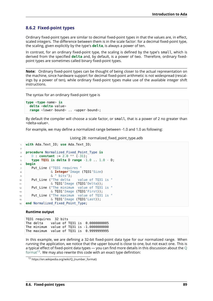## **8.6.2 Fixed-point types**

Ordinary fixed-point types are similar to decimal fixed-point types in that the values are, in effect, scaled integers. The difference between them is in the scale factor: for a decimal fixed-point type, the scaling, given explicitly by the type's **delta**, is always a power of ten.

In contrast, for an ordinary fixed-point type, the scaling is defined by the type's small, which is derived from the specified **delta** and, by default, is a power of two. Therefore, ordinary fixedpoint types are sometimes called binary fixed-point types.

**Note:** Ordinary fixed-point types can be thought of being closer to the actual representation on the machine, since hardware support for decimal fixed-point arithmetic is not widespread (rescalings by a power of ten), while ordinary fixed-point types make use of the available integer shift instructions.

The syntax for an ordinary fixed-point type is

```
type <type-name> is
 delta <delta-value>
 range <lower-bound> .. <upper-bound>;
```
By default the compiler will choose a scale factor, or small, that is a power of 2 no greater than <delta-value>.

For example, we may define a normalized range between -1.0 and 1.0 as following:

### Listing 28: normalized\_fixed\_point\_type.adb

```
1 with Ada.Text_IO; use Ada.Text_IO;
3 procedure Normalized_Fixed_Point_Type is
4 D : constant := 2.0 * * (-.31);
5 type TQ31 is delta D range -1.0 .. 1.0 - D;
6 begin
7 Put Line ("TQ31 requires "
8 & Integer'Image (TQ31'Size)
9 & " bits");
10 Put_Line ("The delta value of TQ31 is "
\sim \sqrt{1031}'Image (T031'Delta));
12 Put Line ("The minimum value of TQ31 is "
13 & TQ31'Image (TQ31'First));
14 Put_Line ("The maximum value of TQ31 is "
15 & TQ31'Image (TQ31'Last));
16 end Normalized Fixed Point Type;
```
### **Runtime output**

 $\overline{2}$ 

TQ31 requires 32 bits The delta value of TQ31 is 0.0000000005 The minimum value of TQ31 is -1.0000000000 The maximum value of TQ31 is 0.9999999995

In this example, we are defining a 32-bit fixed-point data type for our normalized range. When running the application, we notice that the upper bound is close to one, but not exact one. This is a typical effect of fixed-point data types — you can find more details in this discussion about the  $Q$ format<sup>13</sup>. We may also rewrite this code with an exact type definition:

<sup>13</sup> https://en.wikipedia.org/wiki/Q\_(number\_format)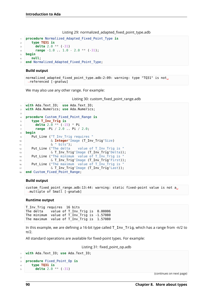```
Listing 29: normalized adapted fixed point type.adb
```

```
1 procedure Normalized_Adapted_Fixed_Point_Type is
2 type TQ31 is
3 delta 2.0 ** (-31)
4 range -1.0 .. 1.0 - 2.0 ** (-31);
5 begin
6 null;
  end Normalized Adapted Fixed Point Type;
```
## **Build output**

```
normalized adapted fixed point type.adb:2:09: warning: type "TQ31" is not.
↪referenced [-gnatwu]
```
We may also use any other range. For example:

Listing 30: custom fixed point range.adb

```
1 with Ada.Text_IO; use Ada.Text_IO;
2 with Ada.Numerics; use Ada.Numerics;
3
4 procedure Custom_Fixed_Point_Range is
5 type T_Inv_Trig is
6 delta 2.\overline{0} ** (-15) * Pi
7 range -Pi / 2.0 .. Pi / 2.0;
8 begin
9 Put_Line ("T_Inv_Trig requires "
10 & Integer'Image (T_Inv_Trig'Size)
11 & " bits");
12 Put Line ("The delta value of T Inv Trig is "
13 \delta T Inv Trig'Image (T Inv Trig'Delta));
14 Put Line ("The minimum value of T Inv Trig is
15 6 T_Inv_Trig'Image (T_Inv_Trig'First));
16 Put Line ("The maximum value of T Inv Trig is
\frac{1}{17} & T_Inv_Trig'Image (T_Inv_Trig'Last));
18 end Custom_Fixed_Point_Range;
```
### **Build output**

```
custom fixed point range.adb:13:44: warning: static fixed-point value is not a.
↪multiple of Small [-gnatwb]
```
### **Runtime output**

T\_Inv\_Trig requires 16 bits The delta value of T\_Inv\_Trig is 0.00006 The minimum value of T\_Inv\_Trig is -1.57080 The maximum value of T\_Inv\_Trig is 1.57080

In this example, we are defining a 16-bit type called T\_Inv\_Trig, which has a range from -π/2 to π/2.

All standard operations are available for fixed-point types. For example:

Listing 31: fixed\_point\_op.adb

```
1 with Ada.Text_IO; use Ada.Text_IO;
\overline{2}3 procedure Fixed_Point_Op is
4 type TQ31 is
5 delta 2.0 ** (-31)
```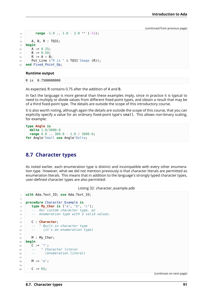```
6 range -1.0 .. 1.0 - 2.0 ** (-31);
7
8 A, B, R : T031:
9 begin
10 A := 0.25;
11 B := 0.50;
R := A + B;13 Put_Line ("R is " & TQ31'Image (R));
14 end Fixed Point Op;
```
### **Runtime output**

R is 0.7500000000

As expected, R contains 0.75 after the addition of A and B.

In fact the language is more general than these examples imply, since in practice it is typical to need to multiply or divide values from different fixed-point types, and obtain a result that may be of a third fixed-point type. The details are outside the scope of this introductory course.

It is also worth noting, although again the details are outside the scope of this course, that you can explicitly specify a value for an ordinary fixed-point type's small. This allows non-binary scaling, for example:

```
type Angle is
 delta 1.0/3600.0
  range 0.0 .. 360.0 - 1.0 / 3600.0;
for Angle'Small use Angle'Delta;
```
# **8.7 Character types**

As noted earlier, each enumeration type is distinct and incompatible with every other enumeration type. However, what we did not mention previously is that character literals are permitted as enumeration literals. This means that in addition to the language's strongly typed character types, user-defined character types are also permitted:

Listing 32: character\_example.adb

```
1 with Ada.Text_IO; use Ada.Text_IO;
\overline{2}3 procedure Character_Example is
4 type My_Char is ('a', 'b', 'c');
5 -- Our custom character type, an
6 -- enumeration type with 3 valid values.
7
8 C : Character;
9 -- ^ Built-in character type
10 -- (it's an enumeration type)
11
12 M : My Char;
13 begin
14 C := '?':15 -- ^ Character literal
16 -- (enumeration literal)
17
18 M := 1a;
19
20 C := 65;
```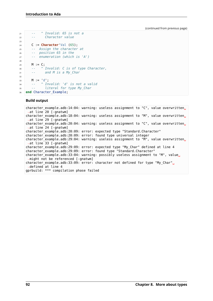```
21 -- ^ Invalid: 65 is not a
22 -- Character value
23
24 C := Character'Val (65);
25 -- Assign the character at
26 -- position 65 in the
27 -- enumeration (which is 'A')
2829 M := C;
30 -- ^ Invalid: C is of type Character,
31 -- and M is a My_Char
32
33 M := d;
34 -- ^ Invalid: 'd' is not a valid
35 -- literal for type My_Char
36 end Character_Example;
```
### **Build output**

character\_example.adb:14:04: warning: useless assignment to "C", value overwritten.  $\rightarrow$ at line 20 [-gnatwm] character\_example.adb:18:04: warning: useless assignment to "M", value overwritten. ↪at line 29 [-gnatwm] character example.adb:20:04: warning: useless assignment to "C", value overwritten. ↪at line 24 [-gnatwm] character\_example.adb:20:09: error: expected type "Standard.Character" character\_example.adb:20:09: error: found type universal integer character example.adb:29:04: warning: useless assignment to "M", value overwritten. ↪at line 33 [-gnatwm] character\_example.adb:29:09: error: expected type "My\_Char" defined at line 4 character\_example.adb:29:09: error: found type "Standard.Character" character\_example.adb:33:04: warning: possibly useless assignment to "M", value. ↪might not be referenced [-gnatwm] character\_example.adb:33:09: error: character not defined for type "My\_Char"<sub>u</sub> ↪defined at line 4 gprbuild: \*\*\* compilation phase failed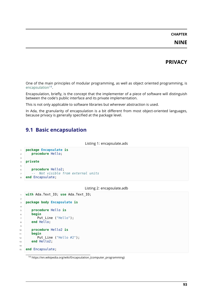## **PRIVACY**

One of the main principles of modular programming, as well as object oriented programming, is encapsulation<sup>14</sup>.

Encapsulation, briefly, is the concept that the implementer of a piece of software will distinguish between the code's public interface and its private implementation.

[This is not onl](https://en.wikipedia.org/wiki/Encapsulation_(computer_programming))[y a](#page-99-0)pplicable to software libraries but wherever abstraction is used.

In Ada, the granularity of encapsulation is a bit different from most object-oriented languages, because privacy is generally specified at the package level.

## **9.1 Basic encapsulation**

```
Listing 1: encapsulate.ads
```

```
1 package Encapsulate is
2 procedure Hello;
3
4 private
5
6 procedure Hello2;
7 -- Not visible from external units
8 end Encapsulate;
```
### Listing 2: encapsulate.adb

```
1 with Ada.Text_IO; use Ada.Text_IO;
\overline{2}3 package body Encapsulate is
4
5 procedure Hello is
6 begin
7 Put Line ("Hello");
8 end Hello;
9
10 procedure Hello2 is
11 begin
12 Put Line ("Hello #2");
13 end Hello2;
14
15 end Encapsulate;
```
<span id="page-99-0"></span>https://en.wikipedia.org/wiki/Encapsulation\_(computer\_programming)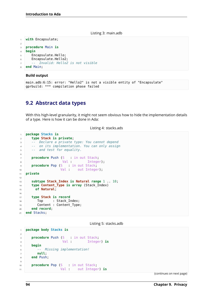Listing 3: main.adb

```
1 with Encapsulate;
\overline{2}3 procedure Main is
4 begin
5 Encapsulate.Hello;
6 Encapsulate.Hello2;
7 -- Invalid: Hello2 is not visible
  8 end Main;
```
### **Build output**

```
main.adb:6:15: error: "Hello2" is not a visible entity of "Encapsulate"
gprbuild: *** compilation phase failed
```
## **9.2 Abstract data types**

With this high-level granularity, it might not seem obvious how to hide the implementation details of a type. Here is how it can be done in Ada:

Listing 4: stacks.ads

```
1 package Stacks is
2 type Stack is private;
3 -- Declare a private type: You cannot depend
4 -- on its implementation. You can only assign
5 -- and test for equality.
6
7 procedure Push (S : in out Stack;
8 Val : Integer);
procedure Pop (S : in out Stack;
10 Val : out Integer);
11 private
12
13 subtype Stack_Index is Natural range 1 .. 10;
14 type Content_Type is array (Stack_Index)
15 of Natural;
16
17 type Stack is record
18 Top : Stack_Index;
19 Content : Content Type;
20 end record;
21 end Stacks;
```
Listing 5: stacks.adb

```
1 package body Stacks is
2
3 procedure Push (S : in out Stack;
4 Val : Integer) is
5 begin
6 -- Missing implementation!
7 null;
8 end Push;
\overline{9}10 procedure Pop (S : in out Stack;
11 Val : out Integer) is
```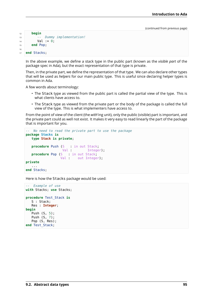```
12 begin
13 -- Dummy implementation!
14 Val := 0;
15 end Pop;
16
17 end Stacks;
```
In the above example, we define a stack type in the public part (known as the *visible part* of the package spec in Ada), but the exact representation of that type is private.

Then, in the private part, we define the representation of that type. We can also declare other types that will be used as *helpers* for our main public type. This is useful since declaring helper types is common in Ada.

A few words about terminology:

- The Stack type as viewed from the public part is called the partial view of the type. This is what clients have access to.
- The Stack type as viewed from the private part or the body of the package is called the full view of the type. This is what implementers have access to.

From the point of view of the client (the *with*'ing unit), only the public (visible) part is important, and the private part could as well not exist. It makes it very easy to read linearly the part of the package that is important for you.

```
-- No need to read the private part to use the package
package Stacks is
  type Stack is private;
  procedure Push (S : in out Stack;
                  Val : Integer);
  procedure Pop (S : in out Stack;
                 Val : out Integer);
private
   ...
end Stacks;
```
Here is how the Stacks package would be used:

```
-- Example of use
with Stacks; use Stacks;
procedure Test_Stack is
   S : Stack;
   Res : Integer;
begin
   Push (S, 5);
   Push (S, 7);
   Pop (S, Res);
end Test_Stack;
```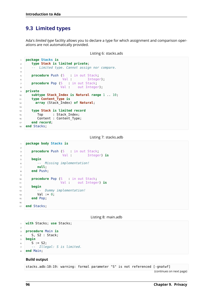# **9.3 Limited types**

Ada's *limited type* facility allows you to declare a type for which assignment and comparison operations are not automatically provided.

```
Listing 6: stacks.ads
```

```
1 package Stacks is
2 type Stack is limited private;
3 -- Limited type. Cannot assign nor compare.
4
5 procedure Push (S : in out Stack;
6 Val Integer);
7 procedure Pop (S : in out Stack;
8 Val : out Integer);
9 private
10 subtype Stack_Index is Natural range 1 .. 10;
11 type Content_Type is
12 array (Stack_Index) of Natural;
13
14 type Stack is limited record
15 Top : Stack_Index;
16 Content : Content_Type;
17 end record;
18 end Stacks;
```
Listing 7: stacks.adb

```
1 package body Stacks is
\overline{2}3 procedure Push (S : in out Stack;
4 Val : Integer) is
5 begin
6 -- Missing implementation!
7 null;
8 end Push;
\mathsf{q}10 procedure Pop (S : in out Stack;
11 Val : out Integer) is
12 begin
13 -- Dummy implementation!
14 Val := 0;
15 end Pop;
16
17 end Stacks;
```
Listing 8: main.adb

```
1 with Stacks; use Stacks;
2
3 procedure Main is
4 S, S2 : Stack;
5 begin
6 S := S2:
7 -- Illegal: S is limited.
8 end Main;
```
### **Build output**

stacks.adb:10:19: warning: formal parameter "S" is not referenced [-gnatwf]

```
(continues on next page)
```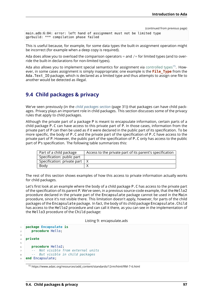```
main.adb:6:04: error: left hand of assignment must not be limited type
gprbuild: *** compilation phase failed
```
This is useful because, for example, for some data types the built-in assignment operation might be incorrect (for example when a deep copy is required).

Ada does allow you to overload the comparison operators  $=$  and  $/=$  for limited types (and to override the built-in declarations for non-limited types).

Ada also allows you to implement special semantics for assignment via controlled types<sup>15</sup>. However, in some cases assignment is simply inappropriate; one example is the **File\_Type** from the Ada. Text IO package, which is declared as a limited type and thus attempts to assign one file to another would be detected as illegal.

## **9.4 Child packages & privacy**

We've seen previously (in the *child packages section* (page 31)) that packages can have child packages. Privacy plays an important role in child packages. This section discusses some of the privacy rules that apply to child packages.

Although the private part of a package P is meant to encapsulate information, certain parts of a child package P.C can have a[ccess to this private p](#page-37-0)art of P. In those cases, information from the private part of P can then be used as if it were declared in the public part of its specification. To be more specific, the body of P.C and the private part of the specification of P.C have access to the private part of P. However, the public part of the specification of P.C only has access to the public part of P's specification. The following table summarizes this:

| Part of a child package                    | Access to the private part of its parent's specification |
|--------------------------------------------|----------------------------------------------------------|
| Specification: public part                 |                                                          |
| Specification: private part $\overline{X}$ |                                                          |
| Body                                       |                                                          |

The rest of this section shows examples of how this access to private information actually works for child packages.

Let's first look at an example where the body of a child package P.C has access to the private part of the specification of its parent P. We've seen, in a previous source-code example, that the Hello2 procedure declared in the private part of the Encapsulate package cannot be used in the Main procedure, since it's not visible there. This limitation doesn't apply, however, for parts of the child packages of the Encapsulate package. In fact, the body of its child package Encapsulate.Child has access to the Hello2 procedure and can call it there, as you can see in the implementation of the Hello3 procedure of the Child package:

Listing 9: encapsulate.ads

```
1 package Encapsulate is
2 procedure Hello;
3
4 private
5
6 procedure Hello2;
7 -- Not visible from external units
8 -- But visible in child packages
  9 end Encapsulate;
```
<sup>15</sup> https://www.adaic.org/resources/add\_content/standards/12rm/html/RM-7-6.html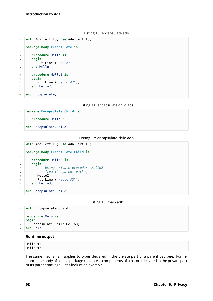|  |  | Listing 10: encapsulate.adb |
|--|--|-----------------------------|
|--|--|-----------------------------|

```
1 with Ada.Text_IO; use Ada.Text_IO;
\overline{2}3 package body Encapsulate is
4
5 procedure Hello is
6 begin
7 Put Line ("Hello");
8 end Hello;
9
10 procedure Hello2 is
11 begin
12 Put_Line ("Hello #2");
13 end He\overline{1}lo2;
14
15 end Encapsulate;
```
Listing 11: encapsulate-child.ads

```
1 package Encapsulate.Child is
2
3 procedure Hello3;
4
5 end Encapsulate.Child;
```

```
Listing 12: encapsulate-child.adb
```

```
1 with Ada.Text_IO; use Ada.Text_IO;
2
3 package body Encapsulate.Child is
4
5 procedure Hello3 is
6 begin
7 -- Using private procedure Hello2
8 -- from the parent package
9 Hello2:
10 Put Line ("Hello #3");
11 end Hello3;
12
13 end Encapsulate.Child;
```
Listing 13: main.adb

```
1 with Encapsulate.Child;
2
3 procedure Main is
4 begin
5 Encapsulate.Child.Hello3;
6 end Main;
```
### **Runtime output**

Hello #2 Hello #3

The same mechanism applies to types declared in the private part of a parent package. For instance, the body of a child package can access components of a record declared in the private part of its parent package. Let's look at an example: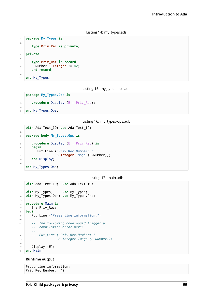```
Listing 14: my_types.ads
```

```
1 package My_Types is
2
3 type Priv_Rec is private;
\overline{A}5 private
6
7 type Priv_Rec is record
\overline{\phantom{a}} Number : Integer := 42;
9 end record;
10
11 end My_Types;
```
Listing 15: my\_types-ops.ads

```
1 package My_Types.Ops is
3 procedure Display (E : Priv_Rec);
4
5 end My_Types.Ops;
```
Listing 16: my\_types-ops.adb

```
1 with Ada.Text_IO; use Ada.Text_IO;
\overline{2}3 package body My_Types.Ops is
4
5 procedure Display (E : Priv_Rec) is
6 begin
7 Put_Line ("Priv_Rec.Number: "
8 \blacksquare & Integer'Image (E.Number));
9 end Display;
10
11 end My Types.Ops;
```
Listing 17: main.adb

```
1 with Ada.Text_IO; use Ada.Text_IO;
2
3 with My_Types; use My_Types;
4 with My_Types.Ops; use My_Types.Ops;
5
6 procedure Main is
7 E : Priv_Rec;
8 begin
9 Put_Line ("Presenting information:");
10
11 -- The following code would trigger a
12 -- compilation error here:
13 --
14 -- Put_Line ("Priv_Rec.Number: "
15 -- & Integer'Image (E.Number));
16
17 Display (E);
18 end Main;
```
## **Runtime output**

Presenting information: Priv\_Rec.Number: 42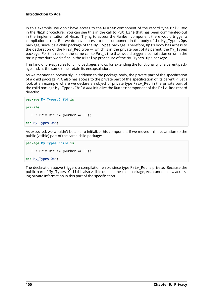In this example, we don't have access to the Number component of the record type Priv Rec in the Main procedure. You can see this in the call to Put Line that has been commented-out in the implementation of Main. Trying to access the Number component there would trigger a compilation error. But we do have access to this component in the body of the My\_Types.Ops package, since it's a child package of the My\_Types package. Therefore, Ops's body has access to the declaration of the Priv\_Rec type — which is in the private part of its parent, the My\_Types package. For this reason, the same call to Put\_Line that would trigger a compilation error in the Main procedure works fine in the Display procedure of the My\_Types.Ops package.

This kind of privacy rules for child packages allows for extending the functionality of a parent package and, at the same time, retain its encapsulation.

As we mentioned previously, in addition to the package body, the private part of the specification of a child package P.C also has access to the private part of the specification of its parent P. Let's look at an example where we declare an object of private type Priv Rec in the private part of the child package My\_Types.Child *and* initialize the Number component of the Priv\_Rec record directly:

```
package My_Types.Child is
```

```
private
```
E :  $Priv\_Rec := (Number => 99)$ ;

```
end My_Types.Ops;
```
As expected, we wouldn't be able to initialize this component if we moved this declaration to the public (visible) part of the same child package:

```
package My_Types.Child is
  E : Priv Rec := (Number => 99);
end My_Types.Ops;
```
The declaration above triggers a compilation error, since type Priv Rec is private. Because the public part of My Types. Child is also visible outside the child package, Ada cannot allow accessing private information in this part of the specification.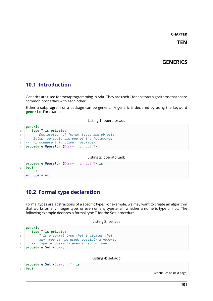## **CHAPTER**

**TEN**

# **GENERICS**

# **10.1 Introduction**

Generics are used for metaprogramming in Ada. They are useful for abstract algorithms that share common properties with each other.

Either a subprogram or a package can be generic. A generic is declared by using the keyword **generic**. For example:

### Listing 1: operator.ads

```
1 generic
2 type T is private;
3 -- Declaration of formal types and objects
4 -- Below, we could use one of the following:
5 -- <procedure | function | package>
  procedure Operator (Dummy : in out T);
```
Listing 2: operator.adb

```
1 procedure Operator (Dummy : in out T) is
2 begin
3 null;
 end Operator:
```
# **10.2 Formal type declaration**

Formal types are abstractions of a specific type. For example, we may want to create an algorithm that works on any integer type, or even on any type at all, whether a numeric type or not. The following example declares a formal type T for the Set procedure.

```
Listing 3: set.ads
```

```
1 generic
2 type T is private;
3 -- T is a formal type that indicates that
4 -- any type can be used, possibly a numeric
5 -- type or possibly even a record type.
6 procedure Set (Dummy : T);
```
Listing 4: set.adb

```
1 procedure Set (Dummy : T) is
2 begin
```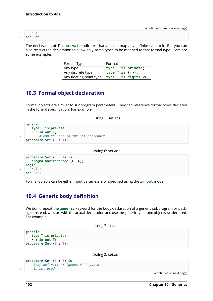#### <sup>3</sup> **null**; <sup>4</sup> **end** Set;

The declaration of T as **private** indicates that you can map any definite type to it. But you can

also restrict the declaration to allow only some types to be mapped to that formal type. Here are some examples:

| Formal Type       | l Format                                                                      |
|-------------------|-------------------------------------------------------------------------------|
| Any type          | type T is private;                                                            |
| Any discrete type | type T is $(\le)$ ;                                                           |
|                   | Any floating-point type $ $ type $\overline{I}$ is digits $\langle \rangle$ ; |

# **10.3 Formal object declaration**

Formal objects are similar to subprogram parameters. They can reference formal types declared in the formal specification. For example:

Listing 5: set.ads

```
1 generic
2 type T is private;
3 X : in out T;
4 -- X can be used in the Set procedure
5 procedure Set (E : T);
```
Listing 6: set.adb

```
1 procedure Set (E : T) is
2 pragma Unreferenced (E, X);
3 begin
4 null;
5 end Set;
```
Formal objects can be either input parameters or specified using the **in out** mode.

# **10.4 Generic body definition**

We don't repeat the **generic** keyword for the body declaration of a generic subprogram or package. Instead, we start with the actual declaration and use the generic types and objects we declared. For example:

Listing 7: set.ads

```
1 generic
2 type T is private;
3 X : in out T;
  4 procedure Set (E : T);
```
Listing 8: set.adb

```
1 procedure Set (E : T) is
2 -- Body definition: "generic" keyword
3 -- is not used
```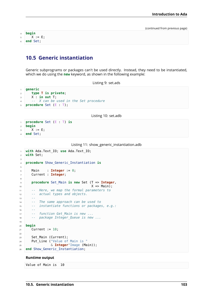**begin** X := E; **end** Set;

# **10.5 Generic instantiation**

Generic subprograms or packages can't be used directly. Instead, they need to be instantiated, which we do using the **new** keyword, as shown in the following example:

Listing 9: set.ads

```
1 generic
2 type T is private;
3 X : in out T;
4 -- X can be used in the Set procedure
5 procedure Set (E : T);
```
Listing 10: set.adb

```
1 procedure Set (E : T) is
2 begin
3 \times 1 = E;
4 end Set;
```
Listing 11: show\_generic\_instantiation.adb

```
1 with Ada.Text_IO; use Ada.Text_IO;
2 with Set;
3
4 procedure Show_Generic_Instantiation is
5
6 Main : Integer := 0;
7 Current : Integer;
8
9 procedure Set_Main is new Set (T => Integer,
10 X \implies \text{Main};
11 -- Here, we map the formal parameters to
12 -- actual types and objects.
13 --
14 -- The same approach can be used to
15 -- instantiate functions or packages, e.g.:
16 --
17 -- function Get_Main is new ...
18 -- package Integer_Queue is new ...
19
20 begin
21 Current := 10;
2223 Set Main (Current);
24 Put_Line ("Value of Main is "
25 & Integer'Image (Main));
26 end Show_Generic_Instantiation;
```
#### **Runtime output**

Value of Main is 10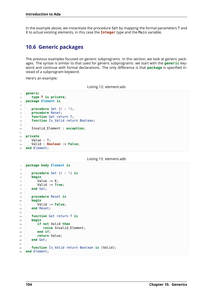In the example above, we instantiate the procedure Set by mapping the formal parameters T and X to actual existing elements, in this case the **Integer** type and the Main variable.

# **10.6 Generic packages**

The previous examples focused on generic subprograms. In this section, we look at generic packages. The syntax is similar to that used for generic subprograms: we start with the **generic** keyword and continue with formal declarations. The only difference is that **package** is specified instead of a subprogram keyword.

Here's an example:

```
Listing 12: element.ads
```

```
1 generic
2 type T is private;
3 package Element is
4
5 procedure Set (E : T);
6 procedure Reset;
7 function Get return T;
8 function Is_Valid return Boolean;
\alpha10 Invalid_Element : exception;
11
12 private
13 Value : T;
14 Valid : Boolean := False;
15 end Element;
```
Listing 13: element.adb

```
1 package body Element is
2
3 procedure Set (E : T) is
4 begin
5 Value := E;
6 Valid := True;
7 end Set;
8
9 procedure Reset is
10 begin
11 Valid := False;
12 end Reset;
13
14 function Get return T is
15 begin
16 if not Valid then
17 raise Invalid_Element;
18 end if;
19 return Value;
20 end Get;
21
22 function Is_Valid return Boolean is (Valid);
23 end Element;
```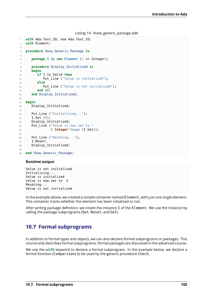Listing 14: show\_generic\_package.adb

```
1 with Ada.Text_IO; use Ada.Text_IO;
2 with Element;
3
4 procedure Show_Generic_Package is
5
6 package I is new Element (T => Integer);
7
8 procedure Display_Initialized is
9 begin
10 if I.Is_Valid then
11 Put Line ("Value is initialized");
12 else
13 Put_Line ("Value is not initialized");
14 end if;
15 end Display Initialized;
16
17 begin
18 Display_Initialized;
19
20 Put_Line ("Initializing...");
21 I.Set (5);
22 Display_Initialized;
23 Put_Line ("Value is now set to "
24 & Integer'Image (I.Get));
25
26 Put Line ("Reseting...");
27 I.Reset;
28 Display Initialized;
29
30 end Show Generic Package;
```
#### **Runtime output**

Value is not initialized Initializing... Value is initialized Value is now set to 5 Reseting... Value is not initialized

In the example above, we created a simple container named Element, with just one single element. This container tracks whether the element has been initialized or not.

After writing package definition, we create the instance I of the Element. We use the instance by calling the package subprograms (Set, Reset, and Get).

# **10.7 Formal subprograms**

In addition to formal types and objects, we can also declare formal subprograms or packages. This course only describes formal subprograms; formal packages are discussed in the advanced course.

We use the **with** keyword to declare a formal subprogram. In the example below, we declare a formal function (Comparison) to be used by the generic procedure Check.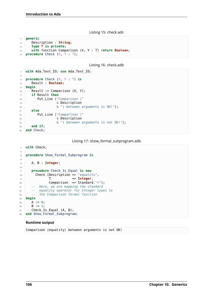Listing 15: check.ads

```
1 generic
2 Description : String;
3 type T is private;
4 with function Comparison (X, Y : T) return Boolean;
5 procedure Check (X, Y : T);
```

```
Listing 16: check.adb
```

```
1 with Ada.Text_IO; use Ada.Text_IO;
2
3 procedure Check (X, Y : T) is
4 Result : Boolean;
5 begin
6 Result := Comparison (X, Y);
7 if Result then
8 Put_Line ("Comparison ("
9 8 Description
10 6 West between arguments is OK! ");
11 else
12 Put_Line ("Comparison ("
13 8 Description
14 \& ") between arguments is not OK!");
15 end if;
16 end Check;
```
Listing 17: show\_formal\_subprogram.adb

```
1 with Check;
\overline{2}3 procedure Show_Formal_Subprogram is
4
5 A, B : Integer;
6
7 procedure Check_Is_Equal is new
\overline{\phantom{a}} Check (Description => "equality",
9 T => Integer,
10 Comparison => Standard."=");
11 -- Here, we are mapping the standard
12 -- equality operator for Integer types to
13 -- the Comparison formal function
14 begin
15 A := 0;16 B := 1;
17 Check_Is_Equal (A, B);
18 end Show Formal Subprogram;
```
#### **Runtime output**

Comparison (equality) between arguments is not OK!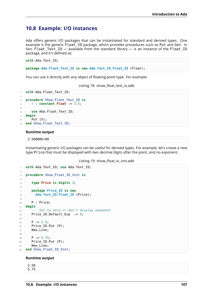# **10.8 Example: I/O instances**

Ada offers generic I/O packages that can be instantiated for standard and derived types. One example is the generic Float\_IO package, which provides procedures such as Put and Get. In fact, Float Text  $I0 -$  available from the standard library  $-$  is an instance of the Float IO package, and it's defined as:

```
with Ada.Text_IO;
```
**package Ada.Float\_Text\_IO is new Ada.Text\_IO.Float\_IO** (Float);

You can use it directly with any object of floating-point type. For example:

Listing 18: show\_float\_text\_io.adb

```
1 with Ada.Float_Text_IO;
2
3 procedure Show_Float_Text_IO is
\overline{X} : constant Float := 2.5;
5
6 use Ada.Float_Text_IO;
7 begin
8 Put (X);
  end Show Float Text IO;
```
#### **Runtime output**

2.50000E+00

Instantiating generic I/O packages can be useful for derived types. For example, let's create a new type Price that must be displayed with two decimal digits after the point, and no exponent.

```
Listing 19: show_float_io_inst.adb
```

```
1 with Ada.Text_IO; use Ada.Text_IO;
2
3 procedure Show_Float_IO_Inst is
4
5 type Price is digits 3;
6
7 package Price_IO is new
8 Ada.Text IO.Float IO (Price);
9
10 P : Price;
11 begin
12 -- Set to zero => don't display exponent
13 Price IO.Default Exp := 0;
14
15 P := 2.5;
16 Price IO.Put (P);
17 New Line;
18
P := 5.75;
20 Price IO.Put (P);
21 New Line:
22 end Show_Float_IO_Inst;
```
#### **Runtime output**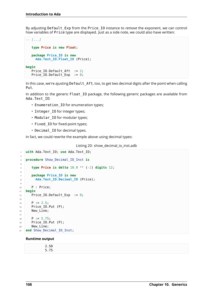By adjusting Default\_Exp from the Price\_IO instance to *remove* the exponent, we can control how variables of Price type are displayed. Just as a side note, we could also have written:

```
-- [...]
  type Price is new Float;
  package Price_IO is new
    Ada.Text_IO.Float_IO (Price);
begin
  Price IO.Default Aft := 2;Price_IO.Default_Exp := 0;
```
In this case, we're ajusting Default Aft, too, to get two decimal digits after the point when calling Put.

In addition to the generic Float IO package, the following generic packages are available from Ada.Text\_IO:

- Enumeration\_IO for enumeration types;
- Integer IO for integer types;
- Modular IO for modular types;
- Fixed\_IO for fixed-point types;
- Decimal IO for decimal types.

In fact, we could rewrite the example above using decimal types:

```
Listing 20: show_decimal_io_inst.adb
```

```
1 with Ada.Text_IO; use Ada.Text_IO;
\overline{2}3 procedure Show_Decimal_IO_Inst is
4
5 type Price is delta 10.0 ** (-2) digits 12;
6
7 package Price_IO is new
8 Ada.Text IO.Decimal IO (Price);
9
10 P : Price;
11 begin
12 Price_IO.Default_Exp := 0;
13
P := 2.5;
15 Price_IO.Put (P);
16 New Line;
17
P := 5.75;19 Price_IO.Put (P);
20 New_Line;
21 end Show Decimal IO Inst;
```
#### **Runtime output**

| 50                |  |  |  |
|-------------------|--|--|--|
| --<br>-<br>$\sim$ |  |  |  |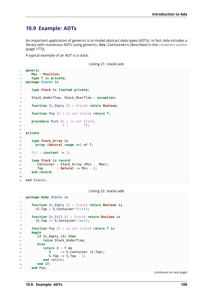# **10.9 Example: ADTs**

An important application of generics is to model abstract data types (ADTs). In fact, Ada includes a library with numerous ADTs using generics: Ada.Containers (described in the *containers section* (page 177)).

A typical example of an ADT is a stack:

Listing 21: stacks.ads

```
1 generic
2 Max : Positive;
3 type T is private;
4 package Stacks is
5
6 type Stack is limited private;
7
8 Stack Underflow, Stack Overflow : exception;
9
10 function Is_Empty (S : Stack) return Boolean;
11
12 function Pop (S : in out Stack) return T;
13
14 procedure Push (S : in out Stack;
\mathsf{V} : T);
16
17 private
18
19 type Stack_Array is
20 array (Natural range <>) of T;
2122 Min : constant := 1;
23
24 type Stack is record
25 Container : Stack_Array (Min .. Max);
26 Top : Natural := Min - 1;
27 end record;
```
**end** Stacks;

Listing 22: stacks.adb

```
1 package body Stacks is
\overline{2}3 function Is_Empty (S : Stack) return Boolean is
4 (S.Top < S.Container'First);
5
6 function Is_Full (S : Stack) return Boolean is
7 (S.Top >= S.Container'Last);
8
9 function Pop (S : in out Stack) return T is
10 begin
11 if Is_Empty (S) then
12 raise Stack_Underflow;
13 else
14 return X : T do
X := S.Container (S.Top);
16 S.Top := S.Top - 1;
17 end return;
18 end if;
19 end Pop;
```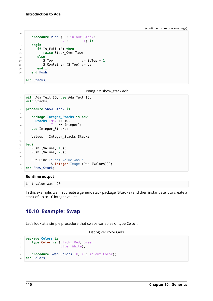(continued from previous page)

```
21 procedure Push (S : in out Stack;
22 V : T) is
23 begin
24 if Is_Full (S) then
25 raise Stack_Overflow;
26 else
27 S.Top := S.Top + 1;
28 S. Container (S. Top) := V;
29 end if;
30 end Push;
31
32 end Stacks;
```
Listing 23: show\_stack.adb

```
1 with Ada.Text_IO; use Ada.Text_IO;
2 with Stacks;
\overline{3}4 procedure Show_Stack is
5
6 package Integer_Stacks is new
7 Stacks (Max => 10,
\sigma \sigma \tau \Rightarrow Integer);
9 use Integer_Stacks;
10
11 Values : Integer_Stacks.Stack;
12
13 begin
14 Push (Values, 10);
15 Push (Values, 20);
16
17 Put Line ("Last value was "
18 6 Integer Image (Pop (Values)));
19 end Show_Stack;
```
#### **Runtime output**

Last value was 20

In this example, we first create a generic stack package (Stacks) and then instantiate it to create a stack of up to 10 integer values.

## **10.10 Example: Swap**

Let's look at a simple procedure that swaps variables of type Color:

```
Listing 24: colors.ads
```

```
1 package Colors is
2 type Color is (Black, Red, Green,
3 Blue, White);
4
5 procedure Swap_Colors (X, Y : in out Color);
6 end Colors;
```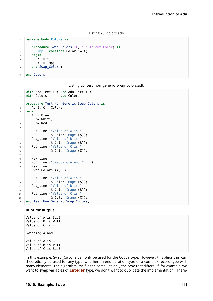```
Listing 25: colors.adb
```

```
1 package body Colors is
2
3 procedure Swap_Colors (X, Y : in out Color) is
4 Tmp : constant Color := X;
5 begin
6 X := Y;7 Y := Tmp;
8 end Swap_Colors;
9
10 end Colors;
```

|  |  |  |  | Listing 26: test_non_generic_swap_colors.adb |
|--|--|--|--|----------------------------------------------|
|--|--|--|--|----------------------------------------------|

```
1 with Ada.Text_IO; use Ada.Text_IO;
2 with Colors; use Colors;
3
4 procedure Test_Non_Generic_Swap_Colors is
5 A, B, C : Color;
6 begin
7 A := Blue;
8 \quad B := \text{White};9 \quad C := Red;10
11 Put_Line ("Value of A is "
\sim \delta Color'Image (A));
13 Put_Line ("Value of B is
14 6 Color' Image (B));
15 Put_Line ("Value of C is
16 6 Color'Image (C));
17
18 New Line;
19 Put Line ("Swapping A and C...");
20 New_Line;
21 Swap Colors (A, C);
22
23 Put Line ("Value of A is "
\sim 24 \sim \sim Color'Image (A));
25 Put_Line ("Value of B is
\sim 26 \sim \sim Color'Image (B));
27 Put Line ("Value of C is
\alpha Color'Image (C));
29 end Test Non Generic Swap Colors;
```
#### **Runtime output**

Value of A is BLUE Value of B is WHITE Value of C is RED Swapping A and C... Value of A is RED Value of B is WHITE Value of C is BLUE

In this example, Swap Colors can only be used for the Color type. However, this algorithm can theoretically be used for any type, whether an enumeration type or a complex record type with many elements. The algorithm itself is the same: it's only the type that differs. If, for example, we want to swap variables of **Integer** type, we don't want to duplicate the implementation. There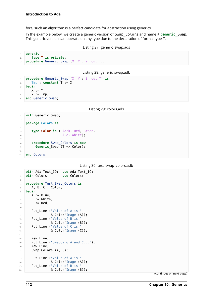fore, such an algorithm is a perfect candidate for abstraction using generics.

In the example below, we create a generic version of Swap\_Colors and name it **Generic**\_Swap. This generic version can operate on any type due to the declaration of formal type T.

```
Listing 27: generic_swap.ads
```

```
1 generic
2 type T is private;
3 procedure Generic_Swap (X, Y : in out T);
```
Listing 28: generic\_swap.adb

```
1 procedure Generic_Swap (X, Y : in out T) is
2 Tmp : constant T := X;
3 begin
4 X := Y;
5 Y := Tmp;
6 end Generic Swap;
```
Listing 29: colors.ads

```
1 with Generic Swap;
\overline{2}3 package Colors is
4
5 type Color is (Black, Red, Green,
6 Blue, White);
7
8 procedure Swap_Colors is new
9 Generic_Swap (T => Color);
10
11 end Colors;
```
Listing 30: test\_swap\_colors.adb

```
1 with Ada.Text_IO; use Ada.Text_IO;
2 with Colors; use Colors;
3
4 procedure Test_Swap_Colors is
5 A, B, C : Color;
6 begin
7 A := Blue;
8 B := White;
9 \quad C := Red;10
11 Put_Line ("Value of A is "
\sim \delta Color'Image (A));
13 Put_Line ("Value of B is
\sim 6 Color'Image (B));
15 Put_Line ("Value of C is
16 \& Color'Image (C));
17
18 New_Line;
19 Put Line ("Swapping A and C...");
20 New Line;
21 Swap_Colors (A, C);
2223 Put_Line ("Value of A is "
\sim \sim Color'Image (A));
25 Put Line ("Value of B is "
26 \& Color'Image (B));
```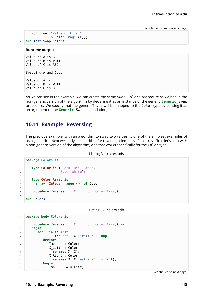```
27 Put_Line ("Value of C is "
28 & Color'Image (C));
29 end Test_Swap_Colors;
```
#### **Runtime output**

```
Value of A is BLUE
Value of B is WHITE
Value of C is RED
Swapping A and C...
Value of A is RED
Value of B is WHITE
Value of C is BLUE
```
As we can see in the example, we can create the same Swap\_Colors procedure as we had in the non-generic version of the algorithm by declaring it as an instance of the generic **Generic**\_Swap procedure. We specify that the generic T type will be mapped to the Color type by passing it as an argument to the **Generic**\_Swap instantiation,

## **10.11 Example: Reversing**

The previous example, with an algorithm to swap two values, is one of the simplest examples of using generics. Next we study an algorithm for reversing elements of an array. First, let's start with a non-generic version of the algorithm, one that works specifically for the Color type:

```
Listing 31: colors.ads
```

```
1 package Colors is
2
3 type Color is (Black, Red, Green,
4 Blue, White);
5
6 type Color_Array is
7 array (Integer range <>) of Color;
8
9 procedure Reverse It (X : in out Color Array);
10
11 end Colors;
```
Listing 32: colors.adb

```
1 package body Colors is
2
3 procedure Reverse_It (X : in out Color_Array) is
4 begin
5 for I in X'First ..
6 (X'Last + X'First) / 2 loop
7 declare
8 Tmp : Color;
9 X_Left : Color
10 renames X (I);
11 X Right : Color
12 renames X (X'Last + X'First - I);
13 begin
14 Tmp := X_Left;
```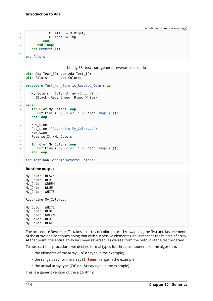```
X Left := X Right;
16 X_Right := Tmp;
17 end;
18 end loop;
19 end Reverse_It;
20
21 end Colors;
```
Listing 33: test\_non\_generic\_reverse\_colors.adb

```
1 with Ada.Text_IO; use Ada.Text_IO;
2 with Colors; use Colors;
3
4 procedure Test_Non_Generic_Reverse_Colors is
5
6 My Colors : Color Array (1 \ldots 5) :=
7 (Black, Red, Green, Blue, White);
8
9 begin
10 for C of My_Colors loop
11 Put Line ("My Color: " & Color'Image (C));
12 end loop;
13
14 New Line;
15 Put Line ("Reversing My Color...");
16 New_Line;
17 Reverse_It (My_Colors);
18
19 for C of My_Colors loop
20 Put_Line ("My_Color: " & Color'Image (C));
21 end loop;
2223 end Test Non Generic Reverse Colors;
```
#### **Runtime output**

My\_Color: BLACK My\_Color: RED My\_Color: GREEN My\_Color: BLUE My\_Color: WHITE Reversing My\_Color... My\_Color: WHITE My\_Color: BLUE My\_Color: GREEN My\_Color: RED My\_Color: BLACK

The procedure Reverse It takes an array of colors, starts by swapping the first and last elements of the array, and continues doing that with successive elements until it reaches the middle of array. At that point, the entire array has been reversed, as we see from the output of the test program.

To abstract this procedure, we declare formal types for three components of the algorithm:

- the elements of the array (Color type in the example)
- the range used for the array (**Integer** range in the example)
- the actual array type (Color\_Array type in the example)

This is a generic version of the algorithm: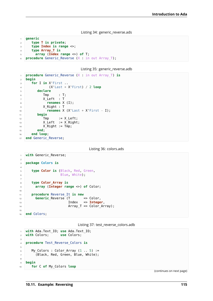Listing 34: generic\_reverse.ads

```
1 generic
2 type T is private;
3 type Index is range <>;
4 type Array_T is
5 array (Index range <>) of T;
6 procedure Generic Reverse (X : in out Array T);
```
Listing 35: generic\_reverse.adb

```
1 procedure Generic_Reverse (X : in out Array_T) is
2 begin
3 for I in X'First ..
4 (X'Last + X'First) / 2 loop
5 declare
6 \quad \text{Trp} \quad \text{Trp}\overline{z} X_Left : T
8 renames X (I);
9 X_Right : T
10 renames X (X'Last + X'First - I);
11 begin
12 Tmp := X Left;
13 X_{\text{left}} := X_{\text{Right}};
14 X Right := Tmp;
15 end;
16 end loop;
17 end Generic_Reverse;
```
Listing 36: colors.ads

```
1 with Generic Reverse;
2
3 package Colors is
4
5 type Color is (Black, Red, Green,
6 Blue, White);
7
8 type Color_Array is
9 array (Integer range <>) of Color;
10
11 procedure Reverse_It is new
12 Generic Reverse (T => Color,
13 Index => Integer,
14 Array T => Color Array);
15
16 end Colors;
```
Listing 37: test\_reverse\_colors.adb

```
1 with Ada.Text_IO; use Ada.Text_IO;
2 with Colors; use Colors;
3
4 procedure Test_Reverse_Colors is
5
6 My_Colors : Color_Array (1 .. 5) :=
7 (Black, Red, Green, Blue, White);
8
9 begin
10 for C of My_Colors loop
```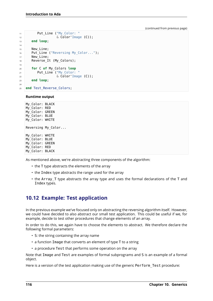```
11 Put_Line ("My_Color: "
12 \& Color'Image (C));
13 end loop;
14
15 New_Line;
16 Put_Line ("Reversing My_Color...");
17 New_Line;
18 Reverse_It (My_Colors);
19
20 for C of My_Colors loop
21 Put_Line ("My Color: "
\alpha Color'Image (C));
23 end loop;
24
25 end Test_Reverse_Colors;
```
#### **Runtime output**

```
My_Color: BLACK
My_Color: RED
My_Color: GREEN
My_Color: BLUE
My_Color: WHITE
Reversing My_Color...
My_Color: WHITE
My_Color: BLUE
My_Color: GREEN
My_Color: RED
My_Color: BLACK
```
As mentioned above, we're abstracting three components of the algorithm:

- the T type abstracts the elements of the array
- the Index type abstracts the range used for the array
- the Array T type abstracts the array type and uses the formal declarations of the T and Index types.

# **10.12 Example: Test application**

In the previous example we've focused only on abstracting the reversing algorithm itself. However, we could have decided to also abstract our small test application. This could be useful if we, for example, decide to test other procedures that change elements of an array.

In order to do this, we again have to choose the elements to abstract. We therefore declare the following formal parameters:

- S: the string containing the array name
- a function Image that converts an element of type T to a string
- a procedure Test that performs some operation on the array

Note that Image and Test are examples of formal subprograms and S is an example of a formal object.

Here is a version of the test application making use of the generic Perform Test procedure: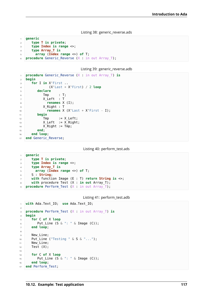Listing 38: generic\_reverse.ads

```
1 generic
2 type T is private;
3 type Index is range <>;
4 type Array_T is
5 array (Index range <>) of T;
6 procedure Generic Reverse (X : in out Array T);
```
Listing 39: generic reverse.adb

```
1 procedure Generic_Reverse (X : in out Array_T) is
2 begin
3 for I in X'First ..
4 (X'Last + X'First) / 2 loop
5 declare
6 \quad \text{Trap} \quad : \mathsf{T};\begin{array}{ccc} \hline \mathbf{z} & \mathbf{z} \end{array} X_Left : T
8 renames X (I);
9 X Right : T
10 renames X (X'Last + X'First - I);
11 begin
12 Tmp := X Left;
X Left := X<sup>Right</sup>;
14 X Right := Tmp;
15 end;
16 end loop;
17 end Generic_Reverse;
```
Listing 40: perform\_test.ads

```
1 generic
2 type T is private;
3 type Index is range <>;
4 type Array_T is
5 array (Index range <>) of T;
6 S : String;
7 with function Image (E : T) return String is <>;
8 with procedure Test (X : in out Array_T);
9 procedure Perform_Test (X : in out Array_T);
```

| Listing 41: perform_test.adb |  |  |
|------------------------------|--|--|
|------------------------------|--|--|

```
1 with Ada.Text_IO; use Ada.Text_IO;
2
3 procedure Perform_Test (X : in out Array_T) is
4 begin
5 for C of X loop
6 Put Line (S \& ": " \& Image (C));
7 end loop;
8
9 New Line;
10 Put_Line ("Testing " & S & "...");
11 New Line;
12 Test (X);
13
14 for C of X loop
15 Put_Line (S \& " : " \& Image (C));
16 end loop;
17 end Perform_Test;
```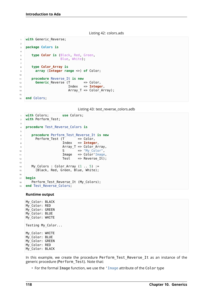Listing 42: colors.ads

```
1 with Generic_Reverse;
2
3 package Colors is
4
5 type Color is (Black, Red, Green,
6 Blue, White);
7
8 type Color_Array is
9 array (Integer range <>) of Color;
10
11 procedure Reverse_It is new
12 Generic<sub>Reverse</sub> (T => Color,
13 Index => Integer,
14 Array_T => Color_Array);
15
16 end Colors;
```
Listing 43: test\_reverse\_colors.adb

```
1 with Colors; use Colors;
2 with Perform_Test;
3
4 procedure Test_Reverse_Colors is
5
6 procedure Perform_Test_Reverse_It is new
7 Perform_Test (T \implies Color,
8 Index => Integer,
9 Array_T => Color_Array,
10 S \qquad \qquad = \qquad "My_Color",
11 Image => Color'Image,
12 Test => Reverse It);
13
14 My_Colors : Color_Array (1 .. 5) :=
15 (Black, Red, Green, Blue, White);
16
17 begin
18 Perform Test Reverse It (My Colors);
19 end Test Reverse Colors;
```
#### **Runtime output**

My\_Color: BLACK My\_Color: RED My\_Color: GREEN My\_Color: BLUE My\_Color: WHITE Testing My\_Color... My\_Color: WHITE My\_Color: BLUE My\_Color: GREEN My\_Color: RED My\_Color: BLACK

In this example, we create the procedure Perform Test Reverse It as an instance of the generic procedure (Perform\_Test). Note that:

• For the formal Image function, we use the 'Image attribute of the Color type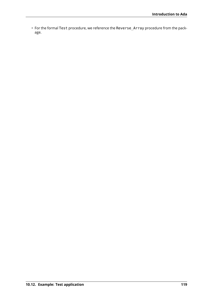• For the formal Test procedure, we reference the Reverse\_Array procedure from the package.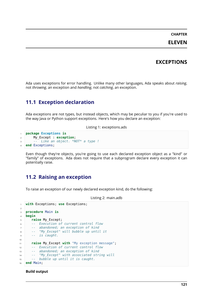# **CHAPTER ELEVEN**

# **EXCEPTIONS**

Ada uses exceptions for error handling. Unlike many other languages, Ada speaks about *raising*, not *throwing*, an exception and *handling*, not *catching*, an exception.

# **11.1 Exception declaration**

Ada exceptions are not types, but instead objects, which may be peculiar to you if you're used to the way Java or Python support exceptions. Here's how you declare an exception:

Listing 1: exceptions.ads

```
1 package Exceptions is
2 My_Except : exception;
3 -- Like an object. *NOT* a type !
  end Exceptions;
```
Even though they're objects, you're going to use each declared exception object as a "kind" or "family" of exceptions. Ada does not require that a subprogram declare every exception it can potentially raise.

Listing 2: main.adb

## **11.2 Raising an exception**

To raise an exception of our newly declared exception kind, do the following:

```
with Exceptions; use Exceptions;
\overline{2}3 procedure Main is
4 begin
5 raise My_Except;
6 -- Execution of current control flow
7 -- abandoned; an exception of kind
8 -- "My_Except" will bubble up until it
9 -- is caught.
10
11 raise My_Except with "My exception message";
12 -- Execution of current control flow
13 -- abandoned; an exception of kind
14 -- "My_Except" with associated string will
15 -- bubble up until it is caught.
16 end Main;
```
#### **Build output**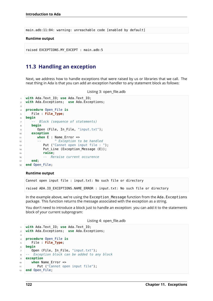main.adb:11:04: warning: unreachable code [enabled by default]

#### **Runtime output**

```
raised EXCEPTIONS.MY_EXCEPT : main.adb:5
```
## **11.3 Handling an exception**

Next, we address how to handle exceptions that were raised by us or libraries that we call. The neat thing in Ada is that you can add an exception handler to any statement block as follows:

Listing 3: open file.adb

```
1 with Ada.Text_IO; use Ada.Text_IO;
2 with Ada.Exceptions; use Ada.Exceptions;
3
4 procedure Open_File is
5 File : File_Type;
6 begin
7 -- Block (sequence of statements)
8 begin
9 Open (File, In File, "input.txt");
10 exception
11 when E : Name_Error =>
12 -- ^ Exception to be handled
13 Put ("Cannot open input file : ");
14 Put Line (Exception Message (E));
15 raise;
16 -- Reraise current occurence
17 end;
18 end Open_File;
```
#### **Runtime output**

Cannot open input file : input.txt: No such file or directory

raised ADA.IO EXCEPTIONS.NAME ERROR : input.txt: No such file or directory

In the example above, we're using the Exception Message function from the Ada.Exceptions package. This function returns the message associated with the exception as a string.

You don't need to introduce a block just to handle an exception: you can add it to the statements block of your current subprogram:

Listing 4: open\_file.adb

```
1 with Ada.Text_IO; use Ada.Text_IO;
2 with Ada.Exceptions; use Ada.Exceptions;
3
4 procedure Open_File is
5 File : File_Type;
6 begin
7 Open (File, In File, "input.txt");
8 -- Exception block can be added to any block
9 exception
10 when Name_Error =>
11 Put ("Cannot open input file");
12 end Open_File;
```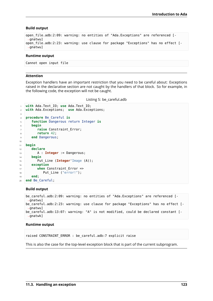#### **Build output**

```
open file.adb:2:09: warning: no entities of "Ada.Exceptions" are referenced [-
 \Boxgnatwul
open file.adb:2:23: warning: use clause for package "Exceptions" has no effect [-
 ↪gnatwu]
```
#### **Runtime output**

Cannot open input file

#### **Attention**

Exception handlers have an important restriction that you need to be careful about: Exceptions raised in the declarative section are not caught by the handlers of that block. So for example, in the following code, the exception will not be caught.

Listing 5: be\_careful.adb

```
1 with Ada.Text_IO; use Ada.Text_IO;
2 with Ada.Exceptions; use Ada.Exceptions;
3
4 procedure Be_Careful is
5 function Dangerous return Integer is
6 begin
7 raise Constraint_Error;
8 return 42;
9 end Dangerous;
10
11 begin
12 declare
13 A : Integer := Dangerous;
14 begin
15 Put Line (Integer'Image (A));
16 exception
17 when Constraint Error =>
18 Put_Line ("error!");
19 end;
20 end Be_Careful;
```
#### **Build output**

```
be careful.adb:2:09: warning: no entities of "Ada.Exceptions" are referenced [-
 ↪gnatwu]
be_careful.adb:2:23: warning: use clause for package "Exceptions" has no effect [-
 \rightarrowgnatwu]
be_careful.adb:13:07: warning: "A" is not modified, could be declared constant [-
 ↪gnatwk]
```
#### **Runtime output**

```
raised CONSTRAINT_ERROR : be_careful.adb:7 explicit raise
```
This is also the case for the top-level exception block that is part of the current subprogram.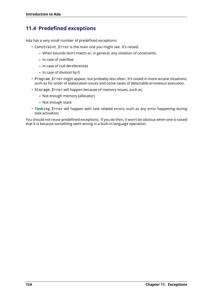# **11.4 Predefined exceptions**

Ada has a very small number of predefined exceptions:

- Constraint Error is the main one you might see. It's raised:
	- **–** When bounds don't match or, in general, any violation of constraints.
	- **–** In case of overflow
	- **–** In case of null dereferences
	- **–** In case of division by 0
- Program Error might appear, but probably less often. It's raised in more arcane situations, such as for order of elaboration issues and some cases of detectable erroneous execution.
- Storage Error will happen because of memory issues, such as:
	- **–** Not enough memory (allocator)
	- **–** Not enough stack
- Tasking Error will happen with task related errors, such as any error happening during task activation.

You should not reuse predefined exceptions. If you do then, it won't be obvious when one is raised that it is because something went wrong in a built-in language operation.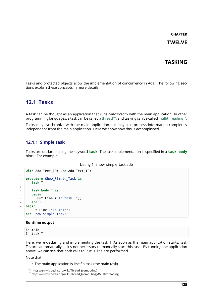## **TASKING**

Tasks and protected objects allow the implementation of concurrency in Ada. The following sections explain these concepts in more details.

# **12.1 Tasks**

A task can be thought as an application that runs *concurrently* with the main application. In other programming languages, a task can be called a thread $^{16}$ , and tasking can be called multithreading $^{17}$ .

Tasks may synchronize with the main application but may also process information completely independent from the main application. Here we show how this is accomplished.

### **12.1.1 Simple task**

Tasks are declared using the keyword **task**. The task implementation is specified in a **task body** block. For example:

Listing 1: show\_simple\_task.adb

```
1 with Ada.Text_IO; use Ada.Text_IO;
2
3 procedure Show_Simple_Task is
4 task T;
5
6 task body T is
7 begin
\vert Put Line ("In task T");
9 end T;
10 begin
11 Put_Line ("In main");
12 end Show_Simple_Task;
```
#### **Runtime output**

In main In task T

Here, we're declaring and implementing the task T. As soon as the main application starts, task T starts automatically — it's not necessary to manually start this task. By running the application above, we can see that both calls to Put\_Line are performed.

Note that:

• The main application is itself a task (the main task).

<sup>16</sup> https://en.wikipedia.org/wiki/Thread\_(computing)

<sup>17</sup> https://en.wikipedia.org/wiki/Thread\_(computing)#Multithreading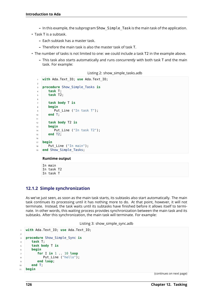- **–** In this example, the subprogram Show\_Simple\_Task is the main task of the application.
- Task T is a subtask.
	- **–** Each subtask has a master task.
	- **–** Therefore the main task is also the master task of task T.
- The number of tasks is not limited to one: we could include a task T2 in the example above.
	- **–** This task also starts automatically and runs *concurrently* with both task T and the main task. For example:

```
Listing 2: show_simple_tasks.adb
```

```
1 with Ada.Text_IO; use Ada.Text_IO;
2
3 procedure Show_Simple_Tasks is
4 task T;
5 task T2;
6
7 task body T is
8 begin
9 Put_Line ("In task T");
10 end T;
11
12 task body T2 is
13 begin
14 Put Line ("In task T2");
15 end T2;
16
17 begin
18 Put_Line ("In main");
19 end Show_Simple_Tasks;
```
#### **Runtime output**

In main In task T2 In task T

## **12.1.2 Simple synchronization**

As we've just seen, as soon as the main task starts, its subtasks also start automatically. The main task continues its processing until it has nothing more to do. At that point, however, it will not terminate. Instead, the task waits until its subtasks have finished before it allows itself to terminate. In other words, this waiting process provides synchronization between the main task and its subtasks. After this synchronization, the main task will terminate. For example:

```
Listing 3: show_simple_sync.adb
```

```
1 with Ada.Text_IO; use Ada.Text_IO;
\overline{2}3 procedure Show_Simple_Sync is
4 task T;
5 task body T is
6 begin
7 for I in 1 .. 10 loop
8 Put Line ("hello");
9 end loop;
10 end T;
11 begin
```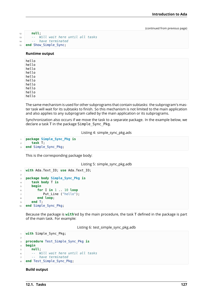```
12 null;
13 -- Will wait here until all tasks
14 -- have terminated
15 end Show_Simple_Sync;
```
#### **Runtime output**

| hello<br>hello |  |  |
|----------------|--|--|
| hello          |  |  |
| hello<br>hello |  |  |
| hello          |  |  |
| hello          |  |  |
| hello          |  |  |
| hello<br>hello |  |  |

The same mechanism is used for other subprograms that contain subtasks: the subprogram's master task will wait for its subtasks to finish. So this mechanism is not limited to the main application and also applies to any subprogram called by the main application or its subprograms.

Synchronization also occurs if we move the task to a separate package. In the example below, we declare a task T in the package Simple\_Sync\_Pkg.

Listing 4: simple\_sync\_pkg.ads

```
1 package Simple_Sync_Pkg is
2 task T;
3 end Simple_Sync_Pkg;
```
This is the corresponding package body:

Listing 5: simple\_sync\_pkg.adb

```
1 with Ada.Text_IO; use Ada.Text_IO;
2
3 package body Simple_Sync_Pkg is
4 task body T is
5 begin
6 for I in 1 .. 10 loop
7 Put_Line ("hello");
8 end loop;
9 end T;
10 end Simple_Sync_Pkg;
```
Because the package is **with**'ed by the main procedure, the task T defined in the package is part of the main task. For example:

Listing 6: test\_simple\_sync\_pkg.adb

```
1 with Simple_Sync_Pkg;
\overline{2}3 procedure Test_Simple_Sync_Pkg is
4 begin
5 null;
6 -- Will wait here until all tasks
7 -- have terminated
8 end Test Simple Sync Pkg;
```
#### **Build output**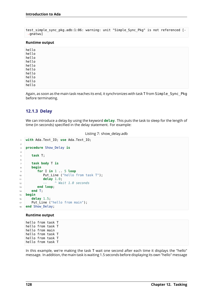test simple sync pkg.adb:1:06: warning: unit "Simple Sync Pkg" is not referenced [-↪gnatwu]

#### **Runtime output**

hello hello hello hello hello hello hello hello hello hello

Again, as soon as the main task reaches its end, it synchronizes with task T from Simple\_Sync\_Pkg before terminating.

### **12.1.3 Delay**

We can introduce a delay by using the keyword **delay**. This puts the task to sleep for the length of time (in seconds) specified in the delay statement. For example:

```
Listing 7: show_delay.adb
```

```
1 with Ada.Text_IO; use Ada.Text_IO;
2
3 procedure Show_Delay is
4
5 task T;
6
7 task body T is
8 begin
9 for I in 1 .. 5 loop
10 Put_Line ("hello from task T");
11 delay 1.0;
12 -- ^ Wait 1.0 seconds
13 end loop;
14 end T;
15 begin
16 delay 1.5;
17 Put Line ("hello from main");
18 end Show Delay;
```
#### **Runtime output**

hello from task T hello from task T hello from main hello from task T hello from task T hello from task T

In this example, we're making the task T wait one second after each time it displays the "hello" message. In addition, the main task is waiting 1.5 seconds before displaying its own "hello" message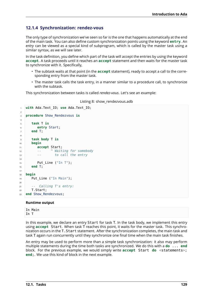## **12.1.4 Synchronization: rendez-vous**

The only type of synchronization we've seen so far is the one that happens automatically at the end of the main task. You can also define custom synchronization points using the keyword **entry**. An *entry* can be viewed as a special kind of subprogram, which is called by the master task using a similar syntax, as we will see later.

In the task definition, you define which part of the task will accept the entries by using the keyword **accept**. A task proceeds until it reaches an **accept** statement and then waits for the master task to synchronize with it. Specifically,

- The subtask waits at that point (in the **accept** statement), ready to accept a call to the corresponding entry from the master task.
- The master task calls the task entry, in a manner similar to a procedure call, to synchronize with the subtask.

This synchronization between tasks is called *rendez-vous*. Let's see an example:

```
1 with Ada.Text_IO; use Ada.Text_IO;
2
3 procedure Show_Rendezvous is
4
5 task T is
6 entry Start;
7 end T;
8
9 task body T is
10 begin
11 accept Start;
12 -- ^ Waiting for somebody
13 -- to call the entry
14
15 Put Line ("In T");
16 end T;
17
18 begin
19 Put Line ("In Main");
20
21 -- Calling T's entry:
22 T.Start;
23 end Show Rendezvous;
```
Listing 8: show\_rendezvous.adb

#### **Runtime output**

|      | In Main |  |
|------|---------|--|
| In T |         |  |

In this example, we declare an entry Start for task T. In the task body, we implement this entry using **accept** Start. When task T reaches this point, it waits for the master task. This synchronization occurs in the T.Start statement. After the synchronization completes, the main task and task T again run concurrently until they synchronize one final time when the main task finishes.

An entry may be used to perform more than a simple task synchronization: it also may perform multiple statements during the time both tasks are synchronized. We do this with a **do** ... **end** block. For the previous example, we would simply write **accept** Start **do** <statements>; **end**;. We use this kind of block in the next example.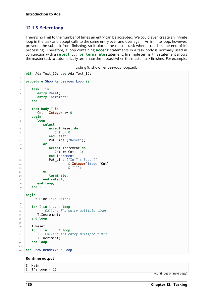## **12.1.5 Select loop**

There's no limit to the number of times an entry can be accepted. We could even create an infinite loop in the task and accept calls to the same entry over and over again. An infinite loop, however, prevents the subtask from finishing, so it blocks the master task when it reaches the end of its processing. Therefore, a loop containing **accept** statements in a task body is normally used in conjunction with a **select** ... **or terminate** statement. In simple terms, this statement allows the master task to automatically terminate the subtask when the master task finishes. For example:

Listing 9: show\_rendezvous\_loop.adb

```
1 with Ada.Text_IO; use Ada.Text_IO;
\overline{2}3 procedure Show_Rendezvous_Loop is
4
5 task T is
6 entry Reset;
7 entry Increment;
8 end T;
9
10 task body T is
11 Cnt : Integer := 0;
12 begin
13 loop
14 select
15 accept Reset do
16 \vert Cnt := 0;
17 end Reset;
18 Put Line ("Reset");
19 or
20 accept Increment do
21 Cnt := Cnt + 1;
22 end Increment;
23 Put_Line ("In T's loop ("
24 & Integer'Image (Cnt)
\delta \begin{pmatrix} 1 \\ 25 \end{pmatrix} \begin{pmatrix} 1 \\ 2 \end{pmatrix} \begin{pmatrix} 1 \\ 2 \end{pmatrix}26 or
27 terminate;
28 end select;
29 end loop;
30 end T;
31
32 begin
33 Put_Line ("In Main");
34
35 for I in 1 .. 4 loop
36 -- Calling T's entry multiple times
37 T. Increment;
38 end loop;
39
40 T.Reset;
41 for I in 1 .. 4 loop
42 -- Calling T's entry multiple times
43 T.Increment;
44 end loop;
4546 end Show_Rendezvous_Loop;
```
#### **Runtime output**

In Main In T's loop ( 1)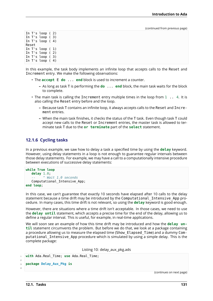In T's loop ( 2) In T's loop ( 3) In T's loop ( 4) Reset In T's loop ( 1) In T's loop ( 2) In T's loop ( 3) In T's loop ( 4)

In this example, the task body implements an infinite loop that accepts calls to the Reset and Increment entry. We make the following observations:

- The **accept** E **do** ... **end** block is used to increment a counter.
	- **–** As long as task T is performing the **do** ... **end** block, the main task waits for the block to complete.
- $\cdot$  The main task is calling the Increment entry multiple times in the loop from  $1 \ldots 4$ . It is also calling the Reset entry before and the loop.
	- **–** Because task T contains an infinite loop, it always accepts calls to the Reset and Increment entries.
	- **–** When the main task finishes, it checks the status of the T task. Even though task T could accept new calls to the Reset or Increment entries, the master task is allowed to terminate task T due to the **or terminate** part of the **select** statement.

### **12.1.6 Cycling tasks**

In a previous example, we saw how to delay a task a specified time by using the **delay** keyword. However, using delay statements in a loop is not enough to guarantee regular intervals between those delay statements. For example, we may have a call to a computationally intensive procedure between executions of successive delay statements:

```
while True loop
   delay 1.0;
         -- ^ Wait 1.0 seconds
   Computational_Intensive_App;
end loop;
```
In this case, we can't guarantee that exactly 10 seconds have elapsed after 10 calls to the delay statement because a time drift may be introduced by the Computational\_Intensive\_App procedure. In many cases, this time drift is not relevant, so using the **delay** keyword is good enough.

However, there are situations where a time drift isn't acceptable. In those cases, we need to use the **delay until** statement, which accepts a precise time for the end of the delay, allowing us to define a regular interval. This is useful, for example, in real-time applications.

We will soon see an example of how this time drift may be introduced and how the **delay until** statement circumvents the problem. But before we do that, we look at a package containing a procedure allowing us to measure the elapsed time (Show Elapsed Time) and a dummy Computational\_Intensive\_App procedure which is simulated by using a simple delay. This is the complete package:

Listing 10: delay\_aux\_pkg.ads

```
with Ada.Real Time; use Ada.Real Time;
\overline{2}3 package Delay_Aux_Pkg is
```
(continues on next page)

4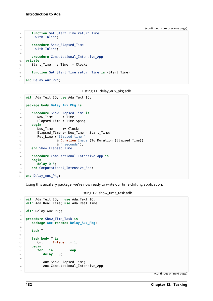```
5 function Get_Start_Time return Time
6 with Inline;
7
8 procedure Show_Elapsed_Time
9 with Inline;
10
11 procedure Computational_Intensive_App;
12 private
13 Start_Time : Time := Clock;
14
15 function Get_Start_Time return Time is (Start_Time);
16
17 end Delay_Aux_Pkg;
```
Listing 11: delay\_aux\_pkg.adb

```
1 with Ada.Text_IO; use Ada.Text_IO;
\overline{2}3 package body Delay_Aux_Pkg is
4
5 procedure Show_Elapsed_Time is
6 Now_Time : Time;
7 Elapsed_Time : Time_Span;
8 begin
9 Now_Time := Clock;
10 Elapsed_Time := Now_Time - Start_Time;
11 Put_Line ("Elapsed time "
12 6 Duration'Image (To Duration (Elapsed Time))
13 8 Seconds");
14 end Show_Elapsed_Time;
15
16 procedure Computational_Intensive_App is
17 begin
18 delay 0.5;
19 end Computational_Intensive_App;
20
21 end Delay_Aux_Pkg;
```
Using this auxiliary package, we're now ready to write our time-drifting application:

Listing 12: show\_time\_task.adb

```
1 with Ada.Text_IO; use Ada.Text_IO;
2 with Ada.Real_Time; use Ada.Real_Time;
3
4 with Delay_Aux_Pkg;
5
6 procedure Show_Time_Task is
7 package Aux renames Delay_Aux_Pkg;
8
9 task T;
10
11 task body T is
12 Cnt : Integer := 1;
13 begin
14 for I in 1 .. 5 loop
15 delay 1.0;
16
17 Aux.Show Elapsed Time;
18 Aux.Computational Intensive App;
19
```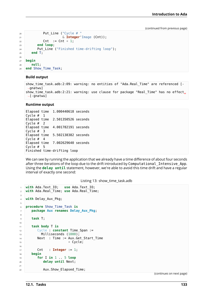```
20 Put_Line ("Cycle # "
21 & Integer'Image (Cnt));
22 Cnt := Cnt + 1;
23 end loop;
24 Put_Line ("Finished time-drifting loop");
25 end T;
26
27 begin
28 null;
29 end Show_Time_Task;
```
#### **Build output**

```
show time task.adb:2:09: warning: no entities of "Ada.Real Time" are referenced [-
 ↪gnatwu]
show time task.adb:2:21: warning: use clause for package "Real_Time" has no effect<sub>u</sub>
\rightarrow[-gnatwu]
```
#### **Runtime output**

```
Elapsed time 1.000440618 seconds
Cycle # 1
Elapsed time 2.501350526 seconds
Cycle # 2
Elapsed time 4.001782191 seconds
Cycle # 3
Elapsed time 5.502138382 seconds
Cycle # 4
Elapsed time 7.002629640 seconds
Cycle # 5
Finished time-drifting loop
```
We can see by running the application that we already have a time difference of about four seconds after three iterations of the loop due to the drift introduced by Computational\_Intensive\_App. Using the **delay until** statement, however, we're able to avoid this time drift and have a regular interval of exactly one second:

```
1 with Ada.Text_IO; use Ada.Text_IO;
2 with Ada.Real_Time; use Ada.Real_Time;
3
4 with Delay_Aux_Pkg;
5
6 procedure Show_Time_Task is
7 package Aux renames Delay_Aux_Pkg;
8
9 task T;
10
11 task body T is
12 Cycle : constant Time Span :=
13 Milliseconds (1000);
14 Next : Time := Aux.Get_Start_Time
15 + Cycle;
16
17 Cnt : Integer := 1;
18 begin
19 for I in 1 .. 5 loop
20 delay until Next;
2122 Aux.Show Elapsed Time;
```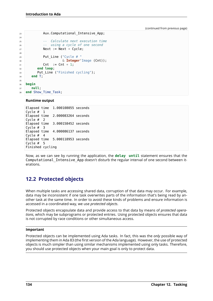```
23 Aux.Computational_Intensive_App;
24
25 -- Calculate next execution time
26 -- using a cycle of one second
27 Next := Next + Cycle;
28
29 Put_Line ("Cycle # "
30 & Integer'Image (Cnt));
31 Cnt := Cnt + 1;
32 end loop;
33 Put Line ("Finished cycling");
34 end T;
35
36 begin
37 null;
38 end Show_Time_Task;
```
#### **Runtime output**

```
Elapsed time 1.000108055 seconds
Cycle # 1
Elapsed time 2.000083264 seconds
Cycle # 2
Elapsed time 3.000158452 seconds
Cycle # 3
Elapsed time 4.000086137 seconds
Cycle # 4
Elapsed time 5.000118953 seconds
Cycle # 5
Finished cycling
```
Now, as we can see by running the application, the **delay until** statement ensures that the Computational\_Intensive\_App doesn't disturb the regular interval of one second between iterations.

# **12.2 Protected objects**

When multiple tasks are accessing shared data, corruption of that data may occur. For example, data may be inconsistent if one task overwrites parts of the information that's being read by another task at the same time. In order to avoid these kinds of problems and ensure information is accessed in a coordinated way, we use *protected objects*.

Protected objects encapsulate data and provide access to that data by means of *protected operations*, which may be subprograms or protected entries. Using protected objects ensures that data is not corrupted by race conditions or other simultaneous access.

#### **Important**

Protected objects can be implemented using Ada tasks. In fact, this was the *only* possible way of implementing them in Ada 83 (the first version of the Ada language). However, the use of protected objects is much simpler than using similar mechanisms implemented using only tasks. Therefore, you should use protected objects when your main goal is only to protect data.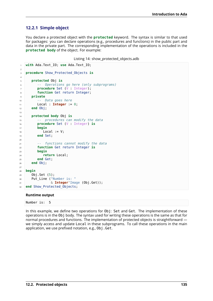## **12.2.1 Simple object**

You declare a protected object with the **protected** keyword. The syntax is similar to that used for packages: you can declare operations (e.g., procedures and functions) in the public part and data in the private part. The corresponding implementation of the operations is included in the **protected body** of the object. For example:

Listing 14: show\_protected\_objects.adb

```
1 with Ada.Text_IO; use Ada.Text_IO;
2
3 procedure Show_Protected_Objects is
4
5 protected Obj is
6 -- Operations go here (only subprograms)
7 procedure Set (V : Integer);
8 function Get return Integer;
9 private
10 -- Data goes here
11 Local : Integer := 0;
12 end Obj;
13
14 protected body Obj is
15 -- procedures can modify the data
16 procedure Set (V : Integer) is
17 begin
18 Local := V:
19 end Set;
20
21 -- functions cannot modify the data
22 function Get return Integer is
23 begin
24 return Local;
25 end Get;
26 end Obj;
27
28 begin
29 Obj.Set (5);
30 Put_Line ("Number is: "
31 & Integer'Image (Obj.Get));
32 end Show Protected Objects;
```
#### **Runtime output**

```
Number is: 5
```
In this example, we define two operations for Obj: Set and Get. The implementation of these operations is in the Obj body. The syntax used for writing these operations is the same as that for normal procedures and functions. The implementation of protected objects is straightforward we simply access and update Local in these subprograms. To call these operations in the main application, we use prefixed notation, e.g., 0bj.Get.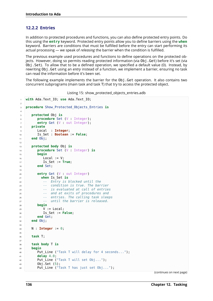## **12.2.2 Entries**

In addition to protected procedures and functions, you can also define protected entry points. Do this using the **entry** keyword. Protected entry points allow you to define barriers using the **when** keyword. Barriers are conditions that must be fulfilled before the entry can start performing its actual processing — we speak of *releasing* the barrier when the condition is fulfilled.

The previous example used procedures and functions to define operations on the protected objects. However, doing so permits reading protected information (via Obj.Get) before it's set (via Obj.Set). To allow that to be a defined operation, we specified a default value (0). Instead, by rewriting Obj.Get using an *entry* instead of a function, we implement a barrier, ensuring no task can read the information before it's been set.

The following example implements the barrier for the Obj.Get operation. It also contains two concurrent subprograms (main task and task T) that try to access the protected object.

```
1 with Ada.Text_IO; use Ada.Text_IO;
\overline{2}3 procedure Show_Protected_Objects_Entries is
4
5 protected Obj is
6 procedure Set (V : Integer);
7 entry Get (V : out Integer);
8 private
9 Local : Integer;
10 Is_Set : Boolean := False;
11 end Obj;
12
13 protected body Obj is
14 procedure Set (V : Integer) is
15 begin
16 Local := V;
17 Is_Set := True;
18 end Set;
19
20 entry Get (V out Integer)
21 when Is_Set is
22 -- Entry is blocked until the
23 -- condition is true. The barrier
24 -- is evaluated at call of entries
25 -- and at exits of procedures and
26 -- entries. The calling task sleeps
27 -- until the barrier is released.
28 begin
29 V := Local;
30 Is_Set := False;
31 end Get;
32 end Obj;
33
34 N : Integer := 0;
35
36 task T;
37
38 task body T is
39 begin
40 Put_Line ("Task T will delay for 4 seconds...");
41 delay 4.0;
42 Put Line ("Task T will set Obj...");
43 Obj.Set (5);
44 Put Line ("Task T has just set Obj...");
```

```
Listing 15: show_protected_objects_entries.adb
```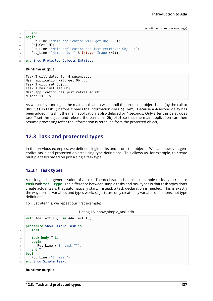```
45 end T;
46 begin
47 Put Line ("Main application will get Obj...");
48 Obj.Get (N);
49 Put_Line ("Main application has just retrieved Obj...");
50 Put_Line ("Number is: " & Integer'Image (N));
51
52 end Show_Protected_Objects_Entries;
```
#### **Runtime output**

```
Task T will delay for 4 seconds...
Main application will get Obj...
Task T will set Obj...
Task T has just set Obj...
Main application has just retrieved Obj...
Number is: 5
```
As we see by running it, the main application waits until the protected object is set (by the call to Obj.Set in task T) before it reads the information (via Obj.Get). Because a 4-second delay has been added in task T, the main application is also delayed by 4 seconds. Only after this delay does task T set the object and release the barrier in Obj.Get so that the main application can then resume processing (after the information is retrieved from the protected object).

# **12.3 Task and protected types**

In the previous examples, we defined single tasks and protected objects. We can, however, generalize tasks and protected objects using type definitions. This allows us, for example, to create multiple tasks based on just a single task type.

### **12.3.1 Task types**

A task type is a generalization of a task. The declaration is similar to simple tasks: you replace **task** with **task type**. The difference between simple tasks and task types is that task types don't create actual tasks that automatically start. Instead, a task declaration is needed. This is exactly the way normal variables and types work: objects are only created by variable definitions, not type definitions.

To illustrate this, we repeat our first example:

```
Listing 16: show_simple_task.adb
```

```
1 with Ada.Text_IO; use Ada.Text_IO;
\overline{2}3 procedure Show_Simple_Task is
4 task T;
5
6 task body T is
7 begin
8 Put Line ("In task T");
9 end T;
10 begin
11 Put Line ("In main");
12 end Show Simple Task;
```
#### **Runtime output**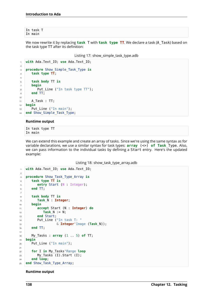In task T In main

We now rewrite it by replacing **task** T with **task type TT**. We declare a task (A\_Task) based on the task type TT after its definition:

Listing 17: show\_simple\_task\_type.adb

```
1 with Ada.Text_IO; use Ada.Text_IO;
\overline{2}3 procedure Show_Simple_Task_Type is
4 task type TT;
5
6 task body TT is
7 begin
\vert Put Line ("In task type TT");
9 end TT;
10
11 A Task : TT;
12 begin
13 Put Line ("In main");
14 end Show_Simple_Task_Type;
```
### **Runtime output**

In task type TT In main

We can extend this example and create an array of tasks. Since we're using the same syntax as for variable declarations, we use a similar syntax for task types: **array** (<>) **of Task**\_Type. Also, we can pass information to the individual tasks by defining a Start entry. Here's the updated example:

Listing 18: show\_task\_type\_array.adb

```
1 with Ada.Text_IO; use Ada.Text_IO;
\overline{2}3 procedure Show_Task_Type_Array is
4 task type TT is
5 entry Start (N : Integer);
6 end TT;
7
8 task body TT is
9 Task_N : Integer;
10 begin
11 accept Start (N : Integer) do
12 Task_N := N;
13 end Start;
14 Put_Line ("In task T: "
15 & Integer'Image (Task_N));
16 end TT;
17
18 My_Tasks : array (1 .. 5) of TT;
19 begin
20 Put_Line ("In main");
21
22 for I in My_Tasks'Range loop
23 My_Tasks (I).Start (I);
24 end loop;
25 end Show_Task_Type_Array;
```
### **Runtime output**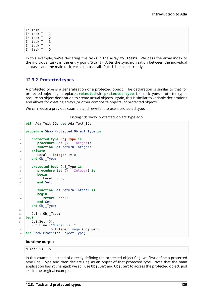In main In task T: 1 In task T: 2 In task T: 3 In task T: 4 In task T: 5

In this example, we're declaring five tasks in the array My\_Tasks. We pass the array index to the individual tasks in the entry point (Start). After the synchronization between the individual subtasks and the main task, each subtask calls Put\_Line concurrently.

### **12.3.2 Protected types**

A protected type is a generalization of a protected object. The declaration is similar to that for protected objects: you replace **protected** with **protected type**. Like task types, protected types require an object declaration to create actual objects. Again, this is similar to variable declarations and allows for creating arrays (or other composite objects) of protected objects.

We can reuse a previous example and rewrite it to use a protected type:

Listing 19: show protected object type.adb

```
1 with Ada.Text_IO; use Ada.Text_IO;
2
3 procedure Show_Protected_Object_Type is
4
5 protected type Obj_Type is
6 procedure Set (V : Integer);
7 function Get return Integer;
8 private
9 Local : Integer := 0;
10 end Obj_Type;
11
12 protected body Obj_Type is
13 procedure Set (V : Integer) is
14 begin
15 Local := V;
16 end Set;
17
18 function Get return Integer is
19 begin
20 return Local;
21 end Get;
22 end Obj_Type;
23
24 Obj : Obj Type;
25 begin
26 Obj.Set (5);
27 Put Line ("Number is: "
28 & Integer'Image (Obj.Get));
29 end Show Protected Object Type;
```
### **Runtime output**

Number is: 5

In this example, instead of directly defining the protected object Obj, we first define a protected type Obj Type and then declare Obj as an object of that protected type. Note that the main application hasn't changed: we still use Obj.Set and Obj.Get to access the protected object, just like in the original example.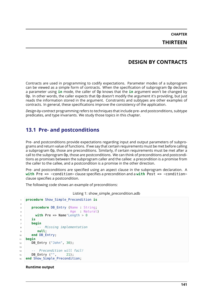# **CHAPTER THIRTEEN**

# **DESIGN BY CONTRACTS**

Contracts are used in programming to codify expectations. Parameter modes of a subprogram can be viewed as a simple form of contracts. When the specification of subprogram Op declares a parameter using **in** mode, the caller of Op knows that the **in** argument won't be changed by Op. In other words, the caller expects that Op doesn't modify the argument it's providing, but just reads the information stored in the argument. Constraints and subtypes are other examples of contracts. In general, these specifications improve the consistency of the application.

*Design-by-contract* programming refers to techniques that include pre- and postconditions, subtype predicates, and type invariants. We study those topics in this chapter.

## **13.1 Pre- and postconditions**

Pre- and postconditions provide expectations regarding input and output parameters of subprograms and return value of functions. If we say that certain requirements must be met before calling a subprogram Op, those are preconditions. Similarly, if certain requirements must be met after a call to the subprogram Op, those are postconditions. We can think of preconditions and postconditions as promises between the subprogram caller and the callee: a precondition is a promise from the caller to the callee, and a postcondition is a promise in the other direction.

Pre- and postconditions are specified using an aspect clause in the subprogram declaration. A **with** Pre => <condition> clause specifies a precondition and a **with** Post => <condition> clause specifies a postcondition.

The following code shows an example of preconditions:

|  |  |  | Listing 1: show_simple_precondition.adb |
|--|--|--|-----------------------------------------|
|--|--|--|-----------------------------------------|

```
1 procedure Show_Simple_Precondition is
\overline{2}3 procedure DB_Entry (Name : String;
4 Age : Natural)
5 with Pre => Name'Length > 0
6 is
7 begin
8 -- Missing implementation
9 null;
10 end DB_Entry;
11 begin
12 DB Entry ("John", 30);
13
14 -- Precondition will fail!
15 DB Entry ("", 21);
16 end Show_Simple_Precondition;
```
### **Runtime output**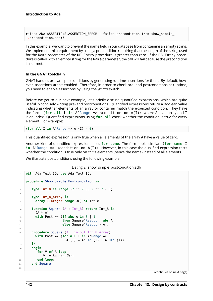raised ADA.ASSERTIONS.ASSERTION ERROR : failed precondition from show simple ↪precondition.adb:5

In this example, we want to prevent the name field in our database from containing an empty string. We implement this requirement by using a precondition requiring that the length of the string used for the Name parameter of the DB Entry procedure is greater than zero. If the DB Entry procedure is called with an empty string for the Name parameter, the call will fail because the precondition is not met.

### **In the GNAT toolchain**

GNAT handles pre- and postconditions by generating runtime assertions for them. By default, however, assertions aren't enabled. Therefore, in order to check pre- and postconditions at runtime, you need to enable assertions by using the *-gnata* switch.

Before we get to our next example, let's briefly discuss quantified expressions, which are quite useful in concisely writing pre- and postconditions. Quantified expressions return a Boolean value indicating whether elements of an array or container match the expected condition. They have the form: (**for** all I in A'Range  $\Rightarrow$  <condition on A(I)>, where A is an array and I is an index. Quantified expressions using **for all** check whether the condition is true for every element. For example:

(**for all I in** A'Range => A  $(I) = 0$ )

This quantified expression is only true when all elements of the array A have a value of zero.

Another kind of quantified expressions uses **for some**. The form looks similar: (**for some** I **in** A'Range  $\equiv$   $\le$  condition on A(I) $>$ . However, in this case the qualified expression tests whether the condition is true only on *some* elements (hence the name) instead of all elements.

We illustrate postconditions using the following example:

Listing 2: show simple postcondition.adb

```
1 with Ada.Text_IO; use Ada.Text_IO;
\overline{2}3 procedure Show_Simple_Postcondition is
4
5 type Int_8 is range -2 ** 7 .. 2 ** 7 - 1;
6
7 type Int_8_Array is
8 array (Integer range <>) of Int_8;
\overline{9}10 function Square (A : Int_8) return Int_8 is
11 (A * A)12 with Post => (if abs A in 0 | 1
13 then Square'Result = abs A
14 else Square'Result > A);
15
16 procedure Square (A : in out Int 8 Array)
17 with Post => (for all I in A'Range =>
18 A (I) = A' \, 0 \, 1 \, (I) * A' \, 0 \, 1 \, (I)19 is
20 begin
21 for V of A loop
22 V := Square (V);
23 end loop;
24 end Square;
25
```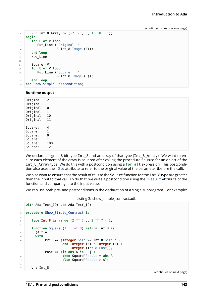```
26 V : Int_8_Array := (-2, -1, 0, 1, 10, 11);
27 begin
28 for E of V loop
29 Put_Line ("Original: "
30 & Int_8'Image (E));
31 end loop;
32 New_Line;
33
34 Square (V);
35 for E of V loop
36 Put_Line ("Square:
\delta Int 8'Image (E));
38 end loop;
39 end Show Simple Postcondition;
```
### **Runtime output**

Original: -2 Original: -1 Original: 0 Original: 1 Original: 10 Original: 11 Square: 4 Square: 1 Square: 0 Square: 1 Square: 100 Square: 121

We declare a signed 8-bit type Int  $8$  and an array of that type (Int  $8$  Array). We want to ensure each element of the array is squared after calling the procedure Square for an object of the Int\_8\_Array type. We do this with a postcondition using a **for all** expression. This postcondition also uses the 'Old attribute to refer to the original value of the parameter (before the call).

We also want to ensure that the result of calls to the Square function for the Int 8 type are greater than the input to that call. To do that, we write a postcondition using the 'Result attribute of the function and comparing it to the input value.

We can use both pre- and postconditions in the declaration of a single subprogram. For example:

Listing 3: show\_simple\_contract.adb

```
1 with Ada.Text_IO; use Ada.Text_IO;
\overline{2}3 procedure Show_Simple_Contract is
4
5 type Int_8 is range -2 ** 7 .. 2 ** 7 - 1;
6
7 function Square (A : Int_8) return Int_8 is
8 (A * A)9 with
10 Pre => (Integer'Size >= Int_8'Size * 2
11 and Integer (A) * Integer (A) <
12 Integer (Int 8'Last)),
13 Post => (if abs A in 0 | 1
14 then Square'Result = abs A
15 else Square'Result > A);
16
17 | V : Int_8;
```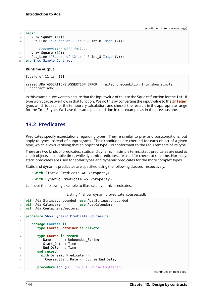```
18 begin
19 \mid V := Square (11);
20 Put Line ("Square of 11 is " & Int 8'Image (V));
21
22 -- Precondition will fail...
23 \mid V := Square (12);
24 Put_Line ("Square of 12 is " & Int_8'Image (V));
25 end Show_Simple_Contract;
```
### **Runtime output**

Square of 11 is 121

```
raised ADA.ASSERTIONS.ASSERTION ERROR : failed precondition from show simple
↪contract.adb:10
```
In this example, we want to ensure that the input value of calls to the Square function for the Int  $8$ type won't cause overflow in that function. We do this by converting the input value to the **Integer** type, which is used for the temporary calculation, and check if the result is in the appropriate range for the Int\_8 type. We have the same postcondition in this example as in the previous one.

## **13.2 Predicates**

Predicates specify expectations regarding types. They're similar to pre- and postconditions, but apply to types instead of subprograms. Their conditions are checked for each object of a given type, which allows verifying that an object of type T is conformant to the requirements of its type.

There are two kinds of predicates: static and dynamic. In simple terms, static predicates are used to check objects at compile-time, while dynamic predicates are used for checks at run time. Normally, static predicates are used for scalar types and dynamic predicates for the more complex types.

Static and dynamic predicates are specified using the following clauses, respectively:

- with Static Predicate => <property>
- with Dynamic Predicate => <property>

Let's use the following example to illustrate dynamic predicates:

Listing 4: show dynamic predicate courses.adb

```
1 with Ada.Strings.Unbounded; use Ada.Strings.Unbounded;
2 with Ada.Calendar; use Ada.Calendar;
3 with Ada.Containers.Vectors;
4
5 procedure Show_Dynamic_Predicate_Courses is
6
7 package Courses is
8 type Course_Container is private;
\alpha10 type Course is record
11 Name : Unbounded_String;
12 Start_Date : Time;
13 End Date : Time;
14 end record
15 with Dynamic Predicate =>
16 Course.Start Date <= Course.End Date;
17
18 procedure Add (CC : in out Course_Container;
```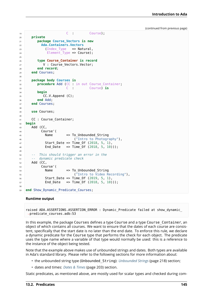```
19 C : Course);
20 private
21 package Course_Vectors is new
22 Ada.Containers.Vectors
23 (Index Type \Rightarrow Natural,
24 Element_Type => Course);
25
26 type Course_Container is record
27 V : Course Vectors.Vector;
28 end record;
29 end Courses;
30
31 package body Courses is
32 procedure Add (CC : in out Course_Container;
33 C : Course) is
34 begin
35 CC.V.Append (C);
36 end Add;
37 end Courses;
38
39 use Courses;
40<sup>1</sup>41 CC : Course_Container;
42 begin
43 Add (CC,
44 Course'(
45 Name => To Unbounded String
46 ("Intro to Photography"),
47 Start_Date => Time_0f (2018, 5, 1),
48 End_Date => Time_Of (2018, 5, 10)));
49
50 -- This should trigger an error in the
51 -- dynamic predicate check
52 Add (CC,
53 Course'(
54 Name => To_Unbounded_String
55 ("Intro to Video Recording"),
56 Start_Date => Time_Of (2019, 5, 1),
57 End_Date => Time_Of (2018, 5, 10)));
58
59 end Show_Dynamic_Predicate_Courses;
```
### **Runtime output**

raised ADA.ASSERTIONS.ASSERTION\_ERROR : Dynamic\_Predicate failed at show\_dynamic\_ ↪predicate\_courses.adb:53

In this example, the package Courses defines a type Course and a type Course\_Container, an object of which contains all courses. We want to ensure that the dates of each course are consistent, specifically that the start date is no later than the end date. To enforce this rule, we declare a dynamic predicate for the Course type that performs the check for each object. The predicate uses the type name where a variable of that type would normally be used: this is a reference to the instance of the object being tested.

Note that the example above makes use of unbounded strings and dates. Both types are available in Ada's standard library. Please refer to the following sections for more information about:

- the unbounded string type (Unbounded\_String): *Unbounded Strings* (page 218) section;
- dates and times: *Dates & Times* (page 203) section.

Static predicates, as mentioned above, are mostly used for scalar types and checked during com-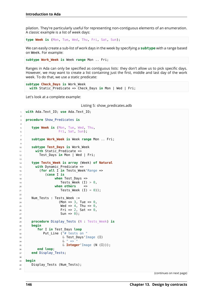pilation. They're particularly useful for representing non-contiguous elements of an enumeration. A classic example is a list of week days:

**type Week is** (Mon, Tue, Wed, Thu, Fri, Sat, Sun);

We can easily create a sub-list of work days in the week by specifying a **subtype** with a range based on Week. For example:

**subtype Work\_Week is** Week **range** Mon .. Fri;

Ranges in Ada can only be specified as contiguous lists: they don't allow us to pick specific days. However, we may want to create a list containing just the first, middle and last day of the work week. To do that, we use a static predicate:

```
subtype Check_Days is Work_Week
 with Static_Predicate => Check_Days in Mon | Wed | Fri;
```
Let's look at a complete example:

```
Listing 5: show_predicates.adb
```

```
1 with Ada.Text_IO; use Ada.Text_IO;
2
3 procedure Show_Predicates is
4
5 type Week is (Mon, Tue, Wed, Thu,
6 Fri, Sat, Sun);
7
8 subtype Work_Week is Week range Mon .. Fri;
\overline{9}10 subtype Test_Days is Work_Week
11 with Static Predicate =>
12 Test Days in Mon | Wed | Fri;
13
14 type Tests_Week is array (Week) of Natural
15 with Dynamic Predicate =>
16 (for all I in Tests_Week'Range =>
17 (case I is
18 when Test Days =>
19 Tests Week (I) > 0,
20 when others =>
Z_1 Tests Week (I) = 0));
22
23 Num Tests : Tests Week :=
24 (Mon => 3, Tue => 0,
25 Wed => 4, Thu => \theta,
26 Fri => 2, Sat => 0,
27 Sun => 0);
28
29 procedure Display_Tests (N : Tests_Week) is
30 begin
31 for I in Test_Days loop
32 Put_Line ("# tests on "
33 & Test Days'Image (I)
34 \qquad \qquad \delta \qquad \qquad \delta35 & Integer'Image (N (I)));
36 end loop;
37 end Display_Tests;
38
39 begin
40 Display_Tests (Num_Tests);
```
(continues on next page)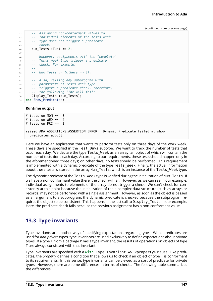```
42 -- Assigning non-conformant values to
43 -- individual elements of the Tests_Week
44 -- type does not trigger a predicate
45 -- check:
46 Num_Tests (Tue) := 2;
47
48 -- However, assignments with the "complete"
49 -- Tests_Week type trigger a predicate
50 -- check. For example:
51 --
52 -- Num_Tests := (others => 0);
53
54 -- Also, calling any subprogram with
55 -- parameters of Tests_Week type
56 -- triggers a predicate check. Therefore,
57 -- the following line will fail:
58 Display Tests (Num Tests);
59 end Show_Predicates;
```
### **Runtime output**

```
# tests on MON => 3<br># tests on WFD => 4
# tests on WED =>
# tests on FRI => 2
raised ADA.ASSERTIONS.ASSERTION ERROR : Dynamic Predicate failed at show
 ↪predicates.adb:58
```
Here we have an application that wants to perform tests only on three days of the work week. These days are specified in the Test Days subtype. We want to track the number of tests that occur each day. We declare the type Tests Week as an array, an object of which will contain the number of tests done each day. According to our requirements, these tests should happen only in the aforementioned three days; on other days, no tests should be performed. This requirement is implemented with a dynamic predicate of the type Tests Week. Finally, the actual information about these tests is stored in the array Num Tests, which is an instance of the Tests Week type.

The dynamic predicate of the Tests Week type is verified during the initialization of Num Tests. If we have a non-conformant value there, the check will fail. However, as we can see in our example, individual assignments to elements of the array do not trigger a check. We can't check for consistency at this point because the initialization of the a complex data structure (such as arrays or records) may not be performed with a single assignment. However, as soon as the object is passed as an argument to a subprogram, the dynamic predicate is checked because the subprogram requires the object to be consistent. This happens in the last call to Display\_Tests in our example. Here, the predicate check fails because the previous assignment has a non-conformant value.

# **13.3 Type invariants**

Type invariants are another way of specifying expectations regarding types. While predicates are used for *non-private* types, type invariants are used exclusively to define expectations about private types. If a type T from a package P has a type invariant, the results of operations on objects of type T are always consistent with that invariant.

Type invariants are specified with a with Type Invariant => <property> clause. Like predicates, the *property* defines a condition that allows us to check if an object of type T is conformant to its requirements. In this sense, type invariants can be viewed as a sort of predicate for private types. However, there are some differences in terms of checks. The following table summarizes the differences: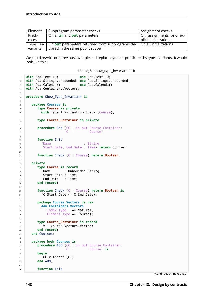| Element                                     | Subprogram parameter checks                              | Assignment checks                    |
|---------------------------------------------|----------------------------------------------------------|--------------------------------------|
| Predi-                                      | On all in and out parameters                             | On assignments and ex-               |
| cates                                       |                                                          | plicit initializations               |
| Type                                        | $in$ -   On out parameters returned from subprograms de- | $\mid$ On all initializations $\mid$ |
| clared in the same public scope<br>variants |                                                          |                                      |

We could rewrite our previous example and replace dynamic predicates by type invariants. It would look like this:

Listing 6: show\_type\_invariant.adb

```
1 with Ada.Text_IO; use Ada.Text_IO;
2 with Ada.Strings.Unbounded; use Ada.Strings.Unbounded;
3 with Ada.Calendar; use Ada.Calendar;
4 with Ada.Containers.Vectors;
5
6 procedure Show_Type_Invariant is
7
8 package Courses is
9 type Course is private
10 with Type Invariant => Check (Course);
11
12 type Course_Container is private;
13
14 procedure Add (CC : in out Course_Container;
15 C : Course);
16
17 function Init
18 (Name : String;
19 Start_Date, End_Date : Time) return Course;
2021 function Check (C : Course) return Boolean;
22
23 private
24 type Course is record
25 Name : Unbounded String;
26 Start Date : Time;
27 End_Date : Time;
28 end record;
2930 function Check (C : Course) return Boolean is
31 (C.Start Date \leq C.End Date);
32
33 package Course_Vectors is new
34 Ada.Containers.Vectors
35 (Index_Type => Natural,
36 Element Type => Course);
37
38 type Course_Container is record
39 V : Course Vectors.Vector;
40 end record;
41 end Courses;
42
43 package body Courses is
44 procedure Add (CC : in out Course_Container;
45 C : Course) is
46 begin
47 CC.V.Append (C);
48 end Add;
4950 function Init
```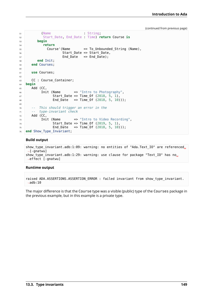```
51 (Name : String;
52 Start_Date, End_Date : Time) return Course is
53 begin
54 return
55 Course'(Name => To_Unbounded_String (Name),
56 Start_Date => Start_Date,
57 End_Date => End_Date);
58 end Init;
59 end Courses;
60
61 use Courses;
62
63 CC : Course_Container;
64 begin
65 Add (CC,
66 Init (Name => "Intro to Photography",
67 Start_Date => Time_0f (2018, 5, 1),
68 End Date => Time Of (2018, 5, 10)));
69
70 -- This should trigger an error in the
71 -- type-invariant check
72 Add (CC,
73 Init (Name \Rightarrow "Intro to Video Recording",
74 Start Date => Time Of (2019, 5, 1),
75 End Date => Time Of (2018, 5, 10)));
76 end Show_Type_Invariant;
```
### **Build output**

```
show type invariant.adb:1:09: warning: no entities of "Ada.Text IO" are referenced.
 \rightarrow[-gnatwu]
show type invariant.adb:1:29: warning: use clause for package "Text IO" has no.
\overline{\left(} effect [-gnatwu]
```
### **Runtime output**

raised ADA.ASSERTIONS.ASSERTION ERROR : failed invariant from show type invariant.  $\rightarrow$ adb:10

The major difference is that the Course type was a visible (public) type of the Courses package in the previous example, but in this example is a private type.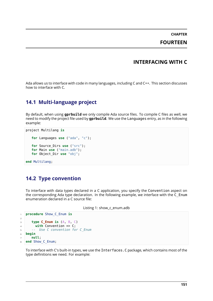# **CHAPTER FOURTEEN**

## **INTERFACING WITH C**

Ada allows us to interface with code in many languages, including C and C++. This section discusses how to interface with C.

# **14.1 Multi-language project**

By default, when using **gprbuild** we only compile Ada source files. To compile C files as well, we need to modify the project file used by **gprbuild**. We use the Languages entry, as in the following example:

```
project Multilang is
  for Languages use ("ada", "c");
  for Source_Dirs use ("src");
  for Main use ("main.adb");
  for Object_Dir use "obj";
```
**end** Multilang;

## **14.2 Type convention**

To interface with data types declared in a C application, you specify the Convention aspect on the corresponding Ada type declaration. In the following example, we interface with the C\_Enum enumeration declared in a C source file:

Listing 1: show\_c\_enum.adb

```
1 procedure Show_C_Enum is
2
3 type C_Enum is (A, B, C)
4 with Convention => C;
5 -- Use C convention for C_Enum
6 begin
7 null;
  end Show C Enum;
```
To interface with C's built-in types, we use the Interfaces.C package, which contains most of the type definitions we need. For example: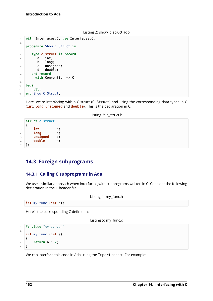```
Listing 2: show_c_struct.adb
```

```
1 with Interfaces.C; use Interfaces.C;
2
3 procedure Show_C_Struct is
4
5 type c_struct is record
6 a : int;
7 b : long;
8 c : unsigned;
9 d : double;
10 end record
11 with Convention => C;
12
13 begin
14 null;
15 end Show_C_Struct;
```
Here, we're interfacing with a C struct (C Struct) and using the corresponding data types in C (**int**, **long**, **unsigned** and **double**). This is the declaration in C:

Listing 3: c\_struct.h

```
1 struct c_struct
2 \left| \right|3 int a;
4 long b;
5 unsigned c;
6 double d;
7 };
```
# **14.3 Foreign subprograms**

### **14.3.1 Calling C subprograms in Ada**

We use a similar approach when interfacing with subprograms written in C. Consider the following declaration in the C header file:

```
Listing 4: my_func.h
1 int my_func (int a);
   Here's the corresponding C definition:
                                         Listing 5: my_func.c
```

```
1 #include "my_func.h"
\overline{2}3 int my_func (int a)
4 \mid \{5 return a * 2;
6 }
```
We can interface this code in Ada using the Import aspect. For example: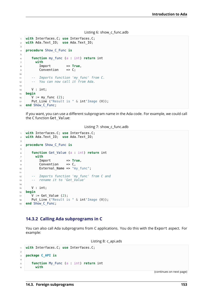#### Listing 6: show c func.adb

```
1 with Interfaces.C; use Interfaces.C;
2 with Ada.Text_IO; use Ada.Text_IO;
3
4 procedure Show_C_Func is
5
6 function my_func (a : int) return int
7 with
8 Import => True,
9 Convention => C;
10
11 -- Imports function 'my_func' from C.
12 -- You can now call it from Ada.
13
14 V : int:
15 begin
16 V := my func (2);
17 Put Line ("Result is " & int'Image (V));
18 end Show C Func;
```
If you want, you can use a different subprogram name in the Ada code. For example, we could call the C function Get\_Value:

#### Listing 7: show\_c\_func.adb

```
1 with Interfaces.C; use Interfaces.C;
2 with Ada.Text_IO; use Ada.Text_IO;
3
4 procedure Show_C_Func is
5
6 function Get_Value (a : int) return int
7 with
8 Import => True,
\circ Convention => C,
10 External Name => "my func";
11
12 -- Imports function 'my_func' from C and
13 -- rename it to 'Get_Value'
14
15 V : int;
16 begin
17 \quad V := \text{Get Value } (2):18 Put_Line ("Result is " & int'Image (V));
19 end Show C Func;
```
### **14.3.2 Calling Ada subprograms in C**

You can also call Ada subprograms from C applications. You do this with the Export aspect. For example:

```
Listing 8: c_api.ads
```

```
1 with Interfaces.C; use Interfaces.C;
\overline{2}3 package C_API is
4
5 function My_Func (a : int) return int
6 with
```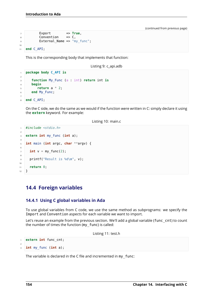```
7 Export \Rightarrow True,
8 \qquad \qquad Convention \qquad \Rightarrow C,
9 External Name => "my func";
10
11 end C_API;
```
This is the corresponding body that implements that function:

Listing 9: c\_api.adb

```
1 package body C_API is
2
3 function My_Func (a : int) return int is
4 begin
5 return a * 2;
6 end My_Func;
7
  8 end C_API;
```
On the C side, we do the same as we would if the function were written in C: simply declare it using the **extern** keyword. For example:

```
Listing 10: main.c
```

```
1 #include <stdio.h>
\overline{2}3 extern int my_func (int a);
4
5 int main (int argc, char **argv) {
6
7 \quad \text{int } v = \text{my\_func}(2);8
9 printf("Result is %d\n", v);
10
11 return 0;
12 \quad \}
```
## **14.4 Foreign variables**

### **14.4.1 Using C global variables in Ada**

To use global variables from C code, we use the same method as subprograms: we specify the Import and Convention aspects for each variable we want to import.

Let's reuse an example from the previous section. We'll add a global variable (func\_cnt) to count the number of times the function (my func) is called:

Listing 11: test.h

```
1 extern int func_cnt;
2
  3 int my_func (int a);
```
The variable is declared in the C file and incremented in my func: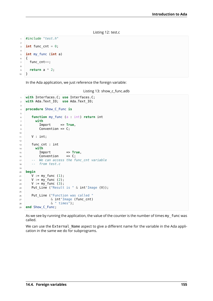```
Listing 12: test.c
```

```
1 #include "test.h"
2
\frac{1}{3} int func cnt = 0;
4
5 int my_func (int a)
6 \mid \{7 func cnt++;
8
9 return a * 2;
10 }
```
In the Ada application, we just reference the foreign variable:

```
Listing 13: show_c_func.adb
```

```
1 with Interfaces.C; use Interfaces.C;
2 with Ada.Text_IO; use Ada.Text_IO;
\overline{3}4 procedure Show_C_Func is
5
6 function my_func (a : int) return int
<sup>7</sup> with<br><sup>8</sup> Import
8 Import => True,
9 Convention => C;
10
11 | V : int;
12
13 func cnt : int
14 with
15 Import => True,<br>16 Convention => C;
16 Convention
17 -- We can access the func_cnt variable
18 -- from test.c
19
20 begin
21 V := my_func (1);
22 V := my_{1}^{-}func (2);23 \mid V := my func (3);
24 Put Line ("Result is " \& int'Image (V));
25
26 Put Line ("Function was called "
27 & int'Image (func_cnt)
28 & " times");
29 end Show_C_Func;
```
As we see by running the application, the value of the counter is the number of times my\_func was called.

We can use the External Name aspect to give a different name for the variable in the Ada application in the same we do for subprograms.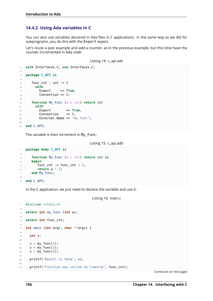### **14.4.2 Using Ada variables in C**

You can also use variables declared in Ada files in C applications. In the same way as we did for subprograms, you do this with the Export aspect.

Let's reuse a past example and add a counter, as in the previous example, but this time have the counter incremented in Ada code:

```
Listing 14: c_api.ads
```

```
1 with Interfaces.C; use Interfaces.C;
2
3 package C_API is
4
5 func cnt : int := 0
6 with
7 Export => True,
8 Convention => C;
\mathsf{q}10 function My_Func (a : int) return int
11 with
12 Export => True,<br>13 Convention => C,
13 Convention
14 External Name => "my func";
15
16 end C_API;
```
The variable is then increment in My\_Func:

Listing 15: c\_api.adb

```
1 package body C_API is
2
3 function My_Func (a : int) return int is
4 begin
5 func_cnt := func_cnt + 1;
6 \quad return a * 2;
7 end My_Func;
\circ9 end C_API;
```
In the C application, we just need to declare the variable and use it:

Listing 16: main.c

```
1 #include <stdio.h>
2
3 extern int my_func (int a);
4
5 extern int func_cnt;
6
7 int main (int argc, char **argv) {
8
9 int v;
10
11 v = my func(1);
v = my\_func(2);
13 \quad v = my\_func(3);14
15 printf("Result is %d\n", v);
16
17 printf("Function was called %d times\n", func_cnt);
```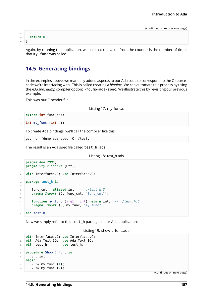```
18
19 return 0;
20 }
```
Again, by running the application, we see that the value from the counter is the number of times that my\_func was called.

# **14.5 Generating bindings**

In the examples above, we manually added aspects to our Ada code to correspond to the C sourcecode we're interfacing with. This is called creating a *binding*. We can automate this process by using the *Ada spec dump* compiler option: - fdump-ada-spec. We illustrate this by revisiting our previous example.

This was our C header file:

Listing 17: my\_func.c

```
1 extern int func cnt;
\overline{2}
```
<sup>3</sup> **int** my\_func (**int** a);

To create Ada bindings, we'll call the compiler like this:

```
gcc -c -fdump-ada-spec -C ./test.h
```
The result is an Ada spec file called test h.ads:

Listing 18: test\_h.ads

```
1 pragma Ada_2005;
2 pragma Style_Checks (Off);
3
4 with Interfaces.C; use Interfaces.C;
5
6 package test_h is
7
8 func_cnt : aliased int; -- ./test.h:3
9 pragma Import (C, func_cnt, "func_cnt");
10
11 function my_func (arg1 : int) return int; -- ./test.h:5
12 pragma Import (C, my func, "my func");
13
14 end test_h;
```
Now we simply refer to this test h package in our Ada application:

```
Listing 19: show c func.adb
```

```
1 with Interfaces.C; use Interfaces.C;
2 with Ada.Text_IO; use Ada.Text_IO;
3 with test_h; use test_h;
4
5 procedure Show_C_Func is
6 V : int;
7 begin
8 \quad V := my func (1);9 \quad V := my func (2);
```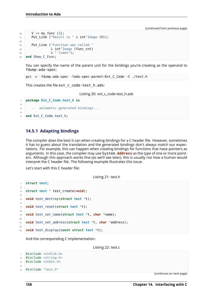```
10 \tV := my\_func(3);11 Put_Line ("Result is " & int'Image (V));
12
13 Put_Line ("Function was called "
14 6 int'Image (func_cnt)
15 \& " times");
16 end Show_C_Func;
```
You can specify the name of the parent unit for the bindings you're creating as the operand to fdump-ada-spec:

gcc -c -fdump-ada-spec -fada-spec-parent=Ext\_C\_Code -C ./test.h

This creates the file ext c code-test h.ads:

Listing 20: ext\_c\_code-test\_h.ads

```
1 package Ext_C_Code.test_h is
\overline{2}3 -- automatic generated bindings...
4
   5 end Ext_C_Code.test_h;
```
### **14.5.1 Adapting bindings**

The compiler does the best it can when creating bindings for a C header file. However, sometimes it has to guess about the translation and the generated bindings don't always match our expectations. For example, this can happen when creating bindings for functions that have pointers as arguments. In this case, the compiler may use System.**Address** as the type of one or more pointers. Although this approach works fine (as we'll see later), this is usually not how a human would interpret the C header file. The following example illustrates this issue.

Let's start with this C header file:

Listing 21: test.h

```
1 struct test;
\overline{2}3 struct test * test_create(void);
\overline{A}5 void test_destroy(struct test *t);
6
7 void test_reset(struct test *t);
8
9 void test_set_name(struct test *t, char *name);
10
11 void test_set_address(struct test *t, char *address);
12
13 void test_display(const struct test *t);
```
And the corresponding C implementation:

Listing 22: test.c

```
1 #include <stdlib.h>
2 #include <string.h>
3 #include <stdio.h>
4
5 #include "test.h"
```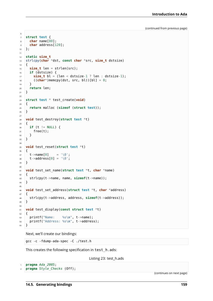```
6
7 struct test {
8 char name[80];
9 char address[120];
10 };
11
12 static size_t
13 strlcpy(char *dst, const char *src, size_t dstsize)
14 \frac{1}{2}15 size_t len = strlen(src);
16 if (dstsize) {
17 size_t bl = (len < dstsize-1 ? len : dstsize-1);
18 ((char*)memcpy(dst, src, bl))[bl] = 0;<br>19 }
19 }
20 return len;
21 }
22
23 struct test * test_create(void)
24 \mid \{25 return malloc (sizeof (struct test));
26 }
27
28 void test_destroy(struct test *t)
29 \mid \{30 if (t != NULL) {
31 free(t);
32 }
33 }
34
35 void test_reset(struct test *t)
36 \mid \{37 t->name[0] = '\0';
38 t->address[0] = '\0';
39 }
40
41 void test_set_name(struct test *t, char *name)
42 \frac{1}{2}43 strlcpy(t->name, name, sizeof(t->name));
44 }
45
46 void test_set_address(struct test *t, char *address)
47 \frac{1}{2}48 strlcpy(t->address, address, sizeof(t->address));
49 }
50
51 void test_display(const struct test *t)
52 \mid \{53 printf("Name: %s\n", t->name);
54 printf("Address: %s\n", t->address);
55 \, \text{)}
```
Next, we'll create our bindings:

```
gcc -c -fdump-ada-spec -C ./test.h
```
This creates the following specification in test h.ads:

Listing 23: test\_h.ads

```
1 pragma Ada_2005;
2 pragma Style_Checks (Off);
```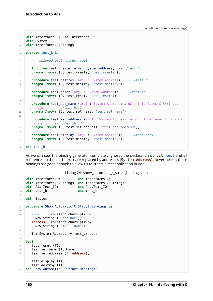```
3
4 with Interfaces.C; use Interfaces.C;
5 with System;
6 with Interfaces.C.Strings;
7
8 package test_h is
9
10 -- skipped empty struct test
11
12 function test_create return System.Address; -- ./test.h:5
13 pragma Import (C, test_create, "test_create");
14
15 procedure test_destroy (arg1 : System.Address); -- ./test.h:7
16 pragma Import (C, test destroy, "test destroy");
17
18 procedure test_reset (arg1 : System.Address); -- ./test.h:9
19 pragma Import (C, test reset, "test reset");
20
21 procedure test_set_name (arg1 : System.Address; arg2 : Interfaces.C.Strings.
    ↪chars_ptr); -- ./test.h:11
22 pragma Import (C, test_set_name, "test_set_name");
23
24 procedure test_set_address (arg1 : System.Address; arg2 : Interfaces.C.Strings.
    ↪chars_ptr); -- ./test.h:13
25 pragma Import (C, test_set_address, "test_set_address");
26
27 procedure test_display (arg1 : System.Address); -- ./test.h:15
28 pragma Import (C, test_display, "test_display");
2930 end test_h;
```
As we can see, the binding generator completely ignores the declaration **struct test** and all references to the test struct are replaced by addresses (System.**Address**). Nevertheless, these bindings are good enough to allow us to create a test application in Ada:

Listing 24: show\_automatic\_c\_struct\_bindings.adb

```
1 with Interfaces.C; use Interfaces.C;
2 with Interfaces.C.Strings; use Interfaces.C.Strings;
3 with Ada.Text_IO; use Ada.Text_IO;
4 with test_h; use test_h;
5
6 with System;
7
8 procedure Show_Automatic_C_Struct_Bindings is
9
10 Name : constant chars ptr :=
11 New String ("John Doe");
12 Address : constant chars_ptr :=
13 New_String ("Small Town");
14
15 T : System.Address := test_create;
16
17 begin
18 test reset (T):
19 test set name (T, Name);
20 test_set_address (T, Address);
2122 test display (T);
23 test_destroy (T);
24 end Show Automatic C Struct Bindings;
```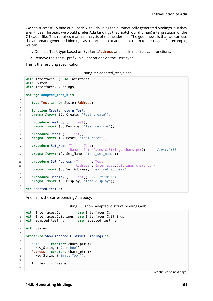We can successfully bind our C code with Ada using the automatically-generated bindings, but they aren't ideal. Instead, we would prefer Ada bindings that match our (human) interpretation of the C header file. This requires manual analysis of the header file. The good news is that we can use the automatic generated bindings as a starting point and adapt them to our needs. For example, we can:

- 1. Define a Test type based on System.**Address** and use it in all relevant functions.
- 2. Remove the test prefix in all operations on the Test type.

This is the resulting specification:

```
Listing 25: adapted_test_h.ads
```

```
1 with Interfaces.C; use Interfaces.C;
2 with System;
3 with Interfaces.C.Strings;
4
5 package adapted_test_h is
6
7 type Test is new System.Address;
\ddot{\phantom{0}}9 function Create return Test;
10 pragma Import (C, Create, "test_create");
11
12 procedure Destroy (T : Test);
13 pragma Import (C, Destroy, "test destroy");
14
15 procedure Reset (T : Test);
16 pragma Import (C, Reset, "test reset");
17
18 procedure Set_Name (T : Test;
19 Name : Interfaces.C.Strings.chars_ptr); -- ./test.h:11
20 pragma Import (C, Set_Name, "test_set_name");
2122 procedure Set Address (T : Test;
23 Address : Interfaces C.Strings.chars.ptr);
24 pragma Import (C, Set_Address, "test_set_address");
25
26 procedure Display (T : Test); -- ./test.h:15
27 pragma Import (C, Display, "test_display");
28
29 end adapted_test_h;
```
And this is the corresponding Ada body:

Listing 26: show\_adapted\_c\_struct\_bindings.adb

```
1 with Interfaces.C; use Interfaces.C;
2 with Interfaces.C.Strings; use Interfaces.C.Strings;
3 with adapted_test_h; use adapted_test_h;
4
5 with System;
6
7 procedure Show_Adapted_C_Struct_Bindings is
8
9 Name : constant chars_ptr :=
10 New String ("John Doe");
11 Address : constant chars_ptr :=
12 New String ("Small Town");
13
14 T : Test := Create;
15
```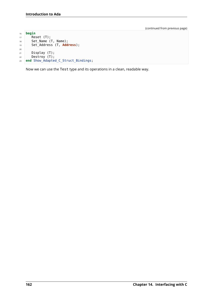```
16 begin
17 Reset (T);
18 Set_Name (T, Name);
19 Set_Address (T, Address);
20
21 Display (T);
22 Destroy (T);
23 end Show_Adapted_C_Struct_Bindings;
```
Now we can use the Test type and its operations in a clean, readable way.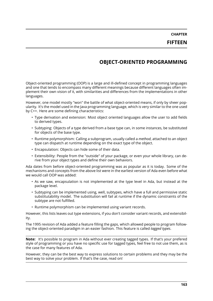**CHAPTER FIFTEEN**

# **OBJECT-ORIENTED PROGRAMMING**

Object-oriented programming (OOP) is a large and ill-defined concept in programming languages and one that tends to encompass many different meanings because different languages often implement their own vision of it, with similarities and differences from the implementations in other languages.

However, one model mostly "won" the battle of what object-oriented means, if only by sheer popularity. It's the model used in the Java programming language, which is very similar to the one used by C++. Here are some defining characteristics:

- Type derivation and extension: Most object oriented languages allow the user to add fields to derived types.
- Subtyping: Objects of a type derived from a base type can, in some instances, be substituted for objects of the base type.
- Runtime polymorphism: Calling a subprogram, usually called a *method*, attached to an object type can dispatch at runtime depending on the exact type of the object.
- Encapsulation: Objects can hide some of their data.
- Extensibility: People from the "outside" of your package, or even your whole library, can derive from your object types and define their own behaviors.

Ada dates from before object-oriented programming was as popular as it is today. Some of the mechanisms and concepts from the above list were in the earliest version of Ada even before what we would call OOP was added:

- As we saw, encapsulation is not implemented at the type level in Ada, but instead at the package level.
- Subtyping can be implemented using, well, subtypes, which have a full and permissive static substitutability model. The substitution will fail at runtime if the dynamic constraints of the subtype are not fulfilled.
- Runtime polymorphism can be implemented using variant records.

However, this lists leaves out type extensions, if you don't consider variant records, and extensibility.

The 1995 revision of Ada added a feature filling the gaps, which allowed people to program following the object-oriented paradigm in an easier fashion. This feature is called *tagged types*.

**Note:** It's possible to program in Ada without ever creating tagged types. If that's your prefered style of programming or you have no specific use for tagged types, feel free to not use them, as is the case for many features of Ada.

However, they can be the best way to express solutions to certain problems and they may be the best way to solve your problem. If that's the case, read on!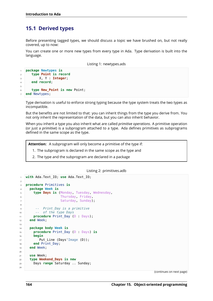# **15.1 Derived types**

Before presenting tagged types, we should discuss a topic we have brushed on, but not really covered, up to now:

You can create one or more new types from every type in Ada. Type derivation is built into the language.

Listing 1: newtypes.ads

```
1 package Newtypes is
2 type Point is record
3 X, Y : Integer;
4 end record;
5
6 type New_Point is new Point;
  end Newtypes;
```
Type derivation is useful to enforce strong typing because the type system treats the two types as incompatible.

But the benefits are not limited to that: you can inherit things from the type you derive from. You not only inherit the representation of the data, but you can also inherit behavior.

When you inherit a type you also inherit what are called *primitive operations*. A primitive operation (or just a *primitive*) is a subprogram attached to a type. Ada defines primitives as subprograms defined in the same scope as the type.

**Attention:** A subprogram will only become a primitive of the type if:

- 1. The subprogram is declared in the same scope as the type and
- 2. The type and the subprogram are declared in a package

#### Listing 2: primitives.adb

```
1 with Ada.Text_IO; use Ada.Text_IO;
\overline{2}3 procedure Primitives is
4 package Week is
5 type Days is (Monday, Tuesday, Wednesday,
6 Thursday, Friday,
z Saturday, Sunday);
8
9 -- Print_Day is a primitive
10 -- of the type Days
11 procedure Print_Day (D : Days);
12 end Week;
13
14 package body Week is
15 procedure Print_Day (D : Days) is
16 begin
17 Put_Line (Days'Image (D));
18 end Print Day;
19 end Week;
20
21 use Week;
22 type Weekend_Days is new
23 Days range Saturday .. Sunday;
24
```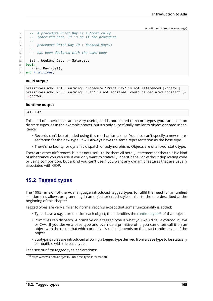```
25 -- A procedure Print_Day is automatically
26 -- inherited here. It is as if the procedure
27 --
28 -- procedure Print_Day (D : Weekend_Days);
29 --
30 -- has been declared with the same body
31
32 Sat : Weekend Days := Saturday;
33 begin
34 Print_Day (Sat);
35 end Primitives;
```
### **Build output**

```
primitives.adb:11:15: warning: procedure "Print_Day" is not referenced [-gnatwu]
primitives.adb:32:03: warning: "Sat" is not modified, could be declared constant [-
↪gnatwk]
```
### **Runtime output**

### **SATURDAY**

This kind of inheritance can be very useful, and is not limited to record types (you can use it on discrete types, as in the example above), but it's only superficially similar to object-oriented inheritance:

- Records can't be extended using this mechanism alone. You also can't specify a new representation for the new type: it will **always** have the same representation as the base type.
- There's no facility for dynamic dispatch or polymorphism. Objects are of a fixed, static type.

There are other differences, but it's not useful to list them all here. Just remember that this is a kind of inheritance you can use if you only want to statically inherit behavior without duplicating code or using composition, but a kind you can't use if you want any dynamic features that are usually associated with OOP.

## **15.2 Tagged types**

The 1995 revision of the Ada language introduced tagged types to fullfil the need for an unified solution that allows programming in an object-oriented style similar to the one described at the beginning of this chapter.

Tagged types are very similar to normal records except that some functionality is added:

- Types have a *tag*, stored inside each object, that identifies the runtime type<sup>18</sup> of that object.
- Primitives can dispatch. A primitive on a tagged type is what you would call a *method* in Java or C++. If you derive a base type and override a primitive of it, you can often call it on an object with the result that which primitive is called depends o[n the exact ru](https://en.wikipedia.org/wiki/Run-time_type_information)[nt](#page-171-0)ime type of the object.
- Subtyping rules are introduced allowing a tagged type derived from a base type to be statically compatible with the base type.

Let's see our first tagged type declarations:

<span id="page-171-0"></span><sup>18</sup> https://en.wikipedia.org/wiki/Run-time\_type\_information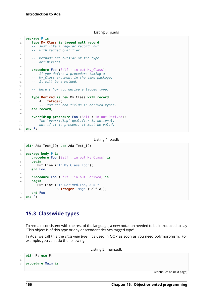Listing 3: p.ads

```
1 package P is
2 type My_Class is tagged null record;
3 -- Just like a regular record, but
4 -- with tagged qualifier
5
6 -- Methods are outside of the type
7 -- definition:
8
9 procedure Foo (Self : in out My_Class);
10 -- If you define a procedure taking a
11 -- My_Class argument in the same package,
12 -- it will be a method.
13
14 -- Here's how you derive a tagged type:
15
16 type Derived is new My_Class with record
17 A Integer;
18 -- You can add fields in derived types.
19 end record;
20
21 overriding procedure Foo (Self : in out Derived);
22 -- The "overriding" qualifier is optional,
23 -- but if it is present, it must be valid.
24 end P;
```

```
Listing 4: p.adb
```

```
1 with Ada.Text_IO; use Ada.Text_IO;
\overline{2}3 package body P is
4 procedure Foo (Self : in out My_Class) is
5 begin
6 Put Line ("In My Class.Foo");
7 end Foo;
8
9 procedure Foo (Self : in out Derived) is
10 begin
11 Put Line ("In Derived.Foo, A = "12 6 Integer'Image (Self.A));
13 end Foo;
14 end P;
```
## **15.3 Classwide types**

To remain consistent with the rest of the language, a new notation needed to be introduced to say "This object is of this type or any descendent derives tagged type".

In Ada, we call this the *classwide type*. It's used in OOP as soon as you need polymorphism. For example, you can't do the following:

Listing 5: main.adb

```
1 with P; use P;
2
3 procedure Main is
4
```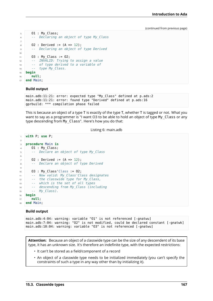```
5 O1 : My_Class;
6 -- Declaring an object of type My_Class
7
8 \mid 02 : Derived := (A \implies 12);
9 -- Declaring an object of type Derived
10
11 03 : My_Class := 02;
12 -- INVALID: Trying to assign a value
13 -- of type derived to a variable of
14 -- type My_Class.
15 begin
16 null;
17 end Main;
```
### **Build output**

```
main.adb:11:21: error: expected type "My_Class" defined at p.ads:2
main.adb:11:21: error: found type "Derived" defined at p.ads:16
gprbuild: *** compilation phase failed
```
This is because an object of a type T is exactly of the type T, whether T is tagged or not. What you want to say as a programmer is "I want O3 to be able to hold an object of type My Class or any type descending from My\_Class". Here's how you do that:

Listing 6: main.adb

```
1 with P; use P;
\overline{2}3 procedure Main is
4 01 : My Class;
5 -- Declare an object of type My_Class
6
7 \ 02: Derived := (A \implies 12);
8 -- Declare an object of type Derived
\overline{q}10 03 : My Class'Class := 02;
11 -- Now valid: My_Class'Class designates
12 -- the classwide type for My_Class,
13 -- which is the set of all types
14 -- descending from My_Class (including
15 -- My_Class).
16 begin
17 null;
18 end Main;
```
#### **Build output**

main.adb:4:04: warning: variable "O1" is not referenced [-gnatwu] main.adb:7:04: warning: "O2" is not modified, could be declared constant [-gnatwk] main.adb:10:04: warning: variable "O3" is not referenced [-gnatwu]

**Attention:** Because an object of a classwide type can be the size of any descendent of its base type, it has an unknown size. It's therefore an indefinite type, with the expected restrictions:

- It can't be stored as a field/component of a record
- An object of a classwide type needs to be initialized immediately (you can't specify the constraints of such a type in any way other than by initializing it).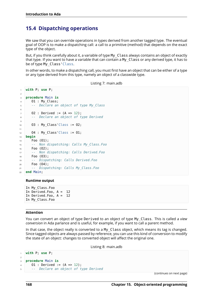# **15.4 Dispatching operations**

We saw that you can override operations in types derived from another tagged type. The eventual goal of OOP is to make a dispatching call: a call to a primitive (method) that depends on the exact type of the object.

But, if you think carefully about it, a variable of type My\_Class always contains an object of exactly that type. If you want to have a variable that can contain a My\_Class or any derived type, it has to be of type My Class' Class.

In other words, to make a dispatching call, you must first have an object that can be either of a type or any type derived from this type, namely an object of a classwide type.

Listing 7: main.adb

```
1 with P; use P;
\overline{2}3 procedure Main is
4 \qquad 01 : My Class:
5 -- Declare an object of type My_Class
6
7 \ 02: Derived := (A \implies 12);
8 -- Declare an object of type Derived
\circ10 03 : My Class'Class := 02;
11
12 \t 04 : My Class'Class := 01;
13 begin
14 Foo (O1);
15 -- Non dispatching: Calls My_Class.Foo
16 Foo (02);
17 -- Non dispatching: Calls Derived.Foo
18 Foo (O3);
19 -- Dispatching: Calls Derived.Foo
20 Foo (O4);
21 -- Dispatching: Calls My_Class.Foo
22 end Main;
```
### **Runtime output**

```
In My_Class.Foo
In Derived.Foo, A = 12
In Derived.Foo, A = 12
In My_Class.Foo
```
### **Attention**

You can convert an object of type Derived to an object of type My\_Class. This is called a *view conversion* in Ada parlance and is useful, for example, if you want to call a parent method.

In that case, the object really is converted to a My\_Class object, which means its tag is changed. Since tagged objects are always passed by reference, you can use this kind of conversion to modify the state of an object: changes to converted object will affect the original one.

Listing 8: main.adb

```
1 with P; use P;
\overline{2}3 procedure Main is
4 01 : Derived := (A \Rightarrow 12):
5 -- Declare an object of type Derived
```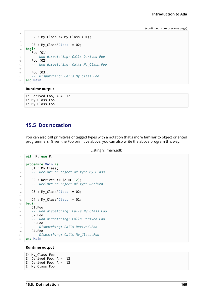```
6
7 \mid 02 : My\_Class := My\_Class (01);8
9 O3 : My_Class'Class := O2;
10 begin
11 Foo (01);
12 -- Non dispatching: Calls Derived.Foo
13 Foo (O2);
14 -- Non dispatching: Calls My_Class.Foo
15
16 Foo (O3);
17 -- Dispatching: Calls My_Class.Foo
18 end Main;
```
### **Runtime output**

```
In Derived.Foo, A = 12
In My_Class.Foo
In My_Class.Foo
```
## **15.5 Dot notation**

You can also call primitives of tagged types with a notation that's more familiar to object oriented programmers. Given the Foo primitive above, you can also write the above program this way:

```
Listing 9: main.adb
```

```
1 with P; use P;
2
3 procedure Main is
4 \quad 01 : My Class;
5 -- Declare an object of type My_Class
6
7 \mid 02 : Derived := (A \implies 12);
8 -- Declare an object of type Derived
9
10 O3 : My_Class'Class := O2;
11
12 O4 : My_Class'Class := O1;
13 begin
14 O1.Foo;
15 -- Non dispatching: Calls My_Class.Foo
16 O2.Foo;
17 -- Non dispatching: Calls Derived.Foo
18 O3.Foo;
19 -- Dispatching: Calls Derived.Foo
20 O4.Foo;
21 -- Dispatching: Calls My_Class.Foo
22 end Main;
```
### **Runtime output**

In My\_Class.Foo In Derived.Foo, A = 12 In Derived.Foo, A = 12 In My\_Class.Foo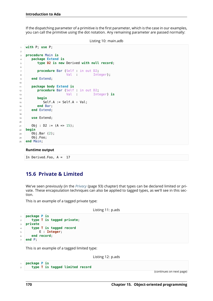If the dispatching parameter of a primitive is the first parameter, which is the case in our examples, you can call the primitive using the dot notation. Any remaining parameter are passed normally:

```
Listing 10: main.adb
```

```
1 with P; use P;
\overline{2}3 procedure Main is
4 package Extend is
5 type D2 is new Derived with null record;
6
7 procedure Bar (Self : in out D2;
8 Val : Integer);
9 end Extend;
10
11 package body Extend is
12 procedure Bar (Self : in out D2;
13 Val : Integer) is
14 begin
15 Self.A := Self.A + Val;
16 end Bar;
17 end Extend;
18
19 use Extend;
20
21 Obj : D2 := (A \implies 15);
22 begin
23 Obj.Bar (2);
24 Obj.Foo;
25 end Main;
```
### **Runtime output**

```
In Derived.Foo, A = 17
```
## **15.6 Private & Limited**

We've seen previously (in the *Privacy* (page 93) chapter) that types can be declared limited or private. These encapsulation techniques can also be applied to tagged types, as we'll see in this section.

This is an example of a tagge[d private](#page-99-0) type:

Listing 11: p.ads

```
1 package P is
2 type T is tagged private;
3 private
4 type T is tagged record
5 E : Integer;
6 end record;
7 end P;
```
This is an example of a tagged limited type:

Listing 12: p.ads

```
1 package P is
2 type T is tagged limited record
```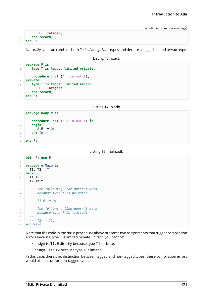```
3 E : Integer;
4 end record;
  5 end P;
```
Naturally, you can combine both *limited* and *private* types and declare a tagged limited private type:

Listing 13: p.ads

```
1 package P is
2 type T is tagged limited private;
3
4 procedure Init (A : in out T);
5 private
6 type T is tagged limited record
7 E : Integer;
8 end record;
9 end P;
```
Listing 14: p.adb

```
1 package body P is
\overline{2}3 procedure Init (A : in out T) is
4 begin
5 A.E := 0;
6 end Init;
7
8 end P;
```
Listing 15: main.adb

```
1 with P; use P;
\overline{2}3 procedure Main is
4 T1, T2 : T;
5 begin
6 T1.Init;
7 T2.Init;
8
9 -- The following line doesn't work
10 -- because type T is private:
11 --
12 -- T1.E := 0;
13
14 -- The following line doesn't work
15 -- because type T is limited:
16 --
17 -- T2 := T1;
18 end Main;
```
Note that the code in the Main procedure above presents two assignments that trigger compilation errors because type T is limited private. In fact, you cannot:

- assign to T1.E directly because type T is private;
- assign T1 to T2 because type T is limited.

In this case, there's no distinction between tagged and non-tagged types: these compilation errors would also occur for non-tagged types.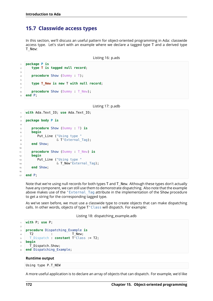## **15.7 Classwide access types**

In this section, we'll discuss an useful pattern for object-oriented programming in Ada: classwide access type. Let's start with an example where we declare a tagged type T and a derived type T\_New:

```
Listing 16: p.ads
```

```
1 package P is
2 type T is tagged null record;
3
4 procedure Show (Dummy : T);
5
6 type T_New is new T with null record;
7
8 procedure Show (Dummy : T_New);
9 end P;
```
Listing 17: p.adb

```
1 with Ada.Text_IO; use Ada.Text_IO;
\overline{2}3 package body P is
4
5 procedure Show (Dummy : T) is
6 begin
7 Put_Line ("Using type "
8 & T'External_Tag);
9 end Show;
1011 procedure Show (Dummy : T_New) is
12 begin
13 Put Line ("Using type "
14 6 T New'External Tag);
15 end Show;
16
17 end P;
```
Note that we're using null records for both types T and T\_New. Although these types don't actually have any component, we can still use them to demonstrate dispatching. Also note that the example above makes use of the 'External Tag attribute in the implementation of the Show procedure to get a string for the corresponding tagged type.

As we've seen before, we must use a classwide type to create objects that can make dispatching calls. In other words, objects of type T'Class will dispatch. For example:

Listing 18: dispatching\_example.adb

```
1 with P; use P;
\overline{2}3 procedure Dispatching_Example is
4 T2 : T New:
5 T_Dispatch : constant T'Class := T2;
6 begin
7 T Dispatch.Show;
  end Dispatching Example;
```
### **Runtime output**

Using type P.T\_NEW

A more useful application is to declare an array of objects that can dispatch. For example, we'd like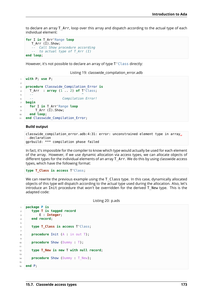to declare an array T\_Arr, loop over this array and dispatch according to the actual type of each individual element:

```
for I in T_Arr'Range loop
  T_Arr (I).Show;
  -- Call Show procedure according
   -- to actual type of T_Arr (I)
end loop;
```
However, it's not possible to declare an array of type T'Class directly:

Listing 19: classwide compilation error.adb

```
1 with P; use P;
2
3 procedure Classwide_Compilation_Error is
4 T_Arr : array (1 .. 2) of T'Class;
5 -- ^
6 -- Compilation Error!
7 begin
8 for I in T_Arr'Range loop
9 \mid T Arr (I).Show;
10 end loop;
11 end Classwide_Compilation_Error;
```
### **Build output**

```
classwide compilation error.adb:4:31: error: unconstrained element type in array<sub>11</sub>
 ↪declaration
gprbuild: *** compilation phase failed
```
In fact, it's impossible for the compiler to know which type would actually be used for each element of the array. However, if we use dynamic allocation via access types, we can allocate objects of different types for the individual elements of an array T\_Arr. We do this by using classwide access types, which have the following format:

**type T\_Class is access** T'Class;

We can rewrite the previous example using the  $T$  Class type. In this case, dynamically allocated objects of this type will dispatch according to the actual type used during the allocation. Also, let's introduce an Init procedure that won't be overridden for the derived T\_New type. This is the adapted code:

Listing 20: p.ads

```
1 package P is
2 type T is tagged record
3 E : Integer;
4 end record;
5
6 type T_Class is access T'Class;
7
8 procedure Init (A : in out T);
9
10 procedure Show (Dummy : T);
11
12 type T_New is new T with null record;
13
14 procedure Show (Dummy : T_New);
15
16 end P;
```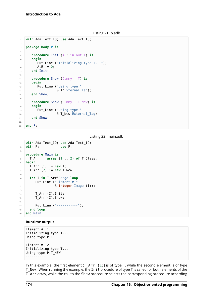```
Listing 21: p.adb
```

```
1 with Ada.Text_IO; use Ada.Text_IO;
2
3 package body P is
4
5 procedure Init (A : in out T) is
6 begin
7 Put Line ("Initializing type T...");
8 A.E := 0;9 end Init;
10
11 procedure Show (Dummy : T) is
12 begin
13 Put_Line ("Using type "
14 & T'External Tag);
15 end Show;
16
17 procedure Show (Dummy : T_New) is
18 begin
19 Put Line ("Using type "
20 & T_New'External_Tag);
21 end Show;
2223 end P;
```
Listing 22: main.adb

```
1 with Ada.Text_IO; use Ada.Text_IO;
2 with P; use P;
3
4 procedure Main is
5 T_Arr : array (1 .. 2) of T_Class;
6 begin
7 T_Arr (1) := new T;
8 T Arr (2) := new T New;
9
10 for I in T_Arr'Range loop
11 Put Line ("Element # "
12 6 Integer Image (I));
13
T Arr (I).Init;
15 T Arr (I).Show;
16
17 Put Line ("-----------");
18 end loop;
19 end Main;
```
### **Runtime output**

Element # 1 Initializing type T... Using type P.T ----------- Element # 2 Initializing type T... Using type P.T\_NEW -----------

In this example, the first element  $(T_A \cap T_1)$  is of type T, while the second element is of type T\_New. When running the example, the Init procedure of type T is called for both elements of the T\_Arr array, while the call to the Show procedure selects the corresponding procedure according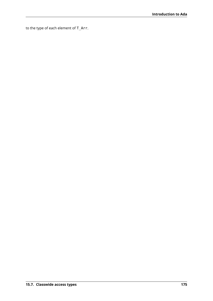to the type of each element of T\_Arr.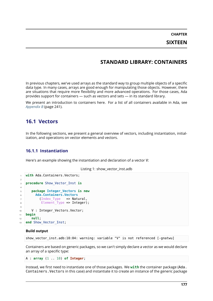# **STANDARD LIBRARY: CONTAINERS**

In previous chapters, we've used arrays as the standard way to group multiple objects of a specific data type. In many cases, arrays are good enough for manipulating those objects. However, there are situations that require more flexibility and more advanced operations. For those cases, Ada provides support for containers — such as vectors and sets — in its standard library.

We present an introduction to containers here. For a list of all containers available in Ada, see *Appendix B* (page 241).

# **[16.1](#page-247-0) Vectors**

In the following sections, we present a general overview of vectors, including instantiation, initialization, and operations on vector elements and vectors.

# **16.1.1 Instantiation**

Here's an example showing the instantiation and declaration of a vector V:

```
Listing 1: show_vector_inst.adb
```

```
with Ada.Containers.Vectors;
2
3 procedure Show_Vector_Inst is
4
5 package Integer_Vectors is new
6 Ada.Containers.Vectors
7 (Index Type => Natural,
8 Element Type => Integer);
9
10 V : Integer_Vectors.Vector;
11 begin
12 null;
13 end Show_Vector_Inst;
```
## **Build output**

show\_vector\_inst.adb:10:04: warning: variable "V" is not referenced [-gnatwu]

Containers are based on generic packages, so we can't simply declare a vector as we would declare an array of a specific type:

```
A : array (1 .. 10) of Integer;
```
Instead, we first need to instantiate one of those packages. We **with** the container package (Ada. Containers.Vectors in this case) and instantiate it to create an instance of the generic package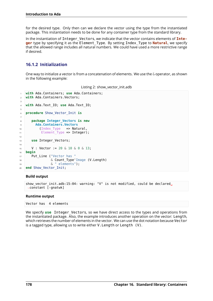for the desired type. Only then can we declare the vector using the type from the instantiated package. This instantiation needs to be done for any container type from the standard library.

In the instantiation of Integer\_Vectors, we indicate that the vector contains elements of **Integer** type by specifying it as the Element\_Type. By setting Index\_Type to **Natural**, we specify that the allowed range includes all natural numbers. We could have used a more restrictive range if desired.

# **16.1.2 Initialization**

One way to initialize a vector is from a concatenation of elements. We use the  $\&$  operator, as shown in the following example:

Listing 2: show\_vector\_init.adb

```
1 with Ada.Containers; use Ada.Containers;
2 with Ada.Containers.Vectors;
3
4 with Ada.Text_IO; use Ada.Text_IO;
5
6 procedure Show_Vector_Init is
7
8 package Integer_Vectors is new
9 Ada.Containers.Vectors
10 (Index Type => Natural,
11 Element Type => Integer);
12
13 use Integer Vectors;
14
15 V : Vector := 20 & 10 & 0 & 13;
16 begin
17 Put Line ("Vector has "
18 6 Count Type'Image (V.Length)
19 6 elements");
20 end Show_Vector_Init;
```
### **Build output**

```
show_vector_init.adb:15:04: warning: "V" is not modified, could be declared<sub>u</sub>
↪constant [-gnatwk]
```
### **Runtime output**

Vector has 4 elements

We specify use Integer Vectors, so we have direct access to the types and operations from the instantiated package. Also, the example introduces another operation on the vector: Length, which retrieves the number of elements in the vector. We can use the dot notation because Vector is a tagged type, allowing us to write either V.Length or Length (V).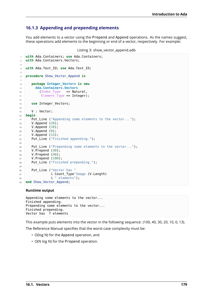# **16.1.3 Appending and prepending elements**

You add elements to a vector using the Prepend and Append operations. As the names suggest, these operations add elements to the beginning or end of a vector, respectively. For example:

```
Listing 3: show vector append.adb
```

```
1 with Ada.Containers; use Ada.Containers;
2 with Ada.Containers.Vectors;
3
4 with Ada.Text_IO; use Ada.Text_IO;
5
6 procedure Show_Vector_Append is
7
8 package Integer_Vectors is new
9 Ada.Containers.Vectors
10 (Index_Type => Natural,
11 Element_Type => Integer);
12
13 use Integer Vectors;
14
15 V : Vector;
16 begin
17 Put Line ("Appending some elements to the vector...");
18 V. Append (20);
19 V.Append (10);
20 V.Append (0);
21 V.Append (13);
22 Put_Line ("Finished appending.");
23
24 Put_Line ("Prepending some elements to the vector...");
25 V.Prepend (30);
26 V.Prepend (40);
27 V.Prepend (100);
28 Put_Line ("Finished prepending.");
29
30 Put Line ("Vector has "
31 6 Count_Type'Image (V.Length)
\alpha " elements");
33 end Show Vector Append;
```
### **Runtime output**

```
Appending some elements to the vector...
Finished appending.
Prepending some elements to the vector...
Finished prepending.
Vector has 7 elements
```
This example puts elements into the vector in the following sequence: (100, 40, 30, 20, 10, 0, 13).

The Reference Manual specifies that the worst-case complexity must be:

- O(log N) for the Append operation, and
- O(N log N) for the Prepend operation.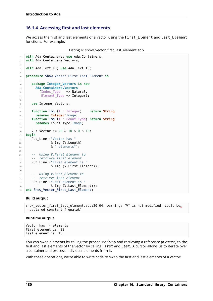## **16.1.4 Accessing first and last elements**

We access the first and last elements of a vector using the First Element and Last Element functions. For example:

```
Listing 4: show vector first last element.adb
```

```
1 with Ada.Containers; use Ada.Containers;
2 with Ada.Containers.Vectors;
3
4 with Ada.Text_IO; use Ada.Text_IO;
5
6 procedure Show_Vector_First_Last_Element is
7
8 package Integer_Vectors is new
9 Ada.Containers.Vectors
10 (Index_Type => Natural,
11 Element_Type => Integer);
12
13 use Integer_Vectors;
14
15 function Img (I : Integer) return String
16 renames Integer'Image;
17 function Img (I : Count_Type) return String
18 renames Count_Type'Image;
19
20 V : Vector := 20 & 10 & 0 & 13;
21 begin
22 Put_Line ("Vector has "
23 & Img (V.Length)
24 & " elements");
25
26 -- Using V.First_Element to
27 -- retrieve first element
28 Put_Line ("First element is "
\sim 29 \sim 5 \mu 3 \mu \sim 5 \mu \sim 5 \mu \sim 5 \mu \sim 5 \mu \sim 5 \mu \sim 5 \mu \sim 5 \mu \sim 5 \mu \sim 5 \mu \sim 5 \mu \sim 5 \mu \sim 5 \mu \sim 5 \mu \sim 5 \mu \sim 5 \mu \sim 5 \mu \30
31 -- Using V.Last_Element to
32 -- retrieve last element
33 Put Line ("Last element is "
\frac{1}{34} \frac{1}{34} \frac{1}{34} \frac{1}{34} \frac{1}{34} \frac{1}{34} \frac{1}{34} \frac{1}{34} \frac{1}{34} \frac{1}{34} \frac{1}{34} \frac{1}{34} \frac{1}{34} \frac{1}{34} \frac{1}{34} \frac{1}{34} \frac{1}{34} \frac{1}{34} \frac{1}{34} \frac{1}{34} 35 end Show Vector First Last Element;
```
### **Build output**

```
show vector first last element.adb:20:04: warning: "V" is not modified, could be.
↪declared constant [-gnatwk]
```
### **Runtime output**

```
Vector has 4 elements
First element is 20
Last element is 13
```
You can swap elements by calling the procedure Swap and retrieving a reference (a *cursor*) to the first and last elements of the vector by calling First and Last. A cursor allows us to iterate over a container and process individual elements from it.

With these operations, we're able to write code to swap the first and last elements of a vector: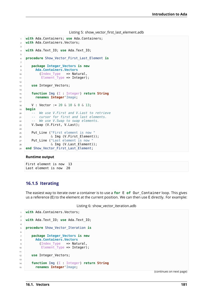Listing 5: show vector first last element.adb

```
1 with Ada.Containers; use Ada.Containers;
2 with Ada.Containers.Vectors;
\overline{3}4 with Ada.Text_IO; use Ada.Text_IO;
5
6 procedure Show_Vector_First_Last_Element is
7
8 package Integer_Vectors is new
9 Ada.Containers.Vectors
10 (Index Type => Natural,
11 Element Type => Integer);
12
13 use Integer Vectors;
14
15 function Img (I : Integer) return String
16 renames Integer'Image;
17
18 V : Vector := 20 & 10 & 0 & 13;
19 begin
20 -- We use V.First and V.Last to retrieve
21 -- cursor for first and last elements.
22 -- We use V.Swap to swap elements.
23 V.Swap (V.First, V.Last);
2425 Put Line ("First element is now "
\alpha Img (V.First Element));
27 Put_Line ("Last element is now "
28 \& Img (V.Last Element));
29 end Show Vector First Last Element;
```
### **Runtime output**

First element is now 13 Last element is now 20

## **16.1.5 Iterating**

The easiest way to iterate over a container is to use a **for** E **of** Our\_Container loop. This gives us a reference (E) to the element at the current position. We can then use E directly. For example:

```
Listing 6: show_vector_iteration.adb
```

```
with Ada.Containers.Vectors;
\overline{2}3 with Ada.Text_IO; use Ada.Text_IO;
4
5 procedure Show_Vector_Iteration is
6
7 package Integer_Vectors is new
8 Ada.Containers.Vectors
9 (Index Type => Natural,
10 Element_Type => Integer);
11
12 use Integer_Vectors;
13
14 function Img (I : Integer) return String
15 renames Integer'Image;
```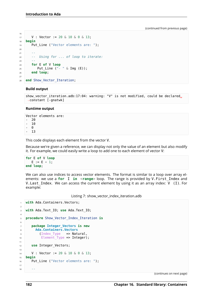```
16
17 | V : Vector := 20 & 10 & 0 & 13;
18 begin
19 Put_Line ("Vector elements are: ");
20
21 --
22 -- Using for ... of loop to iterate:
23 --
24 for E of V loop
25 Put_Line ("- " & Img (E));
26 end loop;
27
28 end Show_Vector_Iteration;
```
### **Build output**

```
show_vector_iteration.adb:17:04: warning: "V" is not modified, could be declared<sub>u</sub>
 \overline{\left(}-constant \overline{[}-gnatwk]
```
#### **Runtime output**

```
Vector elements are:
- 20
   - 10
   \Omega- 13
```
This code displays each element from the vector V.

Because we're given a reference, we can display not only the value of an element but also modify it. For example, we could easily write a loop to add one to each element of vector V:

```
for E of V loop
  E := E + 1;end loop;
```
We can also use indices to access vector elements. The format is similar to a loop over array elements: we use a **for** I **in** <**range**> loop. The range is provided by V.First\_Index and V. Last Index. We can access the current element by using it as an array index:  $V$  (I). For example:

Listing 7: show\_vector\_index\_iteration.adb

```
1 with Ada.Containers.Vectors;
2
3 with Ada.Text_IO; use Ada.Text_IO;
4
5 procedure Show_Vector_Index_Iteration is
6
7 package Integer_Vectors is new
8 Ada.Containers.Vectors
9 (Index Type => Natural,
10 Element Type => Integer);
11
12 use Integer_Vectors;
13
14 V : Vector := 20 & 10 & 0 & 13;
15 begin
16 Put Line ("Vector elements are: ");
17
18 --
```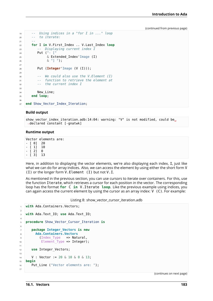```
19 -- Using indices in a "for I in ..." loop
20 -- to iterate:
21 --
22 for I in V.First_Index .. V.Last_Index loop
23 -- Displaying current index I
24 Put ("- ["
25 & Extended_Index'Image (I)
26 & "] ");
2728 Put (Integer'Image (V (I)));
29
30 -- We could also use the V.Element (I)
31 -- function to retrieve the element at
32 -- the current index I
33
34 New Line;
35 end loop;
36
37 end Show Vector Index Iteration;
```
#### **Build output**

show vector index iteration.adb:14:04: warning: "V" is not modified, could be, ↪declared constant [-gnatwk]

#### **Runtime output**

Vector elements are:

- $[$  0  $]$  20
- [ 1] 10
- $-$  [ 2] 0
- [ 3] 13

Here, in addition to displaying the vector elements, we're also displaying each index, I, just like what we can do for array indices. Also, we can access the element by using either the short form V (I) or the longer form V.Element (I) but not V.I.

As mentioned in the previous section, you can use cursors to iterate over containers. For this, use the function Iterate, which retrieves a cursor for each position in the vector. The corresponding loop has the format **for** C **in** V.Iterate **loop**. Like the previous example using indices, you can again access the current element by using the cursor as an array index:  $V(G)$ . For example:

Listing 8: show\_vector\_cursor\_iteration.adb

```
1 with Ada.Containers.Vectors;
\overline{\phantom{a}}3 with Ada.Text_IO; use Ada.Text_IO;
4
5 procedure Show_Vector_Cursor_Iteration is
6
7 package Integer_Vectors is new
8 Ada.Containers.Vectors
9 (Index Type => Natural,
10 Element Type => Integer);
11
12 use Integer_Vectors;
13
14 V : Vector := 20 & 10 & 0 & 13;
15 begin
16 Put Line ("Vector elements are: ");
17
```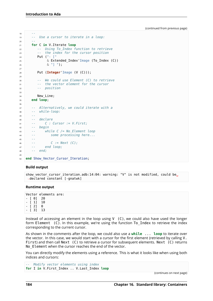```
18 --
19 -- Use a cursor to iterate in a loop:
20 --
21 for C in V.Iterate loop
22 -- Using To_Index function to retrieve
23 -- the index for the cursor position
24 Put ("- ["
25 & Extended_Index'Image (To_Index (C))
26 & "] ");
27
28 Put (Integer'Image (V (C)));
29
30 -- We could use Element (C) to retrieve
31 -- the vector element for the cursor
32 -- position
33
34 New Line;
35 end loop;
36
37 -- Alternatively, we could iterate with a
38 -- while-loop:
39 --
40 -- declare
41 -- C : Cursor := V.First;
42 -- begin
43 -- while C /= No_Element loop
44 -- some processing here...
45 --
46 -- C := Next (C);
47 -- end loop;
48 -- end;
49
50 end Show Vector Cursor Iteration;
```
### **Build output**

```
show vector cursor iteration.adb:14:04: warning: "V" is not modified, could be.
↪declared constant [-gnatwk]
```
### **Runtime output**

Vector elements are: - [ 0] 20  $[$  1] 10  $\begin{bmatrix} 2 \\ 0 \end{bmatrix}$  0 - [ 3] 13

Instead of accessing an element in the loop using  $V(G)$ , we could also have used the longer form Element (C). In this example, we're using the function To Index to retrieve the index corresponding to the current cursor.

As shown in the comments after the loop, we could also use a **while** ... **loop** to iterate over the vector. In this case, we would start with a cursor for the first element (retrieved by calling V. First) and then call Next (C) to retrieve a cursor for subsequent elements. Next (C) returns No\_Element when the cursor reaches the end of the vector.

You can directly modify the elements using a reference. This is what it looks like when using both indices and cursors:

```
-- Modify vector elements using index
for I in V.First_Index .. V.Last_Index loop
```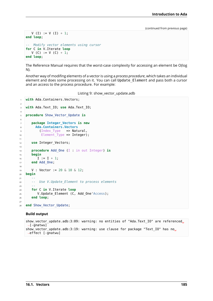```
V (I) := V (I) + 1;end loop;
-- Modify vector elements using cursor
for C in V.Iterate loop
  V (C) := V (C) + 1;end loop;
```
The Reference Manual requires that the worst-case complexity for accessing an element be O(log N).

Another way of modifing elements of a vector is using a *process procedure*, which takes an individual element and does some processing on it. You can call Update\_Element and pass both a cursor and an access to the process procedure. For example:

Listing 9: show\_vector\_update.adb

```
1 with Ada.Containers.Vectors;
2
3 with Ada.Text_IO; use Ada.Text_IO;
4
5 procedure Show_Vector_Update is
6
7 package Integer_Vectors is new
8 Ada.Containers.Vectors
9 (Index_Type => Natural,
10 Element_Type => Integer);
11
12 use Integer Vectors;
13
14 procedure Add_One (I : in out Integer) is
15 begin
16 I := I + 1;17 end Add One;
18
19 V : Vector := 20 & 10 & 12;
20 begin
21 --
22 -- Use V.Update_Element to process elements
23 --
24 for C in V.Iterate loop
25 V.Update Element (C, Add One'Access);
26 end loop;
27
28 end Show Vector Update;
```
### **Build output**

```
show vector update.adb:3:09: warning: no entities of "Ada.Text IO" are referenced.
\overline{\Theta}[-gnatwu]
show vector update.adb:3:19: warning: use clause for package "Text IO" has no_{\odot}\rightarroweffect [-qnatwu]
```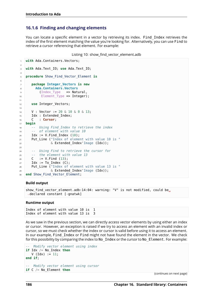# **16.1.6 Finding and changing elements**

You can locate a specific element in a vector by retrieving its index. Find\_Index retrieves the index of the first element matching the value you're looking for. Alternatively, you can use Find to retrieve a cursor referencing that element. For example:

```
Listing 10: show_find_vector_element.adb
```

```
with Ada.Containers.Vectors;
2
3 with Ada.Text_IO; use Ada.Text_IO;
4
5 procedure Show_Find_Vector_Element is
6
7 package Integer_Vectors is new
8 Ada.Containers.Vectors
9 (Index Type => Natural,
10 Element Type => Integer);
11
12 use Integer_Vectors;
13
14 V : Vector := 20 & 10 & 0 & 13;
15 Idx : Extended Index;
16 C : Cursor;
17 begin
18 -- Using Find_Index to retrieve the index
19 -- of element with value 10
_{20} Idx := V.Find Index (10);
21 Put_Line ("Index of element with value 10 is "
\alpha Extended Index'Image (Idx));
23
24 -- Using Find to retrieve the cursor for
25 -- the element with value 13
26 C := V.Find (13);
27 Idx := To Index (C);
28 Put_Line ("Index of element with value 13 is "
\& Extended Index'Image (Idx));
30 end Show Find Vector Element;
```
### **Build output**

```
show find vector element.adb:14:04: warning: "V" is not modified, could be.
↪declared constant [-gnatwk]
```
### **Runtime output**

Index of element with value 10 is Index of element with value 13 is 3

As we saw in the previous section, we can directly access vector elements by using either an index or cursor. However, an exception is raised if we try to access an element with an invalid index or cursor, so we must check whether the index or cursor is valid before using it to access an element. In our example, Find\_Index or Find might not have found the element in the vector. We check for this possibility by comparing the index to No Index or the cursor to No Element. For example:

```
-- Modify vector element using index
if Idx /= No_Index then
  V (Idx) := 11;
end if;
-- Modify vector element using cursor
if C /= No_Element then
```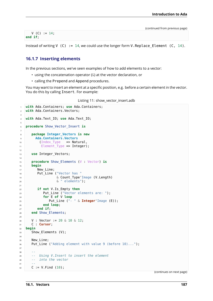$V (C) := 14;$ **end if**;

Instead of writing V (C) := 14, we could use the longer form V. Replace Element (C, 14).

# **16.1.7 Inserting elements**

In the previous sections, we've seen examples of how to add elements to a vector:

- using the concatenation operator  $(\&)$  at the vector declaration, or
- calling the Prepend and Append procedures.

You may want to insert an element at a specific position, e.g. before a certain element in the vector. You do this by calling Insert. For example:

```
Listing 11: show_vector_insert.adb
```

```
1 with Ada.Containers; use Ada.Containers;
2 with Ada.Containers.Vectors;
\overline{3}4 with Ada.Text_IO; use Ada.Text_IO;
5
6 procedure Show_Vector_Insert is
7
8 package Integer_Vectors is new
9 Ada.Containers.Vectors
10 (Index_Type => Natural,
11 Element_Type => Integer);
12
13 use Integer_Vectors;
14
15 procedure Show_Elements (V : Vector) is
16 begin
17 New Line;
18 Put Line ("Vector has "
19 8 Count Type'Image (V.Length)
20 & " elements");
21
22 if not V.Is_Empty then
23 Put_Line ("Vector elements are: ");
24 for E of V loop
25 Put_Line ("- " & Integer'Image (E));
26 end loop;
27 end if;
28 end Show_Elements;
29
30 V : Vector := 20 & 10 & 12;
31 C : Cursor;
32 begin
33 Show_Elements (V);
34
35 New Line;
36 Put Line ("Adding element with value 9 (before 10)...");
37
38 --
39 -- Using V.Insert to insert the element
40 -- into the vector
41 --
42 C := V.Find (10);
```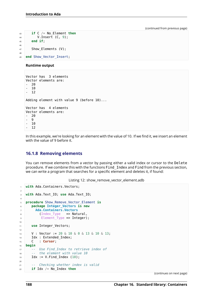```
43 if C /= No_Element then
44 V.Insert (C, 9);
45 end if;
46
47 Show Elements (V);
48
49 end Show_Vector_Insert;
```
### **Runtime output**

```
Vector has 3 elements
Vector elements are:
  - 20
   - 10
- 12
Adding element with value 9 (before 10)...
Vector has 4 elements
Vector elements are:
  - 20
  - 9
  - 10
  - 12
```
In this example, we're looking for an element with the value of 10. If we find it, we insert an element with the value of 9 before it.

## **16.1.8 Removing elements**

You can remove elements from a vector by passing either a valid index or cursor to the Delete procedure. If we combine this with the functions Find\_Index and Find from the previous section, we can write a program that searches for a specific element and deletes it, if found:

```
Listing 12: show remove vector element.adb
```

```
1 with Ada.Containers.Vectors;
\overline{2}3 with Ada.Text_IO; use Ada.Text_IO;
4
5 procedure Show_Remove_Vector_Element is
6 package Integer_Vectors is new
7 Ada.Containers.Vectors
8 (Index Type => Natural,
9 Element Type => Integer);
10
11 use Integer Vectors;
12
13 V : Vector := 20 & 10 & 0 & 13 & 10 & 13;
14 Idx : Extended Index;
15 C : Cursor;
16 begin
17 -- Use Find_Index to retrieve index of
18 -- the element with value 10
19 Idx := V.Find Index (10);
2021 -- Checking whether index is valid
22 if Idx \neq No Index then
```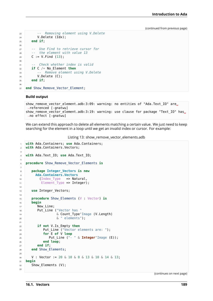```
23 -- Removing element using V.Delete
24 V.Delete (Idx);
25 end if;
26
27 -- Use Find to retrieve cursor for
28 -- the element with value 13
29 | C := V.Find (13);30
31 -- Check whether index is valid
32 if C /= No_Element then
33 -- Remove element using V.Delete
\mathcal{Y}. Delete (C);
35 end if;
36
37 end Show_Remove_Vector_Element;
```
### **Build output**

```
show_remove_vector_element.adb:3:09: warning: no entities of "Ada.Text_IO" are
 ↪referenced [-gnatwu]
show remove vector element.adb:3:19: warning: use clause for package "Text IO" has.
↪no effect [-gnatwu]
```
We can extend this approach to delete all elements matching a certain value. We just need to keep searching for the element in a loop until we get an invalid index or cursor. For example:

Listing 13: show\_remove\_vector\_elements.adb

```
1 with Ada.Containers; use Ada.Containers;
2 with Ada.Containers.Vectors;
3
4 with Ada.Text_IO; use Ada.Text_IO;
5
6 procedure Show_Remove_Vector_Elements is
7
8 package Integer_Vectors is new
9 Ada.Containers.Vectors
10 (Index Type => Natural,
11 Element_Type => Integer);
12
13 use Integer Vectors;
14
15 procedure Show_Elements (V : Vector) is
16 begin
17 New Line;
18 Put Line ("Vector has "
19 8 Count Type'Image (V.Length)
20 & " elements");
2122 if not V.Is_Empty then
23 Put_Line ("Vector elements are: ");
24 for E of V loop
25 Put_Line ("- " & Integer'Image (E));
26 end loop;
27 end if;
28 end Show_Elements;
29
30 V : Vector := 20 & 10 & 0 & 13 & 10 & 14 & 13;
31 begin
32 Show Elements (V);
```
(continues on next page)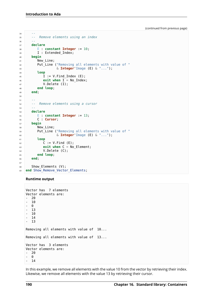```
34 --
35 -- Remove elements using an index
36 --
37 declare
38 E : constant Integer := 10;
39 I : Extended_Index;
40 begin
41 New_Line;
42 Put Line ("Removing all elements with value of "
43 & Integer'Image (E) & "...");
44 loop
I := V.Find_I = V(F);
46 exit when I = No\_Index;47 V.Delete (I);
48 end loop;
49 end;
50
51 --
52 -- Remove elements using a cursor
53 --
54 declare
55 E : constant Integer := 13;
56 C : Cursor;
57 begin
58 New Line;
59 Put_Line ("Removing all elements with value of "
60 & Integer'Image (E) & "...");
61 loop
62 C := V.Find (E);
63 exit when C = No_Element;
64 V.Delete (C);
65 end loop;
66 end;
67
68 Show Elements (V);
69 end Show Remove Vector Elements;
```
### **Runtime output**

```
Vector has 7 elements
Vector elements are:
- 20
  - 10
  - 0
- 13
- 10
- 14
- 13
Removing all elements with value of 10...
Removing all elements with value of 13...
Vector has 3 elements
Vector elements are:
- 20
- 0
- 14
```
In this example, we remove all elements with the value 10 from the vector by retrieving their index. Likewise, we remove all elements with the value 13 by retrieving their cursor.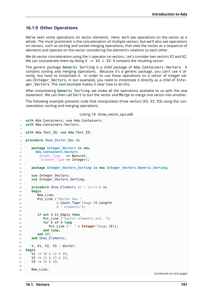## **16.1.9 Other Operations**

We've seen some operations on vector elements. Here, we'll see operations on the vector as a whole. The most prominent is the concatenation of multiple vectors, but we'll also see operations on vectors, such as sorting and sorted merging operations, that view the vector as a sequence of elements and operate on the vector considering the element's relations to each other.

We do vector concatenation using the & operator on vectors. Let's consider two vectors V1 and V2. We can concatenate them by doing V  $:= V1 \& V2$ . V contains the resulting vector.

The generic package **Generic**\_Sorting is a child package of Ada.Containers.Vectors. It contains sorting and merging operations. Because it's a generic package, you can't use it directly, but have to instantiate it. In order to use these operations on a vector of integer values (Integer Vectors, in our example), you need to instantiate it directly as a child of Integer Vectors. The next example makes it clear how to do this.

After instantiating **Generic**\_Sorting, we make all the operations available to us with the **use** statement. We can then call Sort to sort the vector and Merge to merge one vector into another.

The following example presents code that manipulates three vectors (V1, V2, V3) using the concatenation, sorting and merging operations:

| Listing 14: show_vector_ops.adb |  |  |  |
|---------------------------------|--|--|--|
|---------------------------------|--|--|--|

```
1 with Ada.Containers; use Ada.Containers;
2 with Ada.Containers.Vectors;
\overline{3}4 with Ada.Text_IO; use Ada.Text_IO;
5
6 procedure Show_Vector_Ops is
7
8 package Integer_Vectors is new
9 Ada.Containers.Vectors
10 (Index Type => Natural,
11 Element Type => Integer);
1213 package Integer_Vectors_Sorting is new Integer_Vectors.Generic_Sorting;
14
15 use Integer Vectors;
16 use Integer Vectors Sorting;
17
18 procedure Show_Elements (V : Vector) is
19 begin
20 New_Line;
21 Put_Line ("Vector has "
22 & Count_Type'Image (V.Length)
23 & " elements");
2425 if not V.Is_Empty then
26 Put Line ("Vector elements are: ");
27 for E of V loop
28 Put_Line ("- " & Integer'Image (E));
29 end loop;
30 end if;
31 end Show Elements;
3233 V, V1, V2, V3 : Vector;
34 begin
35 V1 := 10 & 12 & 18;
36 V2 := 11 & 13 & 19;
37 V3 := 15 & 19:
38
39 New Line;
```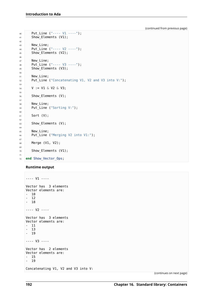```
40 Put_Line ("---- V1 ----");
41 Show_Elements (V1);
42
43 New_Line;
44 Put_Line ("---- V2 ----");
45 Show_Elements (V2);
46
47 New_Line;
48 Put Line ("---- V3 ----");
49 Show_Elements (V3);
50
51 New Line;
52 Put_Line ("Concatenating V1, V2 and V3 into V:");
53
54 V := V1 & V2 & V3;
55
56 Show Elements (V);
57
58 New Line;
59 Put_Line ("Sorting V:");
60
61 Sort (V);
62
63 Show_Elements (V);
64
65 New_Line;
66 Put Line ("Merging V2 into V1:");
67
68 Merge (V1, V2);
69
70 Show_Elements (V1);
71
72 end Show_Vector_Ops;
```
### **Runtime output**

```
---- V1 ----
Vector has 3 elements
Vector elements are:
- 10
- 12
- 18
---- V2 ----
Vector has 3 elements
Vector elements are:
- 11
- 13
- 19
---- V3 ----
Vector has 2 elements
Vector elements are:
- 15
- 19
Concatenating V1, V2 and V3 into V:
```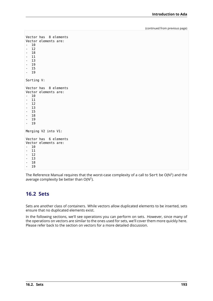```
Vector has 8 elements
Vector elements are:
- 10
- 12
- 18
- 11
- 13
- 19
- 15
- 19
Sorting V:
Vector has 8 elements
Vector elements are:
- 10
\begin{bmatrix} - & 11 \\ - & 12 \end{bmatrix}- 12
- 13
- 15
- 18
  - 19
- 19
Merging V2 into V1:
Vector has 6 elements
Vector elements are:
- 10
   - 11
   - 12
- 13
- 18
- 19
```
The Reference Manual requires that the worst-case complexity of a call to Sort be O(N<sup>2</sup>) and the average complexity be better than  $O(N^2)$ .

# **16.2 Sets**

Sets are another class of containers. While vectors allow duplicated elements to be inserted, sets ensure that no duplicated elements exist.

In the following sections, we'll see operations you can perform on sets. However, since many of the operations on vectors are similar to the ones used for sets, we'll cover them more quickly here. Please refer back to the section on vectors for a more detailed discussion.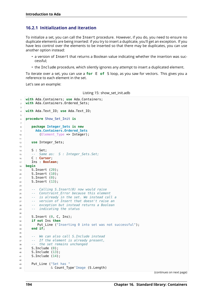# **16.2.1 Initialization and iteration**

To initialize a set, you can call the Insert procedure. However, if you do, you need to ensure no duplicate elements are being inserted: if you try to insert a duplicate, you'll get an exception. If you have less control over the elements to be inserted so that there may be duplicates, you can use another option instead:

- a version of Insert that returns a Boolean value indicating whether the insertion was successful;
- the Include procedure, which silently ignores any attempt to insert a duplicated element.

To iterate over a set, you can use a **for** E **of** S loop, as you saw for vectors. This gives you a reference to each element in the set.

Let's see an example:

Listing 15: show set init.adb

```
1 with Ada.Containers; use Ada.Containers;
2 with Ada.Containers.Ordered_Sets;
3
4 with Ada.Text_IO; use Ada.Text_IO;
5
6 procedure Show_Set_Init is
7
8 package Integer_Sets is new
9 Ada.Containers.Ordered_Sets
10 (Element Type => Integer);
11
12 use Integer Sets;
13
14 S : Set;
15 -- Same as: S : Integer_Sets.Set;
16 C : Cursor;
17 Ins : Boolean;
18 begin
19 S. Insert (20);
20 S.Insert (10);
21 S. Insert (0);
22 S. Insert (13);
23
24 -- Calling S.Insert(0) now would raise
25 -- Constraint_Error because this element
26 -- is already in the set. We instead call a
27 -- version of Insert that doesn't raise an
28 -- exception but instead returns a Boolean
29 -- indicating the status
30
31 S. Insert (0, C, Ins);
32 if not Ins then
33 Put Line ("Inserting 0 into set was not successful");
34 end if;
35
36 -- We can also call S.Include instead
37 -- If the element is already present,
38 -- the set remains unchanged
39 S.Include (0);
40 S.Include (13);
41 S.Include (14);
42
43 Put Line ("Set has "
44 & Count Type'Image (S.Length)
```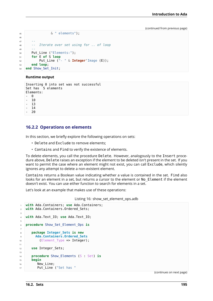```
45 & " elements");
46
47 --
48 -- Iterate over set using for .. of loop
49 --
50 Put_Line ("Elements:");
51 for E of S loop
52 Put_Line ("- " & Integer'Image (E));
53 end loop;
54 end Show_Set_Init;
```
### **Runtime output**

```
Inserting 0 into set was not successful
Set has 5 elements
Elements:
  - 0
- 10
- 13
- 14
- 20
```
## **16.2.2 Operations on elements**

In this section, we briefly explore the following operations on sets:

- Delete and Exclude to remove elements;
- Contains and Find to verify the existence of elements.

To delete elements, you call the procedure Delete. However, analogously to the Insert procedure above, Delete raises an exception if the element to be deleted isn't present in the set. If you want to permit the case where an element might not exist, you can call Exclude, which silently ignores any attempt to delete a non-existent element.

Contains returns a Boolean value indicating whether a value is contained in the set. Find also looks for an element in a set, but returns a cursor to the element or No. Element if the element doesn't exist. You can use either function to search for elements in a set.

Let's look at an example that makes use of these operations:

Listing 16: show set element ops.adb

```
1 with Ada.Containers; use Ada.Containers;
2 with Ada.Containers.Ordered_Sets;
3
4 with Ada.Text_IO; use Ada.Text_IO;
5
6 procedure Show_Set_Element_Ops is
7
8 package Integer_Sets is new
9 Ada.Containers.Ordered_Sets
10 (Element Type => Integer);
11
12 use Integer_Sets;
13
14 procedure Show_Elements (S : Set) is
15 begin
16 New Line;
17 Put Line ("Set has "
```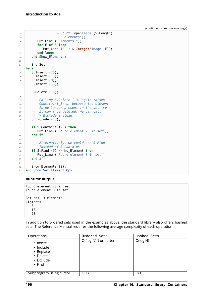```
18 & Count_Type'Image (S.Length)
19 \& " elements");
20 Put_Line ("Elements:");
21 for E of S loop
22 Put_Line ("- " & Integer'Image (E));
23 end loop;
24 end Show_Elements;
2526 S : Set;
27 begin
28 S.Insert (20);
29 S.Insert (10);
30 S.Insert (0);
31 S. Insert (13);
32
33 S.Delete (13);
34
35 -- Calling S.Delete (13) again raises
36 -- Constraint_Error because the element
37 -- is no longer present in the set, so
38 -- it can't be deleted. We can call
39 -- V.Exclude instead:
40 S.Exclude (13);
41
42 if S.Contains (20) then
43 Put Line ("Found element 20 in set");
44 end if;
45
46 -- Alternatively, we could use S.Find
47 -- instead of S.Contains
48 if S.Find (0) /= No_Element then
49 Put Line ("Found element 0 in set");
50 end if;
51
52 Show Elements (S);
53 end Show Set Element Ops;
```
### **Runtime output**

Found element 20 in set Found element 0 in set Set has 3 elements Elements: - 0 - 10

- 20

In addition to ordered sets used in the examples above, the standard library also offers hashed sets. The Reference Manual requires the following average complexity of each operation:

| Operations                                                                        | Ordered Sets              | Hashed Sets |
|-----------------------------------------------------------------------------------|---------------------------|-------------|
| $\cdot$ Insert<br>· Include<br>• Replace<br>• Delete<br>• Exclude<br>$\cdot$ Find | $O((\log N)^2)$ or better | O(log N)    |
| Subprogram using cursor                                                           | O(1)                      | O(1)        |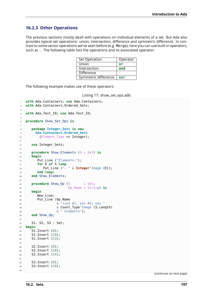## **16.2.3 Other Operations**

The previous sections mostly dealt with operations on individual elements of a set. But Ada also provides typical set operations: union, intersection, difference and symmetric difference. In contrast to some vector operations we've seen before (e.g. Merge), here you can use built-in operators, such as -. The following table lists the operations and its associated operator:

| Set Operation        | Operator |
|----------------------|----------|
| Union                | or       |
| Intersection         | and      |
| <b>Difference</b>    |          |
| Symmetric difference | xor      |

The following example makes use of these operators:

```
Listing 17: show set ops.adb
```

```
1 with Ada.Containers; use Ada.Containers;
2 with Ada.Containers.Ordered_Sets;
3
4 with Ada.Text_IO; use Ada.Text_IO;
5
6 procedure Show_Set_Ops is
7
8 package Integer_Sets is new
9 Ada.Containers.Ordered_Sets
10 (Element_Type => Integer);
11
12 use Integer Sets;
13
14 procedure Show_Elements (S : Set) is
15 begin
16 Put Line ("Elements:");
17 for E of S loop
18 Put Line ("- " & Integer'Image (E));
19 end loop;
20 end Show_Elements;
2122 procedure Show_Op (S : Set;
23 Op_Name : String) is
24 begin
25 New Line;
26 Put Line (Op Name
27 & "(set #1, set #2) has "
28 & Count_Type'Image (S.Length)
29 & " elements");
30 end Show_Op;
31
32 S1, S2, S3 : Set;
33 begin
34 S1. Insert (0):
35 S1.Insert (10);
36 S1.Insert (13);
37
38 S2. Insert (0);
39 S2.Insert (10);
40 S2.Insert (14);
41
42 S3. Insert (0):
43 S3. Insert (10);
44
```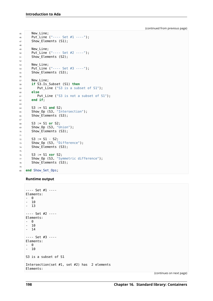```
45 New_Line;
46 Put_Line ("---- Set #1 ----");
47 Show Elements (S1);
48
49 New_Line;
50 Put_Line ("---- Set #2 ----");
51 Show_Elements (S2);
52
53 New Line;
54 Put_Line ("---- Set #3 ----");
55 Show Elements (S3);
56
57 New_Line;
58 if S3.Is_Subset (S1) then
59 Put_Line ("S3 is a subset of S1");
60 else
61 Put Line ("S3 is not a subset of S1");
62 end if;
63
64 S3 := S1 and S2;
65 Show Op (S3, "Intersection");
66 Show_Elements (S3);
67
68 SS := S1 or S2;
69 Show Op (S3, "Union");
70 Show_Elements (S3);
71
72 S3 := S1 - S2;
73 Show Op (S3, "Difference");
74 Show_Elements (S3);
75
76 S3 := S1 xor S2;
77 Show Op (S3, "Symmetric difference");
78 Show_Elements (S3);
79
80 end Show_Set_Ops;
```
### **Runtime output**

```
---- Set #1 ----
Elements:
- 0
- 10
- 13
---- Set #2 ----
Elements:
- 0
-10- 14
---- Set #3 ----
Elements:
- 0
- 10
S3 is a subset of S1
Intersection(set #1, set #2) has 2 elements
Elements:
```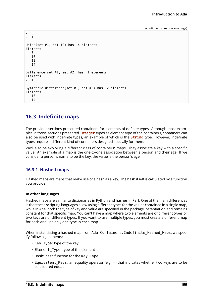```
- 0
  - 10
Union(set #1, set #2) has 4 elements
Elements:
- 0<br>- 10- 10
   - 13
   - 14
Difference(set #1, set #2) has 1 elements
Elements:
  - 13
Symmetric difference(set #1, set #2) has 2 elements
Elements:
- 13
- 14
```
# **16.3 Indefinite maps**

The previous sections presented containers for elements of definite types. Although most examples in those sections presented **Integer** types as element type of the containers, containers can also be used with indefinite types, an example of which is the **String** type. However, indefinite types require a different kind of containers designed specially for them.

We'll also be exploring a different class of containers: maps. They associate a key with a specific value. An example of a map is the one-to-one association between a person and their age. If we consider a person's name to be the key, the value is the person's age.

## **16.3.1 Hashed maps**

Hashed maps are maps that make use of a hash as a key. The hash itself is calculated by a function you provide.

### **In other languages**

Hashed maps are similar to dictionaries in Python and hashes in Perl. One of the main differences is that these scripting languages allow using different types for the values contained in a single map, while in Ada, both the type of key and value are specified in the package instantiation and remains constant for that specific map. You can't have a map where two elements are of different types or two keys are of different types. If you want to use multiple types, you must create a different map for each and use only one type in each map.

When instantiating a hashed map from Ada. Containers. Indefinite Hashed Maps, we specify following elements:

- Key Type: type of the key
- Element Type: type of the element
- Hash: hash function for the Key\_Type
- Equivalent Keys: an equality operator (e.g.  $=$ ) that indicates whether two keys are to be considered equal.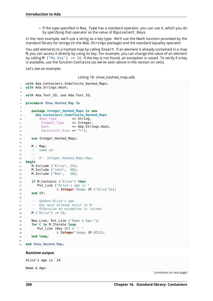**–** If the type specified in Key\_Type has a standard operator, you can use it, which you do by specifying that operator as the value of Equivalent Keys.

In the next example, we'll use a string as a key type. We'll use the Hash function provided by the standard library for strings (in the Ada.Strings package) and the standard equality operator.

You add elements to a hashed map by calling Insert. If an element is already contained in a map M, you can access it directly by using its key. For example, you can change the value of an element by calling M ("My\_Key") := 10. If the key is not found, an exception is raised. To verify if a key is available, use the function Contains (as we've seen above in the section on sets).

Let's see an example:

Listing 18: show hashed map.adb

```
1 with Ada.Containers.Indefinite Hashed Maps;
2 with Ada.Strings.Hash;
3
4 with Ada.Text_IO; use Ada.Text_IO;
5
6 procedure Show_Hashed_Map is
7
8 package Integer_Hashed_Maps is new
9 Ada.Containers.Indefinite_Hashed_Maps
10 (Key Type => String,
11 Element_Type => Integer
12 Hash => Ada.Strings.Hash,
13 Equivalent Keys => "=");
14
15 use Integer_Hashed_Maps;
16
17 M : Map;
18 -- Same as:
19 --
20 -- M : Integer_Hashed_Maps.Map;
21 begin
22 M.Include ("Alice", 24);
23 M.Include ("John", 40);
24 M.Include ("Bob", 28);
25
26 if M.Contains ("Alice") then
27 Put Line ("Alice's age is "
28 & Integer'Image (M ("Alice")));
29 end if;
30
31 -- Update Alice's age
32 -- Key must already exist in M.
33 -- Otherwise an exception is raised.
34 M ("Alice") := 25;
35
36 New_Line; Put_Line ("Name & Age:");
37 for C in M.Iterate loop
38 Put_Line (Key (C) & ": "
39 & Integer'Image (M (C)));
40 end loop;
41
42 end Show_Hashed_Map;
```
### **Runtime output**

Alice's age is 24

Name & Age: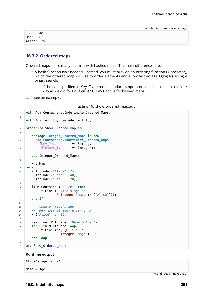John: 40 Bob: 28 Alice: 25

## **16.3.2 Ordered maps**

Ordered maps share many features with hashed maps. The main differences are:

- A hash function isn't needed. Instead, you must provide an ordering function (< operator), which the ordered map will use to order elements and allow fast access, O(log N), using a binary search.
	- **–** If the type specified in Key\_Type has a standard < operator, you can use it in a similar way as we did for Equivalent Keys above for hashed maps.

Let's see an example:

Listing 19: show\_ordered\_map.adb

```
1 with Ada.Containers.Indefinite Ordered Maps;
\overline{2}3 with Ada.Text_IO; use Ada.Text_IO;
4
5 procedure Show_Ordered_Map is
6
7 package Integer_Ordered_Maps is new
8 Ada.Containers.Indefinite Ordered Maps
9 (Key_Type => String,<br>10 Element Type => Integer);
10 Element_Type
11
12 use Integer Ordered Maps;
13
14 M : Map;
15 begin
16 M.Include ("Alice", 24);
17 M.Include ("John", 40);
18 M.Include ("Bob", 28);
19
20 if M.Contains ("Alice") then
21 Put_Line ("Alice's age is
22 & Integer'Image (M ("Alice")));
23 end if:
2425 -- Update Alice's age
26 -- Key must already exist in M
27 M ("Alice") := 25;
28
29 New Line; Put Line ("Name & Age:");
30 for C in M.Iterate loop
31 Put_Line (Key (C) & ": "
32 & Integer'Image (M (C)));
33 end loop;
34
35 end Show Ordered Map;
```
### **Runtime output**

Alice's age is 24

Name & Age: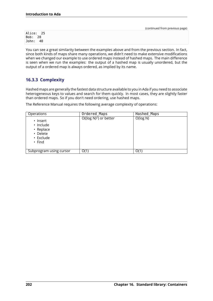Alice: 25 Bob: 28 John: 40

You can see a great similarity between the examples above and from the previous section. In fact, since both kinds of maps share many operations, we didn't need to make extensive modifications when we changed our example to use ordered maps instead of hashed maps. The main difference is seen when we run the examples: the output of a hashed map is usually unordered, but the output of a ordered map is always ordered, as implied by its name.

# **16.3.3 Complexity**

Hashed maps are generally the fastest data structure available to you in Ada if you need to associate heterogeneous keys to values and search for them quickly. In most cases, they are slightly faster than ordered maps. So if you don't need ordering, use hashed maps.

The Reference Manual requires the following average complexity of operations:

| Operations                                                                  | Ordered Maps              | Hashed Maps |
|-----------------------------------------------------------------------------|---------------------------|-------------|
| • Insert<br>· Include<br>• Replace<br>• Delete<br>• Exclude<br>$\cdot$ Find | $O((\log N)^2)$ or better | O(log N)    |
| Subprogram using cursor                                                     | O(1)                      | O(1)        |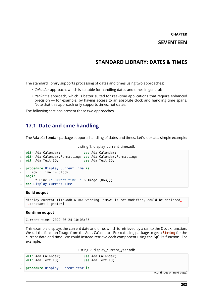**CHAPTER SEVENTEEN**

# **STANDARD LIBRARY: DATES & TIMES**

The standard library supports processing of dates and times using two approaches:

- *Calendar* approach, which is suitable for handling dates and times in general;
- *Real-time* approach, which is better suited for real-time applications that require enhanced precision — for example, by having access to an absolute clock and handling time spans. Note that this approach only supports times, not dates.

The following sections present these two approaches.

# **17.1 Date and time handling**

The Ada.Calendar package supports handling of dates and times. Let's look at a simple example:

```
Listing 1: display_current_time.adb
```

```
1 with Ada.Calendar; use Ada.Calendar;
2 with Ada.Calendar.Formatting; use Ada.Calendar.Formatting;
3 with Ada.Text_IO; use Ada.Text_IO;
4
5 procedure Display_Current_Time is
6 Now : Time := \overline{C}lock;
7 begin
8 Put Line ("Current time: " & Image (Now));
  end Display Current Time;
```
### **Build output**

```
display current time.adb:6:04: warning: "Now" is not modified, could be declared.
↪constant [-gnatwk]
```
#### **Runtime output**

Current time: 2022-06-24 10:08:05

This example displays the current date and time, which is retrieved by a call to the Clock function. We call the function Image from the Ada.Calendar.Formatting package to get a **String** for the current date and time. We could instead retrieve each component using the Split function. For example:

Listing 2: display\_current\_year.adb

|  | vith Ada.Calendar;     |
|--|------------------------|
|  | $2$ with Ada. Text IO; |

**use Ada.Calendar: use** Ada.Text IO;

3 <sup>4</sup> **procedure** Display\_Current\_Year **is**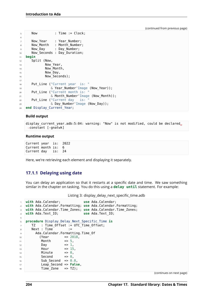```
5 Now : Time := Clock;
6
7 Now Year : Year Number;
8 Now_Month : Month_Number;
9 Now_Day : Day_Number;
10 Now_Seconds : Day_Duration;
11 begin
12 Split (Now,
13 Now Year,
14 Now_Month,
15 Now Day,
16 Now Seconds);
17
18 Put Line ("Current year is: "
19 8 Year_Number'Image (Now_Year));
20 Put_Line ("Current month is:
21 & Month Number'Image (Now Month));
22 Put_Line ("Current day is:
\overline{23} \overline{6} Day Number'Image (Now Day));
24 end Display Current Year;
```
### **Build output**

```
display current year.adb:5:04: warning: "Now" is not modified, could be declared.
↪constant [-gnatwk]
```
#### **Runtime output**

```
Current year is: 2022
Current month is: 6
Current day is: 24
```
Here, we're retrieving each element and displaying it separately.

## **17.1.1 Delaying using date**

You can delay an application so that it restarts at a specific date and time. We saw something similar in the chapter on tasking. You do this using a **delay until** statement. For example:

Listing 3: display delay next specific time.adb

```
1 with Ada.Calendar; use Ada.Calendar;
2 with Ada.Calendar.Formatting; use Ada.Calendar.Formatting;
3 with Ada.Calendar.Time_Zones; use Ada.Calendar.Time_Zones;
4 with Ada.Text_IO; use Ada.Text_IO;
5
6 procedure Display_Delay_Next_Specific_Time is
7 TZ : Time Offset := UTC Time Offset;
8 \qquad \text{Next} : \text{Time} \qquad ::9 Ada.Calendar.Formatting.Time_Of
10 (Year => 2018,
11 Month = 5,
12 \quad \text{Dav} \quad = \quad 1.13 Hour \implies 15,
14 Minute \implies 0,
15 Second \Rightarrow 0,
16 Sub Second => 0.0,
17 Leap_Second => False,
18 Time Zone => TZ);
```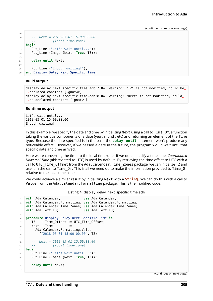```
19
20 -- Next = 2018-05-01 15:00:00.00
21 -- (local time-zone)
22 begin
23 Put_Line ("Let's wait until...");
24 Put_Line (Image (Next, True, TZ));
25
26 delay until Next;
2728 Put_Line ("Enough waiting!");
<sup>29</sup> end Display Delay Next Specific Time;
```
### **Build output**

```
display_delay_next_specific_time.adb:7:04: warning: "TZ" is not modified, could be<sub>u</sub>
 ↪declared constant [-gnatwk]
display delay next specific time.adb:8:04: warning: "Next" is not modified, could.
 ↪be declared constant [-gnatwk]
```
### **Runtime output**

Let's wait until... 2018-05-01 15:00:00.00 Enough waiting!

In this example, we specify the date and time by initializing Next using a call to Time\_Of, a function taking the various components of a date (year, month, etc) and returning an element of the Time type. Because the date specified is in the past, the **delay until** statement won't produce any noticeable effect. However, if we passed a date in the future, the program would wait until that specific date and time arrived.

Here we're converting the time to the local timezone. If we don't specify a timezone, *Coordinated Universal Time* (abbreviated to UTC) is used by default. By retrieving the time offset to UTC with a call to UTC\_Time\_Offset from the Ada.Calendar.Time\_Zones package, we can initialize TZ and use it in the call to Time Of. This is all we need do to make the information provided to Time\_Of relative to the local time zone.

We could achieve a similar result by initializing Next with a **String**. We can do this with a call to Value from the Ada.Calendar.Formatting package. This is the modified code:

Listing 4: display\_delay\_next\_specific\_time.adb

```
1 with Ada.Calendar; use Ada.Calendar;
2 with Ada.Calendar.Formatting; use Ada.Calendar.Formatting;
3 with Ada.Calendar.Time_Zones; use Ada.Calendar.Time_Zones;
4 with Ada.Text_IO; use Ada.Text_IO;
5
6 procedure Display_Delay_Next_Specific_Time is
7 TZ : Time Offset := UTC Time Offset;
8 \text{ Next : Time} :=
9 Ada.Calendar.Formatting.Value
10 ("2018-05-01 15:00:00.00", TZ);
11
12 -- Next = 2018-05-01 15:00:00.00
13 -- (local time-zone)
14 begin
15 Put_Line ("Let's wait until...");
16 Put_Line (Image (Next, True, TZ));
17
18 delay until Next;
19
```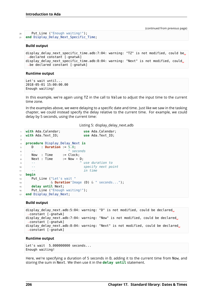| 20 | Put Line ("Enough waiting!");         |
|----|---------------------------------------|
| 21 | end Display_Delay_Next_Specific_Time; |

#### **Build output**

```
display delay next specific time.adb:7:04: warning: "TZ" is not modified, could be,
↪declared constant [-gnatwk]
display delay next specific time.adb:8:04: warning: "Next" is not modified, could.
↪be declared constant [-gnatwk]
```
#### **Runtime output**

Let's wait until... 2018-05-01 15:00:00.00 Enough waiting!

In this example, we're again using TZ in the call to Value to adjust the input time to the current time zone.

In the examples above, we were delaying to a specific date and time. Just like we saw in the tasking chapter, we could instead specify the delay relative to the current time. For example, we could delay by 5 seconds, using the current time:

|  | Listing 5: display_delay_next.adb |  |  |  |
|--|-----------------------------------|--|--|--|
|--|-----------------------------------|--|--|--|

```
1 with Ada.Calendar; use Ada.Calendar;
2 with Ada.Text_IO; use Ada.Text_IO;
3
4 procedure Display_Delay_Next is
5 D : Duration := 5.0;
6 -- ^ seconds
7 Now : Time := Clock;<br>8 Next : Time := Now + D;
8 Next : Time
9 -- ^ use duration to
10 -- specify next point
11 -- in time
12 begin
13 Put Line ("Let's wait "
14 & Duration'Image (D) & " seconds...");
15 delay until Next;
16 Put Line ("Enough waiting!");
17 end Display_Delay_Next;
```
### **Build output**

```
display delay next.adb:5:04: warning: "D" is not modified, could be declared.
↪constant [-gnatwk]
display delay next.adb:7:04: warning: "Now" is not modified, could be declared.
↪constant [-gnatwk]
display delay next.adb:8:04: warning: "Next" is not modified, could be declared.
↪constant [-gnatwk]
```
#### **Runtime output**

Let's wait 5.000000000 seconds... Enough waiting!

Here, we're specifying a duration of 5 seconds in D, adding it to the current time from Now, and storing the sum in Next. We then use it in the **delay until** statement.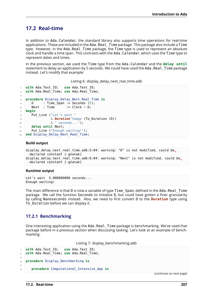# **17.2 Real-time**

In addition to Ada.Calendar, the standard library also supports time operations for real-time applications. These are included in the Ada.Real\_Time package. This package also include a Time type. However, in the Ada.Real Time package, the Time type is used to represent an absolute clock and handle a time span. This contrasts with the Ada.Calendar, which uses the Time type to represent dates and times.

In the previous section, we used the Time type from the Ada.Calendar and the **delay until** statement to delay an application by 5 seconds. We could have used the Ada.Real Time package instead. Let's modify that example:

Listing 6: display delay next real time.adb

```
with Ada.Text IO; use Ada.Text IO;
2 with Ada.Real_Time; use Ada.Real_Time;
3
4 procedure Display_Delay_Next_Real_Time is
5 \quad D \quad : Time Span := Seconds (5);
6 Next : Time := Clock + D;
7 begin
8 Put Line ("Let's wait "
9 & Duration'Image (To_Duration (D))
10 \& " seconds...");
11 delay until Next;
12 Put Line ("Enough waiting!");
13 end Display_Delay_Next Real Time;
```
### **Build output**

```
display delay next real time.adb:5:04: warning: "D" is not modified, could be<sub>1</sub>
 ↪declared constant [-gnatwk]
display_delay_next_real_time.adb:6:04: warning: "Next" is not modified, could be.
 ↪declared constant [-gnatwk]
```
### **Runtime output**

Let's wait 5.000000000 seconds... Enough waiting!

The main difference is that D is now a variable of type Time Span, defined in the Ada.Real Time package. We call the function Seconds to initialize D, but could have gotten a finer granularity by calling Nanoseconds instead. Also, we need to first convert D to the **Duration** type using To Duration before we can display it.

## **17.2.1 Benchmarking**

One interesting application using the Ada.Real Time package is benchmarking. We've used that package before in a previous section when discussing tasking. Let's look at an example of benchmarking:

Listing 7: display\_benchmarking.adb

```
with Ada.Text IO; use Ada.Text IO;
2 with Ada.Real_Time; use Ada.Real_Time;
3
4 procedure Display_Benchmarking is
5
6 procedure Computational_Intensive_App is
```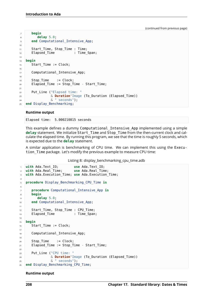```
7 begin
8 delay 5.0;
end Computational Intensive App;
10
11 Start_Time, Stop_Time : Time;
12 Elapsed_Time : Time_Span;
13
14 begin
15 Start Time := Clock;
16
17 Computational Intensive App;
18
19 Stop_Time := Clock;
20 Elapsed Time := Stop Time - Start Time;
21
22 Put Line ("Elapsed time: "
23 & Duration'Image (To_Duration (Elapsed_Time))
24 & " seconds");
25 end Display_Benchmarking;
```
#### **Runtime output**

Elapsed time: 5.000210815 seconds

This example defines a dummy Computational\_Intensive\_App implemented using a simple **delay** statement. We initialize Start\_Time and Stop\_Time from the then-current clock and calculate the elapsed time. By running this program, we see that the time is roughly 5 seconds, which is expected due to the **delay** statement.

A similar application is benchmarking of CPU time. We can implement this using the Execution Time package. Let's modify the previous example to measure CPU time:

Listing 8: display\_benchmarking\_cpu\_time.adb

```
1 with Ada.Text_IO; use Ada.Text_IO;
2 with Ada.Real_Time; use Ada.Real_Time;
3 with Ada.Execution_Time; use Ada.Execution_Time;
4
5 procedure Display_Benchmarking_CPU_Time is
6
7 procedure Computational_Intensive_App is
8 begin
9 delay 5.0;
10 end Computational Intensive App;
11
12 Start Time, Stop Time : CPU Time;
13 Elapsed Time : Time Span;
14
15 begin
16 Start Time := Clock;
17
18 Computational Intensive App;
19
20 Stop Time := Clock;
21 Elapsed Time := Stop Time - Start Time;
2223 Put Line ("CPU time: "
24 & Duration'Image (To_Duration (Elapsed_Time))
25 & " seconds");
26 end Display Benchmarking CPU Time;
```
#### **Runtime output**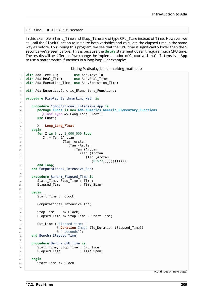CPU time: 0.000040526 seconds

In this example, Start Time and Stop Time are of type CPU Time instead of Time. However, we still call the Clock function to initialize both variables and calculate the elapsed time in the same way as before. By running this program, we see that the CPU time is significantly lower than the 5 seconds we've seen before. This is because the **delay** statement doesn't require much CPU time. The results will be different if we change the implementation of Computational\_Intensive\_App to use a mathematical functions in a long loop. For example:

Listing 9: display\_benchmarking\_math.adb

```
1 with Ada.Text_IO; use Ada.Text_IO;
2 with Ada.Real_Time; use Ada.Real_Time;
3 with Ada.Execution_Time; use Ada.Execution_Time;
4
5 with Ada.Numerics.Generic_Elementary_Functions;
6
7 procedure Display_Benchmarking_Math is
8
9 procedure Computational_Intensive_App is
10 package Funcs is new Ada.Numerics.Generic_Elementary_Functions
11 (Float Type \Rightarrow Long Long Float);
12 use Funcs;
13
14 X : Long_Long_Float;
15 begin
16 for I in 0 .. 1_000_000 loop
17 X := Tan (Arctan
18 (Tan (Arctan
19 (Tan (Arctan
20 (Tan (Arctan
21 (Tan (Arctan
22 (Tan (Arctan
(0.577))))))))))))));
24 end loop;
25 end Computational_Intensive_App;
2627 procedure Benchm_Elapsed_Time is
28 Start_Time, Stop_Time : Time;
29 Elapsed Time : Time Span;
30
31 begin
32 Start Time := Clock;
33
34 Computational Intensive App;
35
36 Stop Time := Clock;
37 Elapsed_Time := Stop_Time - Start_Time;
38
39 Put Line ("Elapsed time: "
40 & Duration'Image (To_Duration (Elapsed_Time))
41 & " seconds");
42 end Benchm_Elapsed_Time;
43
44 procedure Benchm_CPU_Time is
45 Start_Time, Stop_Time : CPU_Time;
46 Elapsed_Time : Time_Span;
47
48 begin
49 Start Time := Clock;
50
```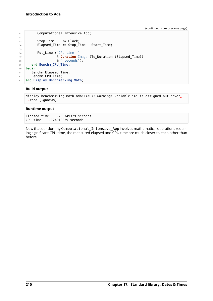```
51 Computational_Intensive_App;
52
53 Stop Time := Clock;
54 Elapsed_Time := Stop_Time - Start_Time;
55
56 Put_Line ("CPU time: "
57 & Duration'Image (To_Duration (Elapsed_Time))
58 & " seconds");
59 end Benchm_CPU_Time;
60 begin
61 Benchm_Elapsed_Time;
62 Benchm CPU Time;
63 end Display Benchmarking Math;
```
### **Build output**

```
display_benchmarking_math.adb:14:07: warning: variable "X" is assigned but never
\rightarrowread [-gnatwm]
```
### **Runtime output**

Elapsed time: 1.233749379 seconds CPU time: 1.124910859 seconds

Now that our dummy Computational\_Intensive\_App involves mathematical operations requiring significant CPU time, the measured elapsed and CPU time are much closer to each other than before.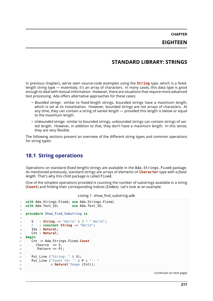**CHAPTER EIGHTEEN**

### **STANDARD LIBRARY: STRINGS**

In previous chapters, we've seen source-code examples using the **String** type, which is a fixedlength string type — essentialy, it's an array of characters. In many cases, this data type is good enough to deal with textual information. However, there are situations that require more advanced text processing. Ada offers alternative approaches for these cases:

- *Bounded strings*: similar to fixed-length strings, bounded strings have a maximum length, which is set at its instantiation. However, bounded strings are not arrays of characters. At any time, they can contain a string of varied length — provided this length is below or equal to the maximum length.
- *Unbounded strings*: similar to bounded strings, unbounded strings can contain strings of varied length. However, in addition to that, they don't have a maximum length. In this sense, they are very flexible.

The following sections present an overview of the different string types and common operations for string types.

### **18.1 String operations**

Operations on standard (fixed-length) strings are available in the Ada.Strings.Fixed package. As mentioned previously, standard strings are arrays of elements of **Character** type with *a fixedlength*. That's why this child package is called Fixed.

One of the simplest operations provided is counting the number of substrings available in a string (**Count**) and finding their corresponding indices (Index). Let's look at an example:

```
Listing 1: show find substring.adb
```

```
1 with Ada.Strings.Fixed; use Ada.Strings.Fixed;
<sup>2</sup> with Ada.Text IO;
3
4 procedure Show_Find_Substring is
5
\begin{array}{ccc} 6 & S & S \end{array} String := "Hello" & 3 * " World";
7 P : constant String := "World";
8 Idx : Natural;
9 Cnt : Natural;
10 begin
11 Cnt := Ada.Strings.Fixed.Count
12 (Source => S,
Pattern => P);
14
15 Put Line ("String: " \& S);
16 Put_Line ("Count for '" & P & "': "
17 & Natural'Image (Cnt));
18
```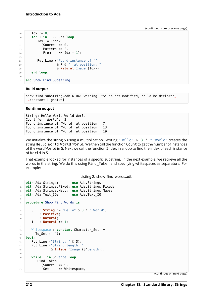```
19 Idx := 0;
20 for I in 1 .. Cnt loop
_2<sup>21</sup> Idx := Index
22 (Source \Rightarrow S,
23 Pattern => P,
24 From \Rightarrow Idx + 1);
25
26 Put_Line ("Found instance of '"
\alpha P & "' at position: "
28 & Natural'Image (Idx));
29 end loop;
30
31 end Show_Find_Substring;
```
### **Build output**

show find substring.adb:6:04: warning: "S" is not modified, could be declared. ↪constant [-gnatwk]

#### **Runtime output**

String: Hello World World World Count for 'World': 3 Found instance of 'World' at position: 7 Found instance of 'World' at position: 13 Found instance of 'World' at position: 19

We initialize the string S using a multiplication. Writing "Hello"  $\&$  3  $*$  " World" creates the string Hello World World World. We then call the function Count to get the number of instances of the word World in S. Next we call the function Index in a loop to find the index of each instance of World in S.

That example looked for instances of a specific substring. In the next example, we retrieve all the words in the string. We do this using Find\_Token and specifying whitespaces as separators. For example:

```
Listing 2: show_find_words.adb
```

```
1 with Ada.Strings; use Ada.Strings;
2 with Ada.Strings.Fixed; use Ada.Strings.Fixed;
3 with Ada.Strings.Maps; use Ada.Strings.Maps;
4 with Ada.Text_IO; use Ada.Text_IO;
5
6 procedure Show_Find_Words is
7
\mathbf{s} \mathbf{S} : String := "Hello" \& 3 * " World";
9 F : Positive;
10 L : Natural;
11 \quad I \quad : Natural := 1;
12
13 Whitespace : constant Character_Set :=
14 To Set (' ');
15 begin
16 Put_Line ("String: " & S);
17 Put_Line ("String length: "
18 B & Integer'Image (S'Length));
19
20 while I in S'Range loop
21 Find Token
22 (Source \Rightarrow S,
23 Set => Whitespace,
```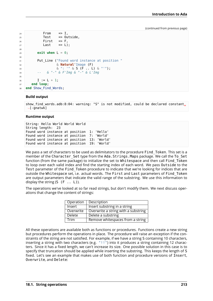```
_{24} From \Rightarrow I,
25 Test \Rightarrow Outside,
26 First => F,
27 Last \Rightarrow L);
28
29 exit when L = 0;
30
31 Put Line ("Found word instance at position "
32 & Natural'Image (F)
33 & ": '" & S (F .. L) & "'");
34 -- & "-" & F'Img & "-" & L'Img
35
1 := L + 1;37 end loop;
38 end Show_Find_Words;
```
### **Build output**

```
show find words.adb:8:04: warning: "S" is not modified, could be declared constant.
\rightarrow[-gnatwk]
```
#### **Runtime output**

```
String: Hello World World World
String length: 23
Found word instance at position 1: 'Hello'
Found word instance at position 7: 'World'
Found word instance at position 13: 'World'
Found word instance at position 19: 'World'
```
We pass a set of characters to be used as delimitators to the procedure Find Token. This set is a member of the Character Set type from the Ada.Strings.Maps package. We call the To Set function (from the same package) to initialize the set to Whitespace and then call Find\_Token to loop over each valid index and find the starting index of each word. We pass Outside to the Test parameter of the Find Token procedure to indicate that we're looking for indices that are outside the Whitespace set, i.e. actual words. The First and Last parameters of Find\_Token are output parameters that indicate the valid range of the substring. We use this information to display the string  $(S (F \ldots L))$ .

The operations we've looked at so far read strings, but don't modify them. We next discuss operations that change the content of strings:

| Operation     | Description                         |
|---------------|-------------------------------------|
| Insert        | Insert substring in a string        |
| Overwrite     | Overwrite a string with a substring |
| <b>Delete</b> | Delete a substring                  |
| Trim          | Remove whitespaces from a string    |

All these operations are available both as functions or procedures. Functions create a new string but procedures perform the operations in place. The procedure will raise an exception if the constraints of the string are not satisfied. For example, if we have a string S containing 10 characters, inserting a string with two characters (e.g. "!!") into it produces a string containing 12 characters. Since it has a fixed length, we can't increase its size. One possible solution in this case is to specify that truncation should be applied while inserting the substring. This keeps the length of S fixed. Let's see an example that makes use of both function and procedure versions of Insert, Overwrite, and Delete: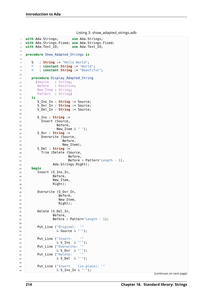```
Listing 3: show_adapted_strings.adb
```

```
1 with Ada.Strings; use Ada.Strings;
2 with Ada.Strings.Fixed; use Ada.Strings.Fixed;
3 with Ada.Text_IO; use Ada.Text_IO;
4
5 procedure Show_Adapted_Strings is
6
7 \quad S \quad : \text{String} := \text{"Hello World"};8 P : constant String := "World";
9 N : constant String := "Beautiful";
10
11 procedure Display_Adapted_String
12 (Source : String;
13 Before : Positive;
14 New_Item : String;
15 Pattern : String)
16 is
17 S_Ins_In : String := Source;
18 S Ovr In : String := Source;
19 S_Del_In : String := Source;
20
21 S Ins : String :=
22 Insert (Source,
23 Before,
24 New_Item & " ");
25 S Ovr : String :=
26 Overwrite (Source,
27 Before,
<sup>28</sup> New Item);
29 S_Del : String :=
30 Trim (Delete (Source,
31 Before,
32 Before + Pattern'Length - 1),
33 Ada.Strings.Right);
34 begin
35 Insert (S Ins In,
36 Before,
<sup>37</sup> New Item,
<sup>38</sup> Right);
39
40 Overwrite (S_Ovr_In,
41 Before,
42 New Item,
43 Right);
44
45 Delete (S_Del_In,
46 Before,
47 Before + Pattern'Length - 1);
48
49 Put_Line ("Original: '"
50 & Source & "'");
51
52 Put_Line ("Insert: '"
53 & S_Ins & "'");
54 Put_Line ("Overwrite: '"
55 \& S_Ovr \& "");<br>55 \& S_Ovr \& "");
56 Put Line ("Delete:
57 \& S_{\text{Del}} \& \& \text{--}58
59 Put_Line ("Insert (in-place): '"
60 & S_Ins_In & "'");
```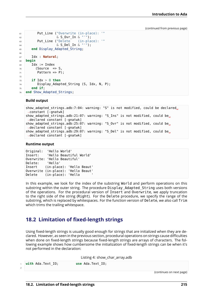```
61 Put_Line ("Overwrite (in-place): '"
\begin{array}{c|c}\n\text{62} & \text{63} \\
\text{64} & \text{65}\n\end{array} Put Line ("Delete (in-place): '"
63 Put Line ("Delete
64 & S_Del_In & "'");
65 end Display_Adapted_String;
66
67 Idx : Natural;
68 begin
69 Idx := Index
70 (Source => S,
71 Pattern => P):
72
73 if Idx > 0 then
74 Display Adapted String (S, Idx, N, P);
75 end if;
76 end Show_Adapted_Strings;
```
#### **Build output**

```
show adapted strings.adb:7:04: warning: "S" is not modified, could be declared.
 ↪constant [-gnatwk]
show_adapted_strings.adb:21:07: warning: "S_Ins" is not modified, could be<sub>u</sub>
 ↪declared constant [-gnatwk]
show adapted strings.adb:25:07: warning: "S_Ovr" is not modified, could be.
 ↪declared constant [-gnatwk]
show adapted strings.adb:29:07: warning: "S Del" is not modified, could be.
 ↪declared constant [-gnatwk]
```
#### **Runtime output**

```
Original: 'Hello World'
Insert: 'Hello Beautiful World'
Overwrite: 'Hello Beautiful'
Delete: 'Hello'
Insert (in-place): 'Hello Beaut'
Overwrite (in-place): 'Hello Beaut'
Delete (in-place): 'Hello
```
In this example, we look for the index of the substring World and perform operations on this substring within the outer string. The procedure Display Adapted String uses both versions of the operations. For the procedural version of Insert and Overwrite, we apply truncation to the right side of the string (Right). For the Delete procedure, we specify the range of the substring, which is replaced by whitespaces. For the function version of Delete, we also call Trim which trims the trailing whitespace.

### **18.2 Limitation of fixed-length strings**

Using fixed-length strings is usually good enough for strings that are initialized when they are declared. However, as seen in the previous section, procedural operations on strings cause difficulties when done on fixed-length strings because fixed-length strings are arrays of characters. The following example shows how cumbersome the initialization of fixed-length strings can be when it's not performed in the declaration:

Listing 4: show\_char\_array.adb

| with Ada.Text IO; | use Ada. Text IO;        |
|-------------------|--------------------------|
|                   | (continues on next page) |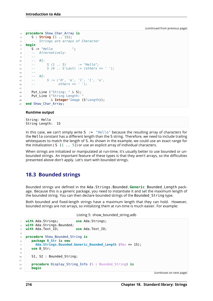```
3 procedure Show_Char_Array is
4 S : String (1 .. 15);
5 -- Strings are arrays of Character
6 begin
7 S := "Hello ";
8 -- Alternatively:
9 --
10 -- #1:
11 -- S (1 .. 5) := "Hello";
12 -- S (6 .. S'Last) := (others => ' ');
13 --
14 -- #2:
15 -- S := ('H', 'e', 'l', 'l', 'o',
16 -- others => ' ');
17
18 Put Line ("String: " & S);
19 Put_Line ("String Length:
20 & Integer'Image (S'Length));
21 end Show_Char_Array;
```
#### **Runtime output**

String: Hello String Length: 15

In this case, we can't simply write  $S :=$  "Hello" because the resulting array of characters for the Hello constant has a different length than the S string. Therefore, we need to include trailing whitespaces to match the length of S. As shown in the example, we could use an exact range for the initialization ( S  $(1 \ldots 5)$  or use an explicit array of individual characters.

When strings are initialized or manipulated at run-time, it's usually better to use bounded or unbounded strings. An important feature of these types is that they aren't arrays, so the difficulties presented above don't apply. Let's start with bounded strings.

### **18.3 Bounded strings**

Bounded strings are defined in the Ada.Strings.Bounded.**Generic**\_Bounded\_Length package. Because this is a generic package, you need to instantiate it and set the maximum length of the bounded string. You can then declare bounded strings of the Bounded\_String type.

Both bounded and fixed-length strings have a maximum length that they can hold. However, bounded strings are not arrays, so initializing them at run-time is much easier. For example:

```
Listing 5: show_bounded_string.adb
```

```
1 with Ada.Strings; use Ada.Strings;
2 with Ada.Strings.Bounded;
3 with Ada.Text_IO; use Ada.Text_IO;
4
5 procedure Show_Bounded_String is
6 package B_Str is new
7 Ada.Strings.Bounded.Generic_Bounded_Length (Max => 15);
8 use B_Str;
9
10 S1, S2 : Bounded String;
11
12 procedure Display_String_Info (S : Bounded_String) is
13 begin
```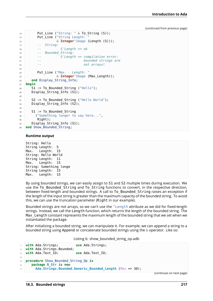```
14 Put_Line ("String: " & To_String (S));
15 Put_Line ("String Length:
16 & Integer'Image (Length (S)));
17 -- String:
18 -- S'Length => ok
19 -- Bounded_String:
20 -- S'Length => compilation error:
21 -- bounded strings are
22 -- not arrays!
23
24 Put Line ("Max. Length: "
25 & Integer'Image (Max_Length));
26 end Display_String_Info;
27 begin
28 S1 := To_Bounded_String ("Hello");
29 Display_String_Info (S1);
30
31 S2 := To_Bounded_String ("Hello World");
32 Display \overline{S}tring Info (S2);
33
34 S1 := To Bounded String
35 ("Something longer to say here...",
36 Right);
37 Display String Info (S1);
38 end Show Bounded String;
```
#### **Runtime output**

String: Hello String Length: 5 Max. Length: 15 String: Hello World String Length: 11 Max. Length: 15 String: Something longe String Length: 15 Max. Length: 15

By using bounded strings, we can easily assign to S1 and S2 multiple times during execution. We use the To\_Bounded\_String and To\_String functions to convert, in the respective direction, between fixed-length and bounded strings. A call to To Bounded String raises an exception if the length of the input string is greater than the maximum capacity of the bounded string. To avoid this, we can use the truncation parameter (Right in our example).

Bounded strings are not arrays, so we can't use the 'Length attribute as we did for fixed-length strings. Instead, we call the Length function, which returns the length of the bounded string. The Max\_Length constant represents the maximum length of the bounded string that we set when we instantiated the package.

After initializing a bounded string, we can manipulate it. For example, we can append a string to a bounded string using Append or concatenate bounded strings using the & operator. Like so:

Listing 6: show\_bounded\_string\_op.adb

```
1 with Ada.Strings; use Ada.Strings;
2 with Ada.Strings.Bounded;
3 with Ada.Text_IO; use Ada.Text_IO;
4
5 procedure Show_Bounded_String_Op is
6 package B_Str is new
       7 Ada.Strings.Bounded.Generic_Bounded_Length (Max => 30);
```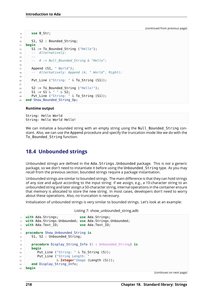```
8 use B_Str;
9
10 S1, S2 : Bounded String;
11 begin
12 S1 := To_Bounded_String ("Hello");
13 -- Alternatively:
14 --
15 -- A := Null_Bounded_String & "Hello";
16
17 Append (S1, " World");
18 -- Alternatively: Append (A, " World", Right);
19
20 Put_Line ("String: " & To_String (S1));
2122 S2 := To_Bounded_String ("Hello!");
23 \text{S1} := \text{S1} \& \text{``''} \& \text{S2};24 Put Line ("String: " \& To String (S1));
25 end Show_Bounded_String_Op;
```
### **Runtime output**

String: Hello World String: Hello World Hello!

We can initialize a bounded string with an empty string using the Null Bounded String constant. Also, we can use the Append procedure and specify the truncation mode like we do with the To\_Bounded\_String function.

### **18.4 Unbounded strings**

Unbounded strings are defined in the Ada.Strings.Unbounded package. This is *not* a generic package, so we don't need to instantiate it before using the Unbounded\_String type. As you may recall from the previous section, bounded strings require a package instantiation.

Unbounded strings are similar to bounded strings. The main difference is that they can hold strings of any size and adjust according to the input string: if we assign, e.g., a 10-character string to an unbounded string and later assign a 50-character string, internal operations in the container ensure that memory is allocated to store the new string. In most cases, developers don't need to worry about these operations. Also, no truncation is necessary.

Initialization of unbounded strings is very similar to bounded strings. Let's look at an example:

Listing 7: show unbounded string.adb

```
1 with Ada.Strings; use Ada.Strings;
2 with Ada.Strings.Unbounded; use Ada.Strings.Unbounded;
3 with Ada.Text_IO; use Ada.Text_IO;
4
5 procedure Show_Unbounded_String is
6 S1, S2 : Unbounded String;
7
8 procedure Display String Info (S : Unbounded String) is
9 begin
10 Put Line ("String: " & To String (S));
11 Put_Line ("String Length:
12 6 Integer'Image (Length (S)));
13 end Display String Info;
14 begin
```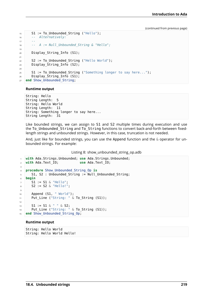```
15 S1 := To_Unbounded_String ("Hello");
16 -- Alternatively:
17 --
18 -- A := Null_Unbounded_String & "Hello";
19
20 Display_String_Info (S1);
21
22 S2 := To_Unbounded_String ("Hello World");
23 Display \overline{String} Info (S2);
24
25 S1 := To Unbounded String ("Something longer to say here...");
26 Display \overline{String} Info (S1);
27 end Show_Unbounded_String;
```
### **Runtime output**

String: Hello String Length: 5 String: Hello World String Length: 11 String: Something longer to say here... String Length: 31

Like bounded strings, we can assign to S1 and S2 multiple times during execution and use the To\_Unbounded\_String and To\_String functions to convert back-and-forth between fixedlength strings and unbounded strings. However, in this case, truncation is not needed.

And, just like for bounded strings, you can use the Append function and the  $\&$  operator for unbounded strings. For example:

Listing 8: show unbounded string op.adb

```
1 with Ada.Strings.Unbounded; use Ada.Strings.Unbounded;
2 with Ada.Text_IO; use Ada.Text_IO;
3
4 procedure Show_Unbounded_String_Op is
5 S1, S2 : Unbounded String := Null Unbounded String;
6 begin
7 S1 := S1 & "Hello";
8 S2 := S2 & "Hello!";
9
10 Append (S1, " World");
11 Put Line ("String: " & To String (S1));
12
13 S1 := S1 & " " & S2;
14 Put Line ("String: " \& To String (S1));
15 end Show Unbounded String Op;
```
### **Runtime output**

String: Hello World String: Hello World Hello!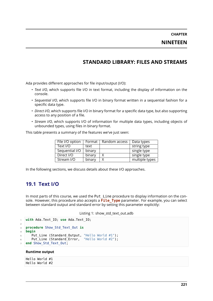## **STANDARD LIBRARY: FILES AND STREAMS**

Ada provides different approaches for file input/output (I/O):

- *Text I/O*, which supports file I/O in text format, including the display of information on the console.
- *Sequential I/O*, which supports file I/O in binary format written in a sequential fashion for a specific data type.
- *Direct I/O*, which supports file I/O in binary format for a specific data type, but also supporting access to any position of a file.
- *Stream I/O*, which supports I/O of information for multiple data types, including objects of unbounded types, using files in binary format.

This table presents a summary of the features we've just seen:

| File I/O option | Format | Random access | Data types     |
|-----------------|--------|---------------|----------------|
| Text I/O        | text   |               | string type    |
| Sequential I/O  | binary |               | single type    |
| Direct I/O      | binary | Χ             | single type    |
| Stream I/O      | binary | Χ             | multiple types |

In the following sections, we discuss details about these I/O approaches.

### **19.1 Text I/O**

In most parts of this course, we used the Put Line procedure to display information on the console. However, this procedure also accepts a **File\_Type** parameter. For example, you can select between standard output and standard error by setting this parameter explicitly:

Listing 1: show std text out.adb

```
1 with Ada.Text_IO; use Ada.Text_IO;
\overline{2}3 procedure Show_Std_Text_Out is
4 begin
5 Put_Line (Standard_Output, "Hello World #1");
6 Put Line (Standard Error, "Hello World #2");
  end Show Std Text Out;
```
### **Runtime output**

Hello World #1 Hello World #2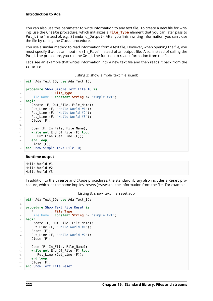You can also use this parameter to write information to any text file. To create a new file for writing, use the Create procedure, which initializes a **File\_Type** element that you can later pass to Put Line (instead of, e.g., Standard Output). After you finish writing information, you can close the file by calling the Close procedure.

You use a similar method to read information from a text file. However, when opening the file, you must specify that it's an input file (In File) instead of an output file. Also, instead of calling the Put Line procedure, you call the Get Line function to read information from the file.

Let's see an example that writes information into a new text file and then reads it back from the same file:

#### Listing 2: show\_simple\_text\_file\_io.adb

```
1 with Ada.Text_IO; use Ada.Text_IO;
\overline{2}3 procedure Show_Simple_Text_File_IO is
4 F : File Type;
5 File_Name : constant String := "simple.txt";
6 begin
7 Create (F, Out_File, File_Name);
8 Put_Line (F, "Hello World #1");
9 Put_Line (F, "Hello World #2");
10 Put_Line (F, "Hello World #3");
11 Close (F);
12
13 Open (F, In File, File Name);
14 while not End_Of_File (F) loop
15 Put_Line (Get_Line (F));
16 end loop;
17 Close (F);
18 end Show_Simple_Text_File_IO;
```
### **Runtime output**

Hello World #1 Hello World #2 Hello World #3

In addition to the Create and Close procedures, the standard library also includes a Reset procedure, which, as the name implies, resets (erases) all the information from the file. For example:

Listing 3: show text file reset.adb

```
1 with Ada.Text_IO; use Ada.Text_IO;
\overline{2}3 procedure Show_Text_File_Reset is
4 F : File_Type;
5 File_Name : constant String := "simple.txt";
6 begin
7 Create (F, Out File, File Name);
8 Put_Line (F, "Hello World #1");
9 Reset (F);
10 Put_Line (F, "Hello World #2");
11 Close (F);
12
13 Open (F, In_File, File_Name);
14 while not End_Of_File (F) loop
15 Put Line (Get Line (F));
16 end loop;
17 Close (F);
18 end Show Text File Reset;
```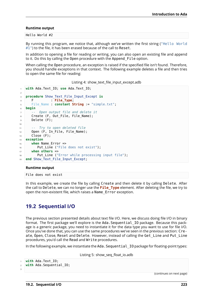### **Runtime output**

Hello World #2

By running this program, we notice that, although we've written the first string ("Hello World  $#1"$ ) to the file, it has been erased because of the call to Reset.

In addition to opening a file for reading or writing, you can also open an existing file and append to it. Do this by calling the Open procedure with the Append\_File option.

When calling the Open procedure, an exception is raised if the specified file isn't found. Therefore, you should handle exceptions in that context. The following example deletes a file and then tries to open the same file for reading:

Listing 4: show\_text\_file\_input\_except.adb

```
1 with Ada.Text_IO; use Ada.Text_IO;
\overline{2}3 procedure Show_Text_File_Input_Except is
4 F : File_Type;
5 File_Name : constant String := "simple.txt";
6 begin
7 -- Open output file and delete it
8 Create (F, Out File, File Name);
9 Delete (F);
10
11 -- Try to open deleted file
12 Open (F, In File, File Name);
13 Close (F):
14 exception
15 when Name_Error =>
16 Put Line ("File does not exist");
17 when others =>
18 Put Line ("Error while processing input file");
19 end Show_Text_File_Input_Except;
```
### **Runtime output**

File does not exist

In this example, we create the file by calling Create and then delete it by calling Delete. After the call to Delete, we can no longer use the **File\_Type** element. After deleting the file, we try to open the non-existent file, which raises a Name\_Error exception.

### **19.2 Sequential I/O**

The previous section presented details about text file I/O. Here, we discuss doing file I/O in binary format. The first package we'll explore is the Ada. Sequential IO package. Because this package is a generic package, you need to instantiate it for the data type you want to use for file I/O. Once you've done that, you can use the same procedures we've seen in the previous section: Create, Open, Close, Reset and Delete. However, instead of calling the Get\_Line and Put\_Line procedures, you'd call the Read and Write procedures.

In the following example, we instantiate the Ada. Sequential IO package for floating-point types:

Listing 5: show\_seq\_float\_io.adb

```
1 with Ada.Text_IO;
2 with Ada.Sequential_IO;
3
```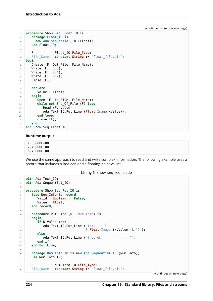```
4 procedure Show_Seq_Float_IO is
5 package Float_IO is
6 new Ada.Sequential_IO (Float);
7 use Float_IO;
8
9 F : Float_IO.File_Type;
10 File_Name : constant String := "float_file.bin";
11 begin
12 Create (F, Out File, File Name);
13 Write (F, 1.5);
14 Write (F, 2.4);
15 Write (F, 6.7);
16 Close (F);
17
18 declare
19 Value : Float;
20 begin
21 Open (F, In_File, File_Name);
22 while not End_Of_File (F) loop
23 Read (F, Value);
24 Ada.Text_IO.Put_Line (Float'Image (Value));
25 end loop;
26 Close (F);
27 end;
28 end Show_Seq_Float_IO;
```
#### **Runtime output**

1.50000E+00 2.40000E+00 6.70000E+00

We use the same approach to read and write complex information. The following example uses a record that includes a Boolean and a floating-point value:

#### Listing 6: show\_seq\_rec\_io.adb

```
1 with Ada.Text_IO;
2 with Ada.Sequential_IO;
3
4 procedure Show_Seq_Rec_IO is
5 type Num_Info is record
6 Valid : Boolean := False;
7 Value : Float;
8 end record;
\overline{9}10 procedure Put_Line (N : Num_Info) is
11 begin
12 if N.Valid then
13 Ada.Text_IO.Put_Line ("(ok, "
14 & Float'Image (N.Value) & ")");
15 else
16 Ada.Text IO.Put Line ("(not ok, ----------)");
17 end if;
18 end Put Line;
19
20 package Num_Info_IO is new Ada.Sequential_IO (Num_Info);
21 use Num_Info_IO;
2223 F : Num_Info_IO.File_Type;
24 File_Name : constant String := "float_file.bin";
```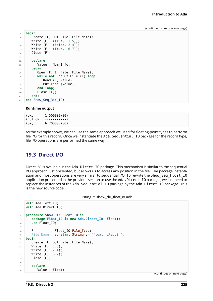```
25 begin
26 Create (F, Out_File, File_Name);
27 Write (F, (True, 1.5));
28 Write (F, (False, 2.4));
29 Write (F, (True, 6.7));
30 Close (F);
31
32 declare
33 Value : Num_Info;
34 begin
35 Open (F, In_File, File_Name);
36 while not End_Of_File (F) loop
37 Read (F, Value);
38 Put Line (Value);
39 end loop;
40 Close (F);
41 end;
42 end Show_Seq_Rec_IO;
```
#### **Runtime output**

| (ok,     | 1.50000E+00) |
|----------|--------------|
| (not ok, | -----------) |
| (ok,     | 6.70000E+00) |

As the example shows, we can use the same approach we used for floating-point types to perform file I/O for this record. Once we instantiate the Ada. Sequential IO package for the record type, file I/O operations are performed the same way.

### **19.3 Direct I/O**

Direct I/O is available in the Ada.Direct IO package. This mechanism is similar to the sequential I/O approach just presented, but allows us to access any position in the file. The package instantiation and most operations are very similar to sequential I/O. To rewrite the Show Seq Float IO application presented in the previous section to use the Ada. Direct IO package, we just need to replace the instances of the Ada. Sequential IO package by the Ada.Direct IO package. This is the new source code:

Listing 7: show\_dir\_float\_io.adb

```
1 with Ada.Text_IO;
2 with Ada.Direct_IO;
3
4 procedure Show_Dir_Float_IO is
5 package Float_IO is new Ada.Direct_IO (Float);
6 use Float_IO;
7
8 F : Float IO. File Type;
9 File_Name : constant String := "float_file.bin";
10 begin
11 Create (F, Out_File, File_Name);
12 Write (F, 1.5);
13 Write (F, 2.4);
14 Write (F, 6.7);
15 Close (F);
16
17 declare
18 Value : Float;
```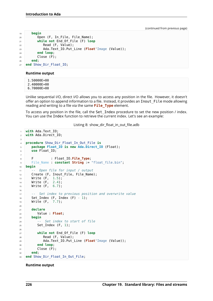```
19 begin
20 Open (F, In_File, File_Name);
21 while not End_Of_File (F) loop
22 Read (F, Value);
23 Ada.Text_IO.Put_Line (Float'Image (Value));
24 end loop;
25 Close (F);
26 end
27 end Show_Dir_Float_IO;
```
### **Runtime output**

1.50000E+00 2.40000E+00 6.70000E+00

Unlike sequential I/O, direct I/O allows you to access any position in the file. However, it doesn't offer an option to append information to a file. Instead, it provides an Inout\_File mode allowing reading and writing to a file via the same **File\_Type** element.

To access any position in the file, call the Set Index procedure to set the new position / index. You can use the Index function to retrieve the current index. Let's see an example:

Listing 8: show\_dir\_float\_in\_out\_file.adb

```
1 with Ada.Text_IO;
2 with Ada.Direct_IO;
3
4 procedure Show_Dir_Float_In_Out_File is
5 package Float_IO is new Ada.Direct_IO (Float);
6 use Float_IO;
7
8 F : Float IO. File Type;
9 File_Name : constant String := "float_file.bin";
10 begin
11 -- Open file for input / output
12 Create (F, Inout File, File Name);
13 Write (F, 1.5);
14 Write (F, 2.4);
15 Write (F, 6.7);
16
17 -- Set index to previous position and overwrite value
18 Set Index (F, Index (F) - 1);
19 Write (F, 7.7);
20
21 declare
22 Value : Float;
23 begin
24 -- Set index to start of file
25 Set Index (F, 1);
26
27 while not End_Of_File (F) loop
28 Read (F, Value);
29 Ada.Text_IO.Put_Line (Float'Image (Value));
30 end loop;
31 Close (F);
32 end;
33 end Show Dir Float In Out File;
```
### **Runtime output**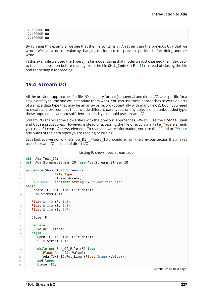1.50000E+00 2.40000E+00 7.70000E+00

By running this example, we see that the file contains 7.7, rather than the previous 6.7 that we wrote. We overwrote the value by changing the index to the previous position before doing another write.

In this example we used the Inout File mode. Using that mode, we just changed the index back to the initial position before reading from the file (Set Index  $(F, 1)$ ) instead of closing the file and reopening it for reading.

## **19.4 Stream I/O**

All the previous approaches for file I/O in binary format (sequential and direct I/O) are specific for a single data type (the one we instantiate them with). You can use these approaches to write objects of a single data type that may be an array or record (potentially with many fields), but if you need to create and process files that include different data types, or any objects of an unbounded type, these approaches are not sufficient. Instead, you should use stream I/O.

Stream I/O shares some similarities with the previous approaches. We still use the Create, Open and Close procedures. However, instead of accessing the file directly via a **File\_Type** element, you use a Stream\_Access element. To read and write information, you use the 'Read or 'Write attributes of the data types you're reading or writing.

Let's look at a version of the Show Dir Float IO procedure from the previous section that makes use of stream I/O instead of direct I/O:

|  |  |  | Listing 9: show_float_stream.adb |
|--|--|--|----------------------------------|
|--|--|--|----------------------------------|

```
1 with Ada.Text_IO;
2 with Ada.Streams.Stream_IO; use Ada.Streams.Stream_IO;
3
4 procedure Show_Float_Stream is
5 F : File_Type;
6 S : Stream Access;
7 File_Name : constant String := "float_file.bin";
8 begin
9 Create (F, Out File, File Name);
10 S := Stream (F);
11
12 Float'Write (S, 1.5);
13 Float'Write (S, 2.4);
14 Float'Write (S, 6.7);
15
16 Close (F);
17
18 declare
19 Value : Float;
20 begin
21 Open (F, In_File, File_Name);
22 S := Stream (F);
23
24 while not End_Of_File (F) loop
25 Float Read (S, Value);
26 Ada.Text IO.Put Line (Float'Image (Value));
27 end loop;
28 Close (F);
```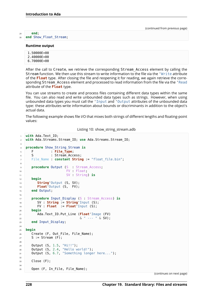### <sup>29</sup> **end**;

<sup>30</sup> **end** Show\_Float\_Stream;

#### **Runtime output**

1.50000E+00 2.40000E+00

6.70000E+00

After the call to Create, we retrieve the corresponding Stream Access element by calling the Stream function. We then use this stream to write information to the file via the 'Write attribute of the **Float** type. After closing the file and reopening it for reading, we again retrieve the corresponding Stream\_Access element and processed to read information from the file via the 'Read attribute of the **Float** type.

You can use streams to create and process files containing different data types within the same file. You can also read and write unbounded data types such as strings. However, when using unbounded data types you must call the 'Input and 'Output attributes of the unbounded data type: these attributes write information about bounds or discriminants in addition to the object's actual data.

The following example shows file I/O that mixes both strings of different lengths and floating-point values:

Listing 10: show\_string\_stream.adb

```
1 with Ada.Text_IO;
2 with Ada.Streams.Stream_IO; use Ada.Streams.Stream_IO;
\overline{3}4 procedure Show_String_Stream is
5 F : File_Type;<br>5 : Stream Acc
6 S : Stream Access;
7 File_Name : constant String := "float_file.bin";
8
procedure Output (S : Stream Access;
10 FV : Float;
11 SV : String) is
12 begin
13 String'Output (S, SV);
14 Float'Output (S, FV);
15 end Output;
16
17 procedure Input_Display (S : Stream_Access) is
18 SV : String := String Input (S);
19 FV : Float := Float'Input (S);
20 begin
21 Ada.Text_IO.Put_Line (Float'Image (FV)
22 & " --- " & SV);
23 end Input_Display;
2425 begin
26 Create (F, Out File, File Name);
27 S := Stream (F);
28
29 Output (S, 1.5, "Hi!!");
30 Output (S, 2.4, "Hello world!");
31 Output (S, 6.7, "Something longer here...");
32
33 Close (F):
3435 Open (F, In_File, File_Name);
```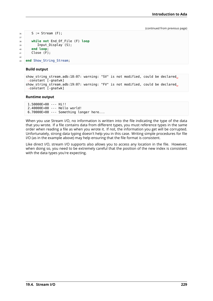```
36 S := Stream (F);
37
38 while not End_Of_File (F) loop
39 Input_Display (S);
40 end loop;
41 Close (F);
42
43 end Show_String_Stream;
```
### **Build output**

```
show string stream.adb:18:07: warning: "SV" is not modified, could be declared,
 \overline{\left(}-constant \overline{\left[}-gnatwk]
show string stream.adb:19:07: warning: "FV" is not modified, could be declared.
 \overline{\left(}-constant \overline{\left[}-gnatwk]
```
### **Runtime output**

```
1.50000E+00 --- Hi!!
2.40000E+00 --- Hello world!
6.70000E+00 --- Something longer here...
```
When you use Stream I/O, no information is written into the file indicating the type of the data that you wrote. If a file contains data from different types, you must reference types in the same order when reading a file as when you wrote it. If not, the information you get will be corrupted. Unfortunately, strong data typing doesn't help you in this case. Writing simple procedures for file I/O (as in the example above) may help ensuring that the file format is consistent.

Like direct I/O, stream I/O supports also allows you to access any location in the file. However, when doing so, you need to be extremely careful that the position of the new index is consistent with the data types you're expecting.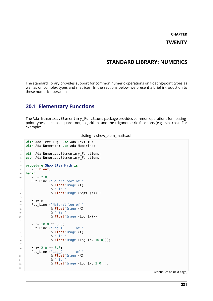**CHAPTER TWENTY**

### **STANDARD LIBRARY: NUMERICS**

The standard library provides support for common numeric operations on floating-point types as well as on complex types and matrices. In the sections below, we present a brief introduction to these numeric operations.

### **20.1 Elementary Functions**

The Ada.Numerics.Elementary\_Functions package provides common operations for floatingpoint types, such as square root, logarithm, and the trigonometric functions (e.g., sin, cos). For example:

|  |  |  |  | Listing 1: show_elem_math.adb |
|--|--|--|--|-------------------------------|
|--|--|--|--|-------------------------------|

```
1 with Ada.Text_IO; use Ada.Text_IO;
2 with Ada.Numerics; use Ada.Numerics;
\overline{3}4 with Ada.Numerics.Elementary_Functions;
5 use Ada.Numerics.Elementary_Functions;
6
7 procedure Show_Elem_Math is
8 X : Float;
9 begin
10 X := 2.0;
11 Put Line ("Square root of "
12 & Float'Image (X)
13 & " is "
14 & Float'Image (Sqrt (X)));
15
16 X := e;
17 Put Line ("Natural log of "
18 & Float'Image (X)
19 \delta \frac{\pi}{15}20 & Float'Image (Log (X)));
21
22 X := 10.0 ** 6.0;
23 Put_Line ("Log_10 of "
\sim 24 \sim \sim Float'Image (X)
25 & " is "
26 & Float'Image (Log (X, 10.0)));
27
28 X := 2.0 ** 8.0;
29 Put Line ("Log 2 of "
30 & Float'Image (X)
31 & " is "
32 & Float'Image (Log (X, 2.0)));
33
```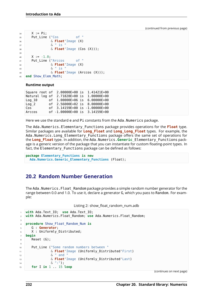```
34 X := Pi;
35 Put_Line ("Cos of "
36 & Float'Image (X)
37 & " is "
38 & Float'Image (Cos (X)));
39
40 X := -1.0;
41 Put Line ("Arccos of "
42 & Float'Image (X)
43 & " is "
44 & Float'Image (Arccos (X)));
45 end Show_Elem_Math;
```
### **Runtime output**

|                  | Square root of 2.00000E+00 is 1.41421E+00 |                            |
|------------------|-------------------------------------------|----------------------------|
| Natural log of   |                                           | 2.71828E+00 is 1.00000E+00 |
| Log 10           | of 1.00000E+06 is 6.00000E+00             |                            |
| $\textsf{Log} 2$ | of 2.56000E+02 is 8.00000E+00             |                            |
| Cos              | of 3.14159E+00 is -1.00000E+00            |                            |
| Arccos           | of -1.00000E+00 is 3.14159E+00            |                            |

Here we use the standard e and Pi constants from the Ada.Numerics package.

The Ada.Numerics.Elementary\_Functions package provides operations for the **Float** type. Similar packages are available for **Long\_Float** and **Long\_Long\_Float** types. For example, the Ada.Numerics.Long\_Elementary\_Functions package offers the same set of operations for the **Long\_Float** type. In addition, the Ada.Numerics.**Generic**\_Elementary\_Functions package is a generic version of the package that you can instantiate for custom floating-point types. In fact, the Elementary\_Functions package can be defined as follows:

```
package Elementary_Functions is new
  Ada.Numerics.Generic_Elementary_Functions (Float);
```
### **20.2 Random Number Generation**

The Ada.Numerics.Float Random package provides a simple random number generator for the range between 0.0 and 1.0. To use it, declare a generator G, which you pass to Random. For example:

```
Listing 2: show float random num.adb
```

```
1 with Ada.Text_IO; use Ada.Text_IO;
2 with Ada.Numerics.Float_Random; use Ada.Numerics.Float_Random;
3
4 procedure Show_Float_Random_Num is
5 G : Generator;
6 X : Uniformly Distributed;
7 begin
8 \qquad Reset (G);
9
10 Put_Line ("Some random numbers between "
11 & Float'Image (Uniformly_Distributed'First)
12 6 m and "
13 & Float'Image (Uniformly_Distributed'Last)
14 & ":");
15 for I in 1 .. 15 loop
```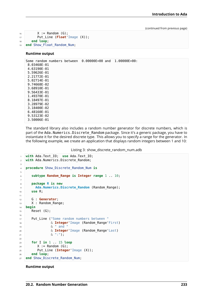```
16 X := Random (G);
17 Put_Line (Float'Image (X));
18 end loop;
19 end Show_Float_Random_Num;
```
#### **Runtime output**

3.50006E-01

```
Some random numbers between 0.00000E+00 and 1.00000E+00:
8.03468E-01
 4.63190E-01
 5.59626E-01
 2.21772E-01
 5.02714E-01
 9.74668E-02
 3.68910E-01
 9.56433E-01
 1.49370E-01
 8.18497E-01
 3.28979E-02
3.18400E-02
 6.48160E-01
 9.53123E-02
```
The standard library also includes a random number generator for discrete numbers, which is part of the Ada. Numerics. Discrete Random package. Since it's a generic package, you have to instantiate it for the desired discrete type. This allows you to specify a range for the generator. In the following example, we create an application that displays random integers between 1 and 10:

Listing 3: show\_discrete\_random\_num.adb

```
1 with Ada.Text_IO; use Ada.Text_IO;
2 with Ada.Numerics.Discrete_Random;
3
4 procedure Show_Discrete_Random_Num is
5
6 subtype Random_Range is Integer range 1 .. 10;
7
8 package R is new
9 Ada.Numerics.Discrete_Random (Random_Range);
10 use R;
11
12 G : Generator;
13 X : Random Range;
14 begin
15 Reset (G);
16
17 Put Line ("Some random numbers between "
18 Blue Communist Communist Communist Communist Communist Communist Communist Communist Communist Communist Communist Communist Communist Communist Communist Communist Communist Communist Communist Communist Communist Com
19 6 " and "
20 & Integer'Image (Random_Range'Last)
21 \delta_1 \cdots \delta_n \cdots \cdots \cdots22
23 for I in 1 .. 15 loop
24 X := Random (G);
25 Put_Line (Integer'Image (X));
26 end loop;
27 end Show_Discrete_Random_Num;
```
### **Runtime output**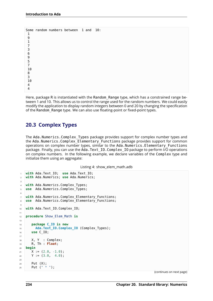|                |  | Some random numbers between 1 and |  | 10: |  |
|----------------|--|-----------------------------------|--|-----|--|
| 1              |  |                                   |  |     |  |
| 9              |  |                                   |  |     |  |
| $\mathbf{1}$   |  |                                   |  |     |  |
|                |  |                                   |  |     |  |
|                |  |                                   |  |     |  |
| 73695          |  |                                   |  |     |  |
|                |  |                                   |  |     |  |
|                |  |                                   |  |     |  |
| $\overline{7}$ |  |                                   |  |     |  |
| 10             |  |                                   |  |     |  |
| 8              |  |                                   |  |     |  |
| $\overline{3}$ |  |                                   |  |     |  |
| 10             |  |                                   |  |     |  |
| 4              |  |                                   |  |     |  |
|                |  |                                   |  |     |  |
|                |  |                                   |  |     |  |

Here, package R is instantiated with the Random Range type, which has a constrained range between 1 and 10. This allows us to control the range used for the random numbers. We could easily modify the application to display random integers between 0 and 20 by changing the specification of the Random\_Range type. We can also use floating-point or fixed-point types.

### **20.3 Complex Types**

The Ada.Numerics.Complex Types package provides support for complex number types and the Ada.Numerics.Complex\_Elementary\_Functions package provides support for common operations on complex number types, similar to the Ada.Numerics.Elementary\_Functions package. Finally, you can use the Ada.Text IO.Complex IO package to perform I/O operations on complex numbers. In the following example, we declare variables of the Complex type and initialize them using an aggregate:

Listing 4: show elem math.adb

```
1 with Ada.Text_IO; use Ada.Text_IO;
2 with Ada.Numerics; use Ada.Numerics;
3
4 with Ada.Numerics.Complex_Types;
5 use Ada.Numerics.Complex_Types;
6
7 with Ada.Numerics.Complex_Elementary_Functions;
8 use Ada.Numerics.Complex_Elementary_Functions;
9
10 with Ada.Text_IO.Complex_IO;
11
12 procedure Show_Elem_Math is
13
14 package C_IO is new
15 Ada.Text_IO.Complex_IO (Complex_Types);
16 use C_IO;
17
18 X, Y : Complex;
19 R, Th : Float;
20 begin
21 \quad X := (2.0, -1.0);22 \quad \text{Y} := (3.0, 4.0);23
24 Put (X);
25 Put (" * ");
```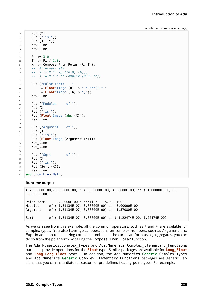```
26 Put (Y);
27 Put (" is ");
28 Put (X * Y);
29 New_Line;
30 New_Line;
31
32 \text{ R} := 3.0;33 Th := Pi / 2.0;
X := Compose From Polar (R, Th);
35 -- Alternatively:
36 -- X := R * Exp ((0.0, Th));
37 -- X := R * e ** Complex'(0.0, Th);
38
39 Put ("Polar form:
40 & Float'Image (R) & " * e**(i * "
41 & Float'Image (Th) & ")");
42 New Line;
43
44 Put ("Modulus of ");
45 Put (X);
46 Put (" is ");
47 Put (Float'Image (abs (X)));
48 New_Line;
49
50 Put ("Argument of ");
51 Put (X);
52 Put (" is ");
53 Put (Float'Image (Argument (X)));
54 New_Line;
55 New Line;
56
57 Put ("Sqrt of ");
58 Put (X);
59 Put (" is ");
60 Put (Sqrt (X));
61 New Line;
62 end Show_Elem_Math;
```
### **Runtime output**

```
( 2.00000E+00,-1.00000E+00) * ( 3.00000E+00, 4.00000E+00) is ( 1.00000E+01, 5.
\rightarrow00000E+00)
Polar form: 3.00000E+00 * e**(i * 1.57080E+00)
Modulus of (-1.31134E-07, 3.00000E+00) is 3.00000E+00
Argument of (-1.31134E-07, 3.00000E+00) is 1.57080E+00
Sqrt of (-1.31134E-07, 3.00000E+00) is ( 1.22474E+00, 1.22474E+00)
```
As we can see from this example, all the common operators, such as  $*$  and  $+$ , are available for complex types. You also have typical operations on complex numbers, such as Argument and Exp. In addition to initializing complex numbers in the cartesian form using aggregates, you can do so from the polar form by calling the Compose\_From\_Polar function.

The Ada.Numerics.Complex\_Types and Ada.Numerics.Complex\_Elementary\_Functions packages provide operations for the **Float** type. Similar packages are available for **Long\_Float** and **Long\_Long\_Float** types. In addition, the Ada.Numerics.**Generic**\_Complex\_Types and Ada.Numerics.**Generic**\_Complex\_Elementary\_Functions packages are generic versions that you can instantiate for custom or pre-defined floating-point types. For example: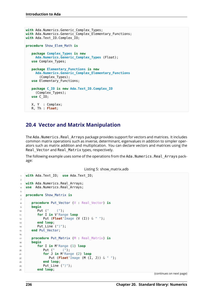```
with Ada.Numerics.Generic Complex Types;
with Ada.Numerics.Generic Complex Elementary Functions;
with Ada.Text_IO.Complex_IO;
procedure Show_Elem_Math is
  package Complex_Types is new
    Ada.Numerics.Generic_Complex_Types (Float);
  use Complex_Types;
  package Elementary_Functions is new
     Ada.Numerics.Generic_Complex_Elementary_Functions
       (Complex_Types);
  use Elementary_Functions;
  package C_IO is new Ada.Text_IO.Complex_IO
     (Complex_Types);
  use C_IO;
  X, Y : Complex;
  R, Th : Float;
```
### **20.4 Vector and Matrix Manipulation**

The Ada. Numerics. Real Arrays package provides support for vectors and matrices. It includes common matrix operations such as inverse, determinant, eigenvalues in addition to simpler operators such as matrix addition and multiplication. You can declare vectors and matrices using the Real Vector and Real Matrix types, respectively.

The following example uses some of the operations from the Ada. Numerics. Real Arrays package:

Listing 5: show\_matrix.adb

```
1 with Ada.Text_IO; use Ada.Text_IO;
\overline{2}3 with Ada.Numerics.Real_Arrays;
4 use Ada.Numerics.Real_Arrays;
5
6 procedure Show_Matrix is
7
8 procedure Put_Vector (V : Real_Vector) is
9 begin
10 Put (" (");
11 for I in V'Range loop
12 Put (Float'Image (V (I)) & " ");
13 end loop;
14 Put_Line (")");
15 end Put_Vector;
16
17 procedure Put_Matrix (M : Real_Matrix) is
18 begin
19 for I in M'Range (1) loop
20 Put (" (");
21 for J in M'Range (2) loop
22 Put (Float'Image (M (I, J)) & " ");
23 end loop;
24 Put_Line (")");
25 end loop;
```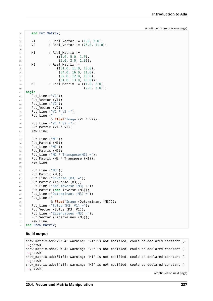```
26 end Put_Matrix;
27
28 V1 : Real Vector := (1.0, 3.0);
29 V2 : Real_Vector := (75.0, 11.0);
30
31 M1 : Real Matrix :=
(1.0, 5.0, 1.0),(2.0, 2.0, 1.0);
34 M2 : Real Matrix :=
(31.0, 11.0, 10.0),
36 (34.0, 16.0, 11.0),
37 (32.0, 12.0, 10.0),
38 (31.0, 13.0, 10.0));
39 M3 : Real Matrix := ((1.0, 2.0),40 (2.0, 3.0));
41 begin
42 Put Line ("V1");
43 Put_Vector (V1);
44 Put_Line ("V2");
45 Put Vector (V2);
46 Put_Line ("\sqrt{1} * \sqrt{2} =");
47 Put_Line ("
48 & Float'Image (V1 * V2));
49 Put Line ("V1 * V2 =");
50 Put Matrix (V1 * V2);
51 New Line;
52
53 Put_Line ("M1");
54 Put Matrix (M1);
55 Put_Line ("M2");
56 Put_Matrix (M2);
57 Put_Line ("M2 * Transpose(M1) =");
58 Put Matrix (M2 * Transpose (M1));
59 New_Line;
60
61 Put_Line ("M3");
62 Put Matrix (M3);
63 Put Line ("Inverse (M3) = ");
64 Put_Matrix (Inverse (M3));
65 Put Line ("abs Inverse (M3) = ");
66 Put_Matrix (abs Inverse (M3));
67 Put Line ("Determinant (M3) = ");
68 Put_Line ("
69 & Float'Image (Determinant (M3)));
70 Put Line ("Solve (M3, V1) =");
71 Put Vector (Solve (M3, V1));
72 Put Line ("Eigenvalues (M3) =");
73 Put Vector (Eigenvalues (M3));
74 New_Line;
75 end Show_Matrix;
```
### **Build output**

show matrix.adb:28:04: warning: "V1" is not modified, could be declared constant [-↪gnatwk] show matrix.adb:29:04: warning: "V2" is not modified, could be declared constant [-↪gnatwk] show matrix.adb:31:04: warning: "M1" is not modified, could be declared constant [-↪gnatwk] show matrix.adb:34:04: warning: "M2" is not modified, could be declared constant [-⇒gnatwk]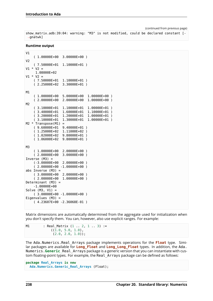```
show_matrix.adb:39:04: warning: "M3" is not modified, could be declared constant [-
 ↪gnatwk]
```
### **Runtime output**

```
V1
    ( 1.00000E+00 3.00000E+00 )
V<sub>2</sub>( 7.50000E+01 1.10000E+01 )
V1 * V2 =1.08000E+02
V1 * V2 =( 7.50000E+01 1.10000E+01 )
    ( 2.25000E+02 3.30000E+01 )
M1
    ( 1.00000E+00 5.00000E+00 1.00000E+00 )
    ( 2.00000E+00 2.00000E+00 1.00000E+00 )
M2
    ( 3.10000E+01 1.10000E+01 1.00000E+01 )
    ( 3.40000E+01 1.60000E+01 1.10000E+01 )
    ( 3.20000E+01 1.20000E+01 1.00000E+01 )
    ( 3.10000E+01 1.30000E+01 1.00000E+01 )
M2 * Transpose(M1) =( 9.60000E+01 9.40000E+01 )
    ( 1.25000E+02 1.11000E+02 )
    ( 1.02000E+02 9.80000E+01 )
    ( 1.06000E+02 9.80000E+01 )
M3
    ( 1.00000E+00 2.00000E+00 )
    ( 2.00000E+00 3.00000E+00 )
Inverse (M3) =(-3.00000E+00 2.00000E+00 )
    ( 2.00000E+00 -1.00000E+00 )
abs Inverse (M3) =( 3.00000E+00 2.00000E+00 )
    ( 2.00000E+00 1.00000E+00 )
Determinant (M3) =
    -1.00000E+00
Solve (M3, V1) =( 3.00000E+00 -1.00000E+00 )
Eigenvalues (M3) =
    ( 4.23607E+00 -2.36068E-01 )
```
Matrix dimensions are automatically determined from the aggregate used for initialization when you don't specify them. You can, however, also use explicit ranges. For example:

M1 : Real Matrix (1 .. 2, 1 .. 3) :=  $((1.0, 5.0, 1.0),$  $(2.0, 2.0, 1.0)$ ;

The Ada.Numerics.Real\_Arrays package implements operations for the **Float** type. Similar packages are available for **Long\_Float** and **Long\_Long\_Float** types. In addition, the Ada. Numerics.**Generic**\_Real\_Arrays package is a generic version that you can instantiate with custom floating-point types. For example, the Real Arrays package can be defined as follows:

```
package Real_Arrays is new
  Ada.Numerics.Generic_Real_Arrays (Float);
```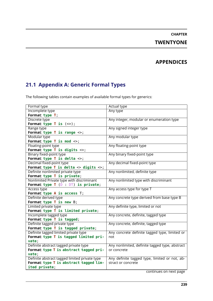# **CHAPTER TWENTYONE**

# **APPENDICES**

# **21.1 Appendix A: Generic Formal Types**

The following tables contain examples of available formal types for generics:

| Formal type                                      | <b>Actual type</b>                             |
|--------------------------------------------------|------------------------------------------------|
| Incomplete type                                  | Any type                                       |
| Format: type T;                                  |                                                |
| Discrete type                                    | Any integer, modular or enumeration type       |
| Format: type $T$ is $(\le)$ ;                    |                                                |
| Range type                                       | Any signed integer type                        |
| Format: type $T$ is range $\langle \rangle$ ;    |                                                |
| Modular type                                     | Any modular type                               |
| Format: type $T$ is mod $\langle \rangle$ ;      |                                                |
| Floating-point type                              | Any floating-point type                        |
| Format: type $T$ is digits $\langle \rangle$ ;   |                                                |
| Binary fixed-point type                          | Any binary fixed-point type                    |
| Format: type $T$ is delta $\langle \rangle$ ;    |                                                |
| Decimal fixed-point type                         | Any decimal fixed-point type                   |
| Format: type $T$ is delta $\leq$ digits $\leq$ ; |                                                |
| Definite nonlimited private type                 | Any nonlimited, definite type                  |
| Format: type T is private;                       |                                                |
| Nonlimited Private type with discriminant        | Any nonlimited type with discriminant          |
| Format: type $T$ ( $D : DT$ ) is private;        |                                                |
| Access type                                      | Any access type for type T                     |
| Format: type A is access T;                      |                                                |
| Definite derived type                            | Any concrete type derived from base type B     |
| Format: type T is new B;                         |                                                |
| Limited private type                             | Any definite type, limited or not              |
| Format: type T is limited private;               |                                                |
| Incomplete tagged type                           | Any concrete, definite, tagged type            |
| Format: type T is tagged;                        |                                                |
| Definite tagged private type                     | Any concrete, definite, tagged type            |
| Format: type T is tagged private;                |                                                |
| Definite tagged limited private type             | Any concrete definite tagged type, limited or  |
| Format: type T is tagged limited pri-            | not                                            |
| vate;                                            |                                                |
| Definite abstract tagged private type            | Any nonlimited, definite tagged type, abstract |
| Format: type T is abstract tagged pri-           | or concrete                                    |
| vate;                                            |                                                |
| Definite abstract tagged limited private type    | Any definite tagged type, limited or not, ab-  |
| Format: type T is abstract tagged lim-           | stract or concrete                             |
| ited private;                                    |                                                |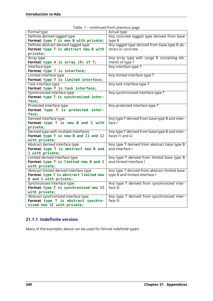| Formal type                              | <b>Actual type</b>                             |
|------------------------------------------|------------------------------------------------|
| Definite derived tagged type             | Any concrete tagged type derived from base     |
| Format: type T is new B with private;    | type B                                         |
| Definite abstract derived tagged type    | Any tagged type derived from base type B ab-   |
| Format: type T is abstract new B with    | stract or concrete                             |
| private;                                 |                                                |
| Array type                               | Any array type with range R containing ele-    |
| Format: type $A$ is array $(R)$ of $T$ ; | ments of type T                                |
| Interface type                           | Any interface type T                           |
| Format: type T is interface;             |                                                |
| Limited interface type                   | Any limited interface type T                   |
| Format: type T is limited interface;     |                                                |
| Task interface type                      | Any task interface type T                      |
| Format: type T is task interface;        |                                                |
| Synchronized interface type              | Any synchronized interface type T              |
| Format: type T is synchronized inter-    |                                                |
| face;                                    |                                                |
| Protected interface type                 | Any protected interface type T                 |
| Format: type T is protected inter-       |                                                |
| face;                                    |                                                |
| Derived interface type                   | Any type T derived from base type B and inter- |
| Format: type T is new B and I with       | face I                                         |
| private;                                 |                                                |
| Derived type with multiple interfaces    | Any type T derived from base type B and inter- |
| Format: type T is new B and I1 and I2    | faces I1 and I2                                |
| with private;                            |                                                |
| Abstract derived interface type          | Any type T derived from abstract base type B   |
| Format: type T is abstract new B and     | and interface I                                |
| I with private;                          |                                                |
| Limited derived interface type           | Any type T derived from limited base type B    |
| Format: type T is limited new B and I    | and limited interface I                        |
| with private;                            |                                                |
| Abstract limited derived interface type  | Any type T derived from abstract limited base  |
| Format: type T is abstract limited new   | type B and limited interface I                 |
| B and I with private;                    |                                                |
| Synchronized interface type              | Any type T derived from synchronized inter-    |
| Format: type T is synchronized new SI    | face SI                                        |
| with private;                            |                                                |
| Abstract synchronized interface type     | Any type T derived from synchronized inter-    |
| Format: type T is abstract synchro-      | face SI                                        |
| nized new SI with private;               |                                                |

| Table 1 - continued from previous page |  |  |  |
|----------------------------------------|--|--|--|
|----------------------------------------|--|--|--|

### **21.1.1 Indefinite version**

Many of the examples above can be used for formal indefinite types: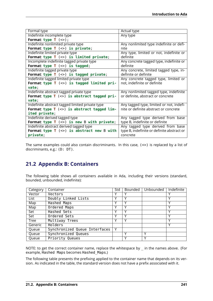| Formal type                                               | Actual type                                |
|-----------------------------------------------------------|--------------------------------------------|
| Indefinite incomplete type                                | Any type                                   |
| Format: type $T$ $(\le)$ ;                                |                                            |
| Indefinite nonlimited private type                        | Any nonlimited type indefinite or defi-    |
| Format: type $T$ $(\le)$ is private;                      | nite                                       |
| Indefinite limited private type                           | Any type, limited or not, indefinite or    |
| Format: type $T \leqslant$ ( $\leq$ ) is limited private; | definite                                   |
| Incomplete indefinite tagged private type                 | Any concrete tagged type, indefinite or    |
| Format: type $T$ $(\le)$ is tagged;                       | definite                                   |
| Indefinite tagged private type                            | Any concrete, limited tagged type, in-     |
| Format: type $T$ ( $\Leftrightarrow$ ) is tagged private; | definite or definite                       |
| Indefinite tagged limited private type                    | Any concrete tagged type, limited or       |
| Format: type $T$ $(\le)$ is tagged limited pri-           | not, indefinite or definite                |
| vate;                                                     |                                            |
| Indefinite abstract tagged private type                   | Any nonlimited tagged type, indefinite     |
| Format: type $T$ $(\le)$ is abstract tagged pri-          | or definite, abstract or concrete          |
| vate;                                                     |                                            |
| Indefinite abstract tagged limited private type           | Any tagged type, limited or not, indefi-   |
| Format: type $T$ ( $\le$ ) is abstract tagged lim-        | nite or definite abstract or concrete      |
| ited private;                                             |                                            |
| Indefinite derived tagged type                            | Any tagged type derived from base          |
| Format: type $T$ (<>) is new B with private;              | type B, indefinite or definite             |
| Indefinite abstract derived tagged type                   | Any tagged type derived from base          |
| Format: type $T$ ( $\le$ ) is abstract new B with         | type B, indefinite or definite abstract or |
| private;                                                  | concrete                                   |

The same examples could also contain discriminants. In this case,  $(\le)$  is replaced by a list of discriminants, e.g.: (D: DT).

# **21.2 Appendix B: Containers**

The following table shows all containers available in Ada, including their versions (standard, bounded, unbounded, indefinite):

| Category    | Container                     | Std | Bounded | Unbounded | Indefinite |
|-------------|-------------------------------|-----|---------|-----------|------------|
| Vector      | Vectors                       |     | Υ       |           |            |
| List        | Doubly Linked Lists           |     | Υ       |           |            |
| Map         | <b>Hashed Maps</b>            |     | ν       |           |            |
| Map         | Ordered Maps                  |     | γ       |           |            |
| Set         | Hashed Sets                   |     | ٧       |           |            |
| Set         | Ordered Sets                  |     | ٧       |           |            |
| <b>Tree</b> | Multiway Trees                | ν   | ٧       |           | ν          |
| Generic     | <b>Holders</b>                |     |         |           | ◡          |
| Queue       | Synchronized Queue Interfaces |     |         |           |            |
| Queue       | Synchronized Queues           |     | γ       |           |            |
| Queue       | Priority Queues               |     | ٧       |           |            |

NOTE: to get the correct container name, replace the whitespace by \_ in the names above. (For example, Hashed Maps becomes Hashed\_Maps.)

The following table presents the prefixing applied to the container name that depends on its version. As indicated in the table, the standard version does not have a prefix associated with it.